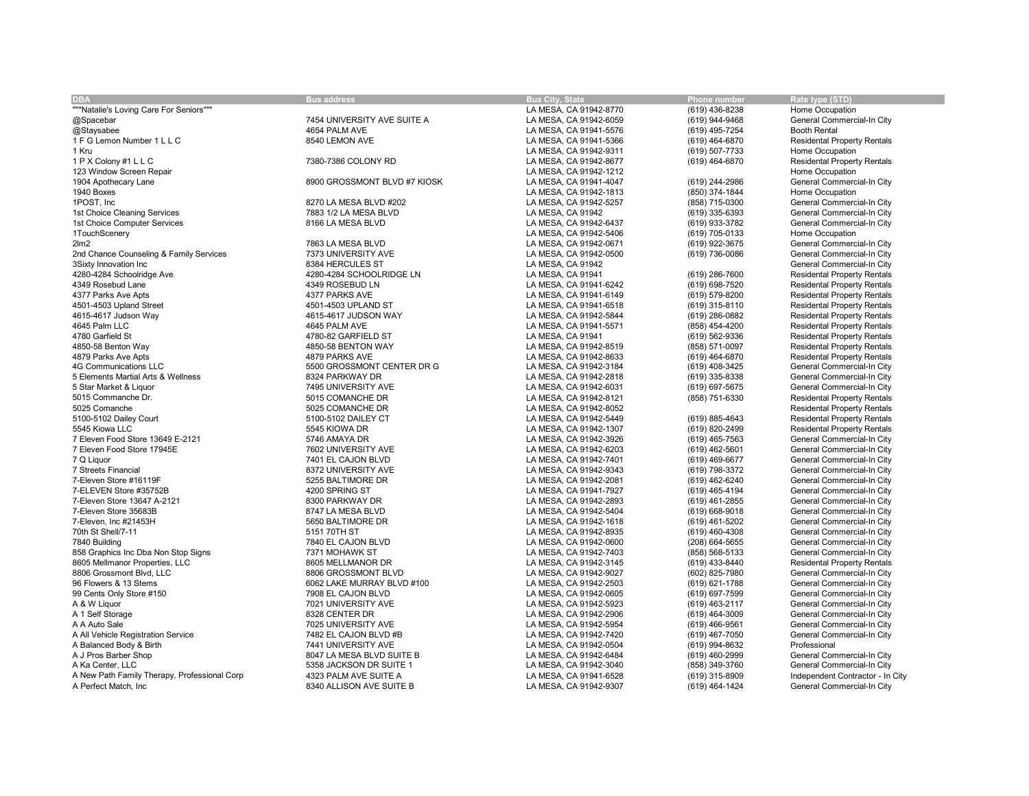| <b>DBA</b>                                   | <b>Bus address</b>           | <b>Bus City, State</b> | Phone number     | Rate type (STD)                    |
|----------------------------------------------|------------------------------|------------------------|------------------|------------------------------------|
| """Natalie's Loving Care For Seniors"""      |                              | LA MESA, CA 91942-8770 | (619) 436-8238   | Home Occupation                    |
| @Spacebar                                    | 7454 UNIVERSITY AVE SUITE A  | LA MESA, CA 91942-6059 | (619) 944-9468   | General Commercial-In City         |
|                                              |                              |                        |                  | <b>Booth Rental</b>                |
| @Staysabee                                   | 4654 PALM AVE                | LA MESA, CA 91941-5576 | (619) 495-7254   |                                    |
| 1 F G Lemon Number 1 L L C                   | 8540 LEMON AVE               | LA MESA, CA 91941-5366 | (619) 464-6870   | <b>Residental Property Rentals</b> |
| 1 Kru                                        |                              | LA MESA, CA 91942-9311 | (619) 507-7733   | Home Occupation                    |
| 1 P X Colony #1 L L C                        | 7380-7386 COLONY RD          | LA MESA, CA 91942-8677 | (619) 464-6870   | <b>Residental Property Rentals</b> |
| 123 Window Screen Repair                     |                              | LA MESA, CA 91942-1212 |                  | Home Occupation                    |
| 1904 Apothecary Lane                         | 8900 GROSSMONT BLVD #7 KIOSK | LA MESA, CA 91941-4047 | (619) 244-2986   | General Commercial-In City         |
| 1940 Boxes                                   |                              | LA MESA, CA 91942-1813 | (850) 374-1844   | Home Occupation                    |
| 1POST, Inc.                                  | 8270 LA MESA BLVD #202       | LA MESA, CA 91942-5257 | (858) 715-0300   | General Commercial-In City         |
| 1st Choice Cleaning Services                 | 7883 1/2 LA MESA BLVD        | LA MESA, CA 91942      | (619) 335-6393   | General Commercial-In City         |
| 1st Choice Computer Services                 | 8166 LA MESA BLVD            | LA MESA, CA 91942-6437 | (619) 933-3782   | General Commercial-In City         |
| 1TouchScenery                                |                              | LA MESA, CA 91942-5406 | (619) 705-0133   | Home Occupation                    |
| 2 <sub>lm2</sub>                             | 7863 LA MESA BLVD            | LA MESA, CA 91942-0671 | (619) 922-3675   | General Commercial-In City         |
| 2nd Chance Counseling & Family Services      | 7373 UNIVERSITY AVE          | LA MESA, CA 91942-0500 | (619) 736-0086   | General Commercial-In City         |
|                                              |                              |                        |                  |                                    |
| 3Sixty Innovation Inc                        | 8384 HERCULES ST             | LA MESA, CA 91942      |                  | General Commercial-In City         |
| 4280-4284 Schoolridge Ave                    | 4280-4284 SCHOOLRIDGE LN     | LA MESA, CA 91941      | (619) 286-7600   | <b>Residental Property Rentals</b> |
| 4349 Rosebud Lane                            | 4349 ROSEBUD LN              | LA MESA, CA 91941-6242 | (619) 698-7520   | <b>Residental Property Rentals</b> |
| 4377 Parks Ave Apts                          | 4377 PARKS AVE               | LA MESA, CA 91941-6149 | (619) 579-8200   | <b>Residental Property Rentals</b> |
| 4501-4503 Upland Street                      | 4501-4503 UPLAND ST          | LA MESA, CA 91941-6518 | (619) 315-8110   | <b>Residental Property Rentals</b> |
| 4615-4617 Judson Way                         | 4615-4617 JUDSON WAY         | LA MESA, CA 91942-5844 | (619) 286-0882   | <b>Residental Property Rentals</b> |
| 4645 Palm LLC                                | 4645 PALM AVE                | LA MESA, CA 91941-5571 | (858) 454-4200   | <b>Residental Property Rentals</b> |
| 4780 Garfield St                             | 4780-82 GARFIELD ST          | LA MESA, CA 91941      | (619) 562-9336   | <b>Residental Property Rentals</b> |
| 4850-58 Benton Way                           | 4850-58 BENTON WAY           | LA MESA, CA 91942-8519 | (858) 571-0097   | <b>Residental Property Rentals</b> |
| 4879 Parks Ave Apts                          | 4879 PARKS AVE               | LA MESA, CA 91942-8633 | (619) 464-6870   | <b>Residental Property Rentals</b> |
| 4G Communications LLC                        | 5500 GROSSMONT CENTER DR G   | LA MESA, CA 91942-3184 | (619) 408-3425   | General Commercial-In City         |
| 5 Elements Martial Arts & Wellness           | 8324 PARKWAY DR              | LA MESA, CA 91942-2818 | (619) 335-8338   | General Commercial-In City         |
| 5 Star Market & Liquor                       | 7495 UNIVERSITY AVE          | LA MESA, CA 91942-6031 | (619) 697-5675   | General Commercial-In City         |
| 5015 Commanche Dr.                           |                              |                        |                  |                                    |
|                                              | 5015 COMANCHE DR             | LA MESA, CA 91942-8121 | (858) 751-6330   | <b>Residental Property Rentals</b> |
| 5025 Comanche                                | 5025 COMANCHE DR             | LA MESA, CA 91942-8052 |                  | <b>Residental Property Rentals</b> |
| 5100-5102 Dailey Court                       | 5100-5102 DAILEY CT          | LA MESA, CA 91942-5449 | (619) 885-4643   | <b>Residental Property Rentals</b> |
| 5545 Kiowa LLC                               | 5545 KIOWA DR                | LA MESA, CA 91942-1307 | (619) 820-2499   | <b>Residental Property Rentals</b> |
| 7 Eleven Food Store 13649 E-2121             | 5746 AMAYA DR                | LA MESA, CA 91942-3926 | $(619)$ 465-7563 | General Commercial-In City         |
| 7 Eleven Food Store 17945E                   | 7602 UNIVERSITY AVE          | LA MESA, CA 91942-6203 | (619) 462-5601   | General Commercial-In City         |
| 7 Q Liquor                                   | 7401 EL CAJON BLVD           | LA MESA, CA 91942-7401 | (619) 469-6677   | General Commercial-In City         |
| 7 Streets Financial                          | 8372 UNIVERSITY AVE          | LA MESA, CA 91942-9343 | (619) 798-3372   | General Commercial-In City         |
| 7-Eleven Store #16119F                       | 5255 BALTIMORE DR            | LA MESA, CA 91942-2081 | (619) 462-6240   | General Commercial-In City         |
| 7-ELEVEN Store #35752B                       | 4200 SPRING ST               | LA MESA, CA 91941-7927 | (619) 465-4194   | General Commercial-In City         |
| 7-Eleven Store 13647 A-2121                  | 8300 PARKWAY DR              | LA MESA, CA 91942-2893 | (619) 461-2855   | General Commercial-In City         |
| 7-Eleven Store 35683B                        | 8747 LA MESA BLVD            | LA MESA, CA 91942-5404 | (619) 668-9018   | General Commercial-In City         |
| 7-Eleven, Inc #21453H                        | 5650 BALTIMORE DR            | LA MESA, CA 91942-1618 | (619) 461-5202   | General Commercial-In City         |
| 70th St Shell/7-11                           | 5151 70TH ST                 | LA MESA, CA 91942-8935 | (619) 460-4308   | General Commercial-In City         |
| 7840 Building                                | 7840 EL CAJON BLVD           | LA MESA, CA 91942-0600 | (208) 664-5655   | General Commercial-In City         |
|                                              |                              |                        |                  |                                    |
| 858 Graphics Inc Dba Non Stop Signs          | 7371 MOHAWK ST               | LA MESA, CA 91942-7403 | (858) 568-5133   | General Commercial-In City         |
| 8605 Mellmanor Properties, LLC               | 8605 MELLMANOR DR            | LA MESA, CA 91942-3145 | (619) 433-8440   | <b>Residental Property Rentals</b> |
| 8806 Grossmont Blvd, LLC                     | 8806 GROSSMONT BLVD          | LA MESA, CA 91942-9027 | (602) 825-7980   | General Commercial-In City         |
| 96 Flowers & 13 Stems                        | 6062 LAKE MURRAY BLVD #100   | LA MESA, CA 91942-2503 | (619) 621-1788   | General Commercial-In City         |
| 99 Cents Only Store #150                     | 7908 EL CAJON BLVD           | LA MESA, CA 91942-0605 | (619) 697-7599   | General Commercial-In City         |
| A & W Liquor                                 | 7021 UNIVERSITY AVE          | LA MESA, CA 91942-5923 | (619) 463-2117   | General Commercial-In City         |
| A 1 Self Storage                             | 8328 CENTER DR               | LA MESA, CA 91942-2906 | (619) 464-3009   | General Commercial-In City         |
| A A Auto Sale                                | 7025 UNIVERSITY AVE          | LA MESA, CA 91942-5954 | (619) 466-9561   | General Commercial-In City         |
| A All Vehicle Registration Service           | 7482 EL CAJON BLVD #B        | LA MESA, CA 91942-7420 | (619) 467-7050   | General Commercial-In City         |
| A Balanced Body & Birth                      | 7441 UNIVERSITY AVE          | LA MESA, CA 91942-0504 | (619) 994-8632   | Professional                       |
| A J Pros Barber Shop                         | 8047 LA MESA BLVD SUITE B    | LA MESA, CA 91942-6484 | (619) 460-2999   | General Commercial-In City         |
| A Ka Center, LLC                             | 5358 JACKSON DR SUITE 1      | LA MESA, CA 91942-3040 | (858) 349-3760   | General Commercial-In City         |
| A New Path Family Therapy, Professional Corp | 4323 PALM AVE SUITE A        | LA MESA, CA 91941-6528 | (619) 315-8909   | Independent Contractor - In City   |
| A Perfect Match. Inc.                        | 8340 ALLISON AVE SUITE B     |                        |                  | General Commercial-In City         |
|                                              |                              | LA MESA, CA 91942-9307 | (619) 464-1424   |                                    |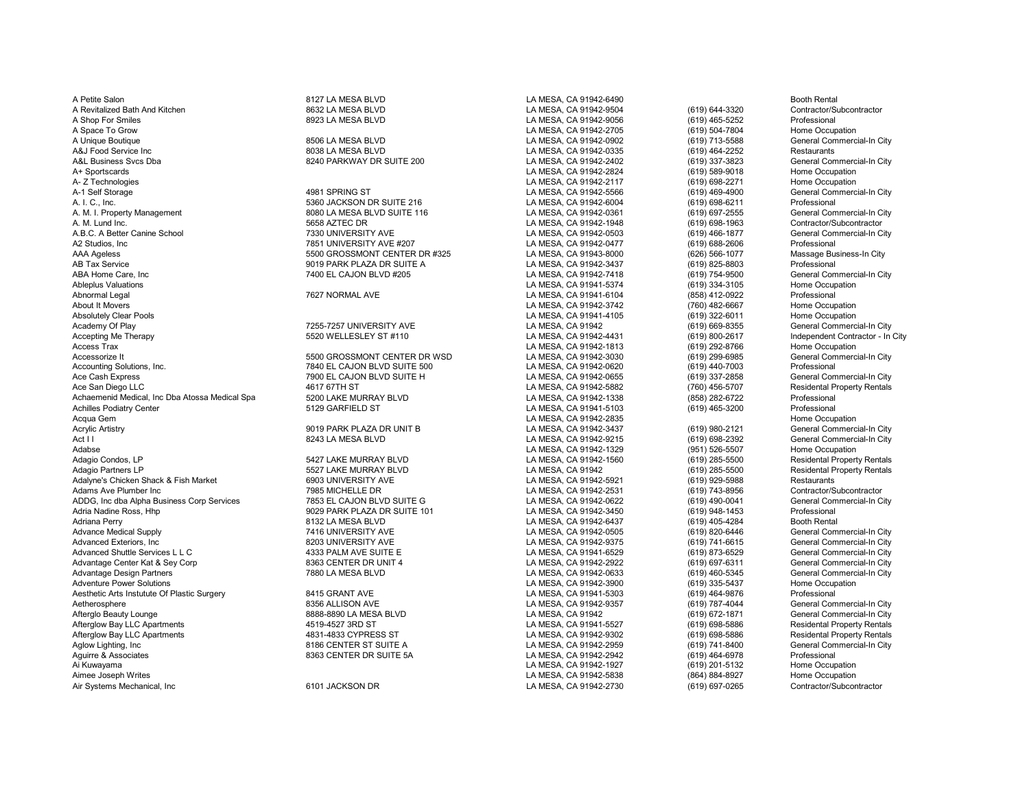A Petite Salon 81 March 8127 LA MESA BLVD And Booth Rental State of the SA State of the SA State of the SA State of the Booth Rental A Revitalized Bath And Kitchen 8632 LA MESA BLVD LA MESA, CA 91942-9504 (619) 644-3320 Contractor/Subcontractor A Shop For Smiles 8923 LA MESA BLVD LA MESA, CA 91942-9056 (619) 465-5252 Professional<br>A Space To Grow 8923 LA MESA BLVD LA MESA, CA 91942-2705 A Unique Boutique 8506 LA MESA BLVD LA MESA, CA 91942-0902 (619) 713-5588 General Commercial-In City A&J Food Service Inc 8038 LA MESA BLVD LA MESA, CA 91942-0335 (619) 464-2252 Restaurants A&L Business Svcs Dba 8240 PARKWAY DR SUITE 200 LA MESA, CA 91942-2402 (619) 337-3823 General Commercial-In City A+ Sportscards LA MESA, CA 91942-2824 (619) 589-9018 Home Occupation A- Z Technologies LA MESA, CA 91942-2117 (619) 698-2271 Home Occupation A-1 Self Storage 4981 SPRING ST LA MESA, CA 91942-5566 (619) 469-4900 General Commercial-In City A. I. C., Inc. 5360 JACKSON DR SUITE 216 LA MESA, CA 91942-6004 (619) 698-6211 Professional A. M. I. Property Management Commercial-In Chrometer and Basic Commercial-In Commercial-In Commercial-In Commercial-In Commercial-In Commercial-In Commercial-In Commercial-In Commercial-In Commercial-In Commercial-In Comme A.B.C. A Better Canine School 7330 UNIVERSITY AVE LA MESA, CA 91942-0503 (619) 466-1877 General Commercial-In City A2 Studios, Inc 7851 UNIVERSITY AVE #207 LA MESA, CA 91942-0477 (619) 688-2606 Professional<br>AAA Ageless 5500 GROSSMONT CENTER DR #325 LA MESA. CA 91943-8000 AAA Ageless 5500 GROSSMONT CENTER DR #325 LA MESA, CA 91943-8000 (626) 566-1077 Massage Business-In City AB Tax Service 9019 PARK PLAZA DR SUITE A LA MESA, CA 91942-3437 (619) 825-8803 Professional 7400 EL CAJON BLVD #205 LA MESA. CA 91942-7418 (619) 754-9500 ABA Home Care, Inc 7400 EL CAJON BLVD #205 LA MESA, CA 91942-7418 (619) 754-9500 General Commercial-In City Ableplus Valuations LA MESA, CA 91941-5374 (619) 334-3105 Home Occupation Abnormal Legal 7627 NORMAL AVE LA MESA, CA 91941-6104 (858) 412-0922 Professional About It Movers LA MESA, CA 91942-3742 (760) 482-6667 Home Occupation Absolutely Clear Pools LA MESA, CA 91941-4105 (619) 322-6011 Home Occupation Academy Of Play 1990 (619) 669-8355 Academy Of Play 1990 (619) 669-8355 Academy Of Play 1990-2557 Of Play 1990<br>Accepting Me Therapy 1990-2617 Commercial Commercial Commercial Commercial Commercial Commercial Commercial Co Accepting Me Therapy **5520 SEXUA CONTACT SEXUA ACCEPTS ACCEPT** MESA, CA 91942-4431 (619) 800-2617 Independent Contractor - In City<br>Access Trax (619) 292-8766 Home Occupation Access Trax LA MESA, CA 91942-1813 (619) 292-8766 Home Occupation Accessorize It 5500 GROSSMONT CENTER DR WSD LA MESA, CA 91942-3030 (619) 299-6985 General Commercial-In City Accounting Solutions, Inc. 7840 EL CAJON BLVD SUITE 500 LA MESA, CA 91942-0620 (619) 440-7003 Professional 7900 EL CAJON BLVD SUITE H LA MESA. CA 91942-0655 (619 Ace Cash Express 7900 EL CAJON BLVD SUITE H LA MESA, CA 91942-0655 (619) 337-2858 General Commercial-In City Achaemenid Medical, Inc Dba Atossa Medical Spa 5200 LAKE MURRAY BLVD LA MESA, CA 91942-1338 (858) 282-6722 Professional Acqua Gem LA MESA, CA 91942-2835 Home Occupation Acrylic Artistry 9019 PARK PLAZA DR UNIT B LA MESA, CA 91942-3437 (619) 980-2121 General Commercial-In City<br>Act I l 8243 LA MESA BLVD LA MESA. CA Act I I 8243 LA MESA BLVD LA MESA, CA 91942-9215 (619) 698-2392 General Commercial-In City Adabse LA MESA, CA 91942-1329 (951) 526-5507 Home Occupation Adagio Condos, LP 5427 LAKE MURRAY BLVD LA MESA, CA 91942-1560 (619) 285-5500 Residental Property Rentals Adagio Partners LP 5527 LAKE MURRAY BLVD LA MESA, CA 91942 (619) 285-5500 Residental Property Rentals Adalyne's Chicken Shack & Fish Market 6903 UNIVERSITY AVE LA MESA, CA 91942-5921 (619) 929-5988 Restaurants Adams Ave Plumber Inc 7985 MICHELLE DR LA MESA, CA 91942-2531 (619) 743-8956 Contractor/Subcontractor ADDG, Inc dba Alpha Business Corp Services **1953 EL CAJON BLVD SUITE G** 1989 CA MESA, CA 91942-0622 (619) 490-0041 General Commercial-In City (619) 490-0041 General Commercial-In City (619) 490-0041 General Commercial-In C Adria Nadine Ross, Hhp 9029 PARK PLAZA DR SUITE 101 LA MESA, CA 91942-3450 (619) 948-1453 Professional Adriana Perry 8132 LA MESA BLVD LA MESA, CA 91942-6437 (619) 405-4284 Booth Rental Advance Medical Supply 7416 UNIVERSITY AVE LA MESA, CA 91942-0505 (619) 820-6446 General Commercial-In City Advanced Exteriors, Inc 8203 UNIVERSITY AVE LA MESA, CA 91942-9375 (619) 741-6615 General Commercial-In City Advanced Shuttle Services L L C **Annual Commercial-In City** (619) 873-6529 (619) 873-6529 General Commercial-In City<br>Advantage Center Kat & Sev Corp **Commercial-In City 8963 CENTER DR UNIT 4** CA MESA, CA 91942-2922 (619) 6 Advantage Center Kat & Sey Corp 8363 CENTER DR UNIT 4 LA MESA, CA 91942-2922 (619) 697-6311 General Commercial-In City Adventure Power Solutions LA MESA, CA 91942-3900 (619) 335-5437 Home Occupation Aesthetic Arts Instutute Of Plastic Surgery **8415 GRANT AVE LA MESA, CA 91941-5303** (619) 464-9876 Professional<br>Aetherosphere Aetherosphere (General Commercial-In City 8356 ALLISON AVE LA MESA, CA 91942-9357 (619) 787-4044 Aetherosphere 8356 ALLISON AVE LA MESA, CA 91942-9357 (619) 787-4044 General Commercial-In City Afterglo Beauty Lounge 8888-8890 LA MESA BLVD LA MESA, CA 91942 (619) 672-1871 General Commercial-In City Afterglow Bay LLC Apartments 4519-4527 3RD ST LA MESA, CA 91941-5527 (619) 698-5886 Residental Property Rentals Afterglow Bay LLC Apartments 4831-4833 CYPRESS ST LA MESA, CA 91942-9302 (619) 698-5886 Residental Property Rentals Aglow Lighting, Inc 8186 CENTER ST SUITE A LA MESA, CA 91942-2959 (619) 741-8400 General Com<br>Aguirre & Associates 8363 CENTER DR SUITE 5A LA MESA. CA 91942 Aguirre & Associates 8363 CENTER DR SUITE 5A LA MESA, CA 91942-2942 (619) 464-6978 Professional Ai Kuwayama LA MESA, CA 91942-1927 (619) 201-5132 Home Occupation Air Systems Mechanical, Inc 6191 Contractor Contractor Contractor Contractor Contractor Contractor Contractor/<br>
A MESA, CA 91942-2730 (619) 697-0265

A. M. Lund Inc. 5658 AZTEC DR LA MESA, CA 91942-1948 (619) 698-1963 Contractor/Subcontractor

4617 67TH ST<br>Ace S200 LAKE MURRAY BLVD CHA SAN DIEGO LA MESA, CA 91942-1338 (760) 458) 282-6722 Professional Property Rentals

LA MESA, CA 91942-2705 LA MESA, CA 91941-5103 LA MESA, CA 91942-5838 (864) 884-8927 Home Occupation<br>Entractor/Subcontractor LA MESA. CA 91942-2730 (619) 697-0265 Contractor/Subcontractor

General Commercial-In City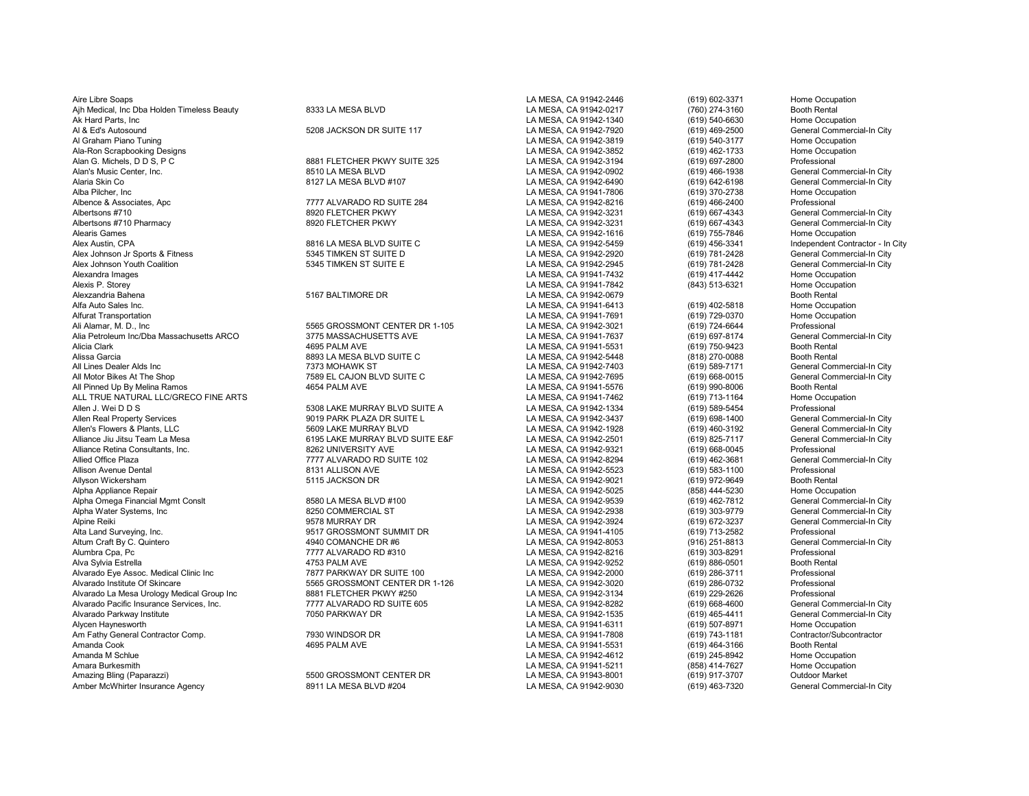Aire Libre Soaps LA MESA, CA 91942-2446 (619) 602-3371 Home Occupation Ajh Medical, Inc Dba Holden Timeless Beauty **8333 LA MESA BLVD** LA MESA, CA 91942-0217 (760) 274-3160 Booth Rental<br>Ak Hard Parts. Inc (619) 540-6630 Home Occupation Ak Hard Parts, Inc LA MESA, CA 91942-1340 (619) 540-6630 Home Occupation Al & Ed's Autosound Channel S208 JACKSON DR SUITE 117 LA MESA, CA 91942-7920 (619) 469-2500 General Commercial-In City<br>Al Graham Piano Tuning Home Occupation Al Graham Piano Tuning LA MESA, CA 91942-3819 (619) 540-3177 Home Occupation Ala-Ron Scrapbooking Designs LA MESA, CA 91942-3852 (619) 462-1733 Home Occupation Alan G. Michels, D D S, P C 8881 FLETCHER PKWY SUITE 325 LA MESA, CA 91942-3194 (619) 697-2800 Professional Alan's Music Center, Inc. 8510 LA MESA BLVD LA MESA, CA 91942-0902 (619) 466-1938 General Commercial-In City Alaria Skin Co 8127 LA MESA BLVD #107 LA MESA, CA 91942-6490 (619) 642-6198 General Commercial-In City Alba Pilcher, Inc LA MESA, CA 91941-7806 (619) 370-2738 Home Occupation Albence & Associates, Apc 7777 ALVARADO RD SUITE 284 LA MESA, CA 91942-8216 (619) 466-2400 Professional Albertsons #710 8920 FLETCHER PKWY LA MESA, CA 91942-3231 (619) 667-4343 General Commercial-In City Albertsons #710 Pharmacy 8920 FLETCHER PKWY LA MESA, CA 91942-3231 (619) 667-4343 General Commercial-In City<br>Alearis Games 8920 FLETCHER PKWY LA MESA. Alearis Games LA MESA, CA 91942-1616 (619) 755-7846 Home Occupation Alex Austin, CPA 8816 LA MESA BLVD SUITE C LA MESA, CA 91942-5459 (619) 456-3341 Independent Contractor - In City Alex Johnson Jr Sports & Fitness 5345 TIMKEN ST SUITE D LA MESA, CA 91942-2920 (619) 781-2428 General Commercial-In City Alex Johnson Youth Coalition 61 - Same Commercial Commercial Commercial Commercial Commercial Commercial Commerc<br>Alexandra Images - Home Occupation - Same Commercial Commercial Commercial Commercial Commercial Commercial C Alexandra Images LA MESA, CA 91941-7432 (619) 417-4442 Home Occupation Alexis P. Storey LA MESA, CA 91941-7842 (843) 513-6321 Home Occupation Alexzandria Bahena 5167 BALTIMORE DR LA MESA, CA 91942-0679 Booth Rental Alfa Auto Sales Inc. LA MESA, CA 91941-6413 (619) 402-5818 Home Occupation Alfurat Transportation LA MESA, CA 91941-7691 (619) 729-0370 Home Occupation Alia Petroleum Inc/Dba Massachusetts ARCO 3775 MASSACHUSETTS AVE LA MESA, CA 91941-7637 (619) 697-8174 General Com<br>Alicia Clark (619) 750-9423 Booth Rental Alicia Clark 4695 PALM AVE LA MESA, CA 91941-5531 (619) 750-9423 Booth Rental Alissa Garcia 8893 LA MESA BLVD SUITE C LA MESA, CA 91942-5448 (818) 270-0088 Booth Rental All Lines Dealer Alds Inc 7373 MOHAWK ST LA MESA, CA 91942-7403 (619) 589-7171 General Commercial-In City All Motor Bikes At The Shop 7589 EL CAJON BLVD SUITE C North CALLA MESA, CA 91942-7695 (619) 668-0015 General Commercial-In City مالك 1589 EL CAJON BLVD SUITE C بين المستحدث لـ LA MESA, CA 91941-5576 (619) 990-8006 Booth R All Pinned Up By Melina Ramos 4654 PALM AVE LA MESA, CA 91941-5576 (619) 990-8006 Booth Rental ALL TRUE NATURAL LLC/GRECO FINE ARTS LA MESA, CA 91941-7462 (619) 713-1164 Home Occupation Allen Real Property Services 9019 PARK PLAZA DR SUITE L LA MESA, CA 91942-3437 (619) 698-1400 General Commercial-In City Allen's Flowers & Plants, LLC 6609 LAKE MURRAY BLVD LA MESA, CA 91942-1928 (619) 460-3192 General Commercial-In City<br>Alliance Jiu Jitsu Team La Mesa 6195 LAKE MURRAY BLVD SUITE E&F LA MESA. CA 91942-2501 (619) 825-7117 Gen Alliance Retina Consultants, Inc. 8262 UNIVERSITY AVE LA MESA, CA 91942-9321 (619) 668-0045 Professional Allison Avenue Dental 8131 ALLISON AVE LA MESA, CA 91942-5523 (619) 583-1100 Professional Allyson Wickersham 5115 JACKSON DR LA MESA, CA 91942-9021 (619) 972-9649 Booth Rental Alpha Appliance Repair LA MESA, CA 91942-5025 (858) 444-5230 Home Occupation Alpha Omega Financial Mgmt Conslt 8580 LA MESA BLVD #100 LA MESA, CA 91942-9539 (619) 462-7812 General Commercial-In City Alpha Water Systems, Inc 8250 COMMERCIAL ST LA MESA, CA 91942-2938 (619) 303-9779 General Commercial-In City Alpine Reiki 9578 MURRAY DR LA MESA, CA 91942-3924 (619) 672-3237 General Commercial-In City Alta Land Surveying, Inc. 9517 GROSSMONT SUMMIT DR LA MESA, CA 91941-4105 <br>Altum Craft Bv C. Quintero 4940 COMANCHE DR #6 Altum Craft By C. Quintero 4940 COMANCHE DR #6 LA MESA, CA 91942-8053 (916) 251-8813 General Commercial-In City Alumbra Cpa, Pc 7777 ALVARADO RD #310 LA MESA, CA 91942-8216 (619) 303-8291 Professional Alva Sylvia Estrella 4753 PALM AVE LA MESA, CA 91942-9252 (619) 886-0501 Booth Rental Alvarado Eye Assoc. Medical Clinic Inc 7877 PARKWAY DR SUITE 100 LA MESA, CA 91942-2000 (619) 286-3711 Professional Alvarado La Mesa Urology Medical Group Inc 8881 FLETCHER PKWY #250 LA MESA, CA 91942-3134 (619) 229-2626 Professional Alvarado Pacific Insurance Services, Inc. 7777 ALVARADO RD SUITE 605 LA MESA, CA 91942-8282 (619) 668-4600 General Commercial-In City<br>Alvarado Parkwav Institute 7050 PARKWAY DR Alvarado Parkway Institute 7050 PARKWAY DR LA MESA, CA 91942-1535 (619) 465-4411 General Commercial-In City Alycen Haynesworth LA MESA, CA 91941-6311 (619) 507-8971 Home Occupation Am Fathy General Contractor Comp. 7930 WINDSOR DR LA MESA, CA 91941-7808 (619) 743-1181 Contractor/Subcontractor Amanda Cook 4695 PALM AVE LA MESA, CA 91941-5531 (619) 464-3166 Booth Rental Amanda M Schlue LA MESA, CA 91942-4612 (619) 245-8942 Home Occupation Amara Burkesmith LA MESA, CA 91941-5211 (858) 414-7627 Home Occupation Amber McWhirter Insurance Agency **8911 LA MESA BLVD #204** LA MESA, CA 91942-9030 (619) 463-7320 General Commercial-In Commercial-In Commercial-In Commercial-In Commercial-In Commercial-In Commercial-In Commercial-In Commer

5565 GROSSMONT CENTER DR 1-105 LA MESA, CA 91942-3021 (619) 724-6644 Professional Professional Professional Cum<br>1977 3775 MASSACHUSETTS AVE San District Campional La MESA, CA 91941-7637 (619) 697-8174 General Commercial-In

5308 LAKE MURRAY BLVD SUITE A<br>1. MESA, CA 91942-3437 (619) 698-1400 General Commercial-In City<br>1. MESA, CA 91942-3437 (619) 698-1400 General Commercial-In City Alliance Jiu Jitsu Team La Mesa 6195 LAKE MURRAY BLVD SUITE E&F LA MESA, CA 91942-2501 (619) 825-7117 General Commercial-In City Pressure Correct Office Plaza 12 LA MESA, CA 91942-8294 (619) 462-3681 General Conmercial Commercial Commercial<br>B131 ALLISON AVE Professional Commercial-In City, CA 91942-5523 (619) 583-1100 Professional

Alvarado Institute Of Skincare 5565 GROSSMONT CENTER DR 1-126 LA MESA, CA 91942-3020 (619) 286-0732 Professional

Amazing Bling (Paparazzi) 5500 GROSSMONT CENTER DR LA MESA, CA 91943-8001 (619) 917-3707 Outdoor Market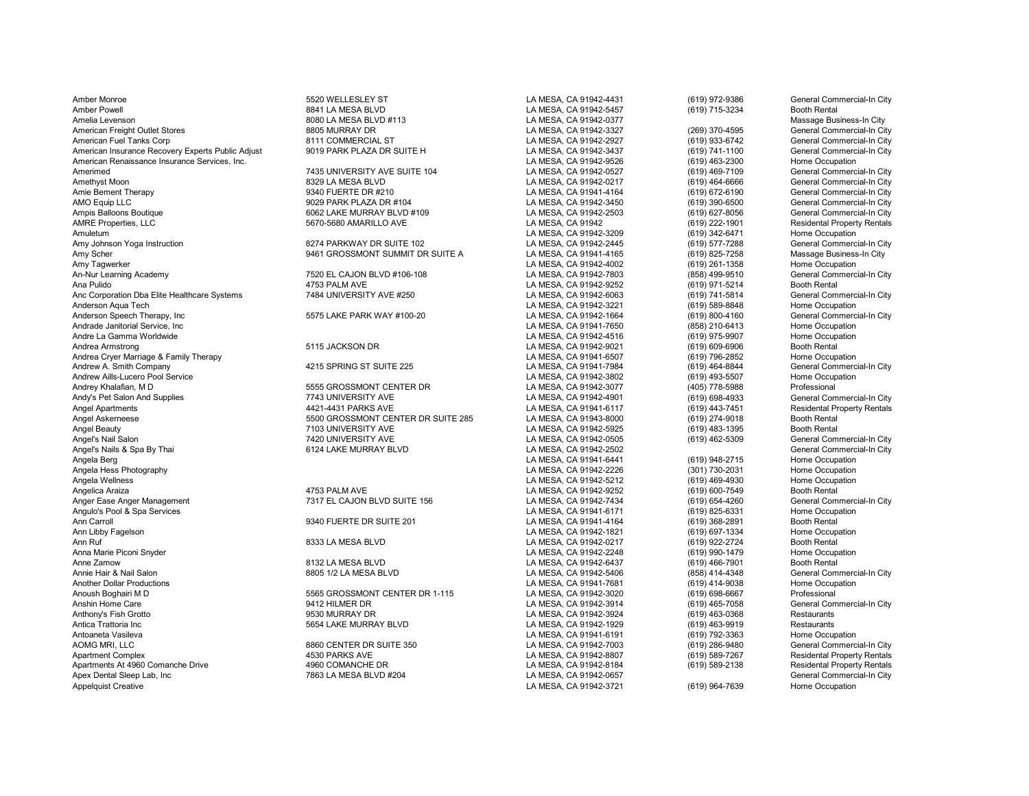Amber Monroe **Amber Monroe 5520 WELLESLEY ST** LA MESA, CA 91942-4431 (619) 972-9386 General Commercial-In City Amber Powell 8841 LA MESA BLVD LA MESA, CA 91942-5457 (619) 715-3234 Booth Rental Amelia Levenson 8080 LA MESA BLVD #113 LA MESA, CA 91942-0377 Massage Business-In City American Freight Outlet Stores 8805 MURRAY DR LA MESA, CA 91942-3327 (269) 370-4595 General Commercial-In City American Fuel Tanks Corp (619) 933-6742 (619) 8111 COMMERCIAL ST (619) 833-6742 (619) 933-6742 (69) 933-6742 (69) 933-6742 (69) 933-6742 (69) 933-6742 (69) 933-6742 (69) 933-69 (619) 933-69 (619) 933-6742 (69) 933-69 (619) American Insurance Recovery Experts Public Adjust and the Suite 19019 PARK PLAZA DR SUITE H LA MESA, CA 91942-3437 (619) 741-1100 General Commercian American Renaissance Insurance Services, Inc. and the Suite 1019 PARK PLA American Renaissance Insurance Services, Inc. [19] The Community Case of the Superium Case of the Community Case of the Superium Case of the Superium Case of the Community Case of the Community Case of the Superium Case of Amerimed 7435 UNIVERSITY AVE SUITE 104 LA MESA, CA 91942-0527 (619) 469-7109 General Commercial-In City Amethyst Moon 8329 LA MESA BLVD LA MESA, CA 91942-0217 (619) 464-6666 General Commercial-In City Amie Bement Therapy 9340 FUERTE DR #210 LA MESA, CA 91941-4164 (619) 672-6190 General Commercial-In City AMO Equip LLC COMPRETENT STREAD AND RESOLUTE THE SUID OF SALE OF SUID AND SUID AND ANNO HIS ARESA, CA 91942-3450<br>Ampis Balloons Boutique Commercial-In City 6062 LAKE MURRAY BLVD #109 CANESA. CA 91942-2503 (619) 627-8056 Ge Ampis Balloons Boutique 6062 LAKE MURRAY BLVD #109 LA MESA, CA 91942-2503 (619) 627-8056 General Commercial-In City Amuletum LA MESA, CA 91942-3209 (619) 342-6471 Home Occupation Amy Johnson Yoga Instruction **1928 Conserved Hart City** 8274 PARKWAY DR SUITE 102 LA MESA, CA 91942-2445 (619) 577-7288 General Commercial-In City<br>Amy Scher (619) 825-7258 Massage Business-In City Amy Scher 9461 GROSSMONT SUMMIT DR SUITE A LA MESA, CA 91941-4165 (619) 825-7258 Massage Business-In City Amy Tagwerker (619) 261-1358 Home Occupation (619) 261-1358 Home Occupation<br>An-Nur Learning Academy (commercial-In City) 2620 EL CAJON BLVD #106-108 (A MESA, CA 91942-7803 (858) 499-9510 An-Nur Learning Academy 7520 EL CAJON BLVD #106-108 LA MESA, CA 91942-7803 (858) 499-9510 General Com<br>Ana Pulido 4753 PALM AVE LA MESA. CA 91942-9252 Anc Corporation Dba Elite Healthcare Systems **7484 UNIVERSITY AVE #250** LA MESA, CA 91942-6063 (619) 741-5814 General Commerc<br>Anderson Agua Tech (619) 589-8848 Home Occupation Anderson Aqua Tech LA MESA, CA 91942-3221 (619) 589-8848 Home Occupation Anderson Speech Therapy, Inc **1966 and The Commercial-In City** 5575 LAKE PARK WAY #100-20 LA MESA, CA 91942-1664 (619) 800-4160 General Commercial-In City<br>Andrade Janitorial Service. Inc Correction Andrade Janitorial Service, Inc LA MESA, CA 91941-7650 (858) 210-6413 Home Occupation Andre La Gamma Worldwide **Andre La Gamma Worldwide** Cocupation Cocupation of the State of the State of the State Andre Andre Andre Armstrong Cocupation Booth Rental CA 91942-9021 Andrea Armstrong Booth Rental CA 91942-9021 Andrea Armstrong Change Changes of the State of the State of the State of the State of the State of the State of the State of the State of the State of the State of the State of the State of the State of the State of the S Andrea Cryer Marriage & Family Therapy and the computer of the SPRING ST SUITE 225 Andrea LA MESA, CA 91941-6507 (619) 796-2852 Home Occupation (619) 796-2852 Home Occupation (619) 796-2852 Home Occupation (519) 164-8844 G Andrew A. Smith Company 4215 SPRING ST SUITE 225 LA MESA, CA 91941-7984 (619) 464-8844 General Commercial-In City Andrew Aills-Lucero Pool Service North Cocupation<br>Andrey Khalafian, M D Cocupation Cocupation CENTER DR LA MESA, CA 91942-3077 (405) 778-5988 Professional Andy's Pet Salon And Supplies 1988-4933 And The Total Andreae 19743 UNIVERSITY AVE LA MESA, CA 91942-4901 (619) 698-4933 Andel Commercial Commercial Commercial Commercial Commercial Commercial Commercial Commercial-In Comm Angel Apartments **Angle Apartments** and the state of the 4421-4431 PARKS AVE **LA MESA, CA 91941-6117** (619) 443-7451 Residental Property Rentals<br>Angel Askerneese and the state of the 5500 GROSSMONT CENTER DR SUITE 285 LA M Angel Askerneese 5500 GROSSMONT CENTER DR SUITE 285 LA MESA, CA 91943-8000 (619) 274-9018 Booth Rental Angel Beauty 7103 UNIVERSITY AVE LA MESA, CA 91942-5925 (619) 483-1395 Booth Rental<br>Angel's Nail Salon 7420 UNIVERSITY AVE LA MESA, CA 91942-0505 Angel's Nail Salon 7420 UNIVERSITY AVE LA MESA, CA 91942-0505 (619) 462-5309 General Commercial-In City Angel's Nails & Spa By Thai **Angelis Angelis Angelis Angelis Angelis Angelis Angelis Angelis Angelis Angelis Angelis Spa By Thai Commercial-In City<br>Angela Berg (619) 948-2715 Home Occupation** Angela Berg LA MESA, CA 91941-6441 (619) 948-2715 Home Occupation Angela Hess Photography LA MESA, CA 91942-2226 (301) 730-2031 Home Occupation Angela Wellness LA MESA, CA 91942-5212 (619) 469-4930 Home Occupation Anger Ease Anger Management **1986 and The CALON BLANGER 156** LA MESA, CA 91942-7434 (619) 654-4260 General Commerci<br>Angulo's Pool & Spa Services Home Occupation Commercial Calon Bland Band Calon Bland Commercial-In City Co Angulo's Pool & Spa Services (619) 825-6331 Home Occup<br>Ann Carroll (619) 825-6331 Home Occupation of the Core of State of State of State of State of Space of Booth Rental Ann Carroll 9340 FUERTE DR SUITE 201 LA MESA, CA 91941-4164 (619) 368-2891 Booth Rental Ann Libby Fagelson LA MESA, CA 91942-1821 (619) 697-1334 Home Occupation Ann Ruf 8333 LA MESA BLVD LA MESA, CA 91942-0217 (619) 922-2724 Booth Rental Anna Marie Piconi Snyder November 2013 (619) 990-1479 Home Occupation<br>Anne Zamow (619) 990-1479 Anne 2000 Booth Rental Anne Zamow 8132 LA MESA BLVD LA MESA, CA 91942-6437 (619) 466-7901 Booth Rental Annie Hair & Nail Salon 8805 1/2 LA MESA BLVD LA MESA, CA 91942-5406 (858) 414-4348 General Commercial-In City<br>Another Dollar Productions Home Occupation Another Dollar Productions LA MESA, CA 91941-7681 (619) 414-9038 Home Occupation Anoush Boghairi M D 5565 GROSSMONT CENTER DR 1-115 LA MESA, CA 91942-3020 (619) 698-6667 Professional<br>Anshin Home Care 9412 HILMER DR Anshin Home Care 9412 HILMER DR LA MESA, CA 91942-3914 (619) 465-7058 General Commercial-In City Anthony's Fish Grotto 9530 MURRAY DR LA MESA, CA 91942-3924 (619) 463-0368 Restaurants Antica Trattoria Inc 5654 LAKE MURRAY BLVD LA MESA, CA 91942-1929 (619) 463-9919 Restaurants Antoaneta Vasileva LA MESA, CA 91941-6191 (619) 792-3363 Home Occupation AOMG MRI, LLC 8860 CENTER DR SUITE 350 LA MESA, CA 91942-7003 (619) 286-9480 General Commercial-In City Apartment Complex 4530 PARKS AVE LA MESA, CA 91942-8807 (619) 589-7267 Residental Property Rentals Apartments At 4960 Comanche Drive 4960 Apartments At 4960 COMANCHE DR LA MESA, CA 91942-8184 (619) 589-2138 Residental Property Rentals<br>Apex Dental Sleep Lab, Inc Commercial-In City 7863 LA MESA BLVD #204 LA MESA, CA 91942 Apex Dental Sleep Lab, Inc Commercial-In City 7863 LA MESA BLVD #204 LA MESA, CA 91942-0657 Ceneral Commercial-In City Ceneral Commercial-In City Ceneral Commercial-In City Ceneral Commercial-In City Commercial-In City Com

Ana Pulido 4753 PALM AVE LA MESA, CA 91942-9252 (619) 971-5214 Booth Rental

5555 GROSSMONT CENTER DR<br>Andrey Andrey Andrey CA 91942-4901 (619) 698-4933 Connercial-In City<br>The Ceneral Commercial-In City LA MESA, CA 91942-4901 (619) 698-4933 General Commercial-In City

1994 (619) 222-1901 ESA, CA 91942 (619) 222-1901 Residental Propert<br>LA MESA, CA 91942-3209 (619) 342-6471 Home Occupation 4753 PALM AVE LA MESA, CA 91942-9252 (619) 600-7549 Booth Rental Booth Rental Commercial-In City<br>1991 Transfer CAJON BLVD SUITE 156 (619) LA MESA, CA 91942-7434 (619) 654-4260 General Commercial-In City LA MESA, CA 91942-3721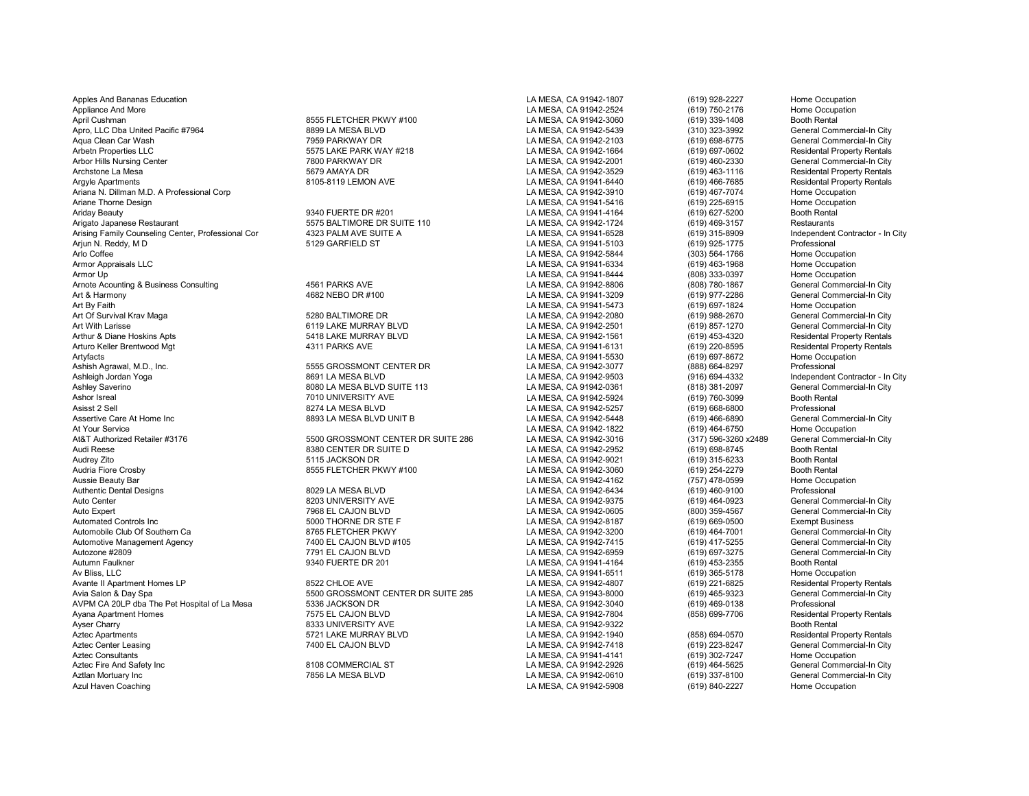Apples And Bananas Education **LA MESA, CA 91942-1807** (619) 928-2227 Home Occupation Home Occupation Appliance And More LA MESA, CA 91942-2524 (619) 750-2176 Home Occupation April Cushman 8555 FLETCHER PKWY #100 LA MESA, CA 91942-3060 (619) 339-1408 Booth Rental Apro, LLC Dba United Pacific #7964 8899 LA MESA BLVD LA MESA, CA 91942-5439 (310) 323-3992 General Commercial-In City Aqua Clean Car Wash 7959 PARKWAY DR LA MESA, CA 91942-2103 (619) 698-6775 General Commercial-In City Arbetn Properties LLC 619 STS LAKE PARK WAY #218 LA MESA, CA 91942-1664 (619) 697-0602 Residental Property Rentals<br>Arbor Hills Nursing Center Commercial-In City 7800 PARKWAY DR LA MESA, CA 91942-2001 (619) 460-2330 General Arbor Hills Nursing Center 1990 PARKWAY DR 1999 PARKWAY DR LA MESA, CA 91942-2001 (619) 460-2330 Archstone La Mesa (619) 463-1116<br>Archstone La Mesa (619) 463-1116 Archstone La Mesa 5679 AMAYA DR LA MESA, CA 91942-3529 (619) 463-1116 Residental Property Rentals Argyle Apartments 8105-8119 LEMON AVE LA MESA, CA 91941-6440 (619) 466-7685 Residental Property Rentals Ariana N. Dillman M.D. A Professional Corp Corp Corp Corp LA MESA, CA 91942-3910 (619) 467-7074 Home Occupation Ariane Thorne Design LA MESA, CA 91941-5416 (619) 225-6915 Home Occupation Ariday Beauty 9340 FUERTE DR #201 LA MESA, CA 91941-4164 (619) 627-5200 Booth Rental Arigato Japanese Restaurant **Restaurant 1998** S575 BALTIMORE DR SUITE 110 LA MESA, CA 91942-1724 (619) 469-3157 Restaurants<br>Arising Family Counseling Center, Professional Cor 4323 PALM AVE SUITE A ANTERA CA 91941-6528 (619 Arising Family Counseling Center, Professional Cor and the Arising SPALM AVE SUITE A LA MESA, CA 91941-6528 (619) 315-8909 Independent Arising Family Counseling Center, Professional Cor<br>Ariun N. Reddy. M. D. D. D. Professi Arjun N. Reddy, M D 5129 GARFIELD ST LA MESA, CA 91941-5103 (619) 925-1775 Professional<br>Arlo Coffee 5129 GARFIELD ST LA MESA. CA 91942-5844 (30 Arlo Coffee LA MESA, CA 91942-5844 (303) 564-1766 Home Occupation Armor Appraisals LLC LA MESA, CA 91941-6334 (619) 463-1968 Home Occupation Armor Up LA MESA, CA 91941-8444 (808) 333-0397 Home Occupation Arnote Acounting & Business Consulting 4561 PARKS AVE LA MESA, CA 91942-8806 (808) 780-1867 General Commercial-In City Art & Harmony 4682 NEBO DR #100 LA MESA, CA 91941-3209 (619) 977-2286 General Commercial-In City<br>Art Bv Faith 4682 NEBO DR #100 Art By Faith LA MESA, CA 91941-5473 (619) 697-1824 Home Occupation Art Of Survival Krav Maga 5280 BALTIMORE DR LA MESA, CA 91942-2080 (619) 988-2670 General Commercial-In City Art With Larisse 6119 LAKE MURRAY BLVD LA MESA, CA 91942-2501 (619) 857-1270 General Commercial-In City Arthur & Diane Hoskins Apts 5418 LAKE MURRAY BLVD LA MESA, CA 91942-1561 (619) 453-4320 Residental Property Rentals<br>Arturo Keller Brentwood Mat 1999 4311 PARKS AVE 4311 PARKS AVE LA MESA. CA 91941-6131 (619) 220-8595 Resid Arturo Keller Brentwood Mgt 4311 PARKS AVE LA MESA, CA 91941-6131 (619) 220-8595 Residental Property Rentals Artyfacts (619) 697-8672 Home Occupation (619) 697-8672 Home Occupation (619) 697-8672 Home Occupation (619) 697-8672 Home Occupation (619) 697-8672 Home Occupation (619) 697-8672 Home Occupation (619) 697-8672 Home Occupa Ashish Agrawal, M.D., Inc. 5555 GROSSMONT CENTER DR LA MESA, CA 91942-3077 (888) 664-8297 Professional Ashleigh Jordan Yoga 8691 LA MESA BLVD LA MESA, CA 91942-9503 (916) 694-4332 Independent Contractor - In City Ashley Saverino 8080 LA MESA BLVD SUITE 113 LA MESA, CA 91942-0361 (818) 381-2097 General Commercial-In City Ashor Isreal 7010 UNIVERSITY AVE LA MESA, CA 91942-5924 (619) 760-3099 Booth Rental Asisst 2 Sell 8274 LA MESA BLVD LA MESA, CA 91942-5257 (619) 668-6800 Professional Assertive Care At Home Inc 8893 LA MESA BLVD UNIT B LA MESA, CA 91942-5448 (619) 466-6890 General Commercial-In City At Your Service Care Home Occupation<br>At&T Authorized Retailer #3176 Corresponsion and the SECO SECONDER SUITE 286 LA MESA, CA 91942-3016 (619) 464-6750 Home Occupation At&T Authorized Retailer #3176 5500 GROSSMONT CENTER DR SUITE 286 LA MESA, CA 91942-3016 General Com<br>Audi Reese 8380 CENTER DR SUITE D LA MESA. CA 9194 Audi Reese 8380 CENTER DR SUITE D LA MESA, CA 91942-2952 (619) 698-8745 Booth Rental Audrey Zito 5115 JACKSON DR LA MESA, CA 91942-9021 (619) 315-6233 Booth Rental Audria Fiore Crosby 8555 FLETCHER PKWY #100 LA MESA, CA 91942-3060 (619) 254-2279 Booth Rental Aussie Beauty Bar LA MESA, CA 91942-4162 (757) 478-0599 Home Occupation Authentic Dental Designs 8029 LA MESA BLVD LA MESA, CA 91942-6434 (619) 460-9100 Professional Auto Center 8203 UNIVERSITY AVE LA MESA, CA 91942-9375 (619) 464-0923 General Commercial-In City Auto Expert (800) 359-4567 (800) 359-4567 General Commercial-In Meson Commercial-In Meson Commercial-In Commerc<br>Automated Controls Inc (1998-0500) Sould be the Sould House of The Sould House of The Sould House of Sould Ho Automated Controls Inc (619) 669-0500<br>Automobile Club Of Southern Ca 8765 FLETCHER PKWY LA MESA. CA 91942-3200 (619) 464-7001 Automotive Management Agency 7400 EL CAJON BLVD #105 LA MESA, CA 91942-7415 (619) 417-5255 General Commercial-In City Autozone #2809 7791 EL CAJON BLVD LA MESA, CA 91942-6959 (619) 697-3275 General Commercial-In City<br>Autumn Faulkner 9340 FUERTE DR 201 Autumn Faulkner 9340 FUERTE DR 201 LA MESA, CA 91941-4164 (619) 453-2355 Booth Rental Av Bliss, LLC (619) 365-5178 Home Occupation (619) 221-6825 Home Occupation<br>Avante II Apartment Homes LP (619) 221-6825 Residental Property Rentals Avante II Apartment Homes LP 8522 CHLOE AVE LA MESA, CA 91942-4807 (619) 221-6825 Residental Property Rentals AVPM CA 20LP dba The Pet Hospital of La Mesa 5336 JACKSON DR LA MESA, CA 91942-3040 (619) 469-0138 Professional Ayana Apartment Homes 1986 COM STATE CAJON BLVD LA MESA, CA 91942-7804 (858) 699-7706 Residental Property Rentals<br>Ayser Charry Rooth Rental Rooth Rental Rental Rental Rental Rental Rental Rental Rental Rental Rental Rental Ayser Charry 8333 UNIVERSITY AVE LA MESA, CA 91942-9322 Booth Rental Aztec Apartments 5721 LAKE MURRAY BLVD LA MESA, CA 91942-1940 (858) 694-0570 Residental Property Rentals Aztec Center Leasing 7400 EL CAJON BLVD LA MESA, CA 91942-7418 (619) 223-8247 General Commercial-In City Aztec Consultants LA MESA, CA 91941-4141 (619) 302-7247 Home Occupation Aztec Fire And Safety Inc Schemercial-In City (States and Schemercial-In City and Schemercial-In City and Schemercial-In City and Schemercial-In City and Schemercial-In City and The Schemercial-In City and The Schemercial-Aztlan Mortuary Inc 7856 LA MESA BLVD LA MESA, CA 91942-0610 (619) 337-8100 General Commercial-In City

Avia Salon & Day Spa 5500 GROSSMONT CENTER DR SUITE 285 LA MESA, CA 91943-8000 (619) 465-9323 General Commercial-In City

LA MESA, CA 91942-5908

8765 FLETCHER PKWY **Automobile Club Canadie Club Canadie Club Ca 8766 FLETCHER PKWY** LA MESA, CA 91942-7415 (619) 464-7001 General Commercial-In City Canadie Commercial-In City La MESA, CA 91942-7415 (619) 417-5255 General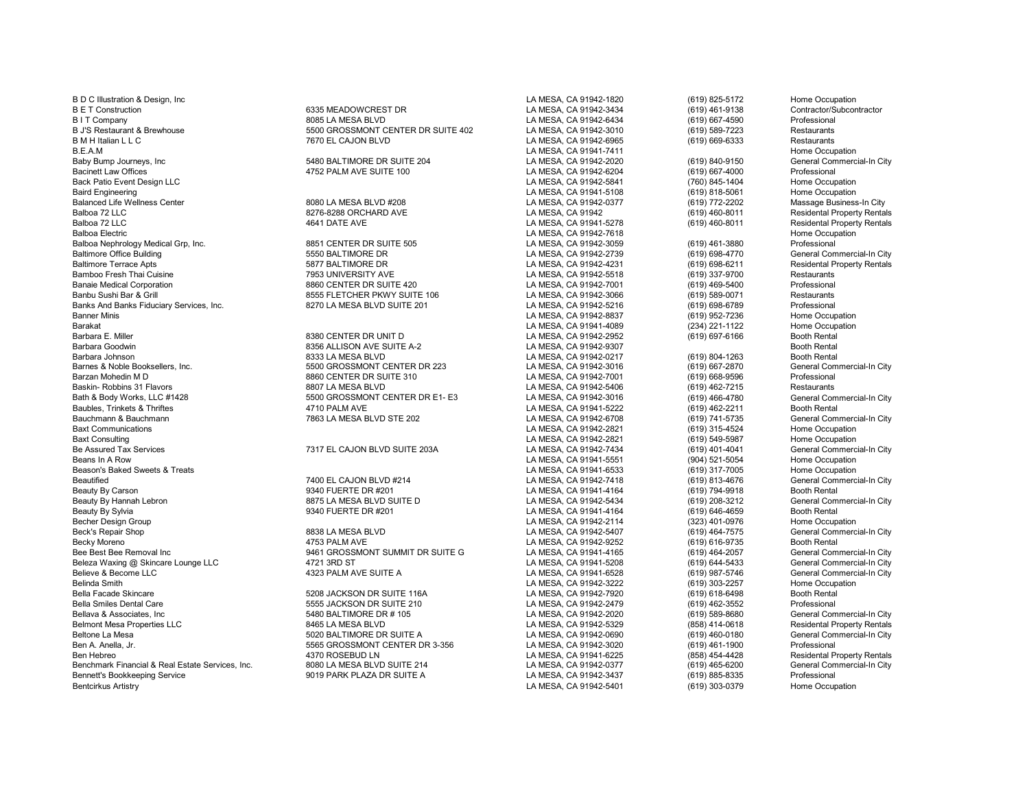B D C Illustration & Design, Inc Cocupation Control of Case of CA MESA, CA 91942-1820 (619) 825-5172 Home Occupation B E T Construction 6335 MEADOWCREST DR LA MESA, CA 91942-3434 (619) 461-9138 Contractor/Subcontractor B I T Company 607-4590 Professional B I T Company 8085 LA MESA BLVD LA MESA, CA 91942-6434 (619) 667-4590 Professional<br>B J'S Restaurant & Brewhouse examples the state of the state of the state of the SOO GROSSMONT CENTER D B M H Italian L L C 7670 EL CAJON BLVD LA MESA, CA 91942-6965 (619) 669-6333 Restaurants B.E.A.M LA MESA, CA 91941-7411 Home Occupation Baby Bump Journeys, Inc Chronic Commercial Commercial Commercial Commercial Commercial Commercial Commercial-In<br>Bacinett Law Offices (619) 667-4000 Professional Commercial-In City Camp 4752 PALM AVE SUITE 100 CA PORTECT LA Bacinett Law Offices (619) 667-4000 Professional Areas and Areas and Areas and Areas and Areas and Areas and A<br>Back Patio Event Design LLC Back Patio Event Design LLC LA MESA, CA 91942-5841 (760) 845-1404 Home Occupation Baird Engineering LA MESA, CA 91941-5108 (619) 818-5061 Home Occupation Balanced Life Wellness Center 8080 LA MESA BLVD #208 LA MESA, CA 91942-0377 (619) 772-2202 Massage Business-In City Balboa 72 LLC 8276-8288 ORCHARD AVE LA MESA, CA 91942 (619) 460-8011 Residental Property Rentals Balboa 72 LLC **AGU DATE AVE ACE ACE ACE ACE LA MESA, CA 91941-5278** (619) 460-8011 Residental Property Rentals<br>Balboa Electric Home Occupation Balboa Electric **Research Control Control Control Control Control Control Control Control Control Control Control Control Control Control Control Control Control Control Control Control Control Control Control Control Cont** Balboa Nephrology Medical Grp, Inc. 8851 CENTER DR SUITE 505 LA MESA, CA 91942-3059 (619) 461-3880 Professional Baltimore Office Building 5550 BALTIMORE DR LA MESA, CA 91942-2739 (619) 698-4770 General Commercial-In City Baltimore Terrace Apts 5877 BALTIMORE DR LA MESA, CA 91942-4231 (619) 698-6211 Residental Property Rentals Bamboo Fresh Thai Cuisine 7953 UNIVERSITY AVE LA MESA, CA 91942-5518 (619) 337-9700 Restaurants Banaie Medical Corporation 8860 CENTER DR SUITE 420 LA MESA, CA 91942-7001 (619) 469-5400 Professional Banks And Banks Fiduciary Services, Inc. **8270 LA MESA BLVD SUITE 201** LA MESA, CA 91942-5216 (619) 698-6789 Professional<br>Banner Minis (619) 952-7236 Home Occupation Banner Minis LA MESA, CA 91942-8837 (619) 952-7236 Home Occupation Barakat LA MESA, CA 91941-4089 (234) 221-1122 Home Occupation Barbara E. Miller 8380 CENTER DR UNIT D LA MESA, CA 91942-2952 (619) 697-6166 Booth Rental Barbara Goodwin **8356 ALLISON AVE SUITE A-2** LA MESA, CA 91942-9307 Booth Rental Barbara Johnson 8333 LA MESA BLVD LA MESA, CA 91942-0217 (619) 804-1263 Booth Rental Barbara Booth Rental School Rental School Rental School Rental School Booth Rental School (619) 804-1263 Booth Rental Commercial-In City<br> Barnes & Noble Booksellers, Inc. 5500 GROSSMONT CENTER DR 223 LA MESA, CA 91942-3016 (619) 667-2870 General Con<br>Barzan Mohedin M D 8860 CENTER DR SUITE 310 LA MESA Barzan Mohedin M D 8860 CENTER DR SUITE 310 LA MESA, CA 91942-7001 (619) 668-9596 Professional Baskin- Robbins 31 Flavors 8807 LA MESA BLVD LA MESA, CA 91942-5406 (619) 462-7215 Restaurants Baubles, Trinkets & Thriftes (619) 462-2211 AM AVE 1999 4710 PALM AVE 1999 41 AM AVE 1999 462-2211 Bauchmann & C<br>4710 Bauchmann Am Bauchmann 1999 7863 LA MESA BLVD STE 202 Bauchmann & Bauchmann 7863 LA MESA BLVD STE 202 LA MESA, CA 91942-6708 (619) 741-5735 General Commercial-In City<br>Baxt Communications Home Occupation Baxt Communications LA MESA, CA 91942-2821 (619) 315-4524 Home Occupation Baxt Consulting LA MESA, CA 91942-2821 (619) 549-5987 Home Occupation Be Assured Tax Services **7317 EL CAJON BLVD SUITE 203A** LA MESA, CA 91942-7434 (619) 401-4041 General Commercial-In City<br>Beans In A Row (904) 521-5054 Home Occupation Beans In A Row LA MESA, CA 91941-5551 (904) 521-5054 Home Occupation Beason's Baked Sweets & Treats LA MESA, CA 91941-6533 (619) 317-7005 Home Occupation Beautified **Figure 2000 EL CAJON BLVD #214** LA MESA, CA 91942-7418 (619) 813-4676 General Commercial-In City Beauty By Carson 9340 FUERTE DR #201 LA MESA, CA 91941-4164 (619) 794-9918 Booth Rental Beauty By Hannah Lebron **8888 LA MESA BLVD SUITE D** LA MESA, CA 91942-5434 (619) 208-3212 General Commercial-In City<br>Beauty By Sylvia Booth Rental **9340 FUERTE DR #201** CA MESA, CA 91941-4164 (619) 646-4659 Booth Rental Beauty By Sylvia 9340 FUERTE DR #201 LA MESA, CA 91941-4164 (619) 646-4659 Booth Rental Becher Design Group LA MESA, CA 91942-2114 (323) 401-0976 Home Occupation Beck's Repair Shop 8838 LA MESA BLVD LA MESA, CA 91942-5407 (619) 464-7575 General Commercial-In City Becky Moreno 4753 PALM AVE LA MESA, CA 91942-9252 (619) 616-9735 Booth Rental Bee Best Bee Removal Inc Commercial-In City (619) 461 GROSSMONT SUMMIT DR SUITE G CA LA MESA, CA 91941-4165 (619) 464-2057 General Commercial-In City (619) 464-2057 General Commercial-In City (619) 464-5433 General Commerc Beleza Waxing @ Skincare Lounge LLC 4721 3RD ST And Street Commercial Commercial Commercial Commercial Commerci<br>Believe & Become LLC (619) 987-5746 General Commercial-In Commercial-In Commercial-In Commercial-In Commercial Believe & Become LLC **1988 Commercial-In City**<br>Believe & Become LLC General Commercial-In City<br>Believe Smith (619) 987-5746 Home Occupation Belinda Smith LA MESA, CA 91942-3222 (619) 303-2257 Home Occupation Bella Facade Skincare 5208 JACKSON DR SUITE 116A LA MESA, CA 91942-7920 (619) 618-6498 Booth Rental Bella Smiles Dental Care 5555 JACKSON DR SUITE 210 LA MESA, CA 91942-2479 (619) 462-3552 Professional Bellava & Associates, Inc 5480 BALTIMORE DR # 105 LA MESA, CA 91942-2020 (619) 589-8680 General Commercial-In City Belmont Mesa Properties LLC 8465 LA MESA BLVD LA MESA, CA 91942-5329 (858) 414-0618 Residental Property Rentals Beltone La Mesa Solone Commercial-In City (619) 460-0180 (619) 460-0180 (69) General Commercial-In City (619) 460-0180 (69) 460-0180 (699) 460-0180 (699) 460-0180 (699) 461-1900 (699) 461-1900 (699) 461-1900 (699) 461-1900 Ben Hebreo 4370 ROSEBUD LN LA MESA, CA 91941-6225 (858) 454-4428 Residental Property Rentals Benchmark Financial & Real Estate Services, Inc. 8080 LA MESA BLVD SUITE 214 LA MESA, CA 91942-0377 (619) 465-6200 General Commercial-In City Bennett's Bookkeeping Service **1992** Service 19019 PARK PLAZA DR SUITE A LA MESA, CA 91942-3437 (619) 885-8335 Professional<br>Bentcirkus Artistry 1993-0379 Home Occupation

8 1942-3010 BROSSMONT CENTER DR SUITE 402 LA MESA, CA 91942-3010 (619) 589-7223<br>1970 EL CAJON BLVD LA MESA, CA 91942-6965 (619) 669-6333

8555 FLETCHER PKWY SUITE 106 LA MESA, CA 91942-3066 (619) 589-0071 Restaurants<br>B270 LA MESA BLVD SUITE 201 LA MESA. CA 91942-5216 (619) 698-6789 Professional

Bath & Body Works, LLC #1428 5500 GROSSMONT CENTER DR E1- E3 LA MESA, CA 91942-3016 (619) 466-4780 General Commercial-In City

5565 GROSSMONT CENTER DR 3-356 LA MESA, CA 91942-3020 (619) 461-1900 Professional<br>A MESA, CA 91941-6225 (858) 454-4428 Residental Property Rentals

LA MESA, CA 91942-5401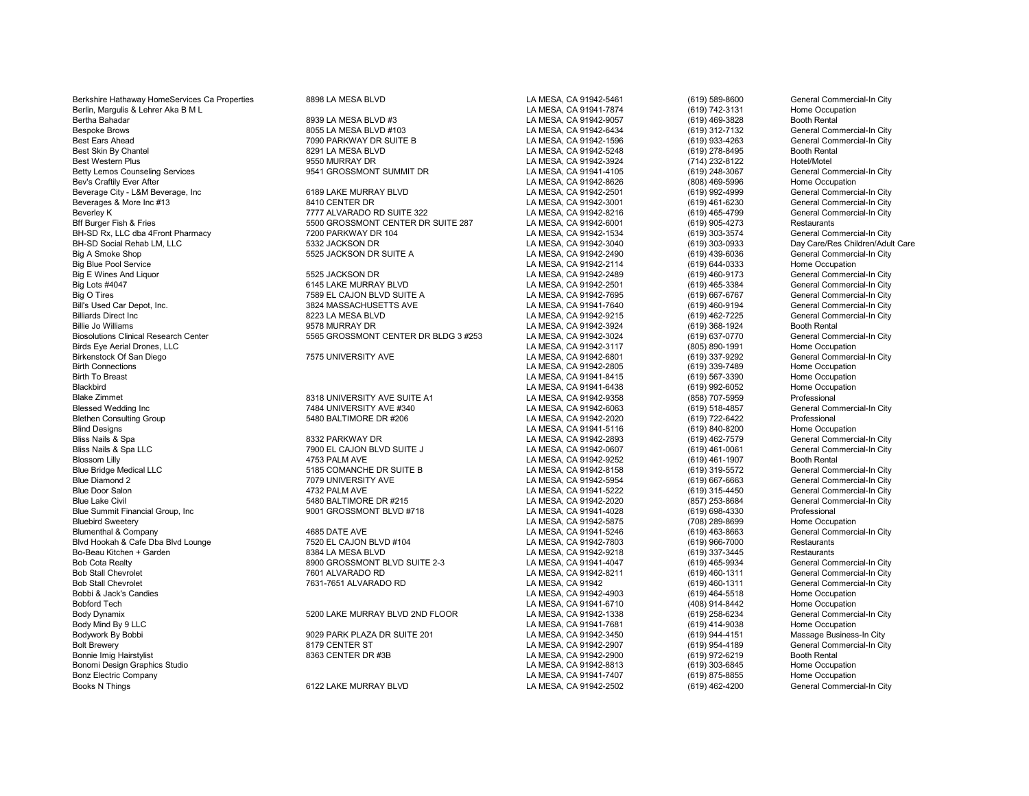Berkshire Hathaway HomeServices Ca Properties 8898 LA MESA BLVD LA MESA, CA 91942-5461 (619) 589-8600 General Commercial-In City Berlin, Margulis & Lehrer Aka B M L LA MESA, CA 91941-7874 (619) 742-3131 Home Occupation Bertha Bahadar 8939 LA MESA BLVD #3 LA MESA, CA 91942-9057 (619) 469-3828 Booth Rental Bespoke Brows 8055 LA MESA BLVD #103 LA MESA, CA 91942-6434 (619) 312-7132 General Commercial-In City<br>Best Ears Ahead 7090 PARKWAY DR SUITE B Best Ears Ahead 7090 PARKWAY DR SUITE B LA MESA, CA 91942-1596 (619) 933-4263 General Commercial-In City Best Skin By Chantel 8291 LA MESA BLVD LA MESA, CA 91942-5248 (619) 278-8495 Booth Rental Betty Lemos Counseling Services 9541 GROSSMONT SUMMIT DR LA MESA, CA 91941-4105 General Commerc<br>Bev's Craftilv Ever After 9541 GROSSMONT SUMMIT DR Bev's Craftily Ever After LA MESA, CA 91942-8626 (808) 469-5996 Home Occupation Beverage City - L&M Beverage, Inc 6189 LAKE MURRAY BLVD LA MESA, CA 91942-2501 (619) 992-4999 General Commercial-In City Beverages & More Inc #13 **8410 CENTER DR** 8410 CENTER DR LA MESA, CA 91942-3001 (619) 461-6230 General Commercial-In City<br>Beverlev K General Commercial-In City 7777 ALVARADO RD SUITE 322 LA MESA. CA 91942-8216 (619) 465-47 Beverley K 7777 ALVARADO RD SUITE 322 LA MESA, CA 91942-8216 (619) 465-4799 General Conmercial Commercial Commercial Commercial Commercial Commercial Commercial Commercial-In Commercial-In Commercial-In Commercial-In City<br> BH-SD Rx, LLC dba 4Front Pharmacy 7200 PARKWAY DR 104 LA MESA, CA 91942-1534 (619) 303-3574 General Commercial-In City BH-SD Social Rehab LM, LLC **5332** JACKSON DR LA MESA, CA 91942-3040 (619) 303-0933 Day Care/Res Children/Adult Care<br>Big A Smoke Shop General Commercial-In City Big A Smoke Shop 5525 JACKSON DR SUITE A LA MESA, CA 91942-2490 (619) 439-6036 General Commercial-In City Big Blue Pool Service (619) 644-0333 Home Occupation (619) 644-0333 Home Occupation<br>Big E Wines And Liguor (619) 460-9173 General Commercial-In City Big E Wines And Liquor 5525 JACKSON DR LA MESA, CA 91942-2489 (619) 460-9173 General Commercial-In City Big Lots #4047 6145 LAKE MURRAY BLVD LA MESA, CA 91942-2501 (619) 465-3384 General Commercial-In City Big O Tires 7589 EL CAJON BLVD SUITE A LA MESA, CA 91942-7695 (619) 667-6767 General Commercial-In City<br>Bill's Used Car Depot. Inc. 3824 MASSACHUSETTS AVE Bill's Used Car Depot, Inc. 3824 MASSACHUSETTS AVE LA MESA, CA 91941-7640 (619) 460-9194 General Commercial-In City Billiards Direct Inc Commercial-In City (619) 462-7225 General Commercial-In City<br>Billie Jo Williams Commercial-In City (619) 368-1924 (619) 368-1924 Booth Rental Pooth Rental Direct Annual City Billie Jo Williams (619) 368-1924 Booth Rental Booth Rental (619) 968-1924 Booth Rental Booth Rental Street Booth Rental Street Booth Rental Street Booth Rental Street Booth Rental Street Booth Rental Street Booth Rental C Biosolutions Clinical Research Center 1996 Commercial Commercial Commercial Commercial Commercial Commercial Commerc<br>Birds Eye Aerial Drones, LLC 1001 Home Occupation (1997-091 1997) (605) 890-1991 Home Occupation Birds Eye Aerial Drones, LLC LA MESA, CA 91942-3117 (805) 890-1991 Home Occupation Birkenstock Of San Diego 7575 UNIVERSITY AVE LA MESA, CA 91942-6801 (619) 337-9292 General Commercial-In City Birth Connections LA MESA, CA 91942-2805 (619) 339-7489 Home Occupation Birth To Breast LA MESA, CA 91941-8415 (619) 567-3390 Home Occupation Blackbird LA MESA, CA 91941-6438 (619) 992-6052 Home Occupation Blake Zimmet 8318 UNIVERSITY AVE SUITE A1 LA MESA, CA 91942-9358 (858) 707-5959 Professional Blessed Wedding Inc 7484 UNIVERSITY AVE #340 LA MESA, CA 91942-6063 (619) 518-4857 General Con<br>Blethen Consulting Group 5480 BALTIMORE DR #206 LA MESA, C Blethen Consulting Group 5480 BALTIMORE DR #206 LA MESA, CA 91942-2020 (619) 722-6422 Professional Blind Designs LA MESA, CA 91941-5116 (619) 840-8200 Home Occupation Bliss Nails & Spa 8332 PARKWAY DR LA MESA, CA 91942-2893 (619) 462-7579 General Commercial-In City Bliss Nails & Spa LLC 7900 EL CAJON BLVD SUITE J LA MESA, CA 91942-0607 (619) 461-0061 General Commercial-In City Blossom Lilly 4753 PALM AVE LA MESA, CA 91942-9252 (619) 461-1907 Booth Rental Blue Bridge Medical LLC 6185 COMANCHE DR SUITE B LA MESA, CA 91942-8158 (619) 319-5572 General Commercial-In City<br>Blue Diamond 2 General Commercial-In City Blue Door Salon 4732 PALM AVE LA MESA, CA 91941-5222 (619) 315-4450 General Commercial-In City Blue Lake Civil 5480 BALTIMORE DR #215 LA MESA, CA 91942-2020 (857) 253-8684 General Commercial-In City Blue Summit Financial Group, Inc 9001 GROSSMONT BLVD #718 LA MESA, CA 91941-4028 (619) 698-4330 Professional<br>Bluebird Sweetery 9001 GROSSMONT BLVD #718 LA MESA, C Bluebird Sweetery LA MESA, CA 91942-5875 (708) 289-8699 Home Occupation Blumenthal & Company 4685 DATE AVE LA MESA, CA 91941-5246 (619) 463-8663 General Commercial-In City Blvd Hookah & Cafe Dba Blvd Lounge 7520 EL CAJON BLVD #104 LA MESA, CA 91942-7803 Restaurants<br>Bo-Beau Kitchen + Garden 8384 LA MESA BLVD LA MESA. CA 91942 Bo-Beau Kitchen + Garden 8384 LA MESA BLVD LA MESA, CA 91942-9218 (619) 337-3445 Restaurants Bob Cota Realty 8900 GROSSMONT BLVD SUITE 2-3 LA MESA, CA 91941-4047 (619) 465-9934 General Commercial-In City<br>Bob Stall Chevrolet 7601 ALVARADO RD LA MESA, C Bob Stall Chevrolet **1986 Confluence 10 Confluence 10 ACC** MESA, CA 91942-8211 (619) 460-1311 General Commercial-In City<br>1999 Bob Stall Chevrolet 1986 Commercial-In City 7631-7651 ALVARADO RD LA MESA, CA 91942 (619) 460-13 Bob Stall Chevrolet 7631-7651 ALVARADO RD LA MESA, CA 91942 (619) 460-1311 General Commercial-In City Bobbi & Jack's Candies LA MESA, CA 91942-4903 (619) 464-5518 Home Occupation Bobford Tech LA MESA, CA 91941-6710 (408) 914-8442 Home Occupation Body Dynamix 6200 LAKE MURRAY BLVD 2ND FLOOR LA MESA, CA 91942-1338 (619) 258-6234 General Commercial-In City<br>Body Mind By 9 LLC Home Occupation Body Mind By 9 LLC LA MESA, CA 91941-7681 (619) 414-9038 Home Occupation Bodywork By Bobbi 9029 PARK PLAZA DR SUITE 201 LA MESA, CA 91942-3450 (619) 944-4151 Massage Business-In City Bolt Brewery 8179 CENTER ST LA MESA, CA 91942-2907 (619) 954-4189 General Commercial-In City Bonnie Imig Hairstylist 8363 CENTER DR #3B LA MESA, CA 91942-2900 (619) 972-6219 Booth Rental Bonomi Design Graphics Studio North Cocupation Communication Communication Communication Cocupation Cocupation<br>Bonz Electric Company Home Occupation Cocupation Communication Communication Communication Cocupation Cocupatio Bonz Electric Company **Bonz Bonz 1999** (619) 875-8855 Home Occupation<br>Books N Things (6191462-4200 General Commercial-In City

5500 GROSSMONT CENTER DR SUITE 287 LA MESA, CA 91942-6001 (619) 905-4273 Restaurants<br>T200 PARKWAY DR 104 LA MESA. CA 91942-1534 (619) 303-3574 General Commercial-In City

9550 MURRAY DR LA MESA, CA 91942-3924 (714) 232-8122 Hotel/Motel<br>19541 GROSSMONT SUMMIT DR LA MESA, CA 91941-4105 (619) 248-3067 General Commercial-In City 6122 LAKE MURRAY BLVD LA MESA, CA 91942-2502 (619) 462-4200

General Commercial-In City<br>General Commercial-In City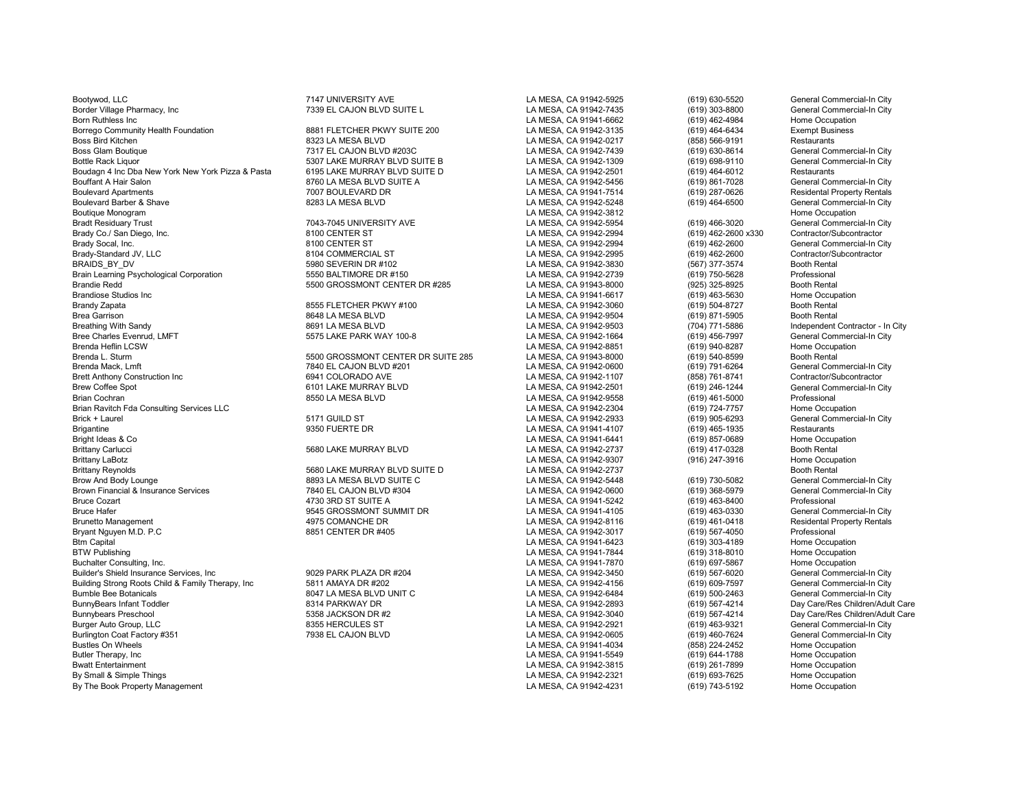Bootywod, LLC 7147 UNIVERSITY AVE LA MESA, CA 91942-5925 (619) 630-5520 General Commercial-In City Border Village Pharmacy, Inc **1992 COVID BEL CAJON BLVD SUITE L** CALOUS LA MESA, CA 91942-7435 (619) 303-8800 General Commercial-In City<br>Born Ruthless Inc Home Occupation Born Ruthless Inc LA MESA, CA 91941-6662 (619) 462-4984 Home Occupation Borrego Community Health Foundation **8881 FLETCHER PKWY SUITE 200** LA MESA, CA 91942-3135 (619) 464-6434 Exempt Business (619) 464-6434 Exempt Business (619) 464-6434 Exempt Business (619) 464-6434 Exempt Business (858) 56 Boss Bird Kitchen 8323 LA MESA BLVD LA MESA, CA 91942-0217 (858) 566-9191 Restaurants Boss Glam Boutique 7317 EL CAJON BLVD #203C LA MESA, CA 91942-7439 (619) 630-8614 General Commercial-In City Boudagn 4 Inc Dba New York New York Pizza & Pasta 6195 LAKE MURRAY BLVD SUITE D LA MESA, CA 91942-2501 (619) 464-6012 Restaurants<br>Bouffant A Hair Salon Chrone Commercial-In City 6199 861-7028 General Commercial-In City Bouffant A Hair Salon 8760 LA MESA BLVD SUITE A LA MESA, CA 91942-5456 (619) 861-7028 General Commercial-In City Boulevard Apartments 7007 BOULEVARD DR LA MESA, CA 91941-7514 (619) 287-0626 Residental Property Rentals<br>Boulevard Barber & Shave LA MESA. CA 91 Boulevard Barber & Shave **8283 LA MESA BLVD** 8283 LA MESA BLVD **LA MESA, CA 91942-5248** (619) 464-6500 General Commercial-In City<br>Boutique Monogram Home Occupation Boutique Monogram LA MESA, CA 91942-3812 Home Occupation Bradt Residuary Trust Trust 1043-7045 UNIVERSITY AVE LA MESA, CA 91942-5954 (619) 466-3020 General Commercial-In City<br>Brady Co./ San Diego. Inc. 1999 Contractor/Subcontractor 1999 8100 CENTER ST 100 CENTER ST LA MESA. CA 9 Brady Co./ San Diego, Inc. 8100 CENTER ST LA MESA, CA 91942-2994 (619) 462-2600 x330 Contractor/Subcontractor Brady Socal, Inc. Channel Commercial-In City and the State of the State of the State of the State of the State State of the State of the State of the State of the State of the State of the State of the State of the State o Brady-Standard JV, LLC 8104 COMMERCIAL ST LA MESA, CA 91942-2995 (619) 462-2600 Contractor/Subcontractor BRAIDS\_BY\_DV 5980 SEVERIN DR #102 LA MESA, CA 91942-3830 (567) 377-3574 Booth Rental Brain Learning Psychological Corporation 1986 Corporation 1991 5550 BALTIMORE DR #150 1898 CA 2019 ALT AMESA, CA 91942-2739 (619) 750-5628 Professional Professional 1997 5500 CROSSMONT CENTER DR #285 LA MESA, CA 91943-8000 Brandie Redd Chronic Center of the State of State of State of State of State of State of State of State of State State of State State State State State State State State State State State State State State State of State S Brandiose Studios Inc Channel Company of the Studios Inc. Home Occupation of the Studios Inc. And the Studios I<br>Brandy Zapata (619) 504-8727 Booth Rental Brandy Zapata 8555 FLETCHER PKWY #100 LA MESA, CA 91942-3060 (619) 504-8727 Booth Rental Brea Garrison 8648 LA MESA BLVD LA MESA, CA 91942-9504 (619) 871-5905 Booth Rental Bree Charles Evenrud, LMFT **5575 LAKE PARK WAY 100-8** LA MESA, CA 91942-1664 (619) 456-7997 General Commercial-In City<br>Brenda Heflin LCSW Home Occupation Brenda Heflin LCSW LA MESA, CA 91942-8851 (619) 940-8287 Home Occupation Brenda L. Sturm 5500 GROSSMONT CENTER DR SUITE 285 LA MESA, CA 91943-8000 (619) 540-8599 Booth Rental Brenda Mack, Lmft 7840 EL CAJON BLVD #201 LA MESA, CA 91942-0600 (619) 791-6264 General Commercial-In City Brett Anthony Construction Inc Contractor Construction Inc Construction Construction Construction Construction<br>Brew Coffee Spot General Commercial-In City 6101 LAKE MURRAY BLVD LA MESA, CA 91942-2501 (619) 246-1244 General Brew Coffee Spot 6101 LAKE MURRAY BLVD LA MESA, CA 91942-2501 (619) 246-1244 General Commercial-In City Brian Ravitch Fda Consulting Services LLC<br>Brick + Laurel (619) 724-7757 (519) 905-6293 (619) 905-6293 (619) 905-6293 Brick + Laurel 5171 GUILD ST LA MESA, CA 91942-2933 (619) 905-6293 General Commercial-In City Brigantine 9350 FUERTE DR LA MESA, CA 91941-4107 (619) 465-1935 Restaurants Bright Ideas & Co LA MESA, CA 91941-6441 (619) 857-0689 Home Occupation Brittany Carlucci 5680 LAKE MURRAY BLVD LA MESA, CA 91942-2737 (619) 417-0328 Booth Rental Brittany LaBotz LA MESA, CA 91942-9307 (916) 247-3916 Home Occupation Brittany Reynolds **SECON CONFERITE SECONAL SECONAL SECONAL SECONAL SECONAL SECONAL SECONAL SECONAL SECONAL SECONAL**<br>Brow And Body Lounge **SECONAL SECONAL SECONAL SECONAL SECONAL SECONAL SECONAL SECONAL SECONAL SECONAL SECO** Brown Financial & Insurance Services TRAD AND 7840 EL CAJON BLVD #304 LA MESA, CA 91942-060 CADING 1999 368-5979 General Commercial-In Commercial-In Commercial-In Commercial-In Commercial-In Commercial-In Commercial-In Cit Bruce Cozart 4730 3RD ST SUITE A LA MESA, CA 91941-5242 (619) 463-8400 Professional Bruce Hafer 9545 GROSSMONT SUMMIT DR LA MESA, CA 91941-4105 (619) 463-0330 General Commercial-In City Brunetto Management 4975 COMANCHE DR LA MESA, CA 91942-8116 (619) 461-0418 Residental Property Rentals Bryant Nguyen M.D. P.C 8851 CENTER DR #405 LA MESA, CA 91942-3017 (619) 567-4050 Professional Btm Capital LA MESA, CA 91941-6423 (619) 303-4189 Home Occupation BTW Publishing LA MESA, CA 91941-7844 (619) 318-8010 Home Occupation Buchalter Consulting, Inc. LA MESA, CA 91941-7870 (619) 697-5867 Home Occupation Builder's Shield Insurance Services, Inc . [19] 9029 PARK PLAZA DR #204 LA MESA, CA 91942-3450 (619) 567-6020 General Commercial-In City<br>Building Strong Roots Child & Family Therapy. Inc . [5811 AMAYA DR #202 Building Strong Roots Child & Family Therapy, Inc and the State of State of HAMAYA DR #202 LA MESA, CA 91942-4156 (619) 609-7597 General Commercial-In City<br>Bumble Bee Botanicals General Commercial-In City and State of Buil Bumble Bee Botanicals 8047 LA MESA BLVD UNIT C LA MESA, CA 91942-6484 (619) 500-2463<br>BunnyBears Infant Toddler Camp Commercial Commercial Commercial Commercial Commercial Commercial Commercial Co BunnyBears Infant Toddler 8314 PARKWAY DR LA MESA, CA 91942-2893 (619) 567-4214 Day Care/Res Children/Adult Care Bunnybears Preschool 5358 JACKSON DR #2 LA MESA, CA 91942-3040 (619) 567-4214 Day Care/Res Children/Adult Care Burger Auto Group, LLC 8355 HERCULES ST LA MESA, CA 91942-2921 General Commercial-In City Burlington Coat Factory #351 7938 EL CAJON BLVD LA MESA, CA 91942-0605 (619) 460-7624 General Commercial-In City Bustles On Wheels LA MESA, CA 91941-4034 (858) 224-2452 Home Occupation Butler Therapy, Inc LA MESA, CA 91941-5549 (619) 644-1788 Home Occupation Bwatt Entertainment Magnetics (619) 261-7899 Home Occupation<br>By Small & Simple Things More Coupation (619) 261-7899 Home Occupation (619) 261-7899 Home Occupation By The Book Property Management **LA MESA, CA 91942-4231** (619) 743-4231

Bottle Rack Liquor 5307 LAKE MURRAY BLVD SUITE B LA MESA, CA 91942-1309 (619) 698-9110 General Commercial-In Commercial-In Commercial-In Commercial-In Commercial-In Commercial-In Commercial-In Commercial-In City Late Resta 8691 LA MESA BLVD<br>Breathing With Sandy 2009 LA MESA, CA 91942-1664 (704) 771-5886 Independent Contractor - In City<br>Ceneral Commercial-In City La MESA CA 91942-1664 (619) 456-7997 General Commercial-In City

LA MESA, CA 91942-9558 (619) 461-5000 Professional<br>
LA MESA. CA 91942-2304 (619) 724-7757 Home Occupation

8893 LA MESA BLVD SUITE C<br>T840 EL CAJON BLVD #304 **LA MESA, CA 91942-0600** (619) 780-5082 General Commercial-In City By Small & Simple Things LA MESA, CA 91942-2321 (619) 693-7625 Home Occupation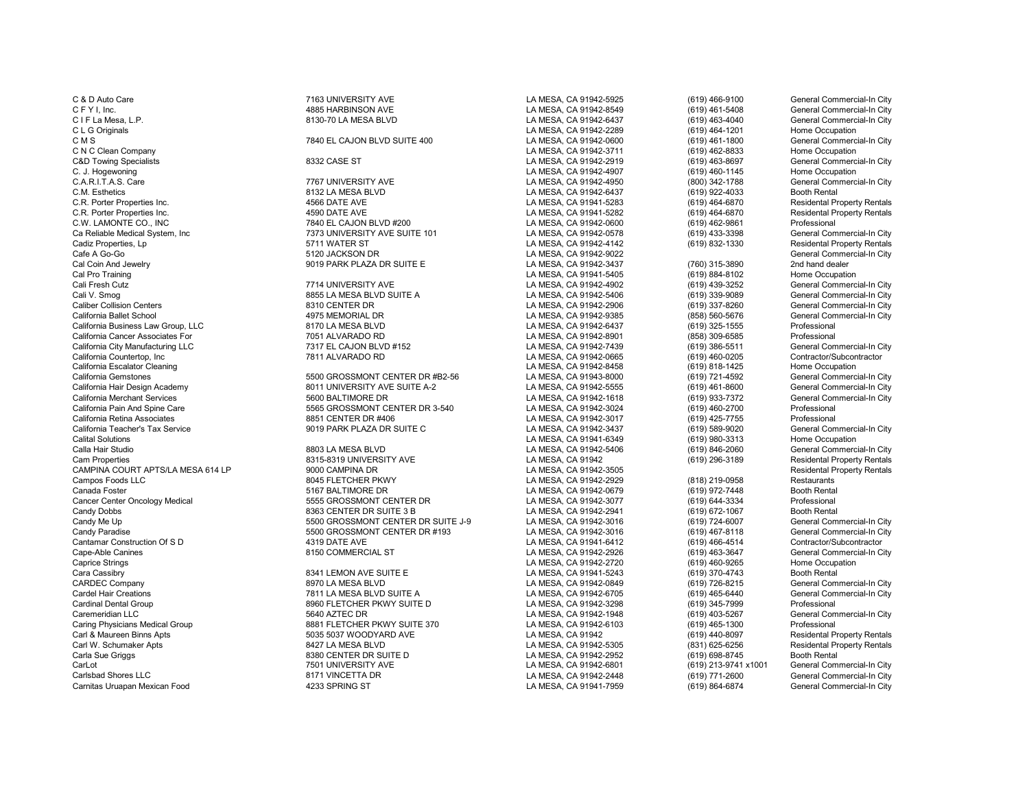Carl & Maureen Binns Apts 5035 5037 WOODYARD AVE LA MESA, CA 91942 (619) 440-8097 Residental Property Rentals Carl W. Schumaker Apts **Back Carl Schumaker Apts 8427 LA MESA BLVD** LA MESA, CA 91942-5305 (831) 625-6256 Residental Property Rentals Property Rentals Carl and State 1994-2052 (831) 625-6256 Residental Property Rentals Car Carla Sue Griggs 8380 CENTER DR SUITE D LA MESA, CA 91942-2952 (619) 698-8745<br>Carl\_ot 7501 UNIVERSITY AVE LA MESA, CA 91942-6801 (619) 213-97 CarLot CarLot CarLot 2001 CarLot 7501 UNIVERSITY AVE LA MESA, CA 91942-6801 (619) 213-9741 x1001 General Commercial-In City<br>Carlsbad Shores LLC Carlos 2001 2017 11:000 3171 VINCETTA DR Carnitas Uruapan Mexican Food

C & D Auto Care 7163 UNIVERSITY AVE LA MESA, CA 91942-5925 (619) 466-9100 General Commercial-In City C F Y I, Inc. 4885 HARBINSON AVE LA MESA, CA 91942-8549 (619) 461-5408 General Commercial-In City C I F La Mesa, L.P. 8130-70 LA MESA BLVD LA MESA, CA 91942-6437 (619) 463-4040 General Commercial-In City C L G Originals COM COMES CONSULTER THE CALLON BLVD SUITE 400 COMES AND LA MESA, CA 91942-2289 (619) 464-1201 Home Occupation<br>C M S C M S (619) 461-1800 General Commercial-In City C M S 7840 EL CAJON BLVD SUITE 400 LA MESA, CA 91942-0600 (619) 461-1800 General Commercial-In City C N C Clean Company (619) 462-8833 (CA 91942-3711 (619) 462-8833 (CA 91942-3711 (619) 462-8833 EXAMESA, CA 91942-2919 (619) 463-8697<br>C&D Towing Specialists (619) 463-8697 (619) 463-8697 (619) 463-8697 (619) 463-8697 (619) C&D Towing Specialists Canadacter States 8332 CASE ST CASE ST CALLA MESA, CA 91942-2919 (619) 463-8697 General Commercial-In City<br>C. J. Hogewoning Home Occupation City C. J. Hogewoning LA MESA, CA 91942-4907 (619) 460-1145 Home Occupation C.A.R.I.T.A.S. Care 7767 UNIVERSITY AVE LA MESA, CA 91942-4950 (800) 342-1788 General Commercial-In City<br>C.M. Esthetics 8132 LA MESA BLVD LA MESA. CA 9 C.M. Esthetics 8132 LA MESA BLVD LA MESA, CA 91942-6437 (619) 922-4033 Booth Rental C.R. Porter Properties Inc. 4566 DATE AVE LA MESA, CA 91941-5283 (619) 464-6870 Residental Property Rentals C.R. Porter Properties Inc. 4590 DATE AVE LA MESA, CA 91941-5282 (619) 464-6870 Residental Property Rentals C.W. LAMONTE CO., INC CO., INC CO. CONTRIBUTE TO A THE CAJON BLVD #200 LA MESA, CA 91942-0600 (619) 462-9861 Professional Professional Professional Professional Professional Professional Professional Professional Professio Ca Reliable Medical System, Inc 7373 UNIVERSITY AVE SUITE 101 LA MESA, CA 91942-0578 (619) 433-3398 General Commercial-In City Cadiz Properties, Lp 5711 WATER ST LA MESA, CA 91942-4142 (619) 832-1330 Residental Property Rentals Cafe A Go-Go 5120 JACKSON DR LA MESA, CA 91942-9022 General Commercial-In City Cal Coin And Jewelry Cal Coin And Jewelry 1901 PARK PLAZA DR SUITE E LA MESA, CA 91942-3437 (760) 315-3890 2nd hand dealer<br>Cal Pro Training (619) 884-8102 Home Occupation Cal Pro Training LA MESA, CA 91941-5405 (619) 884-8102 Home Occupation Cali Fresh Cutz 7714 UNIVERSITY AVE LA MESA, CA 91942-4902 (619) 439-3252 General Commercial-In City Cali V. Smog Cali V. Smog General Commercial-In City 8855 LA MESA BLVD SUITE A<br>Caliber Collision Centers Commercial-In City 8310 CENTER DR CALITE A LA MESA, CA 91942-2906 (619) 337-8260 General Commercial-In City Caliber Collision Centers 8310 CENTER DR LA MESA, CA 91942-2906 (619) 337-8260 General Commercial-In City California Ballet School General Commercial-In City (and the 4975 MEMORIAL DR LA MESA, CA 91942-942-9385 (858) 560-5676 General Commercial-In City (858) 560-5676 General Commercial-In City (858) 560-5676 General Commercial California Business Law Group, LLC 8170 LA MESA BLVD LA MESA, CA 91942-6437 (619) 325-1555 Professional California Cancer Associates For **1968** California Cancer California Cancer Cancer Cancer California Cancer Associates For 1991 AMESA, CA 91942-8901 (858) 309-6585 Professional Professional Cancer California City Cancer Ca California City Manufacturing LLC **1986 and California City Manufacturing LLC** 7317 EL CAJON BLVD #152 LA MESA, CA 91942-7439 (619) 386-5511 General Commercial-In C<br>California Countertop. Inc Contractor/Subcontractor California Countertop, Inc 7811 ALVARADO RD LA MESA, CA 91942-0665 (619) 460-0205 Contractor/Subcontractor California Escalator Cleaning LA MESA, CA 91942-8458 (619) 818-1425 Home Occupation California Gemstones 6500 GROSSMONT CENTER DR #B2-56 LA MESA, CA 91943-8000 (619) 721-4592 General Commercial-In City<br>California Hair Design Academy 60 Ceneral Commercial-In City 8011 UNIVERSITY AVE SUITE A-2 LA MESA, CA 9 California Hair Design Academy **8011 UNIVERSITY AVE SUITE A-2** LA MESA, CA 91942-5555 (619) 461-8600 General Commercial-In City California Merchant Services California Merchant Services (619) 461-8600 General Commercial-In California Merchant Services California Merchant Services Ceneral Commercial Commercial Commercial Commercial-<br>California Pain And Spine Care Commercial Commercial Commercial Commercial Commercial Commercial-In City of th<br> California Pain And Spine Care **5565 CROSSMONT CENTER DR 3-540** LA MESA, CA 91942-3024 (619) 460-2700 Professional<br>California Retina Associates **1990 Care in the State of State CA 100** California Retina (619) 475-7755 Prof California Retina Associates **8851 CENTER DR** #406 LA MESA, CA 91942-3017 (619) 425-7755 Professional Commercial-In City<br>California Teacher's Tax Service Commercial-In City 9019 PARK PLAZA DR SUITE C CALLA MESA, CA 91942-3 California Teacher's Tax Service **1992 California Teacher's Tax Service** 9019 PARK PLAZA DR SUITE C 1902 AMESA, CA 91942-3437 (619) 589-9020 General Commerc<br>Calital Solutions (619) 980-3313 Home Occupation Calital Solutions LA MESA, CA 91941-6349 (619) 980-3313 Home Occupation Calla Hair Studio 8803 LA MESA BLVD LA MESA, CA 91942-5406 (619) 846-2060 General Commercial-In City Cam Properties 8315-8319 UNIVERSITY AVE LA MESA, CA 91942 1995-3189 (619) 296-3189 Residental Property Rentals<br>CAMPINA COURT APTS/LA MESA 614 LP 9000 CAMPINA DR CAMPINA COURT APTS/LA MESA 614 LP 9000 CAMPINA DR LA MESA, CA 91942-3505 Residental P<br>Campos Foods LLC 8045 FLETCHER PKWY LA MESA, CA 91942-2929 Canada Foster 5167 BALTIMORE DR LA MESA, CA 91942-0679 (619) 972-7448 Booth Rental Cancer Center Oncology Medical **686 Cancer Center Center Center Center Center Center Center Center Center Center**<br>Candy Dobbs (619) 672-1067 **Booth Rental** 8363 CENTER DR SUITE 3 B CA MESA, CA 91942-2941 (619) 672-1067 **Bo** Candy Dobbs Candy Dobbs Candy Dobbs CENTER DR SUITE 3 B CANCSA, CA 91942-2941 (619) 672-1067 Booth Rental<br>Candy Me Up Candy Alexander Commercial-In City Candy Mess CA 91942-3016 (619) 724-6007 General Commercial-In City Candy Me Up 5500 GROSSMONT CENTER DR SUITE J-9 LA MESA, CA 91942-3016 (619) 724-6007 General Commercial-In City Candy Paradise 6500 GROSSMONT CENTER DR #193 LA MESA, CA 91942-3016 (619) 467-8118 General Commercial-In C<br>Cantamar Construction Of S D 468-4514 4319 DATE AVE Cantamar Construction Of S D 4319 DATE AVE LA MESA, CA 91941-6412 (619) 466-4514 Contractor/Subcontractor Cape-Able Canines 8150 COMMERCIAL ST LA MESA, CA 91942-2926 (619) 463-3647 General Commercial-In City Caprice Strings LA MESA, CA 91942-2720 (619) 460-9265 Home Occupation Cara Cassibry **Cara Cassibry Cara Cassibry 1984** Cassibry 1986 Muslem Cara Cassibry 1986 Muslem Booth Rental 1986<br>CARDEC Company 1986 CARD Commercial-In City 19870 LA MESA BLVD 1988 LA MESA, CA 91942-0849 (619) 726-8215 Ge CARDEC Company 8970 LA MESA BLVD LA MESA, CA 91942-0849 (619) 726-8215 General Commercial-In City Cardel Hair Creations Care and The Tata MESA BLVD SUITE A LA MESA, CA 91942-6705 (619) 465-6440 General Commercial-In City<br>Cardinal Dental Group Creational Commercial-In City Suite Base of the CREA CA 91942-3298 (619) 345-Cardinal Dental Group 8960 FLETCHER PKWY SUITE D LA MESA, CA 91942-3298 (619) 345-7999 Professional Caremeridian LLC (Seperal Commercial-In City ) 5640 AZTEC DR (State of the U.S. And CA 1942-1948 (619) 403-5267 General Commercial-In City (State of the State of the State of the State of the State of the State of the Stat Caring Physicians Medical Group 8881 FLETCHER PKWY SUITE 370 LA MESA, CA 91942-6103 (619) 465-1300 Professional 5035 5037 WOODYARD AVE LA MESA. CA 91942-6103 (619) 440-8

LA MESA, CA 91942-2929

er Bad Shores LA MESA, CA 91942-2448 (619) 771-2600 General Commercial-In City (619) 771-2600 General Commercial-In City (619) 864-6874 General Commercial-In City (619) 864-6874 General Commercial-In City (619) 864-6874 Ge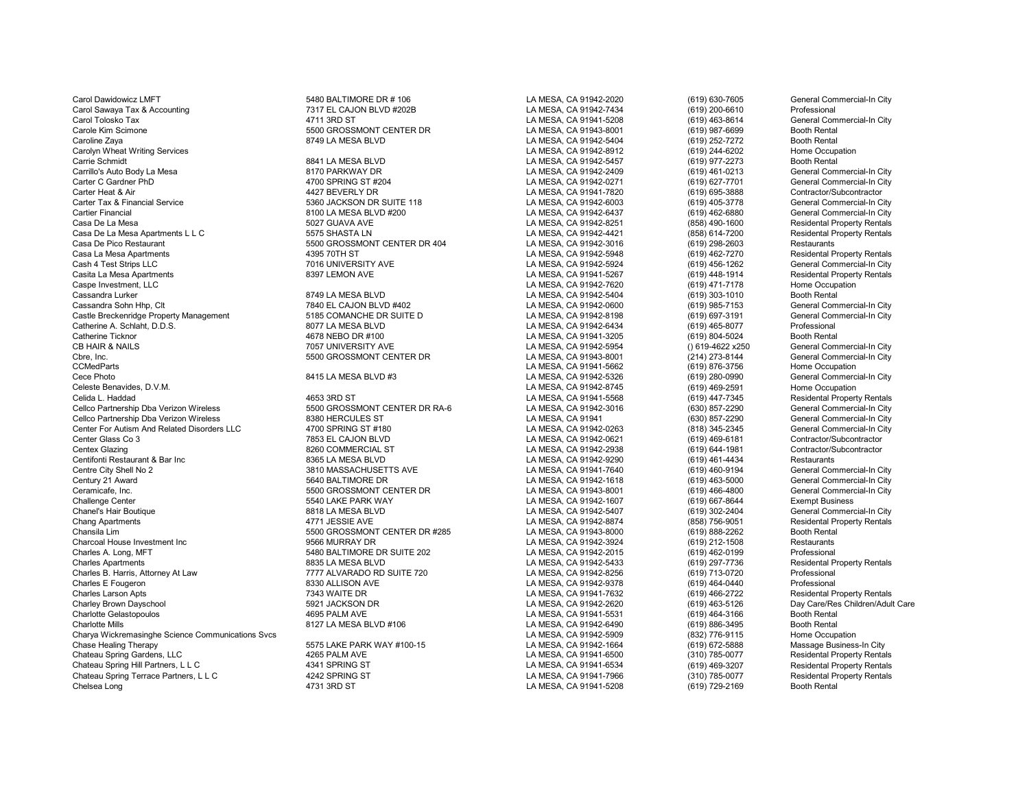Carol Dawidowicz LMFT Commercial-In City 5480 BALTIMORE DR # 106 LA MESA, CA 91942-2020 (619) 630-7605 General Commercial-In City Carol Sawaya Tax & Accounting entity of the CAJON BLVD #202B LA MESA, CA 91942-7434 (619) 200-6610 Professional<br>Carol Tolosko Tax General Commercial-In City of the 4711 3RD ST Carol 2010 LA MESA, CA 91941-5208 (619) 463-86 Carol Tolosko Tax 4711 3RD ST LA MESA, CA 91941-5208 (619) 463-8614 General Commercial-In City Carole Kim Scimone 5500 GROSSMONT CENTER DR LA MESA, CA 91943-8001 (619) 987-6699 Booth Rental Caroline Zaya 8749 LA MESA BLVD LA MESA, CA 91942-5404 (619) 252-7272 Booth Rental Carolyn Wheat Writing Services **LA MESA, CA 91942-8912** (619) 244-6202 Home Occupation<br>Carrie Schmidt Carrie Schmidt (619) 977-2273 Booth Rental Carrillo's Auto Body La Mesa 617 Carrillo's Auto Body La Mesa 8170 PARKWAY DR LA MESA, CA 91942-2409 (619) 461-0213 General Commercial-In City<br>Carter C Gardner PhD General Commercial-In City 4700 SPRING ST #204 CA RESA CA Carter C Gardner PhD 4700 SPRING ST #204 LA MESA, CA 91942-0271 (619) 627-7701 General Commercial-In City Carter Heat & Air 4427 BEVERLY DR LA MESA, CA 91941-7820 (619) 695-3888 Contractor/Subcontractor Carter Tax & Financial Service Carter Commercial-In City 5360 JACKSON DR SUITE 118 LA MESA, CA 91942-6003 (619) 405-3778 General Commercial-In City Carter Financial Service Commercial-In City 619142-6437 (619) 462-6880 Gen Cartier Financial 8100 LA MESA BLVD #200 LA MESA, CA 91942-6437 (619) 462-6880 General Commercial-In City Casa De La Mesa 6027 GUAVA AVE 6 19942-8251 (858) 490-1600 Residental Property Rentals<br>Casa De La Mesa Apartments L L C 60 61 6575 SHASTA LN 6575 CASTA LA MESA, CA 91942-4421 (858) 614-7200 Residental Property Rentals Casa De La Mesa Apartments L L C 5575 SHASTA LN LA MESA, CA 91942-4421 (858) 614-7200 Residental Property Rentals Casa De Pico Restaurant (619) 298-2603<br>Casa La Mesa Apartments (619) 462-7270 Casa La Mesa Apartments (619) 462-7270 Casa La Mesa Ca 91942-5948 (619) 462-7270 Casa La Mesa Apartments 4395 70TH ST LA MESA, CA 91942-5948 (619) 462-7270 Residental Property Rentals Cash 4 Test Strips LLC 7016 UNIVERSITY AVE LA MESA, CA 91942-5924 (619) 456-1262 General Commercial-In City Casita La Mesa Apartments 8397 LEMON AVE LA MESA, CA 91941-5267 (619) 448-1914 Residental Property Rentals Caspe Investment, LLC LA MESA, CA 91942-7620 (619) 471-7178 Home Occupation Cassandra Lurker 8749 LA MESA BLVD LA MESA, CA 91942-5404 (619) 303-1010 Booth Rental Cassandra Sohn Hhp, Clt 7840 EL CAJON BLVD #402 LA MESA, CA 91942-0600 (619) 985-7153 General Commercial-In City Castle Breckenridge Property Management 6185 COMANCHE DR SUITE D<br>Catherine A. Schlaht. D.D.S. Professional Commercial-In City<br>Catherine A. Schlaht. D.D.S. Professional City Catherine A. Schlaht, D.D.S. Carry Catherine A. Schlaht, D.D.S. Communistic Catherine A. Schlaht, D.D.S. Casset Catherine Ticknor Catherine Ticknor Catherine Ticknor Catherine Ticknor Catherine Ticknor Catherine Ticknor Ca Catherine Ticknor Catherine Ticknor and the three tops and the 4678 NEBO DR #100 LA MESA, CA 91941-3205 (619) 804-5024 Booth Rental Booth Rental Christian Catherine Ticknor and the 17057 UNIVERSITY AVE LA MESA, CA 91942-59 CB HAIR & NAILS 7057 UNIVERSITY AVE LA MESA, CA 91942-5954 () 619-4622 x250 General Commercial-In City Cbre, Inc. 6500 GROSSMONT CENTER DR LA MESA, CA 91943-8001 (214) 273-8144 General Commercial-In City COMedParts (214) 273-8144 General Commercial-In City COMedParts (214) 273-8144 General Commercial-In City CCMedParts LA MESA, CA 91941-5662 (619) 876-3756 Home Occupation Cece Photo 8415 LA MESA BLVD #3 LA MESA, CA 91942-5326 (619) 280-0990 General Commercial-In City Celeste Benavides, D.V.M. LA MESA, CA 91942-8745 (619) 469-2591 Home Occupation Cellco Partnership Dba Verizon Wireless 6500 GROSSMONT CENTER DR RA-6 LA MESA, CA 91942-3016 (630) 857-2290 General Commercial-In City Cellco Partnership Dba Verizon Wireless 380 HERCULES ST Cellco Partnership Dba Verizon Wireless 8380 HERCULES ST Commercial-In City LA MESA, CA 91941 (630) 857-2290 General Commercial-In City Center For Autism And Related Disorders LLC 4700 SPRING ST #180 LA MESA. CA 91942-0263 Center For Autism And Related Disorders LLC 4700 SPRING ST #180 LA MESA, CA 91942-0263 (818) 345-2345 General Commercial-In City Contractor/Subcontractor<br>Center Glass Co 3 Contractor/Subcontractor Center Glass Co 3 7853 EL CAJON BLVD LA MESA, CA 91942-0621 (619) 469-6181 Contractor/Subcontractor Centex Glazing 8260 COMMERCIAL ST LA MESA, CA 91942-2938 (619) 644-1981 Contractor/Subcontractor Centifonti Restaurant & Bar Inc Centifonti Restaurant & Bar Inc. Network Centrication Centrication Centrication<br>Centre City Shell No 2 Ceneral Commercial-In City 3810 MASSACHUSETTS AVE CANNESA. CA 91941-7640 (619) 460-9194 Centre City Shell No 2 3810 MASSACHUSETTS AVE LA MESA, CA 91941-7640 (619) 460-9194 General Commercial-In City Ceramicafe, Inc. 5500 GROSSMONT CENTER DR LA MESA, CA 91943-8001 (619) 466-4800 General Commercial-In City Challenge Center **1966 Contract Challenge Center 1966** Challenge Center 1967-8644 Exempt Business<br>Chanel's Hair Boutique 1966 Channercial-In City 1968 Channel Challenge CA MESA, CA 91942-5407 (619) 302-2404 General Commerc Chanel's Hair Boutique 8818 LA MESA BLVD LA MESA, CA 91942-5407 (619) 302-2404 General Commercial-In City Chang Apartments and the state of the state of the SCA of the SCA CA 91942-8874 (858) 756-9051 Residental Property Rentals<br>Chansila Lim the SCA 91943-8000 (800 GROSSMONT CENTER DR #285 LA MESA, CA 91943-8000 (619) 888-2262 Chansila Lim 5500 GROSSMONT CENTER DR #285 LA MESA, CA 91943-8000 (619) 888-2262 Booth Rental Charcoal House Investment Inc 9566 MURRAY DR LA MESA, CA 91942-3924 (619) 212-1508 Restaurants Charles A. Long, MFT Charles A. Long, MFT Charles Charles A. Long, Charles A. Long, MFT Charles A. Long, MFT Charles A. Long, MFT Charles A. Long, MFT Charles A. Long, MFT Charles A. Long, MFT Charles A. Long, MTC Charles Charles Apartments 8835 LA MESA BLVD LA MESA, CA 91942-5433 (619) 297-7736 Residental Property Rentals Charles B. Harris, Attorney At Law **777 ALVARADO RD SUITE 720** LA MESA, CA 91942-8256 (619) 713-0720 Professional<br>Charles E Fourgrop (619) 454-0440 Professional ASSAN ATTISON AVE Charles E Fougeron 8330 ALLISON AVE LA MESA, CA 91942-9378 (619) 464-0440 Professional Charles Larson Apts 7343 WAITE DR LA MESA, CA 91941-7632 (619) 466-2722 Residental Property Rentals Charlotte Gelastopoulos 61 Charlotte Gelastopoulos (Charlotte Gelastopoulos et al. 1992)<br>Charlotte Mills (Charlotte Mills Annual Charlotte Mills Annual Charlotte Mills (CA 91942-6490 (619) 464-3166 Booth Rental Charlotte Mills 8127 LA MESA BLVD #106 LA MESA, CA 91942-6490 (619) 886-3495 Booth Rental Charya Wickremasinghe Science Communications Svcs and the State PARK WAY #100-15 **Charya Charge Communications Svcs**<br>Chase Healing Therapy Massage Business-In City 61942-1664 (619) 672-5888 Massage Business-In City Chateau Spring Gardens, LLC **Charles Chateau Spring Gardens, LCC 1944** 1965 PALM AVE LA MESA, CA 91941-6500 (310) 785-0077 Residental Property Rentals<br>Chateau Spring Hill Partners, LLC 2001 1994 1994 1994 1994 1994 1995 19 Chateau Spring Hill Partners, L L C Chateau Spring Hill Property Rentals<br>Chateau Spring Terrace Partners, L L C Chateau Spring Street Auto 4242 SPRING ST Chateau Spring Terrace Partners, L L C Chateau Spring Terrace Partne Chateau Spring Terrace Partners, L L C 6 (310) 785-0077 Residental Property Chateau Spring Terrace Partners, L L C<br>Chelsea Long (619) 729-2169 Booth Rental Property Rental Property Rental Property Rental Property Rental Pr

e Batt 1 AMESA BLVD CARRIE MESA, CA 91942-5457 (619) 977-2273 Booth Rental Batt All City<br>Batt Batt 8170 PARKWAY DR

4653 3RD ST<br>2. LA MESA, CA 91941-5568 (619) 447-7345 Residental Property Rentals<br>2. Ceneral Commercial-In City (630) 857-2290 (630) 447-7345 ERREY BROWN DAYS AND LA MESA, CA 91942-2620 (619) 463-5126 Day Care/Res Children/Adult Care<br>1995 PALM AVE ASSENGED AND LA MESA. CA 91941-5531 (619) 464-3166 Booth Rental Chase Healing Therapy 5575 LAKE PARK WAY #100-15 LA MESA, CA 91942-1664 (619) 672-5888 Massage Business-In City

LA MESA, CA 91941-5208

General Commercial-In City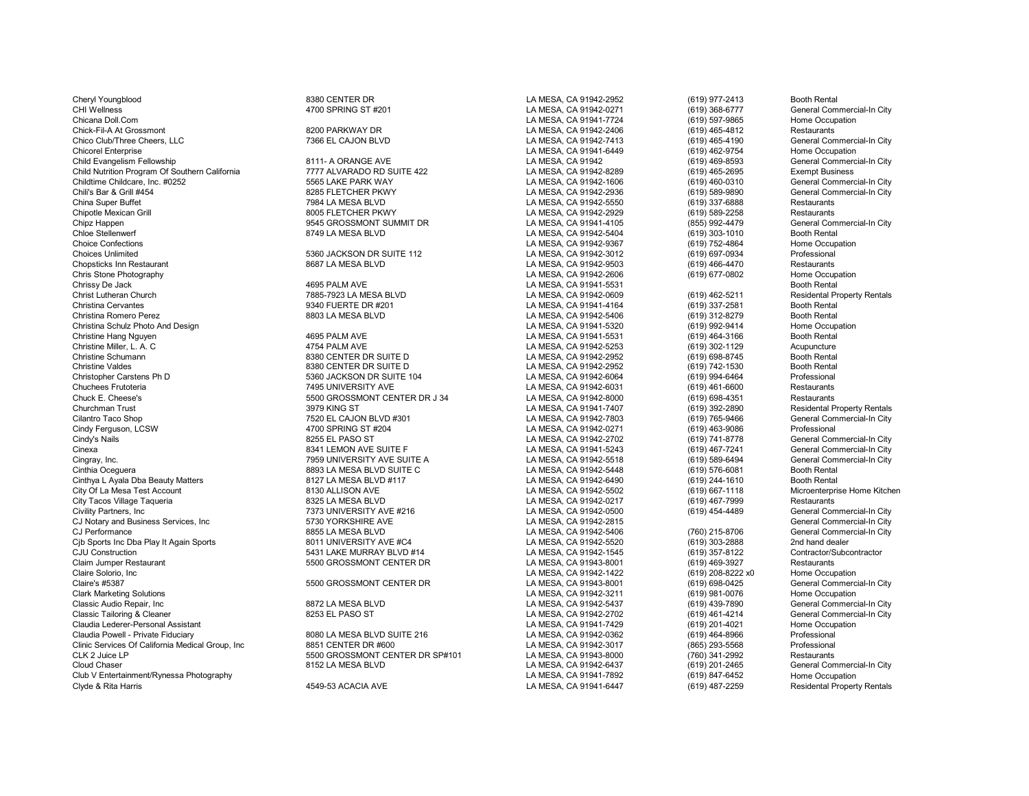Cheryl Youngblood 8380 CENTER DR LA MESA, CA 91942-2952 (619) 977-2413 Booth Rental CHI Wellness CHI Wellness CHI Wellness CHI Wellness CHI Wellness CHI MESA, CA 91942-0271 (619) 368-6777 General Commercial-In City<br>Chicana Doll.Com Chicana Commercial-In City Chicana Doll.Com (619) 597-9865 Home Occupation Chicana Doll.Com LA MESA, CA 91941-7724 (619) 597-9865 Home Occupation Chick-Fil-A At Grossmont 8200 PARKWAY DR LA MESA, CA 91942-2406 (619) 465-4812 Restaurants Chico Club/Three Cheers, LLC **Chico Club/Three Cheers, LLC** Chicore Cheers, LLC 7366 EL CAJON BLVD LA MESA, CA 91942-7413 (619) 465-4190 General Commercial-In City<br>Chicorel Enterprise Home Occupation Child Evangelism Fellowship 8111- A ORANGE AVE LA MESA, CA 91942 (619) 469-8593 General Commercial-In Child Nutrition Program Of Southern California 8111- A ORANGE AVE LA MESA, CA 91942-8289 (619) 465-2695 Exempt Business Child Nutrition Program Of Southern California **1992** 7777 ALVARADO RD SUITE 422 LA MESA, CA 91942-8289 (619) 465-2695 Exempt Business<br>Childtime Childcare. Inc. #0252 Children Clity Child City 5565 LAKE PARK WAY CHILD AND Childtime Childcare, Inc. #0252 5565 LAKE PARK WAY LA MESA, CA 91942-1606 (619) 460-0310 General Commercial-In City Chili's Bar & Grill #454 8285 FLETCHER PKWY LA MESA, CA 91942-2936 (619) 589-9890 General Commercial-In City China Super Buffet 7984 LA MESA BLVD LA MESA, CA 91942-5550 (619) 337-6888 Restaurants Chipotle Mexican Grill 8005 FLETCHER PKWY LA MESA, CA 91942-2929 (619) 589-2258 Restaurants Chipz Happen 9545 GROSSMONT SUMMIT DR LA MESA, CA 91941-4105 (855) 992-4479 General Commercial-In City Chloe Stellenwerf 8749 LA MESA BLVD LA MESA, CA 91942-5404 (619) 303-1010 Booth Rental Choice Confections **Choice Confections**<br>Choices Unlimited Choices Unlimited Professional Choices Unlimited Professional Choices Unlimited Professional Choices Unlimited 5360 JACKSON DR SUITE 112 LA MESA, CA 91942-3012 (619) 697-0934 Professional Chopsticks Inn Restaurant 8687 LA MESA BLVD LA MESA, CA 91942-9503 (619) 466-4470 Restaurants Chris Stone Photography LA MESA, CA 91942-2606 (619) 677-0802 Home Occupation Chrissy De Jack **1988 Chrissy De Jack 1998** Chrissy De Jack 1998 Chrissy De Jack 1998 Christ Lutheran Church 1998 Christ Lutheran Church 1998 Christ Lutheran Church 1998 Christ Lutheran Church 1998 Christ Lutheran Church 1 Christ Lutheran Church 1985-7923 LA MESA BLVD LA MESA, CA 91942-0609 (619) 462-5211 Residental Property Rentals<br>Christina Cervantes 2006 Christina Cervantes 1990 1990 1991 1991 1992 10: CA MESA, CA 91941-4164 (619) 337-258 Christina Cervantes 9340 FUERTE DR #201 LA MESA, CA 91941-4164 (619) 337-2581 Booth Rental Christina Romero Perez 8803 LA MESA BLVD LA MESA, CA 91942-5406 (619) 312-8279 Booth Rental Christina Schulz Photo And Design Norme Occupation and Act of the Schulz And Design Act of the Occupation of the Schulz And Design Act of the Occupation of the Occupation of the Occupation of the Occupation of the Occupati Christine Hang Nguyen 4695 PALM AVE LA MESA, CA 91941-5531 (619) 464-3166 Booth Rental Christine Miller, L. A. C 4754 PALM AVE LA MESA, CA 91942-5253 (619) 302-1129 Acupuncture Christine Schumann 8380 CENTER DR SUITE D LA MESA, CA 91942-2952 (619) 698-8745 Booth Rental Christine Valdes 8380 CENTER DR SUITE D LA MESA, CA 91942-2952 (619) 742-1530 Booth Rental Christopher Carstens Ph D 6360 JACKSON DR SUITE 104 LA MESA, CA 91942-6064 (619) 994-6464 Professional<br>Chuchees Frutoteria (619) 461-6600 Restaurants 7495 UNIVERSITY AVE LA MESA, CA 91942-6031 (619) 461-6600 Restaurants Chuchees Frutoteria 7495 UNIVERSITY AVE LA MESA, CA 91942-6031 (619) 461-6600 Restaurants Chuck E. Cheese's 5500 GROSSMONT CENTER DR J 34 LA MESA, CA 91942-8000 (619) 698-4351<br>Churchman Trust 3979 KING ST LA MESA. CA 91941-7407 (619) 392 Cilantro Taco Shop 7520 EL CAJON BLVD #301 LA MESA, CA 91942-7803 (619) 765-9466 General Commercial-In City Cindy Ferguson, LCSW COS COMPUTER MANUS AND SPRING ST #204 LA MESA, CA 91942-0271 (619) 463-9086 Professional<br>Cindy's Nails Computer of the Supercriate of the Supercriate of the Supercriate of the Supercriate of the Supe Cindy's Nails 8255 EL PASO ST LA MESA, CA 91942-2702 (619) 741-8778 General Commercial-In City Cinexa 8341 LEMON AVE SUITE F LA MESA, CA 91941-5243 (619) 467-7241 General Commercial-In City Cingray, Inc. 619) 589-6494 Ceneral Commercial-In City 7959 UNIVERSITY AVE SUITE A CALCOMERA CA LA MESA, CA 91942-5518 (619) 589-6494 General Commercial-In City Cinthia Oceauera Commercial-In City 8893 LA MESA BUVD SUITE C Cinthia Oceguera 6893 LA MESA BLVD SUITE C LA MESA, CA 91942-5448 (619) 576-6081 Booth Rental Cinthya La Mesa, CA 91942-6490 (619) 44-1610 Booth Rental Cinthya La MESA, CA 91942-6490 (619) 244-1610 Booth Rental Cinthya L Ayala Dba Beauty Matters City Of La Mesa Test Account 8130 ALLISON AVE LA MESA, CA 91942-5502 (619) 667-1118 Microenterprise Home Kitchen City Tacos Village Taqueria 8325 LA MESA BLVD LA MESA, CA 91942-0217 (619) 467-7999 Restaurants CJ Notary and Business Services, Inc **6. 1992-2016**<br>CJ Performance CJ Performance (760) 215-8706<br>CJ Performance (760) 215-8706 Cjb Sports Inc Dba Play It Again Sports **8011 UNIVERSITY AVE #C4** LA MESA, CA 91942-5520 (619) 303-2888 2nd hand dealer<br>CJU Construction Contractor/Subcontractor 5431 LAKE MURRAY BLVD #14 LA MESA. CA 91942-1545 (619) 357-8 CJU Construction 6431 LAKE MURRAY BLVD #14 LA MESA, CA 91942-1545 (619) 357-8122 Contractor/Subcontractor/Subcontractor/Subcontractor/Subcontractor/Subcontractor/Subcontractor/Subcontractor/Subcontractor/Subcontractor/Subc Claim Jumper Restaurant 1986 March 2010 SECONDA 1998 SECONDA CENTER DR LA MESA, CA 91943-8001 (619) 469-3927 Restaurants<br>Claire Solorio, Inc 1992-8222 x0 Home Occupation Claire Solorio, Inc and Discussion of the Solorio, Inc LA MESA, CA 91942-1422 (619) 208-8222 x0 Home Occupation<br>Claire's #5387 Claire's #5500 GROSSMONT CENTER DR LA MESA. CA 91943-8001 (619) 698-0425 General Commercial-In Claire's #5387 (619) 698-0425 5500 GROSSMONT CENTER DR LA MESA, CA 91943-8001 (619) 698-0425<br>Clark Marketing Solutions (619) 981-0076 Clark Marketing Solutions (1998) Home Occupation (619) 981-0076 Home Occupation<br>Classic Audio Repair. Inc (2011) Sample Classic Audio Repair (619) 981-0076 (619) 981-0076 (Seneral Commercial Classic Audio Repair, Inc 8872 LA MESA BLVD LA MESA, CA 91942-5437 (619) 439-7890 General Commercial-In City Classic Tailoring & Cleaner 8253 EL PASO ST LA MESA, CA 91942-2702 (619) 461-4214 General Commercial-In City Claudia Lederer-Personal Assistant North Claudia Lederer-Personal Assistant New Bocupation<br>Claudia Powell - Private Fiduciary New South New Board Alexander 216 New Home Cocupation (619) 201-4021 (619) Clinic Services Of California Medical Group, Inc and Basing the Services Of California Medical Group, Inc and B<br>CLK 2 Juice LP (760) 341-2992 Restaurants (760) 341-2992 Restaurants CLK 2 Juice LP 5500 GROSSMONT CENTER DR SP#101 LA MESA, CA 91943-8000 (760) 341-2992 Restaurants Club V Entertainment/Rynessa Photography LA MESA, CA 91941-7892 (619) 847-6452 Home Occupation Clyde & Rita Harris 4549-53 ACACIA AVE LA MESA, CA 91941-6447 (619) 487-2259 Residental Property Rentals

LA MESA, CA 91941-6449 (619) 462-9754 Home Occupation<br>Chicorel Enterprise LA MESA, CA 91942 (619) 469-8593 General Commercial-In City T373 UNIVERSITY AVE #216 COMPRES AND THE MESA, CA 91942-0500 COMPRESS (619) 454-4489 General Commercial-In City<br>1.5730 YORKSHIRE AVE COMPRESS CA STRESS AND MESA, CA 91942-2815 e B855 LA MESA BLVD LA MESA, CA 91942-5406 (760) 215-8706 General Commercial-In City<br>1991 BO11 UNIVERSITY AVE #C4 CA STREET LA MESA. CA 91942-5520 (619) 303-2888 2nd hand dealer

Claudia Powell - Private Fiduciary 8080 LA MESA BLVD SUITE 216 LA MESA, CA 91942-0362 (619) 464-8966 Professional

(619) 392-2890 Residental Property Rentals<br>
(619) 765-9466 General Commercial-In City General Commercial-In City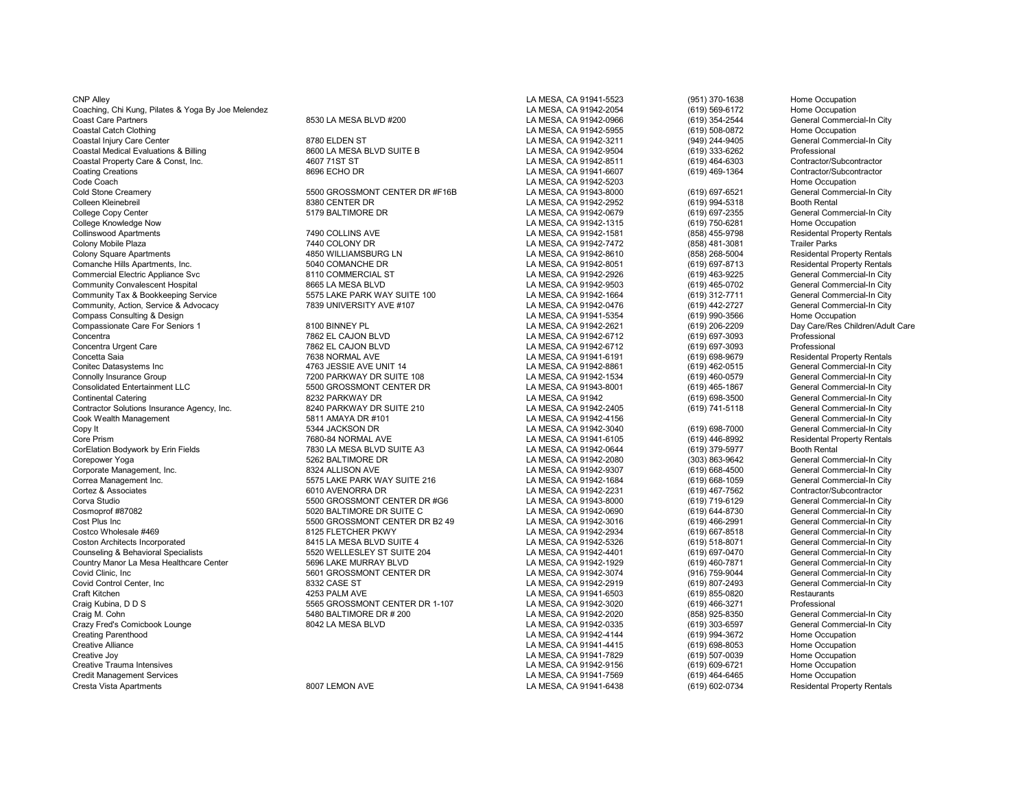| <b>CNP Alley</b>                                   |                                | LA MESA, CA 91941-5523 | (951) 370-1638 | Home Occupation                    |
|----------------------------------------------------|--------------------------------|------------------------|----------------|------------------------------------|
| Coaching, Chi Kung, Pilates & Yoga By Joe Melendez |                                | LA MESA, CA 91942-2054 | (619) 569-6172 | Home Occupation                    |
| <b>Coast Care Partners</b>                         | 8530 LA MESA BLVD #200         | LA MESA, CA 91942-0966 | (619) 354-2544 | General Commercial-In City         |
| Coastal Catch Clothing                             |                                | LA MESA, CA 91942-5955 | (619) 508-0872 | Home Occupation                    |
| Coastal Injury Care Center                         | 8780 ELDEN ST                  | LA MESA, CA 91942-3211 | (949) 244-9405 | General Commercial-In City         |
| Coastal Medical Evaluations & Billing              | 8600 LA MESA BLVD SUITE B      | LA MESA, CA 91942-9504 | (619) 333-6262 | Professional                       |
| Coastal Property Care & Const, Inc.                | 4607 71ST ST                   | LA MESA, CA 91942-8511 | (619) 464-6303 | Contractor/Subcontractor           |
| <b>Coating Creations</b>                           | 8696 ECHO DR                   | LA MESA, CA 91941-6607 | (619) 469-1364 | Contractor/Subcontractor           |
| Code Coach                                         |                                | LA MESA, CA 91942-5203 |                | Home Occupation                    |
| Cold Stone Creamery                                | 5500 GROSSMONT CENTER DR #F16B | LA MESA, CA 91943-8000 | (619) 697-6521 | General Commercial-In City         |
| Colleen Kleinebreil                                | 8380 CENTER DR                 | LA MESA, CA 91942-2952 | (619) 994-5318 | <b>Booth Rental</b>                |
| College Copy Center                                | 5179 BALTIMORE DR              | LA MESA, CA 91942-0679 | (619) 697-2355 | General Commercial-In City         |
| College Knowledge Now                              |                                | LA MESA, CA 91942-1315 | (619) 750-6281 | Home Occupation                    |
| <b>Collinswood Apartments</b>                      | 7490 COLLINS AVE               | LA MESA, CA 91942-1581 | (858) 455-9798 | <b>Residental Property Rentals</b> |
| Colony Mobile Plaza                                | 7440 COLONY DR                 | LA MESA, CA 91942-7472 | (858) 481-3081 | <b>Trailer Parks</b>               |
| <b>Colony Square Apartments</b>                    | 4850 WILLIAMSBURG LN           | LA MESA, CA 91942-8610 | (858) 268-5004 | <b>Residental Property Rentals</b> |
| Comanche Hills Apartments, Inc.                    | 5040 COMANCHE DR               | LA MESA, CA 91942-8051 | (619) 697-8713 | <b>Residental Property Rentals</b> |
| <b>Commercial Electric Appliance Svc</b>           | 8110 COMMERCIAL ST             | LA MESA, CA 91942-2926 | (619) 463-9225 | General Commercial-In City         |
|                                                    |                                |                        |                |                                    |
| <b>Community Convalescent Hospital</b>             | 8665 LA MESA BLVD              | LA MESA, CA 91942-9503 | (619) 465-0702 | General Commercial-In City         |
| Community Tax & Bookkeeping Service                | 5575 LAKE PARK WAY SUITE 100   | LA MESA, CA 91942-1664 | (619) 312-7711 | General Commercial-In City         |
| Community, Action, Service & Advocacy              | 7839 UNIVERSITY AVE #107       | LA MESA, CA 91942-0476 | (619) 442-2727 | General Commercial-In City         |
| Compass Consulting & Design                        |                                | LA MESA, CA 91941-5354 | (619) 990-3566 | Home Occupation                    |
| Compassionate Care For Seniors 1                   | 8100 BINNEY PL                 | LA MESA, CA 91942-2621 | (619) 206-2209 | Day Care/Res Children/Adult Care   |
| Concentra                                          | 7862 EL CAJON BLVD             | LA MESA, CA 91942-6712 | (619) 697-3093 | Professional                       |
| Concentra Urgent Care                              | 7862 EL CAJON BLVD             | LA MESA, CA 91942-6712 | (619) 697-3093 | Professional                       |
| Concetta Saia                                      | 7638 NORMAL AVE                | LA MESA, CA 91941-6191 | (619) 698-9679 | <b>Residental Property Rentals</b> |
| Conitec Datasystems Inc                            | 4763 JESSIE AVE UNIT 14        | LA MESA, CA 91942-8861 | (619) 462-0515 | General Commercial-In City         |
| Connolly Insurance Group                           | 7200 PARKWAY DR SUITE 108      | LA MESA, CA 91942-1534 | (619) 460-0579 | General Commercial-In City         |
| <b>Consolidated Entertainment LLC</b>              | 5500 GROSSMONT CENTER DR       | LA MESA, CA 91943-8001 | (619) 465-1867 | General Commercial-In City         |
| <b>Continental Catering</b>                        | 8232 PARKWAY DR                | LA MESA, CA 91942      | (619) 698-3500 | General Commercial-In City         |
| Contractor Solutions Insurance Agency, Inc.        | 8240 PARKWAY DR SUITE 210      | LA MESA, CA 91942-2405 | (619) 741-5118 | General Commercial-In City         |
| Cook Wealth Management                             | 5811 AMAYA DR #101             | LA MESA, CA 91942-4156 |                | General Commercial-In City         |
| Copy It                                            | 5344 JACKSON DR                | LA MESA, CA 91942-3040 | (619) 698-7000 | General Commercial-In City         |
| Core Prism                                         | 7680-84 NORMAL AVE             | LA MESA, CA 91941-6105 | (619) 446-8992 | <b>Residental Property Rentals</b> |
| CorElation Bodywork by Erin Fields                 | 7830 LA MESA BLVD SUITE A3     | LA MESA, CA 91942-0644 | (619) 379-5977 | <b>Booth Rental</b>                |
| Corepower Yoga                                     | 5262 BALTIMORE DR              | LA MESA, CA 91942-2080 | (303) 863-9642 | General Commercial-In City         |
| Corporate Management, Inc.                         | 8324 ALLISON AVE               | LA MESA, CA 91942-9307 | (619) 668-4500 | General Commercial-In City         |
| Correa Management Inc.                             | 5575 LAKE PARK WAY SUITE 216   | LA MESA, CA 91942-1684 | (619) 668-1059 | General Commercial-In City         |
| Cortez & Associates                                | 6010 AVENORRA DR               | LA MESA, CA 91942-2231 | (619) 467-7562 | Contractor/Subcontractor           |
| Corva Studio                                       | 5500 GROSSMONT CENTER DR #G6   | LA MESA, CA 91943-8000 | (619) 719-6129 | General Commercial-In City         |
| Cosmoprof #87082                                   | 5020 BALTIMORE DR SUITE C      | LA MESA, CA 91942-0690 | (619) 644-8730 | General Commercial-In City         |
| Cost Plus Inc                                      | 5500 GROSSMONT CENTER DR B2 49 | LA MESA, CA 91942-3016 | (619) 466-2991 | General Commercial-In City         |
| Costco Wholesale #469                              | 8125 FLETCHER PKWY             | LA MESA, CA 91942-2934 | (619) 667-8518 | General Commercial-In City         |
| <b>Coston Architects Incorporated</b>              | 8415 LA MESA BLVD SUITE 4      | LA MESA, CA 91942-5326 | (619) 518-8071 | General Commercial-In City         |
| Counseling & Behavioral Specialists                | 5520 WELLESLEY ST SUITE 204    | LA MESA, CA 91942-4401 | (619) 697-0470 | General Commercial-In City         |
| Country Manor La Mesa Healthcare Center            | 5696 LAKE MURRAY BLVD          | LA MESA, CA 91942-1929 | (619) 460-7871 | General Commercial-In City         |
| Covid Clinic, Inc.                                 | 5601 GROSSMONT CENTER DR       | LA MESA, CA 91942-3074 | (916) 759-9044 | General Commercial-In City         |
| Covid Control Center, Inc.                         | 8332 CASE ST                   | LA MESA, CA 91942-2919 | (619) 807-2493 | General Commercial-In City         |
| Craft Kitchen                                      | 4253 PALM AVE                  | LA MESA, CA 91941-6503 | (619) 855-0820 | Restaurants                        |
| Craig Kubina, D D S                                | 5565 GROSSMONT CENTER DR 1-107 | LA MESA, CA 91942-3020 | (619) 466-3271 | Professional                       |
| Craig M. Cohn                                      | 5480 BALTIMORE DR # 200        | LA MESA, CA 91942-2020 | (858) 925-8350 | General Commercial-In City         |
| Crazy Fred's Comicbook Lounge                      | 8042 LA MESA BLVD              | LA MESA, CA 91942-0335 | (619) 303-6597 | General Commercial-In City         |
| <b>Creating Parenthood</b>                         |                                | LA MESA, CA 91942-4144 | (619) 994-3672 | Home Occupation                    |
| <b>Creative Alliance</b>                           |                                | LA MESA, CA 91941-4415 | (619) 698-8053 | Home Occupation                    |
| Creative Joy                                       |                                | LA MESA, CA 91941-7829 | (619) 507-0039 | Home Occupation                    |
| Creative Trauma Intensives                         |                                | LA MESA, CA 91942-9156 | (619) 609-6721 | Home Occupation                    |
| <b>Credit Management Services</b>                  |                                | LA MESA, CA 91941-7569 | (619) 464-6465 | Home Occupation                    |
| Cresta Vista Apartments                            | 8007 LEMON AVE                 | LA MESA, CA 91941-6438 | (619) 602-0734 | <b>Residental Property Rentals</b> |
|                                                    |                                |                        |                |                                    |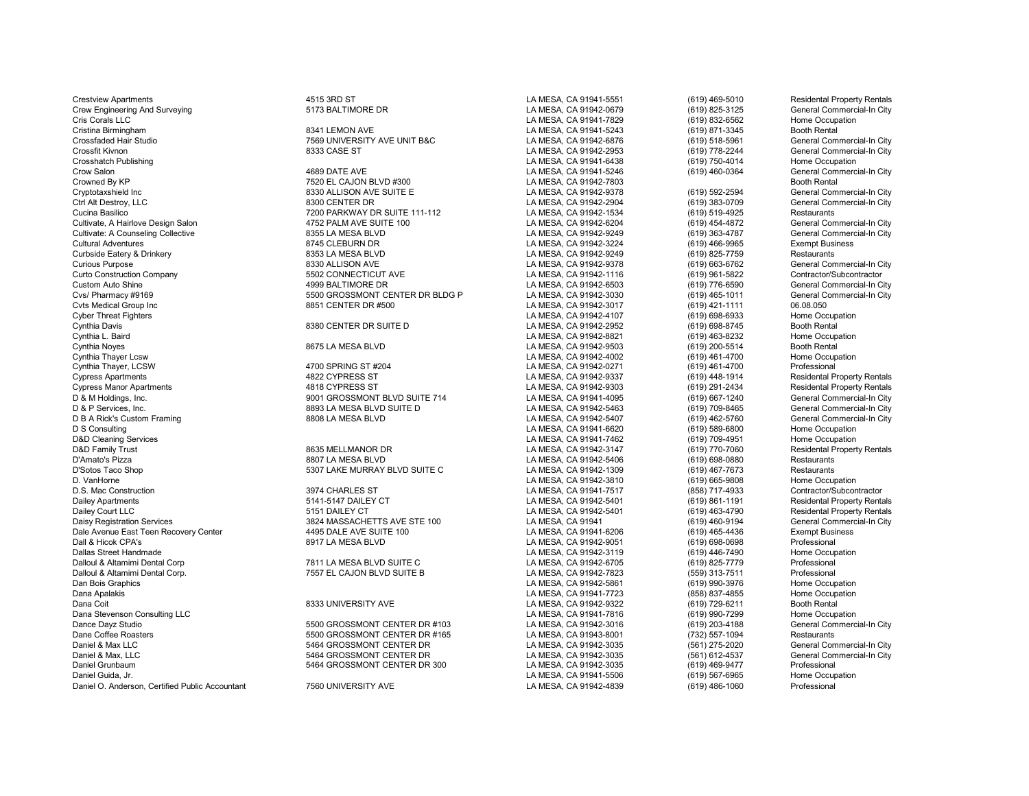Dane Coffee Roasters Correst and the Samuel Correst of the Samuel Correst Correst Correst Correst Are South Co<br>Daniel & Max LLC Correst Commercial-In City Correst And Correst Correst Correst Correst Correst Commercial-In C Daniel & Max LLC 5464 GROSSMONT CENTER DR LA MESA, CA 91942-3035 (561) 275-2020 General Commercial-In City Daniel & Max, LLC 5464 GROSSMONT CENTER DR LA MESA, CA 91942-3035 (561) 612-4537 General Commercial-In City Daniel Grunbaum 5464 GROSSMONT CENTER DR 300 LA MESA, CA 91942-3035 (619) 469-9477 Professional Daniel O. Anderson, Certified Public Accountant 7560 UNIVERSITY AVE LA MESA, CA 91942-4839

Crestview Apartments **ADIST** 4515 3RD ST And The ST LA MESA, CA 91941-5551 (619) 469-5010 Residental Property Rentals Crew Engineering And Surveying Commercial-In City 5173 BALTIMORE DR Commercial-In City LA MESA, CA 91942-0679 (619) 825-3125 General Commercial-In City Cris Corals LLC Commercial-In City Cris Corals LLC Commercial-In City Cris Corals LLC LA MESA, CA 91941-7829 (619) 832-6562 Home Occupation Cristina Birmingham 8341 LEMON AVE LA MESA, CA 91941-5243 (619) 871-3345 Booth Rental Crossfaded Hair Studio Crossfaded Hair Studio Commercial-In City (619) 518-5961 Crossfit Kivnon Crossfit Kivnon<br>Crossfit Kivnon Crossfit Kivnon Commercial-In City (619) 778-2244 General Commercial-In City Crossfit Kivnon Crossfit Kivnon 8333 CASE ST 6333 CASE ST Crosshatch Publishing Crosshatch Publishing Commercial-In City<br>Crosshatch Publishing Crosshatch Publishing Home Occupation Crosshatch Publishing Material Crosshatch Publishing Material Crosshatch Publishing Material Crosshatch Publishing<br>Crow Salon (619) 460-0364 General Commercial-In City Crow Salon 4689 DATE AVE LA MESA, CA 91941-5246 (619) 460-0364 General Commercial-In City Crowned By KP 7520 EL CAJON BLVD #300 LA MESA, CA 91942-7803 Crowned By KP Booth Rental Booth Rental Crowned By KP Booth Rental Section 1992-2594 Ceneral Commercial-In City<br>Cryptotaxshield Inc Crowned Inc. And All San All Cryptotaxshield Inc 8330 ALLISON AVE SUITE E LA MESA, CA 91942-9378 (619) 592-2594 General Commercial-In City Ctrl Alt Destroy, LLC Charles Commercial-In City<br>Cucina Basilico Cucina Basilico Cucina Destruction of The State of The State of The State of The City Cucina Basilico Cucina Basilico Cucina Basilico Cucina Destaurants Provide 111-112 Cucina Basilico 7200 PARKWAY DR SUITE 111-112<br>Cucina Basilico 100 LA MESA, CA 91942-6204 (619) 454-4872 General Commercial-In City Cultivate, A Hairlove Design Salon and the Suite of the SUITE 100 Cultivate CA 19942-6204 (619) 454-4872 General Commercial-In City<br>Cultivate: A Counseling Collective and the Suite of the Suite of the Suite of the Suite of Cultivate: A Counseling Collective **8355 LA MESA BLVD** LA MESA, CA 91942-9249 (619) 363-4787 General Commercial-In Cultivate: A Counseling Collective **619**<br>Cultural Adventures Cultective **19945** CLEBURN DR CLEBURN DR Cultural Adventures 679 Exempt Busines (1997) 8745 CLEBURN DR LA MESA, CA 91942-3224 (619) 466-9965 Exempt Busi<br>Curbside Eatery & Drinkery Clear Adventures (1997) 8353 LA MESA BLVD LA MESA, CA 91942-9249 (619) 825-7759 Res Curbside Eatery & Drinkery 8353 LA MESA BLVD LA MESA, CA 91942-9249 (619) 825-7759 Restaurants Curious Purpose 8330 ALLISON AVE LA MESA, CA 91942-9378 (619) 663-6762 General Commercial-In City Curto Construction Company 5502 CONNECTICUT AVE LA MESA, CA 91942-1116 (619) 961-5822 Contractor/Subcontractor Custom Auto Shine 4999 BALTIMORE DR LA MESA, CA 91942-6503 (619) 776-6590 General Commercial-In City Cvs/ Pharmacy #9169 5500 GROSSMONT CENTER DR BLDG P LA MESA, CA 91942-3030 (619) 465-1011 General Commercial-In City Cvts Medical Group Inc and the Superinted Croup Inc. Coverage of the Superinted Croup inc. Cover and the Superinted Croup inc. Cover Threat Fighters (619) 421-1111 196.08.050 LA MESA, CA 91942-4107 (619) 698-6933 Home Occu Cyber Threat Fighters Changes and Cyber Threat Fighters (619) 698-6933 Home Occup<br>Cynthia Davis Communication of the College of the State of the State of the State of the State of the State of<br>Cynthia Davis (619) 698-8745 Cynthia Davis 8380 CENTER DR SUITE D LA MESA, CA 91942-2952 (619) 698-8745 Booth Rental Cynthia L. Baird<br>Cynthia Noves Cynthia Noves (619) 463-8232 Home Occupation<br>Cynthia Noves (619) 200-5514 Booth Rental Cynthia Noyes 8675 LA MESA BLVD LA MESA, CA 91942-9503 (619) 200-5514 Booth Rental Cynthia Thayer Lcsw LA MESA, CA 91942-4002 (619) 461-4700 Home Occupation Cynthia Thayer, LCSW 4700 SPRING ST #204 LA MESA, CA 91942-0271 (619) 461-4700 Professional Cypress Apartments 4822 CYPRESS ST LA MESA, CA 91942-9337 (619) 448-1914 Residental Property Rentals Cypress Manor Apartments 4818 CYPRESS ST LA MESA, CA 91942-9303 (619) 291-2434 Residental Property Rentals D & M Holdings, Inc. Channel Commercial-In City of the Suite of Suite 10001 GROSSMONT BLVD SUITE 714 LA MESA, CA 91941-4095 (619) 667-1240 General Commercial-In City of the Suite of the Suite 10 City of the Suite 10 City o P B893 LA MESA BLVD SUITE D<br>B808 LA MESA BLVD SUITE D LA MESA, CA 91942-5407 (619) 462-5760 General Commercial-In City  $\begin{array}{l} \text{D B A Rick's Customer Frame} \\ \text{D S Considering} \end{array} \begin{array}{l} \text{General Comment} \\ \text{M E S A, CA 91942-5407} \end{array} \begin{array}{l} \text{A M E S A, CA 91942-5407} \\ \text{L A M E S A, CA 91941-6620} \end{array} \begin{array}{l} \text{(619) 462-5760} \\ \text{(619) 589-6800} \end{array} \begin{array}{l} \text{General Comment} \\ \text{Home Occupation} \end{array}$  $\begin{array}{l|l} \text{D S Consulting} & \text{I-MESA, CA 91941-6620} \\ \text{LAPESA, CA 91941-7462} & \text{(619) 589-6800} \\ \text{D&D Clearing Services} & \text{Home Occupation} \end{array}$ D&D Cleaning Services LA MESA, CA 91941-7462 (619) 709-4951 Home Occupation D&D Family Trust Company of the Same of the Same of the Same of the Same of the Same of the Same of the Same of the Same of the Same of the Same of the Same of the Same of the Same of the Same of the Same of the Same of th D'Amato's Pizza 8807 LA MESA BLVD LA MESA, CA 91942-5406 (619) 698-0880 Restaurants D'Sotos Taco Shop 5307 LAKE MURRAY BLVD SUITE C LA MESA, CA 91942-1309 (619) 467-7673 Restaurants D.S. Mac Construction 3974 CHARLES ST LA MESA, CA 91941-7517 (858) 717-4933 Contractor/Subcontractor Dailey Apartments Charles Communication of the State of the State of the State of the State of the State of the State of the State of the State of the State of the State of the State of the State of the State of the State Dailey Court LLC Residental Property Rentals<br>Daisy Registration Services Court Court Court and Same State of the State of the State of the State of the Sta<br>Daisy Registration Services Commercial-In City 0024 MASSACHETTS AVE STE 100 LA MESA, CA 91941 (619) 460-9194 General Commercial-In Commercial-In Commercial-In<br>1995 DALE AVE SUITE 100 LA MESA, CA 91941-6206 (619) 465-4436 Exempt Business Dale Avenue East Teen Recovery Center 4495 DALE AVE SUITE 100 LA MESA, CA 91941-6206 (619) 465-4436 Exempt Business Dall & Hicok CPA's 8917 LA MESA BLVD LA MESA, CA 91942-9051 (619) 698-0698 Professional Dallas Street Handmade LA MESA, CA 91942-3119 (619) 446-7490 Home Occupation Dalloul & Altamimi Dental Corp **1982 Corp 7811 LA MESA BLVD SUITE C** CORP CORP CA MESA, CA 91942-6705 (619) 825-7779 Professional<br>Calloul & Altamimi Dental Corp. **Professional State CA ALTA ACCORP CORP CA DESA** CA 91942-78 Dalloul & Altamimi Dental Corp. 7557 EL CAJON BLVD SUITE B LA MESA, CA 91942-7823 (559) 313-7511 Professional Dan Bois Graphics LA MESA, CA 91942-5861 (619) 990-3976 Home Occupation Dana Apalakis LA MESA, CA 91941-7723 (858) 837-4855 Home Occupation Dana Coit 8333 UNIVERSITY AVE LA MESA, CA 91942-9322 (619) 729-6211 Booth Rental Dana Stevenson Consulting LLC LA MESA, CA 91941-7816 (619) 990-7299 Home Occupation Dance Dayz Studio Campack Center of the Studio Studio of the Studio of the Studio Studio of the Studio Studio Studio Studio of the Studio 5500 GROSSMONT CENTER DR #165 LA MESA, CA 91942-3016 (619) 203-4188 General Commerci

LA MESA, CA 91942-3810 LA MESA, CA 91941-5506 (619) 567-6965 Home Occup<br>CA MESA. CA 91942-4839 (619) 486-1060 Professional بالسلطة CA MESA. CA 91942-4839 (619) 486-1060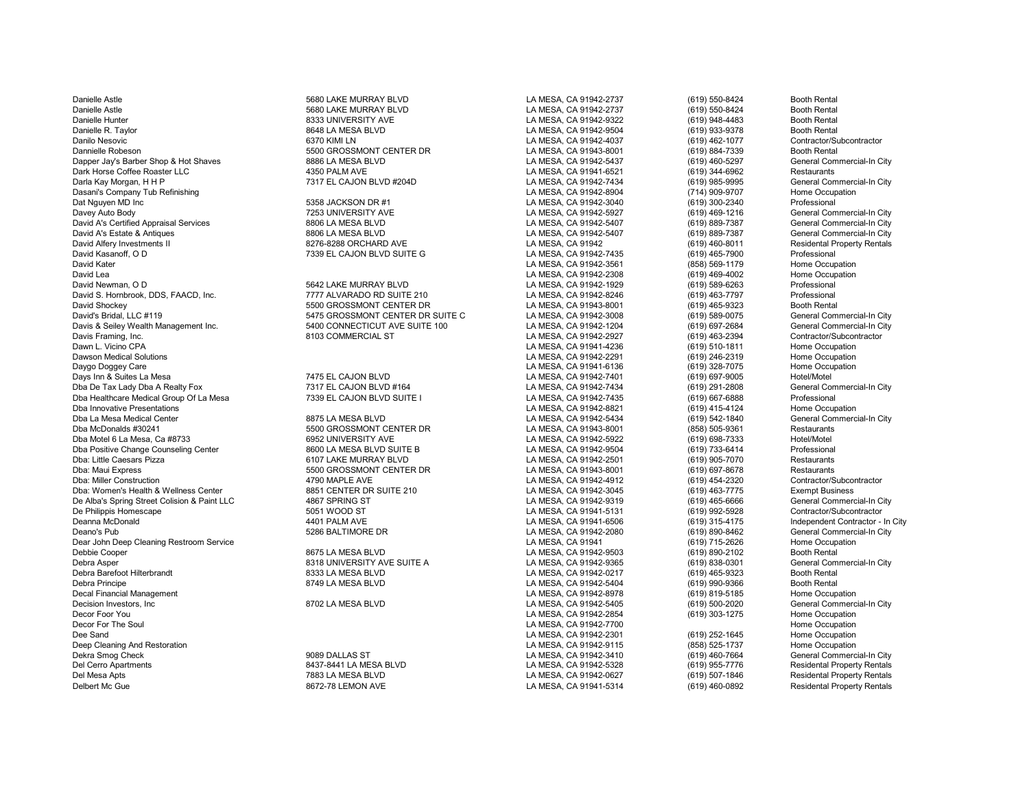Danielle Astle 5680 LAKE MURRAY BLVD LA MESA, CA 91942-2737 (619) 550-8424 Booth Rental Danielle Astle 5680 LAKE MURRAY BLVD LA MESA, CA 91942-2737 (619) 550-8424 Booth Rental Danielle Hunter هاي المستواة المستواة التي ينتشر المستواة التي ينتشر المستواة التي ينتشر المستواة التي ينتشر ا<br>Danielle R. Taylor هاي التي ينتشر المستواة التي ينتشر المستواة التي ينتشر المستواة التي ينتشر المستواة التي ين Danilo Nesovic 6370 KIMI LN LA MESA, CA 91942-4037 (619) 462-1077 Contractor/Subcontractor Dannielle Robeson 5500 GROSSMONT CENTER DR LA MESA, CA 91943-8001 (619) 884-7339 Booth Rental Dapper Jay's Barber Shop & Hot Shaves **8886 LA MESA BLVD** LA MESA, CA 91942-5437 (619) 460-5297 General Commercial<br>1999 Dark Horse Coffee Roaster LLC Commercial-In City Associates 4350 PALM AVE **Cammercial Commercial-In Ci** Dark Horse Coffee Roaster LLC 4350 PALM AVE LA MESA, CA 91941-6521 (619) 344-6962 Restaurants Darla Kay Morgan, H H P 7317 EL CAJON BLVD #204D LA MESA, CA 91942-7434 (619) 985-9995 General Commercial-In City Dasani's Company Tub Refinishing and the Company Tub Refinishing and the SCS of the SCS of the SCS of the SCSS CA 91942-8904 (714) 909-9707 Home Occupation (819) 909-9707 Home Occupation (819) 300-2340 Professional Profess Dat Nguyen MD Inc 5358 JACKSON DR #1 LA MESA, CA 91942-3040 (619) 300-2340 Professional Davey Auto Body 7253 UNIVERSITY AVE LA MESA, CA 91942-5927 (619) 469-1216 General Commercial-In City David A's Certified Appraisal Services Commercial-In City and Barea Barea BLVD Commercial And Barea BLVD LA MESA, CA 91942-5407 (619) 889-7387 General Commercial-In City Commercial-In City and Amercial-In City and Amercial David A's Estate & Antiques 8806 LA MESA BLVD LA MESA, CA 91942-5407 (619) 889-7387 General Commercial-In City David Alfery Investments II 8276-8288 ORCHARD AVE LA MESA, CA 91942 19942 (619) 460-8011 Residental Property Rentals<br>David Kasanoff. O D Professional Property Rentals (7339 EL CAJON BLVD SUITE G LA MESA. CA 91942-7435 (619 David Kasanoff, O D 7339 EL CAJON BLVD SUITE G LA MESA, CA 91942-7435 (619) 465-7900 Professional<br>David Kater 7339 EL CAJON BLVD SUITE G LA MESA. CA 91942 David Kater أو المستخدم المستخدم المستخدم المستخدم المستخدم المستخدم المستخدم المستخدم المستخدم المستخدم المستخدم ال<br>1.4 MESA, CA 91942-2308 (619) 469-4002 Home Occupation المستخدم المستخدم المستخدم المستخدم المستخدم المس David Lea LA MESA, CA 91942-2308 (619) 469-4002 Home Occupation David Newman, O D 5642 LAKE MURRAY BLVD LA MESA, CA 91942-1929 (619) 589-6263 Professional David S. Hornbrook, DDS, FAACD, Inc. 7777 ALVARADO RD SUITE 210 LA MESA, CA 91942-8246 (619) 463-7797 Professional David Shockey 5500 GROSSMONT CENTER DR LA MESA, CA 91943-8001 (619) 465-9323 Booth Rental Davis & Seiley Wealth Management Inc. **5400 CONNECTICUT AVE SUITE 100** LA MESA, CA 91942-1204 (619) 697-2684 General Commercial-In C<br>Davis Framing. Inc. Contractor/Subcontractor Davis Framing, Inc. 8103 COMMERCIAL ST LA MESA, CA 91942-2927 (619) 463-2394 Contractor/Subcontractor Dawn L. Vicino CPA LA MESA, CA 91941-4236 (619) 510-1811 Home Occupation Dawson Medical Solutions LA MESA, CA 91942-2291 (619) 246-2319 Home Occupation Daygo Doggey Care LA MESA, CA 91941-6136 (619) 328-7075 Home Occupation Days Inn & Suites La Mesa 7475 EL CAJON BLVD AND ANNESA, CA 91942-7401 (619) 697-9005 Hotel/Motel<br>Dba De Tax Lady Dba A Realty Fox 1 1990 1991 7317 EL CAJON BLVD #164 1992 12 AMESA, CA 91942-7434 (619) 291-2808 General Com Dba De Tax Lady Dba A Realty Fox 7317 EL CAJON BLVD #164 LA MESA, CA 91942-7434 (619) 291-2808 General Commercial-In City Dba Healthcare Medical Group Of La Mesa **7339 EL CAJON BLVD SUITE I** LA MESA, CA 91942-7435 (619) 667-6888 Professional<br>Dba Innovative Presentations Home Occupation Dba Innovative Presentations (619) 415-4124<br>Dba La Mesa Medical Center (619) 542-1840<br>Chang the Same Occupations of the CA 91942-5434 (619) 542-1840 Dba La Mesa Medical Center Commercial-In City and the Same Barry Basic Commercial Commercial-In City and the MESA BLVD LA MESA, CA 91942-5434 (619) 542-1840 General Commercial-In City Dba McDonalds #30241 General Commercia Dba Motel 6 La Mesa, Ca #8733 6952 UNIVERSITY AVE LA MESA, CA 91942-5922 (619) 698-7333 Hotel/Motel<br>Dba Positive Change Counseling Center 8600 LA MESA BLVD SUITE B Dba Positive Change Counseling Center **8600 LA MESA BLVD SUITE B** LA MESA, CA 91942-9504 (619) 733-6414 Professional<br>Dba: Little Caesars Pizza **Burger Bestaurants** 6107 LAKE MURRAY BLVD **CA RESA, CA 91942-2501** (619) 905-7 Dba: Little Caesars Pizza 6107 LAKE MURRAY BLVD LA MESA, CA 91942-2501 (619) 905-7070 Restaurants Dba: Maui Express 5500 GROSSMONT CENTER DR LA MESA, CA 91943-8001 (619) 697-8678 Restaurants Dba: Women's Health & Wellness Center **8851 CENTER DR SUITE 210** LA MESA, CA 91942-3045 (619) 463-7775 Exempt Business<br>De Alba's Spring Street Colision & Paint LLC 4867 SPRING ST **ARELA ALT ALT ALT ALT ARESA, CA 91942-9319** De Alba's Spring Street Colision & Paint LLC 4867 SPRING ST LA MESA, CA 91942-9319 (619) 465-6666 General Commercial-In City De Philippis Homescape 5051 WOOD ST LA MESA, CA 91941-5131 (619) 992-5928 Contractor/Subcontractor Deanna McDonald 4401 PALM AVE LA MESA, CA 91941-6506 (619) 315-4175 Independent Contractor - In City Deano's Pub 5286 BALTIMORE DR LA MESA, CA 91942-2080 (619) 890-8462 General Commercial-In City Dear John Deep Cleaning Restroom Service **LA MESA BESA, CA 91941** LA MESA, CA 91941 (619) 715-2626 Home Occupation<br>Debbie Cooper Cleaning Restroom Service and the Same of the San Home Occupation Cleaning Research of the Sa Debbie Cooper 8675 LA MESA BLVD LA MESA, CA 91942-9503 (619) 890-2102 Booth Rental Debra Asper 619) 8318 UNIVERSITY AVE SUITE A LA MESA, CA 91942-9365 (619) 838-0301 General Commercial-In City<br>Debra Barefoot Hilterbrandt Commercial-In City 8333 LA MESA BLVD LA MESA, CA 91942-0217 (619) 465-9323 Booth Ren Debra Barefoot Hilterbrandt 8333 LA MESA BLVD LA MESA, CA 91942-0217 (619) 465-9323 Booth Rental Debra Principe 8749 LA MESA BLVD LA MESA, CA 91942-5404 (619) 990-9366 Booth Rental Decal Financial Management (1990) and the State of State of State of State of State of State of State of State State of State of State of State of State of State of State of State of State of State of State of State of Sta Decision Investors, Inc 8702 LA MESA BLVD LA MESA, CA 91942-5405 (619) 500-2020 General Commercial-In City Decor Foor You LA MESA, CA 91942-2854 (619) 303-1275 Home Occupation Decor For The Soul LA MESA, CA 91942-7700 Home Occupation Dee Sand LA MESA, CA 91942-2301 (619) 252-1645 Home Occupation Deep Cleaning And Restoration Network Controller and the Superintence of the Superintence of the Superintence of the Superintence of the Superintence of the Superintence of the Superintence of the Superintence of the Super Dekra Smog Check 9089 DALLAS ST LA MESA, CA 91942-3410 (619) 460-7664 General Commercial-In City Del Cerro Apartments Controller Matter of the State of the State of the State of the State of the State of the State of the State of the State of the State of the State of the State of the State of the State of the State o Del Mesa Apts 7883 LA MESA BLVD LA MESA, CA 91942-0627 (619) 507-1846 Residental Property Rentals Delbert Mc Gue 8672-78 LEMON AVE LA MESA, CA 91941-5314 (619) 460-0892 Residental Property Rentals

David's Bridal, LLC #119 5475 GROSSMONT CENTER DR SUITE C LA MESA, CA 91942-3008 (619) 589-0075 General Commercial-In City

000 GROSSMONT CENTER DR<br>1 AMESA, CA 91943-8001 (858) 505-9361 Restaurants = 1 AMESA, CA 91942-5922<br>1 G19) 698-7333 Hotel/Motel

LA MESA, CA 91942-9504 LA MESA, CA 91942-4912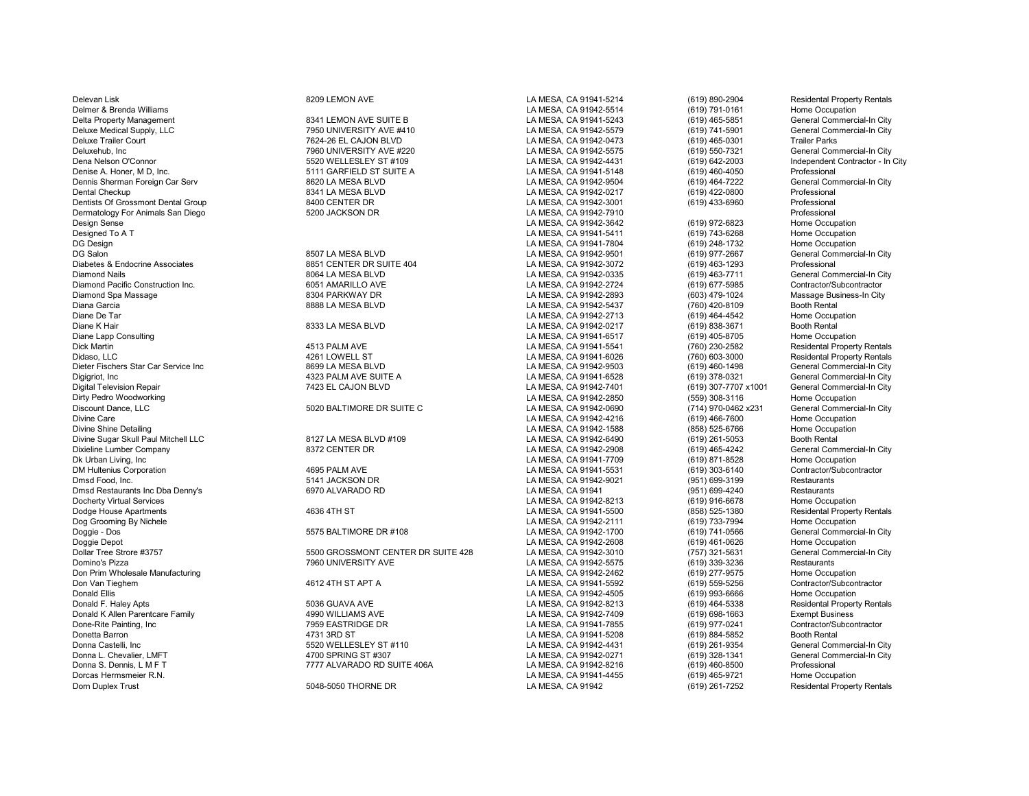Delevan Lisk **8209 LEMON AVE CHA CA SEE ASSESS** LA MESA, CA 91941-5214 (619) 890-2904 Residental Property Rentals Delmer & Brenda Williams LA MESA, CA 91942-5514 (619) 791-0161 Home Occupation Delta Property Management 8341 LEMON AVE SUITE B LA MESA, CA 91941-5243 (619) 465-5851 General Commercial-In City Deluxe Medical Supply, LLC 7950 UNIVERSITY AVE #410 LA MESA, CA 91942-5579 (619) 741-5901 General Commercial-In City Deluxe Trailer Court 7624-26 EL CAJON BLVD LA MESA, CA 91942-0473 (619) 465-0301 Trailer Parks Deluxehub, Inc Commercial-In City 7960 UNIVERSITY AVE #220 LA MESA, CA 91942-5575 (619) 550-7321 General Commercial-In City<br>Dena Nelson O'Connor Commercial-In City 5520 WELLESLEY ST #109 LA MESA, CA 91942-4431 (619) 642-20 Dena Nelson O'Connor **5520 SEXU WELLESLEY ST #109** LA MESA, CA 91942-4431 (619) 642-2003 Independent Contractor - In City<br>Chrise A. Honer, M. D., Inc. Comparent Contractor - In City 5111 GARFIELD ST SUITE A LA MESA, CA 919 Dennis Sherman Foreign Car Serv 8620 LA MESA BLVD LA MESA, CA 91942-9504 (619) 464-7222 General Commercial-In City Dentists Of Grossmont Dental Group **8400 CENTER DR** LA MESA, CA 91942-3001 (619) 433-6960 Professional<br>Dermatology For Animals San Diego San Clear of the S200 JACKSON DR LA MESA CA 91942-7910 (619) 433-6960 Professional Dermatology For Animals San Diego **5200 JACKSON DR** Computer Computer CA MESA, CA 91942-7910 Professional Professional<br>Design Sense (619) 972-6823 Home Occupation Design Sense LA MESA, CA 91942-3642 (619) 972-6823 Home Occupation Designed To A T LA MESA, CA 91941-5411 (619) 743-6268 Home Occupation DG Design LA MESA, CA 91941-7804 (619) 248-1732 Home Occupation Diabetes & Endocrine Associates 8851 CENTER DR SUITE 404 LA MESA, CA 91942-3072 (619) 463-1293 Professional Diamond Nails 8064 LA MESA BLVD LA MESA, CA 91942-0335 (619) 463-7711 General Commercial-In City Diamond Pacific Construction Inc. 6051 AMARILLO AVE LA MESA, CA 91942-2724 (619) 677-5985 Contractor/Subcontractor Diamond Spa Massage 8304 PARKWAY DR LA MESA, CA 91942-2893 (603) 479-1024 Massage Business-In City Diana Garcia 8888 LA MESA BLVD LA MESA, CA 91942-5437 (760) 420-8109 Booth Rental Diane De Tar LA MESA, CA 91942-2713 (619) 464-4542 Home Occupation Diane K Hair 8333 LA MESA BLVD LA MESA, CA 91942-0217 (619) 838-3671 Booth Rental Diane Lapp Consulting LA MESA, CA 91941-6517 (619) 405-8705 Home Occupation Dick Martin 4513 PALM AVE LA MESA, CA 91941-5541 (760) 230-2582 Residental Property Rentals Didaso, LLC 4261 LOWELL ST LA MESA, CA 91941-6026 (760) 603-3000 Residental Property Rentals Dieter Fischers Star Car Service Inc the Commercial-In City of the State of State 10 City and the State of State 10 City And State 10 City Chernal Commercial-In City and the State 10 City of the State 10 City and the State Digigriot, Inc 4323 PALM AVE SUITE A LA MESA, CA 91941-6528 (619) 378-0321 General Commercial-In City Digital Television Repair **7423 EL CAJON BLVD** 1999 CONDINGLA MESA, CA 91942-7401 (619) 307-7707 x1001 General Commercial-In City<br>1999 Dirty Pedro Woodworking Home Occupation Dirty Pedro Woodworking November 2012 of the Security Pedro Woodworking Home Occupation<br>Discount Dance. LLC General Commercial-In City Security Discount Dance 2014 1970-0462x231 General Commercial-In Discount Dance, LLC 6020 BALTIMORE DR SUITE C LA MESA, CA 91942-0690 (714) 970-0462 x231 General Commercial-In Commercial-In Commercial-In Commercial-In Commercial-In City of the Decupation<br>Divine Care (619) 466-7600 Home Divine Care Care LA MESA, CA 91942-4216 (619) 466-7600 Home Occupation<br>Divine Shine Detailing Home Occupation Compation Compation Care LA MESA, CA 91942-1588 (858) 525-6766 Home Occupation Divine Sugar Skull Paul Mitchell LLC 8127 LA MESA BLVD #109 LA MESA, CA 91942-6490 (619) 261-5053 Booth Rental Dixieline Lumber Company 8372 CENTER DR LA MESA, CA 91942-2908 (619) 465-4242 General Commercial-In City Dk Urban Living, Inc LA MESA, CA 91941-7709 (619) 871-8528 Home Occupation DM Hultenius Corporation 4695 PALM AVE LA MESA, CA 91941-5531 (619) 303-6140 Contractor/Subcontractor Dmsd Food, Inc. Change of the State of the State of the State of the State of the State of the State of the State of the State of the State of the State of the State of the State of the State of the State of the State of t Dmsd Restaurants Inc Dba Denny's 6970 ALVARADO RD LA MESA, CA 91941 (951) 699-4240 Restaurants Docherty Virtual Services Moreover Compation (619) 916-6678 Home Occupation (619) 916-6678 Home Occupation (619<br>1999 Book Dodge House Apartments (858) 525-1380 Residental Property Rentals Dog Grooming By Nichele **LA MESA, CA 91942-2111** (619) 733-7994 Home Occupation<br>Doggie - Dos General Commercial-In City 619 and Commercial-In City Doggie - Dos 5575 BALTIMORE DR #108 LA MESA, CA 91942-1700 (619) 741-0566 General Commercial-In City Doggie Depot LA MESA, CA 91942-2608 (619) 461-0626 Home Occupation Dollar Tree Strore #3757 **5500 SEAR ARELAR SUITE 428** LA MESA, CA 91942-3010 (757) 321-5631 General Commercial-In City<br>Domino's Pizza Restaurants Restaurants 7960 UNIVERSITY AVE NEXT CA MESA. CA 91942-5575 (619) 339-3236 R Don Prim Wholesale Manufacturing and the Cocupation of the Manufacturing and the Manufacturing the Manufacturing the Manufacturing and the Manufacturing and the Manufacturing and the Manufacturing and the Manufacturing of Don Van Tieghem 4612 4TH ST APT A LA MESA, CA 91941-5592 (619) 559-5256 Contractor/Subcontractor Donald Ellis (19) 993-6666 Home Occupation (619) 993-6666 Home Occupation<br>Donald F. Haley Apts (89 Apts) 994-5338 Residental Property Rentals (19) 993-6666 Residental Property Rentals Donald F. Haley Apts 5036 GUAVA AVE LA MESA, CA 91942-8213 (619) 464-5338 Residental Property Rentals Donald K Allen Parentcare Family 4990 WILLIAMS AVE LA MESA, CA 91942-7409 (619) 698-1663 Exempt Business Done-Rite Painting, Inc 7959 EASTRIDGE DR LA MESA, CA 91941-7855 (619) 977-0241 Contractor/Subcontractor Donetta Barron 4731 3RD ST LA MESA, CA 91941-5208 (619) 884-5852 Booth Rental Donna Castelli, Inc Castelli, Inc Summercial-In City Search 2012 10 Search 2012 Donna LA MESA, CA 91942-4431 (619) 261-9354 General Commercial-In City Ceneral Commercial-In City 320-1341 (619) 261-9354 General Commercial-I Donna L. Chevalier, LMFT 4700 SPRING ST #307 LA MESA, CA 91942-0271 (619) 328-1341 General Commercial-In City Donna S. Dennis, L M F T **The Club Connect ACT ALT ALVARADO RD SUITE 406A** LA MESA, CA 91942-8216 (619) 460-8500 Professional Dorcas Hermsmeier R.N. Name Occupation Companies Controller Basic Companies CA 91941-4455 (619) 465-9721 Home Occupation (619) 465-9721 Home Occupation (619) 465-9721 Home Occupation (619) 261-7252 Residental Property Rent Dorn Duplex Trust 5048-5050 THORNE DR LA MESA, CA 91942 (619) 261-7252 Residental Property Rentals

0011 GARFIELD ST SUITE A. A. HONER, A. HONER, CA 91941-5148 (619) 460-4050 Professional Professional Professional Commercial-In City<br>1992 Book A. Honer, C. A. Hones, C. A. Hones, C. A. 19942-9504 (619) 464-7222 General Com 8507 LA MESA BLVD LA MESA, CA 91942-9501 (619) 977-2667 General Commercial-In City<br>8851 CENTER DR SUITE 404 LA MESA. CA 91942-3072 (619) 463-1293 Professional

Domino's Pizza 7960 UNIVERSITY AVE LA MESA, CA 91942-5575 (619) 339-3236 Restaurants

LA MESA, CA 91942-0217 LA MESA, CA 91942-1588 (858) 525-6766 Home Occup<br>LA MESA CA 91942-6490 (619) 261-5053 Booth Rental Dodge House Apartments 4636 4TH ST LA MESA, CA 91941-5500 (858) 525-1380 Residental Property Rentals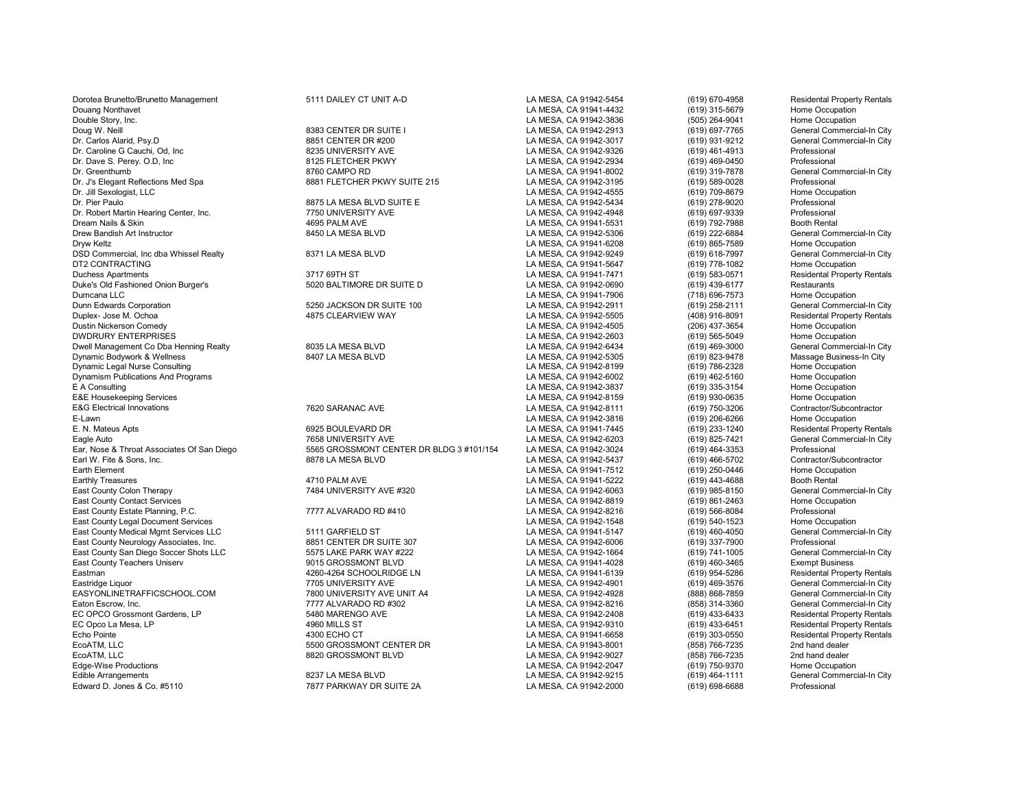Dorotea Brunetto/Brunetto Management 5111 DAILEY CT UNIT A-D LA MESA, CA 91942-5454 (619) 670-4958 Residental Property Rentals Douang Nonthavet LA MESA, CA 91941-4432 (619) 315-5679 Home Occupation Double Story, Inc. LA MESA, CA 91942-3836 (505) 264-9041 Home Occupation Doug W. Neill States and the Commercial-In City (States and Development of the States and Development of the States of the States of the States of the States of the States of the States of the States of the States of the S Dr. Carlos Alarid, Psy.D 8851 CENTER DR #200 LA MESA, CA 91942-3017 (619) 931-9212 General Commercial-In City Dr. Caroline G Cauchi, Od, Inc 8235 UNIVERSITY AVE LA MESA, CA 91942-9326 (619) 461-4913 Professional Dr. Dave S. Perey. O.D, Inc 8125 FLETCHER PKWY LA MESA, CA 91942-2934 (619) 469-0450 Professional Dr. Greenthumb 8760 CAMPO RD LA MESA, CA 91941-8002 (619) 319-7878 General Commercial-In City Dr. J's Elegant Reflections Med Spa 8881 FLETCHER PKWY SUITE 215 LA MESA, CA 91942-3195 (619) 589-0028 Professional Dr. Jill Sexologist, LLC LA MESA, CA 91942-4555 (619) 709-8679 Home Occupation Dr. Pier Paulo (619) 278-9020 Professional (619) 278-9020 Professional MESA, DR STS LA MESA, DR STS LA MESA, CA 91942-5434 (619) 278-9020 Professional Professional Dr. Robert Martin Hearing Center. Inc. (619) 278-9020 Prof Dr. Robert Martin Hearing Center, Inc. 7750 UNIVERSITY AVE LA MESA, CA 91942-4948 (619) 697-9339 Professional Dream Nails & Skin Booth Rental Booth Rental AGE 1994 AGE 2012 12 AMESA, CA 91941-5531 (619) 792-7988 Booth Rental<br>Drew Bandish Art Instructor Commercial-In City 8450 LA MESA BLVD LA MESA, CA 91942-5306 (619) 222-6884 Gene Drew Bandish Art Instructor 8450 LA MESA BLVD LA MESA, CA 91942-5306 (619) 222-6884 General Commercial-In City Dryw Keltz (619) 865-7589 Home Occupation (619) 865-7589 Home Occupation<br>DSD Commercial Inc dba Whissel Realty (619) 865-7589 (619) 865-7589 (619) 865-7589 (619) 965-7997 (General Commercial-In City DSD Commercial, Inc dba Whissel Realty **8371 LA MESA BLVD** LA MESA, CA 91942-9249 (619) 618-7997 General Commercial-In Commercial-In Commercial-In Commercial-In Commercial-In Commercial-In Commercial-In Commercial-In City DT2 CONTRACTING LA MESA, CA 91941-5647 (619) 778-1082 Home Occupation Duchess Apartments 3717 69TH ST LA MESA, CA 91941-7471 (619) 583-0571 Residental Property Rentals Duke's Old Fashioned Onion Burger's 5020 BALTIMORE DR SUITE D LA MESA, CA 91942-0690 (619) 439-6177 Restaurants Dumcana LLC LA MESA, CA 91941-7906 (718) 696-7573 Home Occupation Dunn Edwards Corporation 5250 JACKSON DR SUITE 100 LA MESA, CA 91942-2911 (619) 258-2111 General Commercial-In City Duplex- Jose M. Ochoa 4875 CLEARVIEW WAY LA MESA, CA 91942-5505 (408) 916-8091 Residental Property Rentals DWDRURY ENTERPRISES Home Occupation<br>Dwell Management Co Dba Henning Realty **District Controlled Built and State 1998** LA MESA, CA 91942-6434 (619) 469-3000 General Commercial-In City Dwell Management Co Dba Henning Realty 8035 LA MESA BLVD LA MESA, CA 91942-6434 (619) 469-3000 General Commercial-In City Dynamic Bodywork & Wellness Consulting Consulting and the SAC BACK BLVD LA MESA, CA 91942-5305 (619) 823-9478 Massage Business<br>- In Capacity Consulting Consulting Cocupation Consulting Consulting Consulting Consulting Cons Dynamic Legal Nurse Consulting LA MESA, CA 91942-8199 (619) 786-2328 Home Occupation Dynamism Publications And Programs LA MESA, CA 91942-6002 (619) 462-5160 Home Occupation E&E Housekeeping Services **LA MESA, CA 91942-8159** (619) 930-0635 Home Occupation<br>E&G Electrical Innovations **And Accept Contractor/Subcontractor** 7620 SARANAC AVE **CALL AND ACCA 91942-8111** (619) 750-3206 Contractor/Subco E-Lawn LA MESA, CA 91942-3816 (619) 206-6266 Home Occupation E. N. Mateus Apts 6925 BOULEVARD DR LA MESA, CA 91941-7445 (619) 233-1240 Residental Property Rentals Earl W. Fite & Sons, Inc. 8878 LA MESA BLVD LA MESA, CA 91942-5437 (619) 466-5702 Contractor/Subcontractor Earth Element LA MESA, CA 91941-7512 (619) 250-0446 Home Occupation Earthly Treasures 619) 4710 PALM AVE 4710 PALM AVE LA MESA, CA 91941-5222 (619) 443-4688 Booth Rental East County Colon Therapy General Company of the Music Campany of the Music Campany of the Music Campany of the Music Co East County Colon Therapy 7484 UNIVERSITY AVE #320 LA MESA, CA 91942-6063 (619) 985-8150 General Commercial-In City East County Contact Services Home Occupation County Contact Services LA MESA, CA 91942-8819 (619) 861-2463 Home Occup<br>East County Estate Planning, P.C. Canadian County Care in the County Camera County County County County East County Estate Planning, P.C. **777 ALVARADO RD #410** LA MESA, CA 91942-8216 (619) 566-8084 Professional<br>East County Legal Document Services **County Act And The Cocupation**<br>East County Legal Document Services **Home Occu** East County Legal Document Services (State County of the County of the State of the State of the State of the State of the State of the State of the State of the State of the State of the State of the State of the State of East County Medical Mgmt Services LLC 5111 GARFIELD ST LA MESA, CA 91941-5147 (619) 460-4050 General Commercial-In City East County Neurology Associates, Inc. 2008 18851 CENTER DR SUITE 307 LA MESA, CA 91942-6006 (619) 337-7900 Professional Professional Professional Commercial-In City<br>East County San Diego Soccer Shots LLC 2008 1575 LAKE PA East County San Diego Soccer Shots LLC 5575 LAKE PARK WAY #222 LA MESA, CA 91942-1664 (619) 741-1005 General Commercial-In Commercial-In Commercial-In Commercial-In Commercial-In City of th East County Teachers Uniserv **Exempt Business**<br>Eastman (619) 460-3465 Exempt Business<br>Eastman (619) 954-5286 Residental Property Rentals Eastman 4260-4260-4264 SCHOOLRIDGE LN LA MESA, CA 91941-6139 (619) 954-5286 Residental Property Rentals<br>Eastridge Liguor Cameral Commercial-In City Eastridge Liquor 7705 UNIVERSITY AVE LA MESA, CA 91942-4901 (619) 469-3576 General Commercial-In City EASYONLINETRAFFICSCHOOL.COM **1990** THE TRAFFIC AVE UNIT AND SANCE UNIT ALLA MESA, CA 91942-4928 (888) 868-7859 General Commercial-In City<br>Eaton Escrow. Inc. General Commercial-In City 7777 ALVARADO RD #302 Eaton Escrow, Inc. 7777 ALVARADO RD #302 LA MESA, CA 91942-8216 (858) 314-3360 General Commercial-In City EC OPCO Grossmont Gardens, LP 6480 MARENGO AVE LA MESA, CA 91942-2408 (619) 433-6433 Residental Property Rentals<br>EC Opco La Mesa. LP 4960 MILLS ST 4960 MILLS ST LA MESA. CA 91942-9310 (619) 433-6451 Residental Property Ren EC Opco La Mesa, LP 4960 MILLS ST LA MESA, CA 91942-9310 (619) 433-6451 Residental Property Rentals Echo Pointe 4300 ECHO CT LA MESA, CA 91941-6658 (619) 303-0550 Residental Property Rentals EcoATM, LLC 5500 GROSSMONT CENTER DR LA MESA, CA 91943-8001 (858) 766-7235 2nd hand dealer<br>EcoATM. LLC 8820 GROSSMONT BLVD LA MESA. CA 91942-9027 (8 EcoATM, LLC 8820 GROSSMONT BLVD LA MESA, CA 91942-9027 (858) 766-7235 2nd hand dealer Edge-Wise Productions LA MESA, CA 91942-2047 (619) 750-9370 Home Occupation Edward D. Jones & Co. #5110 7877 PARKWAY DR SUITE 2A LA MESA, CA 91942-2000

T658 UNIVERSITY AVE LA MESA, CA 91942-6203 (619) 825-7421 General Commercial-In City<br>5565 GROSSMONT CENTER DR BLDG 3 #101/154 LA MESA. CA 91942-3024 (619) 464-3353 Professional Ear, Nose & Throat Associates Of San Diego **5565 GROSSMONT CENTER DR BLDG 3** #101/154 LA MESA, CA 91942-3024 (619) 464-3353 Professional Professional Professional Centractor/Subcontractor

LA MESA, CA 91942-4505 (206) 437-3654 Home Occupation<br>
LA MESA. CA 91942-2603 (619) 565-5049 Home Occupation LA MESA, CA 91942-3837 (619) 335-3154 Home Occupation<br>
LA MESA, CA 91942-8159 (619) 930-0635 Home Occupation EXA MESA, CA 91942-8111 (619) 750-3206 Contractor/Subcontractor/Subcontractor/Subcontractor/Subcontractor/Subcontractor/Subcontractor/Subcontractor/Subcontractor/Subcontractor/Subcontractor/Subcontractor/Subcontractor/Subc

Editibe Arrangements Arrangements 8237 LA MESA, CA 91942-9215 (619) 464-1111 General Commercial-In City<br>1977 PARKWAY DR SUITE 2A LA MESA. CA 91942-2000 (619) 698-6688 Professional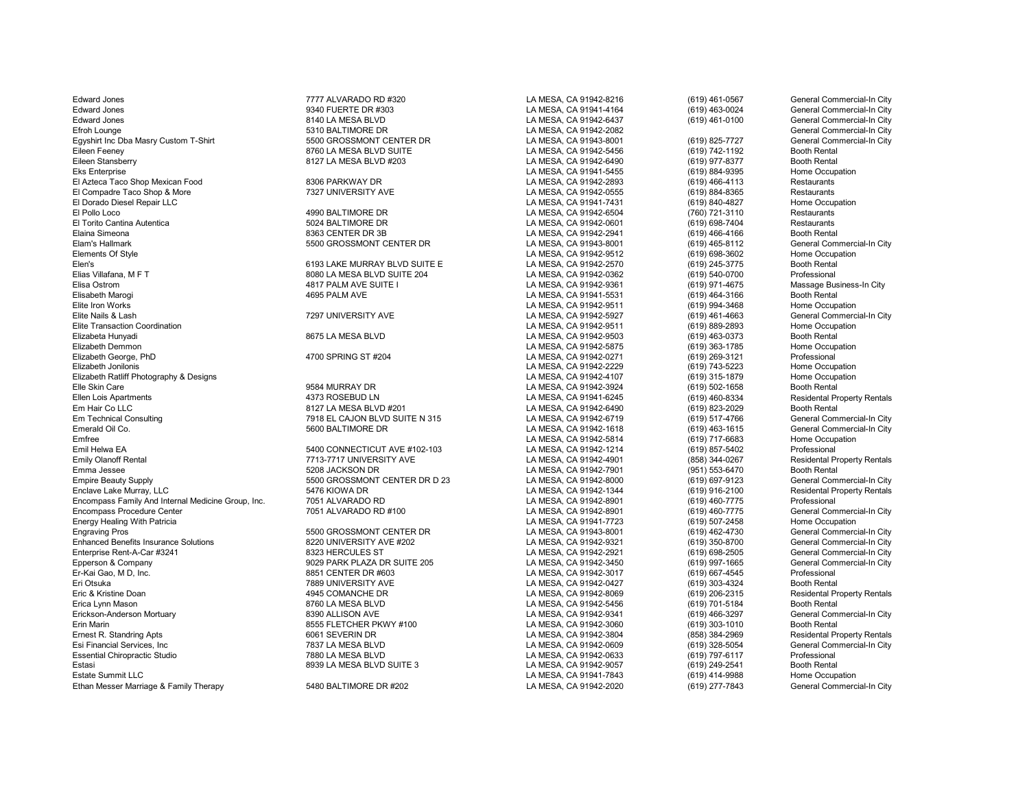Edward Jones 7777 ALVARADO RD #320 LA MESA, CA 91942-8216 (619) 461-0567 General Commercial-In City Edward Jones 9340 FUERTE DR #303 LA MESA, CA 91941-4164 (619) 463-0024 General Commercial-In City Edward Jones 8140 LA MESA BLVD LA MESA, CA 91942-6437 (619) 461-0100 General Commercial-In City Efroh Lounge 5310 BALTIMORE DR LA MESA, CA 91942-2082 General Commercial-In City Egyshirt Inc Dba Masry Custom T-Shirt **5500 GROSSMONT CENTER DR** LA MESA, CA 91943-8001 (619) 825-7727 General Commercial-In City<br>Cileen Feeney Booth Rental **619, 2000 Booth Rental Access 1994-8456** (619) 742-1192 Booth Re Eileen Feeney 8760 LA MESA BLVD SUITE LA MESA, CA 91942-5456 (619) 742-1192 Booth Rental<br>Eileen Stansberry 8127 LA MESA BLVD #203 LA MESA, CA 91942-649 Eileen Stansberry 8127 LA MESA BLVD #203 LA MESA, CA 91942-6490 Booth Rental<br>Eks Enterprise 8127 LA MESA BLVD #203 LA MESA, CA 91941-5455 ( El Azteca Taco Shop Mexican Food 8306 PARKWAY DR LA MESA, CA 91942-2893 (619) 466-4113 Restaurants El Compadre Taco Shop & More 7327 UNIVERSITY AVE LA MESA, CA 91942-0555 (619) 884-8365 Restaurants El Dorado Diesel Repair LLC LA MESA, CA 91941-7431 (619) 840-4827 Home Occupation El Pollo Loco 4990 BALTIMORE DR LA MESA, CA 91942-6504 (760) 721-3110 Restaurants El Torito Cantina Autentica 5024 BALTIMORE DR LA MESA, CA 91942-0601 (619) 698-7404 Restaurants Elaina Simeona 8363 CENTER DR 3B LA MESA, CA 91942-2941 (619) 466-4166 Booth Rental Elam's Hallmark **Elamis Hallmark** 5500 GROSSMONT CENTER DR LA MESA, CA 91943-8001 (619) 465-8112 General Commercial-In City<br>Elements Of Style Home Occupation Elements Of Style LA MESA, CA 91942-9512 (619) 698-3602 Home Occupation Elen's 6193 LAKE MURRAY BLVD SUITE E LA MESA, CA 91942-2570 (619) 245-3775 Booth Rental Elias Villafana, M F T 8080 LA MESA BLVD SUITE 204 LA MESA, CA 91942-0362 (619) 540-0700 Professional<br>Elisa Ostrom 4817 PALM AVE SUITE I LA MESA. CA 9194 Elisa Ostrom 4817 PALM AVE SUITE I LA MESA, CA 91942-9361 (619) 971-4675 Massage Business-In City Elisabeth Marogi 4695 PALM AVE LA MESA, CA 91941-5531 (619) 464-3166 Booth Rental Elite Iron Works LA MESA, CA 91942-9511 (619) 994-3468 Home Occupation Elite Nails & Lash Contract Commercial-In City 7297 UNIVERSITY AVE LA MESA, CA 91942-5927 (619) 461-4663 General Commercial-In City Commercial-In City Commercial-In City Commercial-In City Commercial-In City Commercial-In Elite Transaction Coordination LA MESA, CA 91942-9511 (619) 889-2893 Home Occupation Elizabeta Hunyadi 8675 LA MESA BLVD LA MESA, CA 91942-9503 (619) 463-0373 Booth Rental Elizabeth Demmon LA MESA, CA 91942-5875 (619) 363-1785 Home Occupation Elizabeth George, PhD 4700 SPRING ST #204 LA MESA, CA 91942-0271 (619) 269-3121 Professional Elizabeth Jonilonis LA MESA, CA 91942-2229 (619) 743-5223 Home Occupation Elizabeth Ratliff Photography & Designs LA MESA, CA 91942-4107 (619) 315-1879 Home Occupation Elle Skin Care 9584 MURRAY DR LA MESA, CA 91942-3924 (619) 502-1658 Booth Rental Ellen Lois Apartments 4373 ROSEBUD LN LA MESA, CA 91941-6245 (619) 460-8334 Residental Property Rentals<br>Em Hair Co LLC 8127 LA MESA BLVD #201 LA MESA. Em Hair Co LLC<br>
Em Technical Consulting<br>
2918 EL CAJON BLVD SUI Em Technical Consulting Consulting the Suite of the CAJON BLVD SUITE N 315 LA MESA, CA 91942-6719 (619) 517-4766 General Commercial-In City<br>2000 BALTIMORE DR LA MESA, CA 91942-1618 (619) 463-1615 General Commercial-In City Emerald Oil Co. **Emerald Oil Co.** 5600 BALTIMORE DR CONSTRIES AND SEA CA 91942-1618 (619) 463-1615 General Commercial-In City<br>Emfree Commercial-In City Commercial-In City Commercial-In City Commercial-In City Commercial-In Emfree LA MESA, CA 91942-5814 (619) 717-6683 Home Occupation Emil Helwa EA 619) 857-5402<br>Emily Olanoff Rental 1990 1997-5402 From the State of The State of The State of The State of The State of The<br>Emily Olanoff Rental 1998 (858) 344-0267 Emily Olanoff Rental **1986 Contract Contract Contract Contract** Contract Contract Contract Contract Contract Contract Contract Contract Contract Contract Contract Contract Contract Contract Contract Contract Contract Contr Emma Jessee 5208 JACKSON DR LA MESA, CA 91942-7901 (951) 553-6470 Booth Rental Empire Beauty Supply Supply S500 GROSSMONT CENTER DR D 23 LA MESA, CA 91942-8000 (619) 697-9123 General Commercial-In City<br>Enclave Lake Murray, LLC Commercial-In City 5476 KIOWA DR LA MESA, CA 91942-1344 (619) 916-2100 Res Encompass Family And Internal Medicine Group, Inc. [7051 ALVARADO RD | The LA MESA, CA 91942-8901 (619) 460-7775 Professional Professional Professional Commercial-In City<br>Compass Procedure Center Commercial-In City (619) 4 Encompass Procedure Center **7051 ALVARADO RD #100** LA MESA, CA 91942-8901 (619) 460-7775 General Commercial-In Commercial-In Commercial-In Commercial-In Commercial-In Commercial-In Commercial-In City Commercial-In City La Energy Healing With Patricia **LA MESA, CA 91941-7723** (619) 507-2458 Home Occupation<br>Engraving Pros General Commercial-In City (619) 5500 GROSSMONT CENTER DR LA MESA, CA 91943-8001 (619) 462-4730 General Commercial-In City Enhanced Benefits Insurance Solutions (States of the Search of the Search of the Search of the Search of the Search of the Search of the Search of the Search of the Search of the Search of the Search of the Search of the S Enterprise Rent-A-Car #3241 **8323 HERCULES ST** CONTINE 205 LA MESA, CA 91942-2921 (619) 698-2505 General Commercial-In City<br>Epperson & Company General Commercial-In City 997-1665 (General Commercial-In City Epperson & Company 9029 PARK PLAZA DR SUITE 205 LA MESA, CA 91942-3450 General Com<br>Er-Kai Gao, M D, Inc. 8851 CENTER DR #603 Eri Otsuka 7889 UNIVERSITY AVE LA MESA, CA 91942-0427 (619) 303-4324 Booth Rental Eric & Kristine Doan **1945 COMANCHE DR** COMANCHE DR LA MESA, CA 91942-8069 (619) 206-2315 Residental Property Rentals<br>Erica Lynn Mason **Brooth Rental Annual Brooth Rental Rental** Booth Rental Booth Rental Booth Rental Annu Erica Lynn Mason 8760 LA MESA BLVD LA MESA, CA 91942-5456 (619) 701-5184 Booth Rental Erickson-Anderson Mortuary 8390 ALLISON AVE LA MESA, CA 91942-9341 (619) 466-3297 General Commercial-In City Erin Marin 8555 FLETCHER PKWY #100 LA MESA, CA 91942-3060 (619) 303-1010 Booth Rental Ernest R. Standring Apts 6061 SEVERIN DR LA MESA, CA 91942-3804 (858) 384-2969 Residental Property Rentals Esi Financial Services, Inc Commercial-In City 7837 LA MESA BLVD LA MESA, CA 91942-0609 (619) 328-5054 General Commercial-In City 7980 LA MESA BLVD LA MESA. CA 91942-0633 (619) 797-6117 Professional Professional Profession Essential Chiropractic Studio 7880 LA MESA BLVD LA MESA, CA 91942-0633 (619) 797-6117 Professional Estasi 8939 LA MESA BLVD SUITE 3 LA MESA, CA 91942-9057 (619) 249-2541 Booth Rental CHA MESA, CA 91941-7843 (619) 249-2541 Booth Rental C<br>Estate Summit LLC Exercicles of the Cocupation Suite of the Suite of the Suite of th Ethan Messer Marriage & Family Therapy 6480 BALTIMORE DR #202 LA MESA, CA 91942-2020 (619) 277-7843

Enclave Data Murray, Lake Murray, Lake Murray, Lake Lake Lake Lake Aurelian (619) 916-2100 Residental Property Rentals<br>The LAN Murray Camping Care (619) 460-7775 Professional Professional

ENGRAVING PROSSMONT CENTER DR<br>Engraving Prosection of the LA MESA, CA 91943-8001 (619) 462-4730 General Commercial-In City<br>General Commercial-In City (619) 550-8700 General Commercial-In City

EA MESA, CA 91941-5455 (619) 884-9395 Home Occupation (619) 884-9395 Home Occupation (619) 884-9395 Home Occup<br>LA MESA, CA 91942-2893 (619) 466-4113 Restaurants ER-Kai Gao, CA 91942-3017 (619) 667-4545 Professional<br>
LA MESA, CA 91942-0427 (619) 303-4324 Booth Rental LA MESA, CA 91941-7843 (619) 414-9988 Home Occupation<br>Estate Summercial-In City (619) 277-7843 General Commercial-In City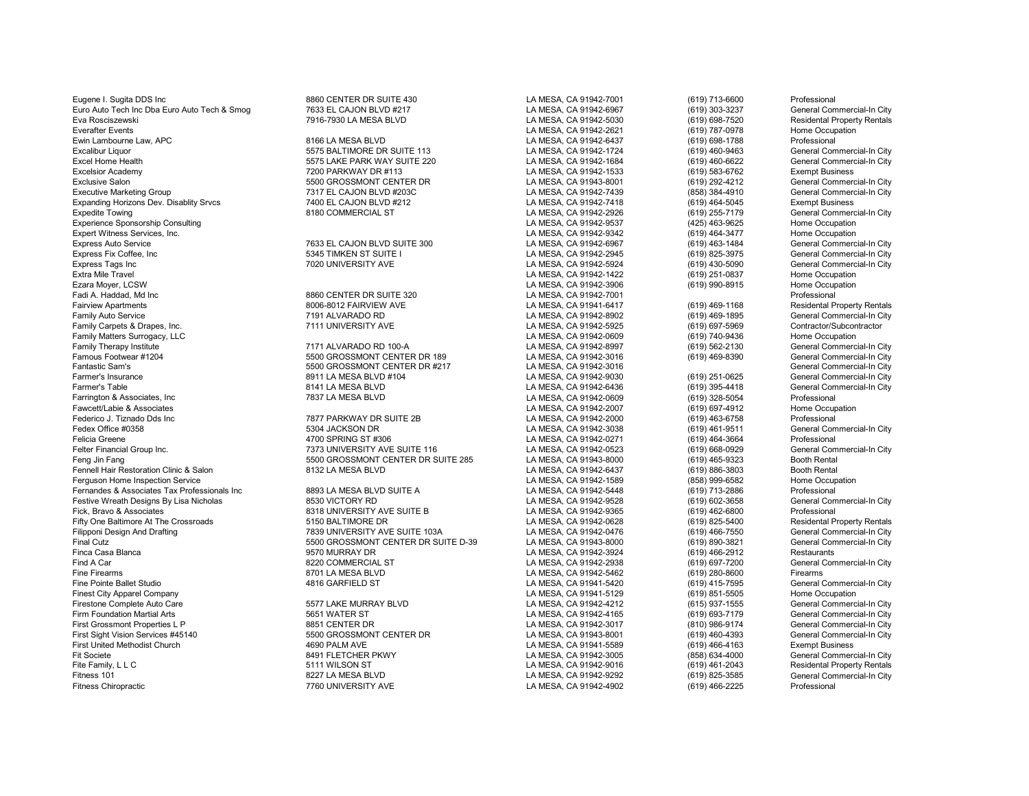Eugene I. Sugita DDS Inc Cancel Communications and CENTER DR SUITE 430 LA MESA, CA 91942-7001 (619) 713-6600 Professional Euro Auto Tech Inc Dba Euro Auto Tech & Smog and The Tags EL CAJON BLVD #217 CHANG HOT DAMESA, CA 91942-6967 (619) 303-3237 General Commercial-In City<br>Eva Rosciszewski Residental Property Rentals (7916-7930 LA MESA BLVD LA Eva Rosciszewski 7916-7930 LA MESA BLVD LA MESA, CA 91942-5030 (619) 698-7520 Residental Property Rentals Everafter Events LA MESA, CA 91942-2621 (619) 787-0978 Home Occupation Ewin Lambourne Law, APC 8166 LA MESA BLVD LA MESA, CA 91942-6437 (619) 698-1788 Professional Excalibur Liquor Calibur 1990 S575 BALTIMORE DR SUITE 113 LA MESA, CA 91942-1724 (619) 460-9463 General Commercial-In City<br>Excel Home Health Commercial-In City 5575 LAKE PARK WAY SUITE 220 LA MESA, CA 91942-1684 (619) 460-Excel Home Health 6575 LAKE PARK WAY SUITE 220 LA MESA, CA 91942-1684 (619) 460-6622 General Commercial-In Commercial-In Commercial-In Commercial-In Commercial-In Commercial-In Commercial-In Commercial-In Commercial-In Cit Excelsior Academy excelsion of the matter of the Taggan Taggan Park of the MESA, CA 91942-1533 (619) 583-6762 Exempt Business<br>Exclusive Salon Exclusive Salon General Commercial-In City Exclusive Salon Calon 1992-4212 General Commercial-In City (519) 5500 GROSSMONT CENTER DR<br>Executive Marketing Group 1993 Ceneral Commercial-In City 7317 EL CAJON BLVD #203C CALON 1993 CA MESA, CA 91942-7439 (858) 384-4910 Executive Marketing Group 7317 EL CAJON BLVD #203C LA MESA, CA 91942-7439 (858) 384-4910 General Commercial-In City Expanding Horizons Dev. Disablity Srvcs **1400 EL CAJON BLVD #212** 12 LA MESA, CA 91942-7418 (619) 464-5045 Exempt Business Exempt Business<br>Expedite Towing Commercial Commercial of the Carolic Business and COMMERCIAL ST CA Expedite Towing 8180 COMMERCIAL ST LA MESA, CA 91942-2926 (619) 255-7179 General Commercial-In City Experience Sponsorship Consulting and the Consulting Consulting and the Consulting Consulting Consulting Consulting Consulting Consulting Consulting Consulting LA MESA, CA 91942-9342 (425) 463-9625 Home Occupation (619) 46 Expert Witness Services, Inc. No. 2013 Computer Services, Inc. 2013 CA MESA, CA 91942-9342 (619) 464-3477 Express Auto Services (619) 464-3477 Home Occupation<br>Express Auto Service Commercial-In City (619) 463-1484 General Express Auto Service **1963 EL CAJON BLVD SUITE 300** LA MESA, CA 91942-6967 (619) 463-1484 General Commercial-In City<br>Express Fix Coffee, Inc Commercial-In City 5345 TIMKEN ST SUITE I COMMERCA ALTA NESA, CA 91942-2945 (619) Express Fix Coffee, Inc 5345 TIMKEN ST SUITE I LA MESA, CA 91942-2945 (619) 825-3975 General Commercial-In City Express Tags Inc 7020 UNIVERSITY AVE LA MESA, CA 91942-5924 (619) 430-5090 General Commercial-In City Extra Mile Travel LA MESA, CA 91942-1422 (619) 251-0837 Home Occupation Ezara Moyer, LCSW LA MESA, CA 91942-3906 (619) 990-8915 Home Occupation Fadi A. Haddad, Md Inc 8860 CENTER DR SUITE 320 LA MESA, CA 91942-7001 Professional Fairview Apartments 8006-8012 FAIRVIEW AVE LA MESA, CA 91941-6417 (619) 469-1168 Residental Property Rentals Family Auto Service Contract Commercial-In City 7191 ALVARADO RD LA MESA, CA 91942-8902 (619) 469-1895 General Commercial-In City 7111 AMVERSITY AVE LA MESA, CA 91942-5925 (619) 697-5969 Contractor/Subcontractor Family Carpets & Drapes, Inc. 7111 UNIVERSITY AVE LA MESA, CA 91942-5925 (619) 697-5969 Contractor/Subcontractor Family Matters Surrogacy, LLC CHO Compation Compation 21171 ALVARADO RD 100-A CHO CAN LA MESA, CA 91942-0609 (619) 740-9436 Home Occupation (619) 740-9436 Home Occupation 21171 ALVARADO RD 100-A LA MESA, CA 91942-8997 (61 Family Therapy Institute 7171 ALVARADO RD 100-A LA MESA, CA 91942-8997 (619) 562-2130 General Commercial-In City Famous Footwear #1204 5500 GROSSMONT CENTER DR 189 LA MESA, CA 91942-3016 (619) 469-8390 General Commercial-In City Fantastic Sam's 5500 GROSSMONT CENTER DR #217 LA MESA, CA 91942-3016 General Commercial-In City<br>Farmer's Insurance 8911 LA MESA BLVD #104 LA MESA. CA 9194 Farmer's Insurance 8911 LA MESA BLVD #104 LA MESA, CA 91942-9030 (619) 251-0625 General Commercial-In City Farmer's Table 8141 LA MESA BLVD LA MESA, CA 91942-6436 (619) 395-4418 General Commercial-In City Farrington & Associates, Inc 7837 LA MESA BLVD LA MESA, CA 91942-0609 (619) 328-5054 Professional Fawcett/Labie & Associates LA MESA, CA 91942-2007 (619) 697-4912 Home Occupation Federico J. Tiznado Dds Inc 7877 PARKWAY DR SUITE 2B LA MESA, CA 91942-2000 (619) 463-6758 Professional Fedex Office #0358 5304 JACKSON DR LA MESA, CA 91942-3038 (619) 461-9511 General Commercial-In City<br>Felicia Greene 4700 SPRING ST #306 Felicia Greene 4700 SPRING ST #306 LA MESA, CA 91942-0271 (619) 464-3664 Professional Felter Financial Group Inc. Commercial-In City 7373 UNIVERSITY AVE SUITE 116 LA MESA, CA 91942-0523 (619) 668-0929 Ceneral Commercial-In City 7573 UNIVERSITY AVE SUITE 116 LA MESA, CA 91942-0523 (619) 465-9323 Booth Rental Fennell Hair Restoration Clinic & Salon **Brooth Rental 8132 LA MESA BLVD** LA MESA, CA 91942-6437 (619) 886-3803 Booth Rental Booth Rental Clinic & Salon 8132 LA MESA BLVD LA MESA, CA 91942-1589 (858) 999-6582 Home Occupati Ferguson Home Inspection Service Fernandes & Associates Tax Professionals Inc 8893 LA MESA BLVD SUITE A LA MESA, CA 91942-5448 (619) 713-2886 Professional Festive Wreath Designs By Lisa Nicholas 8530 VICTORY RD LA MESA, CA 91942-9528 (619) 602-3658 General Commercial-In City Fifty One Baltimore At The Crossroads 6150 BALTIMORE DR 1998 EAMESA, CA 91942-0628 (619) 825-5400 Residental Property Rentals<br>Filipponi Desian And Drafting Commercial-In City 7839 UNIVERSITY AVE SUITE 103A LA MESA. CA 9194 Filipponi Design And Drafting and the Suite of the Suite of the SUITE 103A LA MESA, CA 91942-0476 (619) 466-7550 General Commercial-In City<br>Tinal Cutz (619) 890-3821 General Commercial-In City 5500 GROSSMONT CENTER DR SUIT Final Cutz 5500 GROSSMONT CENTER DR SUITE D-39 LA MESA, CA 91943-8000 (619) 890-3821 General Commercial-In City Finca Casa Blanca 9570 MURRAY DR LA MESA, CA 91942-3924 (619) 466-2912 Restaurants Find A Car 8220 COMMERCIAL ST LA MESA, CA 91942-2938 (619) 697-7200 General Commercial-In City Fine Firearms 6701 LA MESA BLVD LA MESA DAMESA CA 91942-5462 (619) 280-8600 Firearms Firearms Firearms and the State of the MESA CA 91942-5462 (619) 280-8600 Firearms Firearms Firearms and the State of the MESA, CA 91941-5 Fine Pointe Ballet Studio 4816 GARFIELD ST LA MESA, CA 91941-5420 (619) 415-7595 General Commercial-In City Finest City Apparel Company **Act and The Company Company** LA MESA, CA 91941-5129 (619) 851-5505 Home Occupation<br>Firestone Complete Auto Care **Company 1999 12:30 12:30 12:30 12:30 12:30 13:30** 15:577 LAKE MURRAY BLVD LA MES Firestone Complete Auto Care 5577 LAKE MURRAY BLVD LA MESA, CA 91942-4212 (615) 937-1555 General Commercial-In City Firm Foundation Martial Arts 5651 WATER ST LA MESA, CA 91942-4165 (619) 693-7179 General Commercial-In City First Grossmont Properties L P 8851 CENTER DR LA MESA, CA 91942-3017 (810) 986-9174 General Commercial-In City First Sight Vision Services #45140 **5500 GROSSMONT CENTER DR** LA MESA, CA 91943-8001 (619) 460-4393 General Commercial-In City<br>First United Methodist Church **Stateman Business** 4690 PALM AVE **CHA AGE ARESA, CA 91941-5589** First United Methodist Church 4690 PALM AVE LA MESA, CA 91941-5589 (619) 466-4163 Exempt Business Fit Societe 8491 FLETCHER PKWY LA MESA, CA 91942-3005 (858) 634-4000 General Commercial-In City Fite Family, LLC Chronicle State of the State of the State of the State of the State of the State of the State State of the State of the State of the State of the State of the State of the State of the State of the State o Fitness 101 8227 LA MESA BLVD LA MESA, CA 91942-9292 (619) 825-3585 General Commercial-In City

Feng Jin Fang 5500 GROSSMONT CENTER DR SUITE 285 LA MESA, CA 91943-8000 (619) 465-9323 Booth Rental

Fick, Bravo Bravo & Associates 8318 UNIVERSITY AVE SUITE B LA MESA, CA 91942-9365 (619) 462-6800 Professional<br>The LA MESA, CA 91942-0628 (619) 825-5400 Residental Property Rentals

LA MESA, CA 91942-4902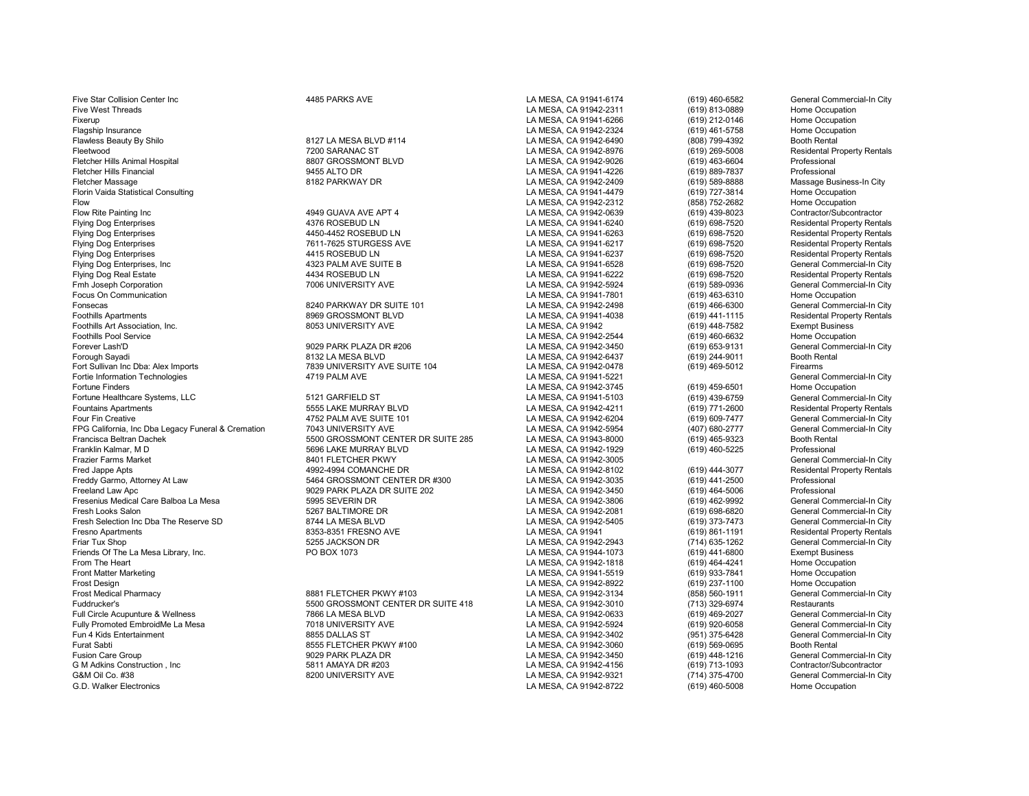Five Star Collision Center Inc 4485 PARKS AVE LA MESA, CA 91941-6174 (619) 460-6582 General Commercial-In City Five West Threads LA MESA, CA 91942-2311 (619) 813-0889 Home Occupation Fixerup LA MESA, CA 91941-6266 (619) 212-0146 Home Occupation Flagship Insurance LA MESA, CA 91942-2324 (619) 461-5758 Home Occupation Flawless Beauty By Shilo **Exercise State Burner and State Barry 1994** LA MESA, CA 91942-6490 (808) 799-4392 Booth Rental Prental Prental Prental Prental Prental Prental Prental Prental Prental Prental Prental Prental Prent Fleetwood 7200 SARANAC ST 200 SARANAC ST LA MESA, CA 91942-8976 (619) 269-5008 Residental Property Rentals<br>Tetcher Hills Animal Hospital 2000 SARANAC ST SARANAC ST LA MESA, CA 91942-9026 (619) 463-6604 Professional Fletcher Hills Animal Hospital 8807 GROSSMONT BLVD LA MESA, CA 91942-9026 (619) 463-6604 Professional Fletcher Hills Financial 9455 ALTO DR LA MESA, CA 91941-4226 (619) 889-7837 Professional Fletcher Massage 8182 PARKWAY DR LA MESA, CA 91942-2409 (619) 589-8888 Massage Business-In City Florin Vaida Statistical Consulting LA MESA, CA 91941-4479 (619) 727-3814 Home Occupation Flow LA MESA, CA 91942-2312 (858) 752-2682 Home Occupation Flow Rite Painting Inc 4949 GUAVA AVE APT 4 LA MESA, CA 91942-0639 (619) 439-8023 Contractor/Subcontractor Flying Dog Enterprises 4376 ROSEBUD LN LA MESA, CA 91941-6240 (619) 698-7520 Residental Property Rentals Flying Dog Enterprises 4450-4452 ROSEBUD LN LA MESA, CA 91941-6263 (619) 698-7520 Residental Property Rentals Flying Dog Enterprises The Material Property Rentals (1998-7611-7625 STURGESS AVE LA MESA, CA 91941-6217 (619) 698-7520 Residental Property Rentals (619) 698-7520 Residental Property Rentals (619) 698-7520 Residental Prope Flying Dog Enterprises 4415 ROSEBUD LN LA MESA, CA 91941-6237 (619) 698-7520 Residental Property Rentals Flying Dog Enterprises, Inc and the contract of the Matter of the SUITE B to the SUITE B LA MESA, CA 91941-6528 (619) 698-7520 General Commercial-In City<br>Flying Dog Real Estate Rental Property Rentals 4434 ROSEBUD LN COMPA Flying Dog Real Estate 4434 ROSEBUD LN LA MESA, CA 91941-6222 (619) 698-7520 Residental Property Rentals Fmh Joseph Corporation 7006 UNIVERSITY AVE LA MESA, CA 91942-5924 (619) 589-0936 General Commercial-In City Focus On Communication Home Occupation Battle of the State of State of State of State of State of State of State of State of State of State of State of State of State of State of State of State of State of State of State o Fonsecas 8240 PARKWAY DR SUITE 101 LA MESA, CA 91942-2498 (619) 466-6300 General Commercial-In City Foothills Apartments Maximum Residental Property Rentals 8969 GROSSMONT BLVD LA MESA, CA 91941-4038 (619) 441-1115 Residental Property Rentals Residental Property Rentals 8053 UNIVERSITY AVE LA MESA. CA 91942 (619) 448-758 Foothills Art Association, Inc. 8053 UNIVERSITY AVE LA MESA, CA 91942 (619) 448-7582 Exempt Business Foothills Pool Service **Exercice Exercise Service** 2012 9029 PARK PLAZA DR #206<br>Forever Lash'D Ceneral Commercial-In City 3029 PARK PLAZA DR #206 **CALLA MESA, CA 91942-3450** (619) 653-9131 General Commercial-In City Forever Lash'D 9029 PARK PLAZA DR #206 LA MESA, CA 91942-3450 (619) 653-9131 General Commercial-In City Forough Sayadi 8132 LA MESA BLVD LA MESA, CA 91942-6437 (619) 244-9011 Booth Rental Fortie Information Technologies **1986 of the Commercial Commet Commet Commet Commet Commet Commet Commet Commet Commet Commet Commet Commet Commet Commet Commet Commet Commet Commet Commet Commet Commet Commet Commet Comme** Fortune Healthcare Systems, LLC 6 1921 CARFIELD ST 1992 CONTENT LA MESA, CA 91941-5103 (619) 439-6759 Fortune General Commercial-In City<br>Fountains Apartments Residental Property Rentals 1995 STARE MURRAY BLVD 1992-4211 CAM Four Fin Creative the Data Commercial-In City of the SUITE 101 LA MESA, CA 91942-6204 (619) 609-7477 General Commercial-In City (619) 609-7477 General Commercial-In City (619) 609-7477 General Commercial-In City (619) 609-FPG California, Inc Dba Legacy Funeral & Cremation 7043 UNIVERSITY AVE LA SUITE 285 LA MESA, CA 91942-5954 (407) 680-2777 General Commercial Commercial Commercial Commercial Commercial Commercial Commercial-In City Commerc Francisca Beltran Dachek 5500 GROSSMONT CENTER DR SUITE 285 LA MESA, CA 91943-8000 (619) 465-9323 Booth Rental Franklin Kalmar, M D 5696 LAKE MURRAY BLVD LA MESA, CA 91942-1929 (619) 460-5225 Professional Frazier Farms Market 8401 FLETCHER PKWY LA MESA, CA 91942-3005 General Commercial-In City Fred Jappe Apts 4992-4994 COMANCHE DR LA MESA, CA 91942-8102 (619) 444-3077 Residental Property Rentals Freddy Garmo, Attorney At Law 5464 GROSSMONT CENTER DR #300 LA MESA, CA 91942-3035 (619) 441-2500 Professional Freeland Law Apc 9029 PARK PLAZA DR SUITE 202 LA MESA, CA 91942-3450 (619) 464-5006 Professional Fresenius Medical Care Balboa La Mesa 5995 SEVERIN DR LA MESA, CA 91942-3806 (619) 462-9992 General Commercial-In City Fresh Selection Inc Dba The Reserve SD 8744 LA MESA BLVD LA MESA, CA 91942-5405 (619) 373-7473 General Commercial-In City<br>Fresno Apartments Residental Property Rentals 8353-8351 FRESNO AVE LA MESA, CA 91941 (619) 861-1191 Fresno Apartments 8353-8351 FRESNO AVE LA MESA, CA 91941 (619) 861-1191 Residental Property Rentals Friar Tux Shop 5255 JACKSON DR LA MESA, CA 91942-2943 (714) 635-1262 General Commercial-In City Friends Of The La Mesa Library, Inc. PO BOX 1073 LA MESA, CA 91944-1073 (619) 441-6800 Exempt Business From The Heart LA MESA, CA 91942-1818 (619) 464-4241 Home Occupation Front Matter Marketing LA MESA, CA 91941-5519 (619) 933-7841 Home Occupation Frost Design LA MESA, CA 91942-8922 (619) 237-1100 Home Occupation Frost Medical Pharmacy **6881 FLETCHER PKWY #103** LA MESA, CA 91942-3134 (858) 560-1911 General Commercial-In City<br>Fuddrucker's Fund Restaurants 5500 GROSSMONT CENTER DR SUITE 418 LA MESA. CA 91942-3010 (713) 329-6974 Resta Full Circle Acupunture & Wellness 7866 LA MESA BLVD LA MESA, CA 91942-0633 (619) 469-2027 General Commercial-In City Fully Promoted EmbroidMe La Mesa 7018 UNIVERSITY AVE LA MESA, CA 91942-5924 (619) 920-6058 General Commercial-In City Fun 4 Kids Entertainment 8855 DALLAS ST LA MESA, CA 91942-3402 (951) 375-6428 General Commercial-In City Furat Sabti 869-0695 FUETCHER PKWY #100 LA MESA, CA 91942-3060 (619) 569-0695 Booth Rental Booth Rental Booth Rental Sabti 81 and Sabti 81 and Sabti 81 and Sabti 81 and Sabti 81 and Sabti 81 and Sabti 81 and Sabti 81 and S Fusion Care Group 9029 PARK PLAZA DR LA MESA, CA 91942-3450 (619) 448-1216 General Commercial-In City G M Adkins Construction , Inc and the Section of the Section of the Section of the Section of the Section of the Section of the Section of the Section of the Section of the Section of the Section of the Section of the Sect G&M Oil Co. #38 6200 CONTERSITY AVE COMPOSED A LA MESA, CA 91942-9321 (714) 375-4700 General Commercial-In City<br>G.D. Walker Electronics Home Occupation

T839 UNIVERSITY AVE SUITE 104 LA MESA, CA 91942-0478 (619) 469-5012 Firearms<br>4719 PALM AVE LA MESA. CA 91941-5221 General Commercial-In Citv

Foundations Apple 10 MESA, CA 91942-4211 (619) 771-2600<br>1992 - The Suit Campions Apple 101 LA MESA, CA 91942-6204 (619) 609-7477 EXAMESA, CA 91942-2081 (619) 698-6820 General Commercial-In City (619) 698-6820 General Commercial-In City Commercial-In City LA MESA, CA 91942-5405 (619) 373-7473 General Commercial-In City

Fudd GROSSMONT CENTER DR SUITE 418 LA MESA, CA 91942-3010 (713) 329-6974 Restaurants<br>T866 LA MESA BLVD LA MESA, CA 91942-0633 (619) 469-2027 General Commercial-In City

LA MESA, CA 91942-8722 (619) 460-5008

EA MESA, CA 91942-3745 (619) 459-6501 Home Occupation<br>EA MESA, CA 91941-5103 (619) 439-6759 General Commercial-In City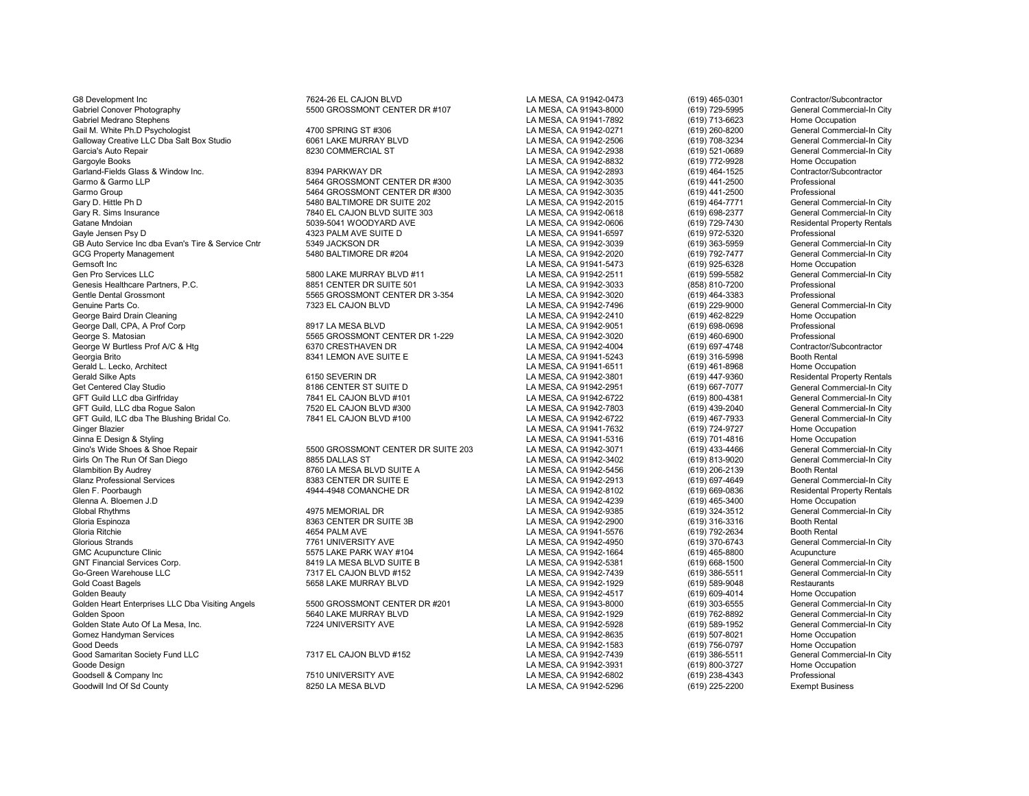G8 Development Inc 7624-26 EL CAJON BLVD LA MESA, CA 91942-0473 (619) 465-0301 Contractor/Subcontractor Gabriel Conover Photography **1988** Conover Photography 1988 Connectial-In City<br>Gabriel Medrano Stephens Mome Occupation 1999 Capacity Campus CA MESA, CA 91941-7892 (619) 713-6623 Home Occupation Gabriel Medrano Stephens LA MESA, CA 91941-7892 (619) 713-6623 Home Occupation Gail M. White Ph.D Psychologist Commercial-In City 4700 SPRING ST #306 Cases CA MESA, CA 91942-0271 (619) 260-8200 General Commercial-In City Galloway Creative LLC Dba Salt Box Studio 6061 LAKE MURRAY BLVD LA MESA, CA 91942-2506 (619) 708-3234 General Commercial-In City<br>Garcia's Auto Repair Commercial-In City 6000 COMMERCIAL ST CA MESA, CA 91942-2938 (619) 521-0 Garcia's Auto Repair **Saccial Commercial-In City** 8230 COMMERCIAL ST **Carciation** LA MESA, CA 91942-2938 (619) 521-0689 General Commercial-In City<br>Gargovle Books Home Occupation Garland-Fields Glass & Window Inc. 8394 PARKWAY DR LA MESA, CA 91942-2893 (619) 464-1525 Contractor/Subcontractor Garmo & Garmo LLP 5464 GROSSMONT CENTER DR #300 LA MESA, CA 91942-3035 (619) 441-2500 Professional<br>Garmo Group 5464 GROSSMONT CENTER DR #300 LA MESA. CA 91942-303 Gary D. Hittle Ph D 5480 BALTIMORE DR SUITE 202 LA MESA, CA 91942-2015 (619) 464-7771 General Commercial-In City<br>Gary R. Sims Insurance Commercial-In City 7840 EL CAJON BLVD SUITE 303 LA MESA. CA 91942-0618 (619) 698-2377 Gary R. Sims Insurance a Caroline 1988-2377<br>Gatane Mndoian Caroline 1988-2377 Cass of the Suite of the Suite of State Commercial Commercial Commercial Com<br>Catane Mndoian (619) 729-7430 Gatane Mndoian 5039-5041 WOODYARD AVE LA MESA, CA 91942-0606 (619) 729-7430 Residental Property Rentals Gayle Jensen Psy D 4323 PALM AVE SUITE D LA MESA, CA 91941-6597 (619) 972-5320 Professional GB Auto Service Inc dba Evan's Tire & Service Cntr and the S349 JACKSON DR COMBEN DRESS AND LA MESA, CA 91942-3039 (619) 363-5959 (619) 363-5959 (69 General Commercial-In City<br>GCG Property Management Gommercial-In City 548 GCG Property Management 5480 BALTIMORE DR #204 LA MESA, CA 91942-2020 General Commerci<br>Gemsoft Inc 5480 BALTIMORE DR #204 LA MESA. CA 91941-5473 Gemsoft Inc (619) 925-6328 Home Occupation<br>Gen Pro Services LLC Channel Commercial-In City 5800 LAKE MURRAY BLVD #11 LA MESA. CA 91942-2511 (619) 599-5582 Genesis Healthcare Partners, P.C. 8851 CENTER DR SUITE 501 LA MESA, CA 91942-3033 (858) 810-7200 Professional Gentle Dental Grossmont Christen Bureau (619) 464-3383 Professional Centre Controller States of the States of S<br>Genuine Parts Co. Christena Commercial-In City Canada Canada Camp and Camp Canada Commercial-In City Ceneral C Genuine Parts Co. 7323 EL CAJON BLVD LA MESA, CA 91942-7496 (619) 229-9000 General Commercial-In City George Baird Drain Cleaning LA MESA, CA 91942-2410 (619) 462-8229 Home Occupation George Dall, CPA, A Prof Corp 8917 LA MESA BLVD LA MESA, CA 91942-9051 (619) 698-0698 Professional<br>George S. Matosian 5565 GROSSMONT CENTER DR 1-229 LA MESA. George W Burtless Prof A/C & Htg 6370 CRESTHAVEN DR LA MESA, CA 91942-4004 (619) 697-4748 Contractor/Subcontractor/Subcontractor/Subcontractor/Subcontractor/Subcontractor/Subcontractor/Subcontractor/Subcontractor/Subcontra Georgia Brito 8341 LEMON AVE SUITE E LA MESA, CA 91941-5243 (619) 316-5998 Booth Rental (619) 316-5998 Booth Rental Caracteristic and the State of the State of the State of State 1 (619) 316-5998 Booth Rental (619) 461-896 Gerald L. Lecko, Architect LA MESA, CA 91941-6511 (619) 461-8968 Home Occupation Gerald Silke Apts 6150 SEVERIN DR LA MESA, CA 91942-3801 (619) 447-9360 Residental Property Rentals Get Centered Clay Studio 8186 CENTER ST SUITE D<br>GFT Guild LLC dba Girlfriday Commercial-In City 7841 EL CAJON BLVD #101 CHANGSA, CA 91942-6722 (619) 800-4381 General Commercial-In City GFT Guild LLC dba Girlfriday 7841 EL CAJON BLVD #101 LA MESA, CA 91942-6722 (619) 800-4381 General Commercial-In City<br>GFT Guild. LLC dba Roque Salon 7520 EL CAJON BLVD #300 GFT Guild, LLC dba Rogue Salon Commercial-In City and the CAJON BLVD #300 LA MESA, CA 91942-7803 (619) 439-2040 General Commercial-In City Commercial-In City and the Sushing Bridal Co. (519) 4811 2012-6722 (619) 467-7933 G GFT Guild, ILC dba The Blushing Bridal Co. 7841 EL CAJON BLVD #100 LA MESA, CA 91942-6722 (619) 467-7933 General Commerc<br>Ginger Blazier 7841 EL CAJON BLVD #100 Ginger Blazier LA MESA, CA 91941-7632 (619) 724-9727 Home Occupation Ginna E Design & Styling LA MESA, CA 91941-5316 (619) 701-4816 Home Occupation Gino's Wide Shoes & Shoe Repair **SHORET AND SHOW SEART ON SUITE 203** LA MESA, CA 91942-3071 (619) 433-4466 General Commercial-In City (619) 433-4466 General Commercial-In City (619) 433-4466 General Commercial-In City (619 Girls On The Run Of San Diego 8855 DALLAS ST LA MESA, CA 91942-3402 (619) 813-9020 General Commercial-In City Glambition By Audrey **Channel State of the Conference of State Audrey Conference** Conference of the State of State<br>Glanz Professional Services Conference and the State Base of State Base Conference Conference and the State Glen F. Poorbaugh 495 (1998) 4944-4948 COMANCHE DR LA MESA, CA 91942-8102 (619) 669-0836 Residental Property Rentals<br>Glenna A. Bloemen J.D Home Occupation Glenna A. Bloemen J.D LA MESA, CA 91942-4239 (619) 465-3400 Home Occupation Global Rhythms 4975 MEMORIAL DR LA MESA, CA 91942-9385 (619) 324-3512 General Commercial-In City Gloria Espinoza 8363 CENTER DR SUITE 3B LA MESA, CA 91942-2900 (619) 316-3316 Booth Rental Gloria Ritchie 4654 PALM AVE LA MESA, CA 91941-5576 (619) 792-2634 Booth Rental Glorious Strands 7761 UNIVERSITY AVE LA MESA, CA 91942-4950 (619) 370-6743 General Commercial-In City GMC Acupuncture Clinic Clinic Compuncture Clinic Compuncture State of the STS LAKE PARK WAY #104 LA MESA, CA 91942-1664 (619) 465-8800 Acupuncture Acupuncture Clinic Clinic Clinic State of the STS LAKE PARK WAY #104 Compun GNT Financial Services Corp. 8419 LA MESA BLVD SUITE B LA MESA, CA 91942-5381 (619) 668-1500 General Commercial-In City Gold Coast Bagels 5658 LAKE MURRAY BLVD LA MESA, CA 91942-1929 (619) 589-9048 Restaurants Golden Beauty **Colden Beauty** (619) 609-4014 Home Occupation<br>Golden Heart Enterprises LLC Dba Visiting Angels 6500 GROSSMONT CENTER DR #201 LA MESA, CA 91943-8000 (619) 303-6555 General Commercial-In City Golden Heart Enterprises LLC Dba Visiting Angels 5500 GROSSMONT CENTER DR #201 LA MESA, CA 91943-8000 (619) 303-6555 General Commercial-In City<br>Golden Spoon (619) 762-8892 General Commercial-In City Golden Spoon 5640 LAKE MURRAY BLVD LA MESA, CA 91942-1929 (619) 762-8892 General Commercial-In City Golden State Auto Of La Mesa, Inc. 7224 UNIVERSITY AVE LA MESA, CA 91942-5928 (619) 589-1952 General Commercial-In City Gomez Handyman Services **LA MESA, 2002-26635** (619) 507-8021 Home Occupation<br>Good Deeds (619) 756-0797 Home Occupation Good Samaritan Society Fund LLC **Cannet Commet Commet CAS CALC #152** LA MESA, CA 91942-7439 (619) 386-5511 General Commercial-In Commetrial-In Commetrial-In Commet Commet Commet Commet Commet Commet Commet Commet Commet Co Goode Design LA MESA, CA 91942-3931 (619) 800-3727 Home Occupation Goodsell & Company Inc 7510 UNIVERSITY AVE LA MESA, CA 91942-6802 (619) 238-4343 Professional

Garmo Group 5464 GROSSMONT CENTER DR #300 LA MESA, CA 91942-3035 (619) 441-2500 Professional

Gen Pro Services LLC 5800 LAKE MURRAY BLVD #11 LA MESA, CA 91942-2511 (619) 599-5582 General Commercial-In City

5565 GROSSMONT CENTER DR 1-229 LA MESA, CA 91942-3020 (619) 460-6900 Professional<br>6370 CRESTHAVEN DR DR TRESA LA MESA, CA 91942-4004 (619) 697-4748 Contractor/Subcontractor

8383 CENTER DR SUITE E

7317 EL CAJON BLVD #152

LA MESA, CA 91942-8832 (619) 772-9928 Home Occupation<br>
LA MESA, CA 91942-2893 (619) 464-1525 Contractor/Subcontractor LA MESA, CA 91942-1583 (619) 756-0797 Home Occupation<br>Ceneral Commercial-In City Camero LA MESA. CA 91942-7439 (619) 386-5511 General Commercial-In City LA MESA, CA 91942-5296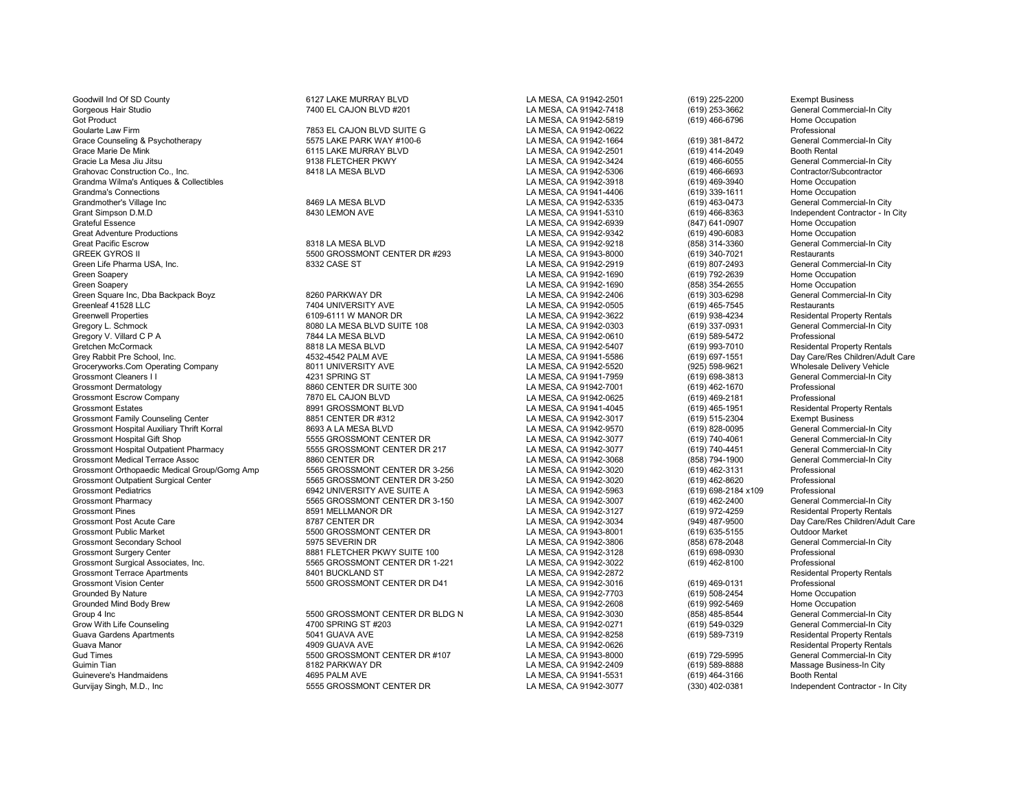Goodwill Ind Of SD County 6127 LAKE MURRAY BLVD LA MESA, CA 91942-2501 (619) 225-2200 Exempt Business Gorgeous Hair Studio 1992 Commercial-In City 7400 EL CAJON BLVD #201 1993 CA MESA, CA 91942-7418 (619) 253-3662 General Commercial-In City 364 Cannel Commercial-In City 1993-3662 General Commercial-In City 364 Cannel Comme Got Product LA MESA, CA 91942-5819 (619) 466-6796 Home Occupation Goularte Law Firm The Professional Transmitted Coularte Law ESS AND STATE GALLA MESA, CA 91942-0622 Coularte Law ESS AND STATE GALLA MESA, CA 91942-0622 Counseling & Professional Professional City of the STATE STATE PARK W Grace Counseling & Psychotherapy **6575 LAKE PARK WAY #100-6** LA MESA, CA 91942-1664 (619) 381-8472 General Commercial Commercial Commercial Commercial Commercial Commercial Commercial Commercial Commercial-In City Commerci Grace Marie De Mink 6115 LAKE MURRAY BLVD LA MESA, CA 91942-2501 (619) 414-2049 Booth Rental Booth Rental Commercial-In City<br>Gracie La Mesa Jiu Jitsu General Commercial-In City 9138 FLETCHER PKWY LA MESA, CA 91942-3424 (61 Gracie La Mesa Jiu Jitsu 9138 FLETCHER PKWY LA MESA, CA 91942-3424 (619) 466-6055 General Commercial-In City Grandma Wilma's Antiques & Collectibles **LA MESA, CA 91942-3918** (619) 469-3940 Home Occupation<br>Grandma's Connections Home Occupation Grandma's Connections LA MESA, CA 91941-4406 (619) 339-1611 Home Occupation Grandmother's Village Inc 8469 LA MESA BLVD LA MESA, CA 91942-5335 (619) 463-0473 General Commercial-In City Grant Simpson D.M.D 6430 LEMON AVE 8430 LEMON AVE LA MESA, CA 91941-5310 (619) 466-8363 Independent Contractor - In City<br>Crateful Essence Home Occupation Grateful Essence LA MESA, CA 91942-6939 (847) 641-0907 Home Occupation Great Adventure Productions LA MESA, CA 91942-9342 (619) 490-6083 Home Occupation Great Pacific Escrow 
8318 LA MESA BLVD
8318 LA MESA CA 91942-9218
BEEK GYROS II CHU CHU ESCROSSE ANNESA DR #293
BEEK GYROS II CHU SESTAURANTS ANNESA DR #293
BEEK GYROS II CHU SESTAURANTS Green Life Pharma USA, Inc. 8332 CASE ST LA MESA, CA 91942-2919 General Commerc<br>Green Soaperv 8332 CASE ST LA MESA. CA 91942-1690 (619) 79 Green Soapery LA MESA, CA 91942-1690 (619) 792-2639 Home Occupation Green Soapery LA MESA, CA 91942-1690 (858) 354-2655 Home Occupation Green Square Inc, Dba Backpack Boyz 8260 PARKWAY DR LA MESA, CA 91942-2406 (619) 303-6298 General Commercial-In City Greenleaf 41528 LLC 7404 UNIVERSITY AVE LA MESA, CA 91942-0505 (619) 465-7545 Restaurants Greenwell Properties 6109-6111 W MANOR DR LA MESA, CA 91942-3622 (619) 938-4234 Residental Property Rentals<br>Gregory L. Schmock 8080 LA MESA BLVD SUITE 108 LA ME Gregory L. Schmock 8080 LA MESA BLVD SUITE 108 LA MESA, CA 91942-0303 (619) 337-0931 General Com<br>Gregory V. Villard C P A 7844 LA MESA BLVD LA MESA. CA 91 Gregory V. Villard C P A 619) 589-5472<br>Gretchen McCormack 8818 LA MESA BLVD LA MESA. CA 91942-5407 (619) 993-7010 Gretchen McCormack 8818 LA MESA BLVD LA MESA, CA 91942-5407 (619) 993-7010 Residental Property Rentals Groceryworks.Com Operating Company 8011 UNIVERSITY AVE LA MESA, CA 91942-5520 (925) 598-9621 Wholesale Delivery Vehicle Grossmont Cleaners I I 4231 SPRING ST LA MESA, CA 91941-7959 (619) 698-3813 General Commercial-In City Grossmont Dermatology **Same Community 1986 CENTER DR SUITE 300** LA MESA, CA 91942-7001 (619) 462-1670 Professional<br>Grossmont Escrow Company **Same Community 1986 CENTER DR SUITE 300** CA MESA, CA 91942-0625 (619) 469-2181 Pr Grossmont Escrow Company 1999-2181 COMPUT 19991 CROSSMONT BLVD LA MESA, CA 91942-0625 (619) 469-2181 CROSSMONT BLVD<br>Grossmont Estates (619) 465-1951 Professional Professional Professional Professional Professional Professi Grossmont Family Counseling Center and the second of the State 19851 CENTER DR #312 LA MESA, CA 91942-3017 (619) 515-2304 Exempt Business<br>Grossmont Hospital Auxiliary Thrift Korral and the second bases are second to the St Grossmont Hospital Auxiliary Thrift Korral 1n City and the Basic Auxiliary Thrift Korral 1n City and the Seneral Commercial-In City and the Seneral Commercial-In City and the Seneral Commercial-In City and the Seneral Comm Grossmont Hospital Outpatient Pharmacy **6655 GROSSMONT CENTER DR 217** LA MESA, CA 91942-3077 (619) 740-4451 General Commercial-In City<br>Grossmont Medical Terrace Assoc **Marmachiel City Commercial-In City** 8860 CENTER DR Grossmont Medical Terrace Assoc 8860 CENTER DR LA MESA, CA 91942-3068 (858) 794-1900 General Commercial-In City Grossmont Orthopaedic Medical Group/Gomg Amp 5565 GROSSMONT CENTER DR 3-256 LA MESA, CA 91942-3020 (619) 462-3131 Professional<br>Grossmont Outpatient Surgical Center **1992-500 CENTER DR 3-250** LA MESA, CA 91942-3020 (619) 46 Grossmont Outpatient Surgical Center 619 Exercise 5565 GROSSMONT CENTER DR 3-250 LA MESA, CA 91942-3020 (619) 462-8620<br>1992-6963 Crossmont Pediatrics (619) 698-2184 x109 6942 UNIVERSITY AVE SUITE A GROSSMONT CENTER DR FOR Grossmont Pediatrics 6942 UNIVERSITY AVE SUITE A LA MESA, CA 91942-5963 (619) 698-2184 x109 Professional Grossmont Pharmacy **656 CROSSMONT CENTER DR 3-150** LA MESA, CA 91942-3007 (619) 462-2400 General Commercial-In City<br>Grossmont Pines Sestiental Property Rentals (619) 972-4259 Residental Property Rentals Grossmont Pines (619) 972-4259<br>Grossmont Post Acute Care Care and Broad Care and Broad Broad Broad Broad Broad Broad Broad Broad Broad Broad<br>LA MESA, CA 91942-3034 (949) 487-9500 Grossmont Post Acute Care 8787 CENTER DR LA MESA, CA 91942-3034 (949) 487-9500 Day Care/Res Children/Adult Care Grossmont Public Market 5500 GROSSMONT CENTER DR LA MESA, CA 91943-8001 (619) 635-5155 Outdoor Market Grossmont Secondary School 5975 SEVERIN DR LA MESA, CA 91942-3806 (858) 678-2048 General Commercial-In City Grossmont Surgery Center 8881 FLETCHER PKWY SUITE 100 LA MESA, CA 91942-3128 (619) 698-0930 Professional Grossmont Terrace Apartments **6401 BUCKLAND ST** CHAND ST LA MESA, CA 91942-2872 CHANGS APARTMENT Residental Professional<br>Brossmont Vision Center Changer of the State of the State of the State of the State of the State of t Grossmont Vision Center **5500 GROSSMONT CENTER DR D41** LA MESA, CA 91942-3016 (619) 469-0131 Professional Crounded By Nature 1992-2703 (619) 469-0131 Professional Crounded By Nature 1992-2703 (619) 508-2454 Home Occupation Grounded By Nature Mature And Cocupation Crown and Crown and Crown and Crown and Crown and Crown and Crown and Crounded Mind Body Studies (619) 508-2454 Home Occupation (619) 508-2454 Home Occupation (619) 992-5469 Home Oc Grounded Mind Body Brew LA MESA, CA 91942-2608 (619) 992-5469 Home Occupation Group 4 Inc 5000 GROSSMONT CENTER DR BLDG N LA MESA, CA 91942-3030 (858) 485-8544 General Commercial-In City<br>Grow With Life Counseling Structure of the commercial-In City 4700 SPRING ST #203 Grow With Life Counseling 4700 SPRING ST #203 LA MESA, CA 91942-0271 (619) 549-0329 General Commercial-In City Guava Gardens Apartments 5041 GUAVA AVE LA MESA, CA 91942-8258 (619) 589-7319 Residental Property Rentals Guava Manor 4909 GUAVA AVE LA MESA, CA 91942-0626 Residental Property Rentals Gud Times 5500 GROSSMONT CENTER DR #107 LA MESA, CA 91943-8000 (619) 729-5995 General Commercial-In City Guimin Tian 8182 PARKWAY DR Commission of the Category of Category of Campachian Building of the State of the State of the State of the State of the State of the State of the State of the State of the State of the State of Guinevere's Handmaidens **1992 State of the Convention AVE** LA MESA, CA 91941-5531 (619) 464-3166 Booth Rental Booth Rental Contractor - In City<br>Gurvijay Singh, M.D., Inc **Convention Convention CESA CONVERGENTER DR** CA MESA

5500 GROSSMONT CENTER DR #293 LA MESA, CA 91943-8000 (619) 340-7021 Restaurants<br>8332 CASE ST General Commercial-In City EXABBIT PRE SCHOOL, INC. AT A SEARCH AND LA MESA, CA 91941-5586 (619) 697-1551 Day Care/Res Children/Adult Care<br>1925) 698-9621 Day Carel Modesale Delivery Vehicle Care GROSSMONT CENTER DR<br>Gift Shop 5555 GROSSMONT CENTER DR 217 LA MESA, CA 91942-3077 (619) 740-4451 General Commercial-In City

5555 GROSSMONT CENTER DR LA MESA, CA 91942-3077

LA MESA, CA 91942-5306 (619) 466-6693 Contractor/Subcontractor<br>LA MESA, CA 91942-3918 (619) 469-3940 Home Occupation (619) 465-1951 Residental Property Rentals<br>(619) 515-2304 Exempt Business Grossmont CENTER DR 1-221 LA MESA, CA 91942-3022 (619) 462-8100 Professional Professional Professional DR 1-221<br>B401 BUCKLAND ST Professional LA MESA, CA 91942-2872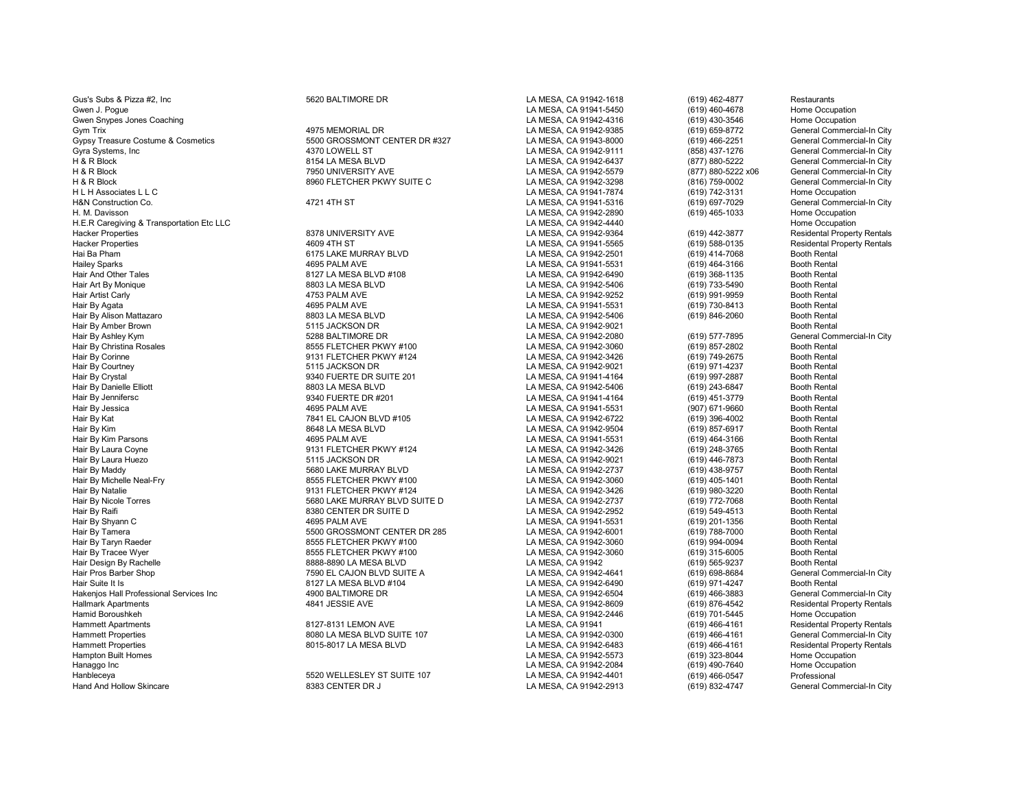| Gus's Subs & Pizza #2, Inc                | 5620 BALTIMORE DR             | LA MESA, CA 91942-1618 | (619) 462-4877     | Restaurants              |
|-------------------------------------------|-------------------------------|------------------------|--------------------|--------------------------|
| Gwen J. Poque                             |                               | LA MESA, CA 91941-5450 | (619) 460-4678     | Home Occupation          |
| Gwen Snypes Jones Coaching                |                               | LA MESA, CA 91942-4316 | (619) 430-3546     | Home Occupation          |
| Gym Trix                                  | 4975 MEMORIAL DR              | LA MESA, CA 91942-9385 | (619) 659-8772     | General Commero          |
| Gypsy Treasure Costume & Cosmetics        | 5500 GROSSMONT CENTER DR #327 | LA MESA, CA 91943-8000 | (619) 466-2251     | General Commero          |
| Gyra Systems, Inc.                        | 4370 LOWELL ST                | LA MESA, CA 91942-9111 | (858) 437-1276     | General Commero          |
| H & R Block                               | 8154 LA MESA BLVD             | LA MESA, CA 91942-6437 | (877) 880-5222     | General Commero          |
| H & R Block                               | 7950 UNIVERSITY AVE           | LA MESA, CA 91942-5579 | (877) 880-5222 x06 | <b>General Commero</b>   |
| H & R Block                               | 8960 FLETCHER PKWY SUITE C    | LA MESA, CA 91942-3298 | (816) 759-0002     | General Commero          |
| H L H Associates L L C                    |                               | LA MESA, CA 91941-7874 | (619) 742-3131     | <b>Home Occupation</b>   |
| H&N Construction Co.                      | 4721 4TH ST                   | LA MESA, CA 91941-5316 | (619) 697-7029     | General Commero          |
| H. M. Davisson                            |                               | LA MESA, CA 91942-2890 | (619) 465-1033     | Home Occupation          |
| H.E.R Caregiving & Transportation Etc LLC |                               | LA MESA, CA 91942-4440 |                    | Home Occupation          |
| <b>Hacker Properties</b>                  | 8378 UNIVERSITY AVE           | LA MESA, CA 91942-9364 | (619) 442-3877     | <b>Residental Proper</b> |
| <b>Hacker Properties</b>                  | 4609 4TH ST                   | LA MESA, CA 91941-5565 | (619) 588-0135     | <b>Residental Proper</b> |
| Hai Ba Pham                               | 6175 LAKE MURRAY BLVD         | LA MESA, CA 91942-2501 | (619) 414-7068     | <b>Booth Rental</b>      |
| <b>Hailey Sparks</b>                      | 4695 PALM AVE                 | LA MESA, CA 91941-5531 | (619) 464-3166     | <b>Booth Rental</b>      |
| Hair And Other Tales                      | 8127 LA MESA BLVD #108        | LA MESA, CA 91942-6490 | (619) 368-1135     | <b>Booth Rental</b>      |
| Hair Art By Monique                       | 8803 LA MESA BLVD             | LA MESA, CA 91942-5406 | (619) 733-5490     | <b>Booth Rental</b>      |
| Hair Artist Carly                         | 4753 PALM AVE                 | LA MESA, CA 91942-9252 | (619) 991-9959     | <b>Booth Rental</b>      |
| Hair By Agata                             | 4695 PALM AVE                 | LA MESA, CA 91941-5531 | (619) 730-8413     | <b>Booth Rental</b>      |
| Hair By Alison Mattazaro                  | 8803 LA MESA BLVD             | LA MESA, CA 91942-5406 | (619) 846-2060     | <b>Booth Rental</b>      |
| Hair By Amber Brown                       | 5115 JACKSON DR               | LA MESA, CA 91942-9021 |                    | <b>Booth Rental</b>      |
| Hair By Ashley Kym                        | 5288 BALTIMORE DR             | LA MESA, CA 91942-2080 | (619) 577-7895     | General Commero          |
| Hair By Christina Rosales                 | 8555 FLETCHER PKWY #100       | LA MESA, CA 91942-3060 | (619) 857-2802     | <b>Booth Rental</b>      |
| Hair By Corinne                           | 9131 FLETCHER PKWY #124       | LA MESA, CA 91942-3426 | (619) 749-2675     | <b>Booth Rental</b>      |
| Hair By Courtney                          | 5115 JACKSON DR               | LA MESA, CA 91942-9021 | (619) 971-4237     | <b>Booth Rental</b>      |
| Hair By Crystal                           | 9340 FUERTE DR SUITE 201      | LA MESA, CA 91941-4164 |                    | <b>Booth Rental</b>      |
|                                           | 8803 LA MESA BLVD             |                        | (619) 997-2887     | <b>Booth Rental</b>      |
| Hair By Danielle Elliott                  |                               | LA MESA, CA 91942-5406 | (619) 243-6847     | <b>Booth Rental</b>      |
| Hair By Jennifersc                        | 9340 FUERTE DR #201           | LA MESA, CA 91941-4164 | (619) 451-3779     |                          |
| Hair By Jessica                           | 4695 PALM AVE                 | LA MESA, CA 91941-5531 | (907) 671-9660     | <b>Booth Rental</b>      |
| Hair By Kat                               | 7841 EL CAJON BLVD #105       | LA MESA, CA 91942-6722 | (619) 396-4002     | <b>Booth Rental</b>      |
| Hair By Kim                               | 8648 LA MESA BLVD             | LA MESA, CA 91942-9504 | (619) 857-6917     | <b>Booth Rental</b>      |
| Hair By Kim Parsons                       | 4695 PALM AVE                 | LA MESA, CA 91941-5531 | (619) 464-3166     | <b>Booth Rental</b>      |
| Hair By Laura Coyne                       | 9131 FLETCHER PKWY #124       | LA MESA, CA 91942-3426 | (619) 248-3765     | <b>Booth Rental</b>      |
| Hair By Laura Huezo                       | 5115 JACKSON DR               | LA MESA, CA 91942-9021 | (619) 446-7873     | <b>Booth Rental</b>      |
| Hair By Maddy                             | 5680 LAKE MURRAY BLVD         | LA MESA, CA 91942-2737 | (619) 438-9757     | <b>Booth Rental</b>      |
| Hair By Michelle Neal-Fry                 | 8555 FLETCHER PKWY #100       | LA MESA, CA 91942-3060 | (619) 405-1401     | <b>Booth Rental</b>      |
| Hair By Natalie                           | 9131 FLETCHER PKWY #124       | LA MESA, CA 91942-3426 | (619) 980-3220     | <b>Booth Rental</b>      |
| Hair By Nicole Torres                     | 5680 LAKE MURRAY BLVD SUITE D | LA MESA, CA 91942-2737 | (619) 772-7068     | <b>Booth Rental</b>      |
| Hair By Raifi                             | 8380 CENTER DR SUITE D        | LA MESA, CA 91942-2952 | (619) 549-4513     | <b>Booth Rental</b>      |
| Hair By Shyann C                          | 4695 PALM AVE                 | LA MESA, CA 91941-5531 | (619) 201-1356     | <b>Booth Rental</b>      |
| Hair By Tamera                            | 5500 GROSSMONT CENTER DR 285  | LA MESA, CA 91942-6001 | (619) 788-7000     | <b>Booth Rental</b>      |
| Hair By Taryn Raeder                      | 8555 FLETCHER PKWY #100       | LA MESA, CA 91942-3060 | (619) 994-0094     | <b>Booth Rental</b>      |
| Hair By Tracee Wyer                       | 8555 FLETCHER PKWY #100       | LA MESA, CA 91942-3060 | (619) 315-6005     | <b>Booth Rental</b>      |
| Hair Design By Rachelle                   | 8888-8890 LA MESA BLVD        | LA MESA, CA 91942      | (619) 565-9237     | <b>Booth Rental</b>      |
| Hair Pros Barber Shop                     | 7590 EL CAJON BLVD SUITE A    | LA MESA, CA 91942-4641 | (619) 698-8684     | General Commero          |
| Hair Suite It Is                          | 8127 LA MESA BLVD #104        | LA MESA, CA 91942-6490 | (619) 971-4247     | <b>Booth Rental</b>      |
| Hakenjos Hall Professional Services Inc   | 4900 BALTIMORE DR             | LA MESA, CA 91942-6504 | (619) 466-3883     | General Commero          |
| <b>Hallmark Apartments</b>                | 4841 JESSIE AVE               | LA MESA, CA 91942-8609 | (619) 876-4542     | <b>Residental Proper</b> |
| Hamid Boroushkeh                          |                               | LA MESA, CA 91942-2446 | (619) 701-5445     | Home Occupation          |
| <b>Hammett Apartments</b>                 | 8127-8131 LEMON AVE           | LA MESA, CA 91941      | (619) 466-4161     | <b>Residental Proper</b> |
| <b>Hammett Properties</b>                 | 8080 LA MESA BLVD SUITE 107   | LA MESA, CA 91942-0300 | $(619)$ 466-4161   | General Commero          |
| <b>Hammett Properties</b>                 | 8015-8017 LA MESA BLVD        | LA MESA, CA 91942-6483 | $(619)$ 466-4161   | <b>Residental Proper</b> |
| <b>Hampton Built Homes</b>                |                               | LA MESA, CA 91942-5573 | (619) 323-8044     | Home Occupation          |
| Hanaggo Inc                               |                               | LA MESA, CA 91942-2084 | (619) 490-7640     | Home Occupation          |
| Hanbleceya                                | 5520 WELLESLEY ST SUITE 107   | LA MESA, CA 91942-4401 | (619) 466-0547     | Professional             |
| <b>Hand And Hollow Skincare</b>           | 8383 CENTER DR J              | LA MESA, CA 91942-2913 | (619) 832-4747     | General Commero          |
|                                           |                               |                        |                    |                          |

General Commercial-In City General Commercial-In City General Commercial-In City General Commercial-In City General Commercial-In City General Commercial-In City<br>Home Occupation General Commercial-In City<br>Home Occupation Residental Property Rentals Residental Property Rentals<br>Booth Rental General Commercial-In City<br>Booth Rental General Commercial-In City<br>Booth Rental General Commercial-In City Residental Property Rentals<br>Home Occupation Residental Property Rentals General Commercial-In City Residental Property Rentals<br>Home Occupation General Commercial-In City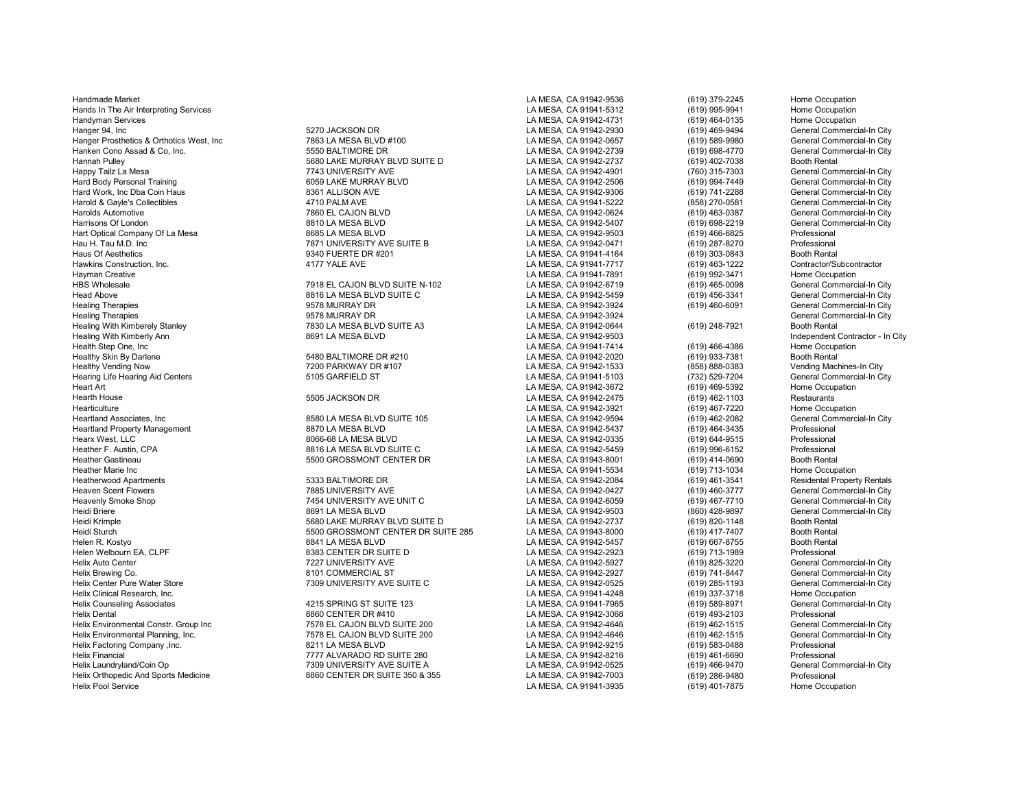Handmade Market LA MESA, CA 91942-9536 (619) 379-2245 Home Occupation Helix Environmental Constr. Group Inc 7578 EL CAJON BLVD SUITE 200 LA MESA, CA 91942-4646 (619) 462-1515 General Commercial-In City Helix Factoring Company ,Inc. 8211 LA MESA BLVD LA MESA, CA 91942-9215 (619) 583-0488 Professional Helix Financial 777 ALVARADO RD SUITE 280 LA MESA, CA 91942-8216 (619) 461-6690 Professional Professional Professional 7309 UNIVERSITY AVE SUITE A LA MESA, CA 91942-0525 (619) 466-9470 General Commercial-In City 7309 UNIV Helix Orthopedic And Sports Medicine **8860 CENTER DR SUITE 350 & 355** LA MESA, CA 91942-7003 (619) 286-9480 Professional<br>Helix Pool Service (619) 401-7875 Home Occupation

Hands In The Air Interpreting Services and the Cocupation Control of the Air Interpreting Services and the Cocupation<br>Handyman Services Home Occupation Home Occupation (619) 995-9941 (619) 464-0135 Home Occupation Handyman Services LA MESA, CA 91942-4731 (619) 464-0135 Home Occupation Hanger 94, Inc (619) 469-9494 General Commercial-In City (619) 469-9494 General Commercial-In City (619) 469-9494<br>Hanger Prosthetics & Orthotics West. Inc (19) 683 LA MESA BLVD #100 (A MESA, CA 91942-0657 (619) 589-9980 Ge Hanger Prosthetics & Orthotics West, Inc heater and the MESA BLVD #100 later and the MESA, CA 91942-0657 (619) 589-9980 General Commercial-In City<br>Thanken Cono Assad & Co., Inc. http://www.inferences.com/inferences/state/s Hanken Cono Assad & Co, Inc. 5550 BALTIMORE DR LA MESA, CA 91942-2739 (619) 698-4770 General Commercial-In City Hannah Pulley 5680 LAKE MURRAY BLVD SUITE D LA MESA, CA 91942-2737 (619) 402-7038 Booth Rental Happy Tailz La Mesa 60 (315-7303 / 6eneral Commercial-In City / 7743 UNIVERSITY AVE / 749 / 1743 UNIVERSITY AVE<br>Hard Body Personal Training / 1743 UNIVERSITY AVE LA MESA, CA 91942-2506 / 1999-2449 / 619 (619 994-7449 / Gen Hard Body Personal Training 6059 LAKE MURRAY BLVD LA MESA, CA 91942-2506 (619) 994-7449 General Commercial-In City Hard Work, Inc Dba Coin Haus **8361 ALLISON AVE LA MESA, CA 91942-9306** (619) 741-2288 General Commercial-In City<br>Barold & Gavle's Collectibles and the commercial-In City of the AVE LA MESA, CA 91941-5222 (858) 270-0581 Gen Harold & Gayle's Collectibles 4710 PALM AVE LA MESA, CA 91941-5222 (858) 270-0581 General Commercial-In City Harolds Automotive 7860 EL CAJON BLVD LA MESA, CA 91942-0624 (619) 463-0387 General Commercial-In City Harrisons Of London 8810 LA MESA BLVD LA MESA, CA 91942-5407 (619) 698-2219 General Commercial-In City Hart Optical Company Of La Mesa 8685 LA MESA BLVD LA MESA, CA 91942-9503 (619) 466-6825 Professional Hau H. Tau M.D. Inc 7871 UNIVERSITY AVE SUITE B LA MESA, CA 91942-0471 (619) 287-8270 Professional Haus Of Aesthetics 9340 FUERTE DR #201 LA MESA, CA 91941-4164 (619) 303-0843 Booth Rental Hawkins Construction, Inc. 4177 YALE AVE LA MESA, CA 91941-7717 (619) 463-1222 Contractor/Subcontractor Hayman Creative LA MESA, CA 91941-7891 (619) 992-3471 Home Occupation HBS Wholesale 7918 EL CAJON BLVD SUITE N-102 LA MESA, CA 91942-6719 (619) 465-0098 General Commercial-In City Head Above 8816 LA MESA BLVD SUITE C LA MESA, CA 91942-5459 (619) 456-3341 General Commercial-In City Healing Therapies 9578 MURRAY DR LA MESA, CA 91942-3924 (619) 460-6091 General Commercial-In City Healing Therapies General Commercial-In City<br>1957 MURRAY DR LA MESA BOLA MESA DANGSA, CA 91942-0644 (619) 248-7921 Booth Rental Commercial-In City<br>Healing With Kimberely Stanley Contracts and The Tassackers of the Tags of Healing With Kimberely Stanley **1988** CHA MESA BLVD SUITE ARESA DISPONSIBLE AS LA MESA, CA 91942-0644 (61942-0644<br>Healing With Kimberly Ann **Rental Action Rental Booth Rental Booth Rental Booth Rental Booth Rental Rental B** Healing With Kimberly Ann Contractor - In City<br>Health Step One, Inc Contractor - In City<br>Health Step One, Inc Contractor - In City Health Step One, Inc LA MESA, CA 91941-7414 (619) 466-4386 Home Occupation Healthy Skin By Darlene 5480 BALTIMORE DR #210 LA MESA, CA 91942-2020 (619) 933-7381 Booth Rental Healthy Vending Now 7200 PARKWAY DR #107 LA MESA, CA 91942-1533 (858) 888-0383 Vending Machines-In City Hearing Life Hearing Aid Centers **5105 GARFIELD ST** CHA MESA, CA 91941-5103 (732) 529-7204 General Commercial-In City<br>Heart Art (619) 469-5392 Home Occupation Heart Art LA MESA, CA 91942-3672 (619) 469-5392 Home Occupation Hearth House 5505 JACKSON DR LA MESA, CA 91942-2475 (619) 462-1103 Restaurants Hearticulture LA MESA, CA 91942-3921 (619) 467-7220 Home Occupation<br>Heartland Associates, Inc Commercial-In City (619) 462-2082 General Commercial-In City 4 B580 LA MESA BLVD SUITE 105 LA MESA, CA 91942-9594 (619) 462-2082 General Com<br>19370 LA MESA BLVD LA MESA. CA 91942-5437 (619) 464-3435 Professional Heartland Property Management 8870 LA MESA BLVD LA MESA, CA 91942-5437 (619) 464-3435 Professional Hearx West, LLC 8066-68 LA MESA BLVD LA MESA, CA 91942-0335 (619) 644-9515 Professional Heather F. Austin, CPA 8816 LA MESA BLVD SUITE C LA MESA, CA 91942-5459 (619) 996-6152 Professional Heather Gastineau 5500 GROSSMONT CENTER DR LA MESA, CA 91943-8001 (619) 414-0690 Booth Rental Heather Marie Inc LA MESA, CA 91941-5534 (619) 713-1034 Home Occupation Heatherwood Apartments **1988 BALTIMORE DR** 1997 EA MESA, CA 91942-2084 (619) 461-3541 Residental Property Rentals<br>Heaven Scent Flowers 1998 Hourse 1998 DIVERSITY AVE LA MESA, CA 91942-0427 (619) 460-3777 General Commercial Heaven Scent Flowers 7885 UNIVERSITY AVE LA MESA, CA 91942-0427 (619) 460-3777 General Commercial-In City Heavenly Smoke Shop هاس 1454 UNIVERSITY AVE UNIT C بالاست المستحدة المستحدة المستحدة (619) 467-7710 General Commercial-In City<br>Heidi Briere (860) 428-9897 General Commercial-In City Heidi Briere 8691 LA MESA BLVD LA MESA, CA 91942-9503 (860) 428-9897 General Commercial-In City Heidi Krimple 5680 LAKE MURRAY BLVD SUITE D LA MESA, CA 91942-2737 (619) 820-1148 Booth Rental Heidi Sturch 5500 GROSSMONT CENTER DR SUITE 285 LA MESA, CA 91943-8000 (619) 417-7407 Booth Rental Helen R. Kostyo 8841 LA MESA BLVD LA MESA, CA 91942-5457 (619) 667-8755 Booth Rental Helen Welbourn EA, CLPF 8383 CENTER DR SUITE D LA MESA, CA 91942-2923 (619) 713-1989 Professional Helix Auto Center 7227 UNIVERSITY AVE LA MESA, CA 91942-5927 (619) 825-3220 General Commercial-In City Helix Brewing Co. 619) T41-8447 General Commercial-In City Commercial-In City Commercial-In City Commercial-In City<br>Helix Center Pure Water Store The Commercial-In City Commercial-In City 7309 UNIVERSITY AVE SUITE C<br>LA MES Frank Center Pure Water Center Center Center Center Center Center Center Center Center Center Center Center Co<br>LA MESA, CA 91941-4248 (619) 337-3718 Home Occupation Helix Clinical Research, Inc. LA MESA, CA 91941-4248 (619) 337-3718 Home Occupation Helix Counseling Associates 4215 SPRING ST SUITE 123 LA MESA, CA 91941-7965 (619) 589-8971 General Commercial-In City ابية السابقة المستشرعين المستشرعين المستشرعين المستشرعين المستشرعين والمستشرعين المستشرعين المستشرعين المستشرع<br>Helix Environmental Constr. Group Inc and the CALON BLVD SUITE 200 LA MESA, CA 91942-4646 (619) 462-1515 Gener

1978 EL CAJON BLVD SUITE 200 LA MESA, CA 91942-4646 (619) 462-1515 General Companies Commercial Commercial-In<br>1981 B211 LA MESA BLVD Commercial-In Cammercial-In Carolina Commercial-In Cammercial-In City Commercial-Inform است 2309 UNIVERSITY AVE SUITE A بالتي تون المسلم المسلم المسلم لي المسلم المسلم المسلم المسلم المسلم المسلم ال<br>المسلم 2860 CENTER DR SUITE 350 & 355 بالتي تون المسلم المسلم المسلم المسلم المسلم المسلم المسلم المسلم المسلم

LA MESA, CA 91941-3935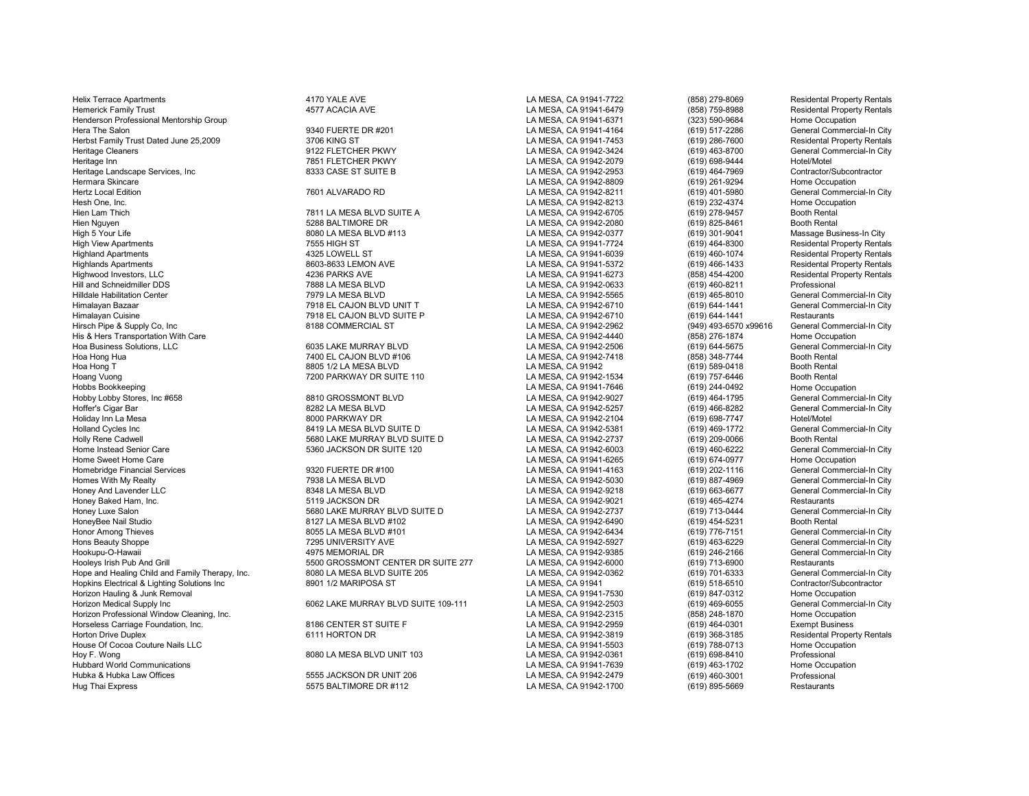Helix Terrace Apartments **Accord 19th Contract ACCOL** ATTO YALE AVE LA MESA, CA 91941-7722 (858) 279-8069 Residental Property Rentals Hemerick Family Trust Residental Property Rentals<br>Henderson Professional Mentorship Group and the metals and the 4577 ACACIA AVE Metals and the MESA, CA 91941-6371 (323) 590-9684 Home Occupation Henderson Professional Mentorship Group National Accords 1994 1990-9684 National CA MESA, CA 91941-6371 (323) 590-9684<br>Hera The Salon (619) 517-2286 (1991-17-2286 National Decay of the Salon (1991-17-2286) 917-2286 Herbst Family Trust Dated June 25,2009 3706 KING ST 1992 12 10 13706 KING ST 2012 2008 Residental Property Rentals<br>Heritage Cleaners General Commercial-In City 3122 FLETCHER PKWY 1992 2000 LA MESA, CA 91942-3424 (619) 463-Heritage Cleaners entity of the Same of the State of the State of Heritage Cleaners (619) 463-8700 General Commercial Commercial Commercial Commercial Commercial Commercial Commercial Commercial Commercial Commercial-Inter Heritage Landscape Services, Inc 8333 CASE ST SUITE B LA MESA, CA 91942-2953 (619) 464-7969 Contractor/Subcontractor Hermara Skincare LA MESA, CA 91942-8809 (619) 261-9294 Home Occupation Hertz Local Edition 7601 ALVARADO RD LA MESA, CA 91942-8211 (619) 401-5980 General Commercial-In City Hesh One, Inc. LA MESA, CA 91942-8213 (619) 232-4374 Home Occupation Hien Lam Thich 7811 LA MESA BLVD SUITE A LA MESA, CA 91942-6705 (619) 278-9457 Booth Rental Hien Nguyen 5288 BALTIMORE DR LA MESA, CA 91942-2080 (619) 825-8461 Booth Rental High 5 Your Life 8080 LA MESA BLVD #113 LA MESA, CA 91942-0377 (619) 301-9041 Massage Business-In City High View Apartments 7555 HIGH ST LA MESA, CA 91941-7724 (619) 464-8300 Residental Property Rentals Highland Apartments 4325 LOWELL ST LA MESA, CA 91941-6039 (619) 460-1074 Residental Property Rentals Highlands Apartments 8603-8633 LEMON AVE LA MESA, CA 91941-5372 (619) 466-1433 Residental Property Rentals Highwood Investors, LLC 4236 PARKS AVE LA MESA, CA 91941-6273 (858) 454-4200 Residental Property Rentals Hill and Schneidmiller DDS 7888 LA MESA BLVD LA MESA, CA 91942-0633 (619) 460-8211 Professional Hilldale Habilitation Center 1988 Commercial-In City 7979 LA MESA BLVD LA MESA, CA 91942-5565 (619) 465-8010 General Commercial-In City<br>Himalavan Bazaar General Commercial-In City 7918 EL CAJON BLVD UNIT T Himalayan Bazaar 7918 EL CAJON BLVD UNIT T LA MESA, CA 91942-6710 (619) 644-1441 General Commercial-In City Himalayan Cuisine Number of the State of The Test of The Test of Test of Test of Test of Test of Test of Test o<br>Hirsch Pipe & Supply Co. Inc and the Commercial-In City of the Restaurants of the State of the State of State Hirsch Pipe & Supply Co, Inc 8188 COMMERCIAL ST LA MESA, CA 91942-2962 (949) 493-6570 x99616 General Commercial-In City His & Hers Transportation With Care Coupation Care Computer of the Computer of the Coupation of the Computer of the Computer of the MURRAY BLVD (858) 276-1874 (858) 276-1874 Home Occupation (619) 644-5675 (General Commerci Hoa Business Solutions, LLC 6035 LAKE MURRAY BLVD LA MESA, CA 91942-2506 (619) 644-5675 General Commercial-In City Hoa Hong Hua 7400 EL CAJON BLVD #106 LA MESA, CA 91942-7418 (858) 348-7744 Booth Rental Hoa Hong T 8805 1/2 LA MESA BLVD LA MESA, CA 91942 (619) 589-0418 Booth Rental Hoang Vuong (619) 757-6446 Booth Rental (619) 757-6446 Booth Rental Press, 2000 PARKWAY DR SUITE 110 LA MESA, CA 91942-1534 (619) 757-6446 Booth Rental (619) 757-6446 Booth Rental (619) 757-6446 Booth Rental (619) 244-0492 Hobby Lobby Stores, Inc #658 8810 GROSSMONT BLVD LA MESA, CA 91942-9027 (619) 464-1795<br>Hoffer's Cigar Bar 8282 LA MESA BLVD LA MESA. CA 91942-5257 Hoffer's Cigar Bar 8282 LA MESA BLVD LA MESA, CA 91942-5257 (619) 466-8282 General Commercial-In City Holiday Inn La Mesa 8000 PARKWAY DR LA MESA, CA 91942-2104 (619) 698-7747 Hotel/Motel Holland Cycles Inc Commercial-In City (619) 469-1772 General Commercial-In City<br>Holly Rene Cadwell Commercial-In City (619) 469-1772 (619) 469-1772 (619) 469-1772 (619) 469-1772 (69-0066 (619 Holly Rene Cadwell 5680 LAKE MURRAY BLVD SUITE D LA MESA, CA 91942-2737 (619) 209-0066 Booth Rental Home Instead Senior Care 6 1992 Ceneral Commercial Commercial Commercial Commercial Commercial Commercial Commercial-In City Commercial-In Commercial-In Commercial-In City Commercial-In City Commercial-In City Commercial-I Home Sweet Home Care LA MESA, CA 91941-6265 (619) 674-0977 Home Occupation Homebridge Financial Services entity of the Matter of the Same of the Same of the Same of the Same of the Same of the Same of the Same of the Same of the Same of the Same of the Same of the Same of the Same of the Same of Honey And Lavender LLC 8348 LA MESA BLVD LA MESA, CA 91942-9218 (619) 663-6677 General Commercial-In City Honey Baked Ham, Inc. 5119 JACKSON DR LA MESA, CA 91942-9021 (619) 465-4274 Restaurants Honey Luxe Salon 5680 LAKE MURRAY BLVD SUITE D LA MESA, CA 91942-2737 (619) 713-0444 General Com<br>HoneyBee Nail Studio 8127 LA MESA BLVD #102 LA MESA, CA 919 HoneyBee Nail Studio 8127 LA MESA BLVD #102 LA MESA, CA 91942-6490 (619) 454-5231 Booth Rental<br>Honor Among Thieves 8055 LA MESA BLVD #101 Honor Among Thieves 8055 LA MESA BLVD #101 LA MESA, CA 91942-6434 (619) 776-7151 General Commercial-In City Hons Beauty Shoppe 7295 UNIVERSITY AVE LA MESA, CA 91942-5927 (619) 463-6229 General Commercial-In City Hookupu-O-Hawaii 4975 MEMORIAL DR LA MESA, CA 91942-9385 (619) 246-2166 General Commercial-In City Hope and Healing Child and Family Therapy, Inc. 6980 LA MESA BLVD SUITE 205 LA MESA, CA 91942-0362 (619) 701-6333 General Commercial-In C<br>Hopkins Electrical & Lighting Solutions Inc the case of the section of the section o Hopkins Electrical & Lighting Solutions Inc and the Secure 10 MARIPOSA ST (81984) Hopkins Hopkins Hopkins Electrical & Lighting Solutions Inc and the Secure 8901 1/2 MARIPOSA ST (619) 2008 (619) 847-0312 (619) 847-0312 (61 Horizon Hauling & Junk Removal **Authorizon Home Occupation**<br>Horizon Medical Supply Inc Commercial-In City (1996) 6062 LAKE MURRAY BLVD SUITE 109-111 LA MESA. CA 91942-2503 (619) 469-6055 General Commercial-In City Horizon Professional Window Cleaning, Inc. LA MESA, CA 91942-2315 (858) 248-1870 Home Occupation Horseless Carriage Foundation, Inc. [18] The State of the State of State of the State of the State of the State of the State of the State of the State of the State of the State of the State of the State of the State of the Horton Drive Duplex 6111 HORTON DR LA MESA, CA 91942-3819 (619) 368-3185 Residental Property Rentals House Of Cocoa Couture Nails LLC LA MESA, CA 91941-5503 (619) 788-0713 Home Occupation Hubbard World Communications LA MESA, CA 91941-7639 (619) 463-1702 Home Occupation Hubka A Hubka Law Offices 5555 JACKSON DR UNIT 206 LA MESA, CA 91942-2479 (619) 460-3001 Professional<br>Hug Thai Express 5575 BALTIMORE DR #112 LA MESA. CA

POST FLETCHER PKWY LA MESA, CA 91942-2079 (619) 698-9444 Hotel/Motel<br>1993 - Hotel/Motel Campion Contractor/Subcontractor LA MESA, CA 91941-7646 (619) 244-0492 Home Occupation<br>B810 GROSSMONT BLVD LA MESA, CA 91942-9027 (619) 464-1795 General Commercial-In City %5500 GROSSMONT CENTER DR SUITE 277 LA MESA, CA 91942-6000 (619) 713-6900 Restaurants<br>1998 BOOLA MESA BLVD SUITE 205 LA MESA, CA 91942-0362 (619) 701-6333 General Commercial-In City

5575 BALTIMORE DR #112 LA MESA, CA 91942-1700

Formulat Commet Commet Commet Commet Commet Commet Commet Commet LA MESA, CA 91942-2503 (619) 469-6055 General Commercial-In Commet Commet Commet Commet Commet LA MESA, CA 91942-2315 (658) 248-1870 Home Occupation 8080 LA MESA BLVD UNIT 103 LA MESA, CA 91942-0361 (619) 698-8410 Professional professional control of the MESA, CA 91941-7639 (619) 463-1702 Home Occupation

General Commercial-In City General Commercial-In City<br>General Commercial-In City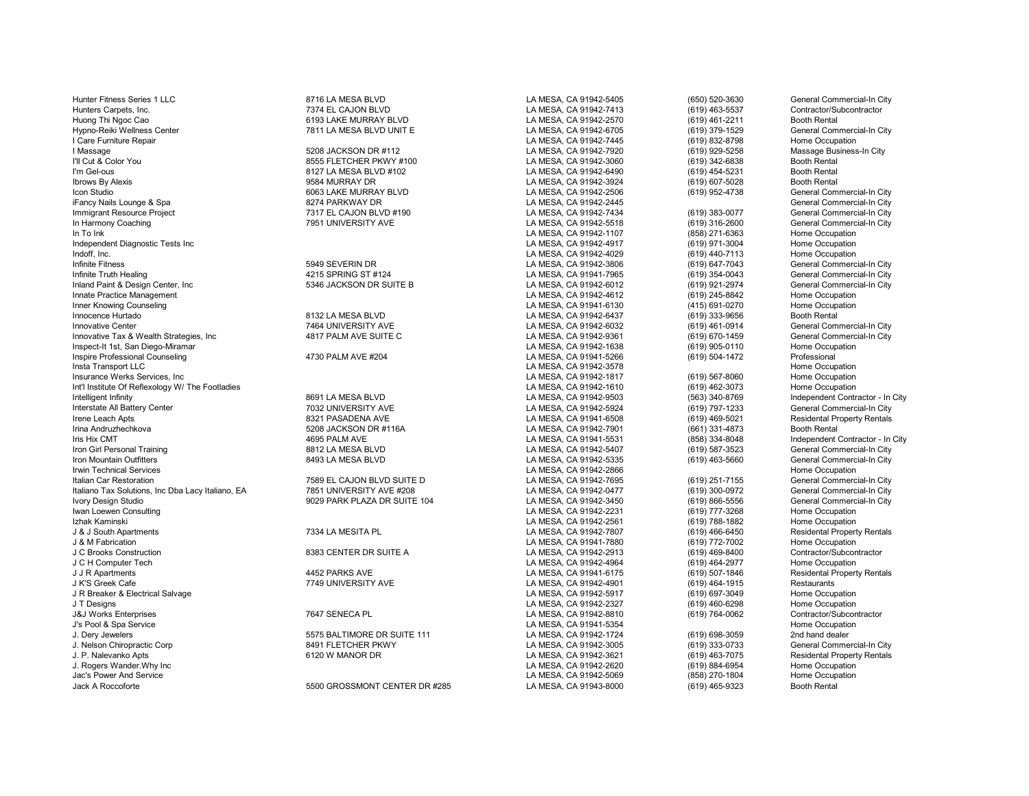| Hunter Fitness Series 1 LLC                       | 8716 LA MESA BLVD             | LA MESA, CA 91942-5405 | (650) 520-3630     | General Commercial-In City         |
|---------------------------------------------------|-------------------------------|------------------------|--------------------|------------------------------------|
| Hunters Carpets, Inc.                             | 7374 EL CAJON BLVD            | LA MESA, CA 91942-7413 | (619) 463-5537     | Contractor/Subcontractor           |
| Huong Thi Ngoc Cao                                | 6193 LAKE MURRAY BLVD         |                        | (619) 461-2211     | <b>Booth Rental</b>                |
| Hypno-Reiki Wellness Center                       | 7811 LA MESA BLVD UNIT E      | LA MESA, CA 91942-6705 | (619) 379-1529     | General Commercial-In City         |
| Care Furniture Repair                             |                               | LA MESA, CA 91942-7445 | (619) 832-8798     | Home Occupation                    |
| l Massage                                         | 5208 JACKSON DR #112          | LA MESA, CA 91942-7920 | (619) 929-5258     | Massage Business-In City           |
| I'll Cut & Color You                              | 8555 FLETCHER PKWY #100       | LA MESA, CA 91942-3060 | (619) 342-6838     | <b>Booth Rental</b>                |
| I'm Gel-ous                                       | 8127 LA MESA BLVD #102        | LA MESA, CA 91942-6490 | (619) 454-5231     | <b>Booth Rental</b>                |
| <b>Ibrows By Alexis</b>                           | 9584 MURRAY DR                | LA MESA, CA 91942-3924 | (619) 607-5028     | <b>Booth Rental</b>                |
| Icon Studio                                       | 6063 LAKE MURRAY BLVD         | LA MESA, CA 91942-2506 | (619) 952-4738     | General Commercial-In City         |
| iFancy Nails Lounge & Spa                         | 8274 PARKWAY DR               | LA MESA, CA 91942-2445 |                    | General Commercial-In City         |
| Immigrant Resource Project                        | 7317 EL CAJON BLVD #190       | LA MESA, CA 91942-7434 | (619) 383-0077     | General Commercial-In City         |
| In Harmony Coaching                               | 7951 UNIVERSITY AVE           | LA MESA, CA 91942-5518 | (619) 316-2600     | General Commercial-In City         |
| In To Ink                                         |                               | LA MESA, CA 91942-1107 | (858) 271-6363     | Home Occupation                    |
| Independent Diagnostic Tests Inc                  |                               | LA MESA, CA 91942-4917 | (619) 971-3004     | Home Occupation                    |
| Indoff, Inc.                                      |                               | LA MESA, CA 91942-4029 | (619) 440-7113     | Home Occupation                    |
| Infinite Fitness                                  | 5949 SEVERIN DR               | LA MESA, CA 91942-3806 | (619) 647-7043     | General Commercial-In City         |
| Infinite Truth Healing                            | 4215 SPRING ST #124           | LA MESA, CA 91941-7965 | (619) 354-0043     | General Commercial-In City         |
| Inland Paint & Design Center, Inc                 | 5346 JACKSON DR SUITE B       | LA MESA, CA 91942-6012 | (619) 921-2974     | General Commercial-In City         |
| Innate Practice Management                        |                               | LA MESA, CA 91942-4612 | (619) 245-8842     | Home Occupation                    |
| Inner Knowing Counseling                          |                               | LA MESA, CA 91941-6130 | (415) 691-0270     | Home Occupation                    |
| Innocence Hurtado                                 | 8132 LA MESA BLVD             | LA MESA, CA 91942-6437 | (619) 333-9656     | <b>Booth Rental</b>                |
| <b>Innovative Center</b>                          | 7464 UNIVERSITY AVE           | LA MESA, CA 91942-6032 | (619) 461-0914     | General Commercial-In City         |
| Innovative Tax & Wealth Strategies, Inc           | 4817 PALM AVE SUITE C         | LA MESA, CA 91942-9361 | (619) 670-1459     | General Commercial-In City         |
| Inspect-It 1st, San Diego-Miramar                 |                               | LA MESA, CA 91942-1638 | (619) 905-0110     | Home Occupation                    |
| Inspire Professional Counseling                   | 4730 PALM AVE #204            | LA MESA, CA 91941-5266 | (619) 504-1472     | Professional                       |
| Insta Transport LLC                               |                               | LA MESA, CA 91942-3578 |                    | Home Occupation                    |
| Insurance Werks Services, Inc                     |                               | LA MESA, CA 91942-1817 | $(619) 567 - 8060$ | Home Occupation                    |
| Int'l Institute Of Reflexology W/ The Footladies  |                               | LA MESA, CA 91942-1610 | (619) 462-3073     | Home Occupation                    |
| Intelligent Infinity                              | 8691 LA MESA BLVD             | LA MESA, CA 91942-9503 | (563) 340-8769     | Independent Contractor - In        |
| Interstate All Battery Center                     | 7032 UNIVERSITY AVE           | LA MESA, CA 91942-5924 | (619) 797-1233     | General Commercial-In City         |
| Irene Leach Apts                                  | 8321 PASADENA AVE             | LA MESA, CA 91941-6508 | (619) 469-5021     | <b>Residental Property Rentals</b> |
| Irina Andruzhechkova                              | 5208 JACKSON DR #116A         | LA MESA, CA 91942-7901 | (661) 331-4873     | <b>Booth Rental</b>                |
| Iris Hix CMT                                      | 4695 PALM AVE                 | LA MESA, CA 91941-5531 | (858) 334-8048     | Independent Contractor - In        |
| Iron Girl Personal Training                       | 8812 LA MESA BLVD             | LA MESA, CA 91942-5407 | (619) 587-3523     | General Commercial-In City         |
| Iron Mountain Outfitters                          | 8493 LA MESA BLVD             | LA MESA, CA 91942-5335 | (619) 463-5660     | General Commercial-In City         |
| <b>Irwin Technical Services</b>                   |                               | LA MESA, CA 91942-2866 |                    | Home Occupation                    |
| Italian Car Restoration                           | 7589 EL CAJON BLVD SUITE D    | LA MESA, CA 91942-7695 | (619) 251-7155     | General Commercial-In City         |
| Italiano Tax Solutions, Inc Dba Lacy Italiano, EA | 7851 UNIVERSITY AVE #208      | LA MESA, CA 91942-0477 | (619) 300-0972     | General Commercial-In City         |
| Ivory Design Studio                               | 9029 PARK PLAZA DR SUITE 104  | LA MESA, CA 91942-3450 | $(619) 866 - 5556$ | General Commercial-In City         |
| Iwan Loewen Consulting                            |                               | LA MESA, CA 91942-2231 | (619) 777-3268     | Home Occupation                    |
| Izhak Kaminski                                    |                               | LA MESA, CA 91942-2561 | (619) 788-1882     | Home Occupation                    |
| J & J South Apartments                            | 7334 LA MESITA PL             | LA MESA, CA 91942-7807 | $(619)$ 466-6450   | <b>Residental Property Rentals</b> |
| J & M Fabrication                                 |                               | LA MESA, CA 91941-7880 | (619) 772-7002     | Home Occupation                    |
| J C Brooks Construction                           | 8383 CENTER DR SUITE A        | LA MESA, CA 91942-2913 | (619) 469-8400     | Contractor/Subcontractor           |
| J C H Computer Tech                               |                               | LA MESA, CA 91942-4964 | (619) 464-2977     | Home Occupation                    |
| J J R Apartments                                  | 4452 PARKS AVE                | LA MESA, CA 91941-6175 | (619) 507-1846     | <b>Residental Property Rentals</b> |
| J K'S Greek Cafe                                  | 7749 UNIVERSITY AVE           | LA MESA, CA 91942-4901 | (619) 464-1915     | Restaurants                        |
| J R Breaker & Electrical Salvage                  |                               | LA MESA, CA 91942-5917 | (619) 697-3049     | Home Occupation                    |
| J T Designs                                       |                               | LA MESA, CA 91942-2327 | (619) 460-6298     | Home Occupation                    |
| <b>J&amp;J Works Enterprises</b>                  | 7647 SENECA PL                | LA MESA, CA 91942-8810 | (619) 764-0062     | Contractor/Subcontractor           |
| J's Pool & Spa Service                            |                               | LA MESA, CA 91941-5354 |                    | Home Occupation                    |
| J. Dery Jewelers                                  | 5575 BALTIMORE DR SUITE 111   | LA MESA, CA 91942-1724 | (619) 698-3059     | 2nd hand dealer                    |
| J. Nelson Chiropractic Corp                       | 8491 FLETCHER PKWY            | LA MESA, CA 91942-3005 | (619) 333-0733     | General Commercial-In City         |
| J. P. Nalevanko Apts                              | 6120 W MANOR DR               | LA MESA, CA 91942-3621 | (619) 463-7075     | <b>Residental Property Rentals</b> |
| J. Rogers Wander. Why Inc                         |                               | LA MESA, CA 91942-2620 | (619) 884-6954     | Home Occupation                    |
| Jac's Power And Service                           |                               | LA MESA, CA 91942-5069 | (858) 270-1804     | Home Occupation                    |
| Jack A Roccoforte                                 | 5500 GROSSMONT CENTER DR #285 | LA MESA, CA 91943-8000 | (619) 465-9323     | <b>Booth Rental</b>                |
|                                                   |                               |                        |                    |                                    |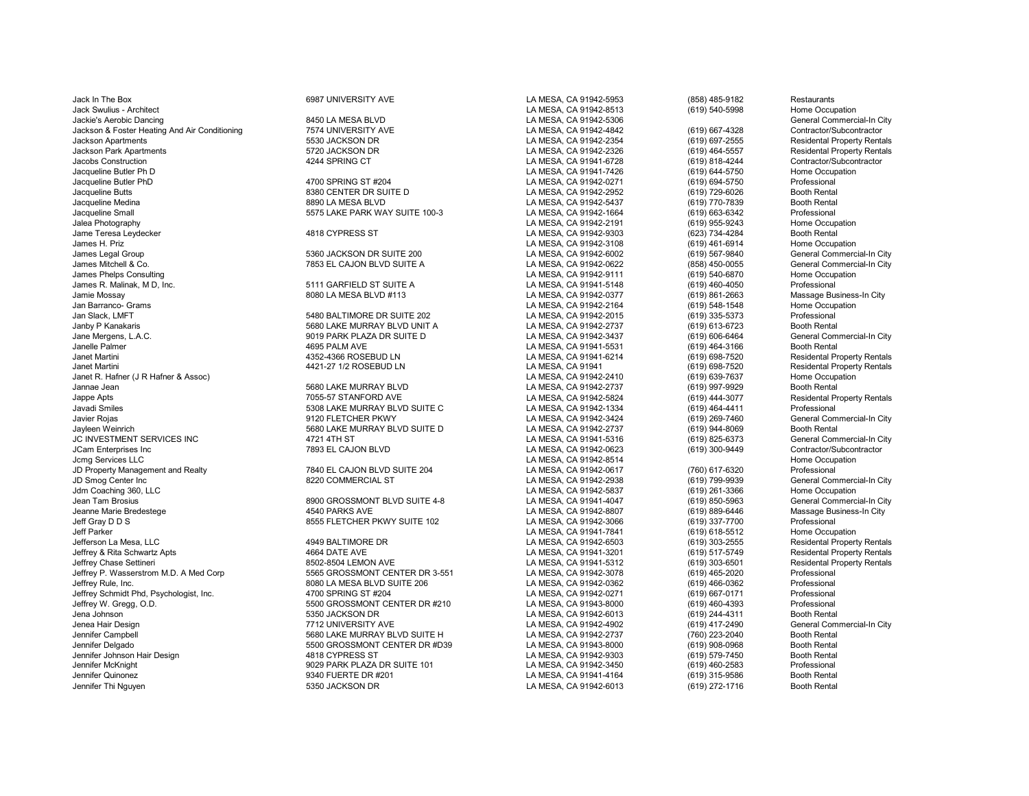Jack In The Box 6987 UNIVERSITY AVE LA MESA, CA 91942-5953 (858) 485-9182 Restaurants Jack Swulius - Architect LA MESA, CA 91942-8513 (619) 540-5998 Home Occupation Jackie's Aerobic Dancing 8450 LA MESA BLVD LA MESA, CA 91942-5306 General Commercial-In City Jackson & Foster Heating And Air Conditioning 7574 UNIVERSITY AVE LA MESA, CA 91942-4842 (619) 667-4328 Contractor/Subcontractor Jackson Apartments 5530 JACKSON DR LA MESA, CA 91942-2354 (619) 697-2555 Residental Property Rentals Jackson Park Apartments 5720 JACKSON DR LA MESA, CA 91942-2326 (619) 464-5557 Residental Property Rentals Jacobs Construction 4244 SPRING CT LA MESA, CA 91941-6728 (619) 818-4244 Contractor/Subcontractor Jacqueline Butler Ph D LA MESA, CA 91941-7426 (619) 644-5750 Home Occupation Jacqueline Butler PhD 4700 SPRING ST #204 LA MESA, CA 91942-0271 (619) 694-5750 Professional Jacqueline Butts 8380 CENTER DR SUITE D LA MESA, CA 91942-2952 (619) 729-6026 Booth Rental Jacqueline Medina 8890 LA MESA BLVD LA MESA, CA 91942-5437 (619) 770-7839 Booth Rental Jacqueline Small 5575 LAKE PARK WAY SUITE 100-3 LA MESA, CA 91942-1664 (619) 663-6342 Professional Jame Teresa Leydecker 4818 CYPRESS ST LA MESA, CA 91942-9303 (623) 734-4284 Booth Rental James H. Priz LA MESA, CA 91942-3108 (619) 461-6914 Home Occupation James Legal Group 5360 JACKSON DR SUITE 200 LA MESA, CA 91942-6002 (619) 567-9840 General Commercial-In City James Mitchell & Co. 7853 EL CAJON BLVD SUITE A LA MESA, CA 91942-0622 (858) 450-0055 General Commercial-In City James Phelps Consulting LA MESA, CA 91942-9111 (619) 540-6870 Home Occupation James R. Malinak, M D, Inc. 5111 GARFIELD ST SUITE A LA MESA, CA 91941-5148 (619) 460-4050 Professional Jamie Mossay 8080 LA MESA BLVD #113 LA MESA, CA 91942-0377 (619) 861-2663 Massage Business-In City Jan Barranco- Grams LA MESA, CA 91942-2164 (619) 548-1548 Home Occupation Jan Slack, LMFT 5480 BALTIMORE DR SUITE 202 LA MESA, CA 91942-2015 (619) 335-5373 Professional Janby P Kanakaris 5680 LAKE MURRAY BLVD UNIT A LA MESA, CA 91942-2737 (619) 613-6723 Booth Rental Jane Mergens, L.A.C. 9019 PARK PLAZA DR SUITE D LA MESA, CA 91942-3437 (619) 606-6464 General Commercial-In City Janelle Palmer 4695 PALM AVE LA MESA, CA 91941-5531 (619) 464-3166 Booth Rental Janet Martini 4352-4366 ROSEBUD LN LA MESA, CA 91941-6214 (619) 698-7520 Residental Property Rentals Janet Martini 4421-27 1/2 ROSEBUD LN LA MESA, CA 91941 (619) 698-7520 Residental Property Rentals Janet R. Hafner (J R Hafner & Assoc) LA MESA, CA 91942-2410 (619) 639-7637 Home Occupation Jannae Jean 5680 LAKE MURRAY BLVD LA MESA, CA 91942-2737 (619) 997-9929 Booth Rental Jappe Apts 7055-57 STANFORD AVE LA MESA, CA 91942-5824 (619) 444-3077 Residental Property Rentals Javadi Smiles 5308 LAKE MURRAY BLVD SUITE C LA MESA, CA 91942-1334 (619) 464-4411 Professional Javier Rojas 9120 FLETCHER PKWY LA MESA, CA 91942-3424 (619) 269-7460 General Commercial-In City JC INVESTMENT SERVICES INC 4721 4TH ST LA MESA, CA 91941-5316 General Commercial-In C<br>JCam Enterprises Inc 7893 EL CAJON BLVD LA MESA, CA 91942-0 JCam Enterprises Inc 7893 EL CAJON BLVD LA MESA, CA 91942-0623 (619) 300-9449 Contractor/Subcontractor Jcmg Services LLC LA MESA, CA 91942-8514 Home Occupation JD Property Management and Realty **7840 EL CAJON BLVD SUITE 204** LA MESA, CA 91942-0617 (760) 617-6320 Professional<br>JD Smoq Center Inc (619) 799-9939 General Controlled Controlled Controlled Controlled Barrack CA 91942-293 Jdm Coaching 360, LLC LA MESA, CA 91942-5837 (619) 261-3366 Home Occupation Jean Tam Brosius 8900 GROSSMONT BLVD SUITE 4-8 LA MESA, CA 91941-4047 (619) 850-5963 General Commercial-In City Jeanne Marie Bredestege 4540 PARKS AVE LA MESA, CA 91942-8807 (619) 889-6446 Massage Business-In City Jeff Gray D D S 8555 FLETCHER PKWY SUITE 102 LA MESA, CA 91942-3066 (619) 337-7700 Professional<br>Jeff Parker 8555 FLETCHER PKWY SUITE 102 LA MESA. CA 91941-7841 Jeff Parker LA MESA, CA 91941-7841 (619) 618-5512 Home Occupation Jefferson La Mesa, LLC 4949 BALTIMORE DR LA MESA, CA 91942-6503 (619) 303-2555 Residental Property Rentals Jeffrey & Rita Schwartz Apts 4664 DATE AVE LA MESA, CA 91941-3201 (619) 517-5749 Residental Property Rentals Jeffrey Chase Settineri 8502-8504 LEMON AVE LA MESA, CA 91941-5312 (619) 303-6501 Residental Property Rentals Jeffrey P. Wasserstrom M.D. A Med Corp 5565 GROSSMONT CENTER DR 3-551 LA MESA, CA 91942-3078 (619) 465-2020 Professional Jeffrey Rule, Inc. 8080 LA MESA BLVD SUITE 206 LA MESA, CA 91942-0362 (619) 466-0362 Professional Jeffrey Schmidt Phd, Psychologist, Inc. 4700 SPRING ST #204 LA MESA, CA 91942-0271 (619) 667-0171 Professional Jeffrey W. Gregg, O.D. 5500 GROSSMONT CENTER DR #210 LA MESA, CA 91943-8000 (619) 460-4393 Professional Jena Johnson 5350 JACKSON DR LA MESA, CA 91942-6013 (619) 244-4311 Booth Rental Jenea Hair Design 7712 UNIVERSITY AVE LA MESA, CA 91942-4902 (619) 417-2490 General Commercial-In City Jennifer Campbell 5680 LAKE MURRAY BLVD SUITE H LA MESA, CA 91942-2737 (760) 223-2040 Booth Rental Jennifer Johnson Hair Design 4818 CYPRESS ST LA MESA, CA 91942-9303 (619) 579-7450 Booth Rental Jennifer McKnight 9029 PARK PLAZA DR SUITE 101 LA MESA, CA 91942-3450 (619) 460-2583 Professional Jennifer Quinonez 9340 FUERTE DR #201 LA MESA, CA 91941-4164 (619) 315-9586 Booth Rental

LA MESA, CA 91942-2191<br>1918 (PARSS ST LA MESA) LA MESA LA 91942-9303

1999 Jayleen Weinrich South Suite Communist Search 5680 LAKE MURRAY BLVD SUITE D<br>1999 Jayleen Murrich 1999 LA MESA, CA 91941-5316 (619) 825-6373 General Commercial-In City

Jennifer Delgado 5500 GROSSMONT CENTER DR #D39 LA MESA, CA 91943-8000 (619) 908-0968 Booth Rental 5350 JACKSON DR LA MESA, CA 91942-6013 (619) 272-1716

General Commercial-In City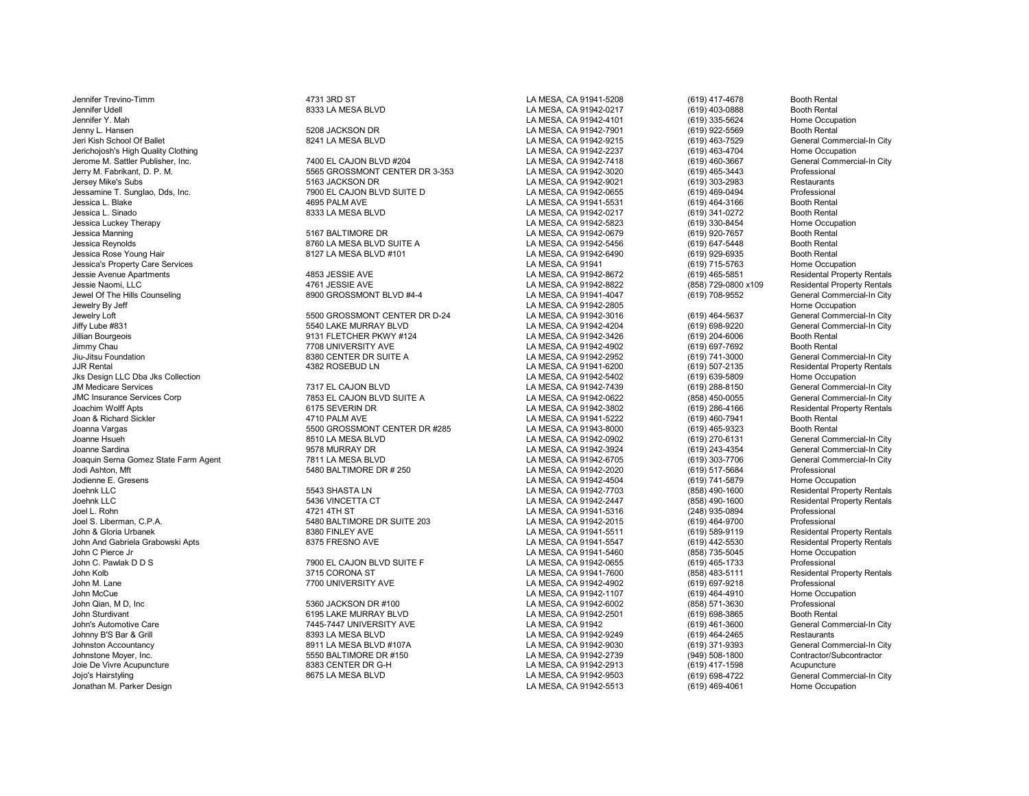Johnny B'S Bar & Grill 8393 LA MESA BLVD LA MESA, CA 91942-9249 (619) 464-2465 Restaurants Johnston Accountancy 8911 LA MESA BLVD #107A LA MESA, CA 91942-9030 (619) 371-9393 General Commercial-In C<br>Johnstone Mover. Inc. 5550 BALTIMORE DR #150 L Johnstone Moyer, Inc. 5550 BALTIMORE DR #150 LA MESA, CA 91942-2739 (949) 508-1800 Contractor/Subcontractor Joie De Vivre Acupuncture 8383 CENTER DR G-H LA MESA, CA 91942-2913 (619) 417-1598 Acupuncture Jojo's Hairstyling (1998-4722 General Commercial-In City ) 8675 LA MESA BLVD (Annual LA MESA, CA 91942-9503 (619) 698-4722 General Commercial-In City ) ما المستحدث المستحدث المستحدث المستحدث المستحدث المستحدث المستحدث الم

Jennifer Trevino-Timm 4731 3RD ST LA MESA, CA 91941-5208 (619) 417-4678 Booth Rental Jennifer Udell 8333 LA MESA BLVD LA MESA, CA 91942-0217 (619) 403-0888 Booth Rental Jennifer Y. Mah LA MESA, CA 91942-4101 (619) 335-5624 Home Occupation Jenny L. Hansen 5208 JACKSON DR LA MESA, CA 91942-7901 (619) 922-5569 Booth Rental 9241 LA MESA BLVD LA MESA, CA 91942-9215 (619) 463-7529 General Commercial-In City<br>LA MESA, CA 91942-2237 (619) 463-4704 Home Occupation Jerichojosh's High Quality Clothing Macupation 2012 2017 (619) 2013 2014 Home Occupation المسابق للمسابق المسابق<br>Jerome M. Sattler Publisher, Inc. Next commercial-In City 7400 EL CAJON BLVD #204 Macupation 2014 2014 204 L Jerome M. Sattler Publisher, Inc. 7400 EL CAJON BLVD #204 LA MESA, CA 91942-7418 (619) 460-3667 General Commercial-In City Jerry M. Fabrikant, D. P. M. 5565 GROSSMONT CENTER DR 3-353 LA MESA, CA 91942-3020 (619) 465-3443 Professional Jersey Mike's Subs 5163 JACKSON DR LA MESA, CA 91942-9021 (619) 303-2983 Restaurants Jessamine T. Sunglao, Dds, Inc. 7900 EL CAJON BLVD SUITE D LA MESA, CA 91942-0655 (619) 469-0494 Professional Jessica L. Blake 4695 PALM AVE LA MESA, CA 91941-5531 (619) 464-3166 Booth Rental Jessica L. Sinado 8333 LA MESA BLVD LA MESA, CA 91942-0217 (619) 341-0272 Booth Rental Jessica Luckey Therapy LA MESA, CA 91942-5823 (619) 330-8454 Home Occupation Jessica Manning 5167 BALTIMORE DR LA MESA, CA 91942-0679 (619) 920-7657 Booth Rental Jessica Reynolds 8760 LA MESA BLVD SUITE A LA MESA, CA 91942-5456 (619) 647-5448 Booth Rental Jessica Rose Young Hair 8127 LA MESA BLVD #101 LA MESA, CA 91942-6490 (619) 929-6935 Booth Rental Jessica's Property Care Services LA MESA, CA 91941 (619) 715-5763 Home Occupation Jessie Avenue Apartments 4853 JESSIE AVE LA MESA, CA 91942-8672 (619) 465-5851 Residental Property Rentals Jessie Naomi, LLC 4761 JESSIE AVE LA MESA, CA 91942-8822 (858) 729-0800 x109 Residental Property Rentals Jewel Of The Hills Counseling and the Counseling and the State of the State 8900 GROSSMONT BLVD #4-4 LA MESA, CA 91941-4047 (619) 708-9552 General Commercial-In City<br>Jewelry By Jeff Hills Counseling Cocupation Jewelry By Jeff LA MESA, CA 91942-2805 Home Occupation Jewelry Loft 5500 GROSSMONT CENTER DR D-24 LA MESA, CA 91942-3016 (619) 464-5637 General Commercial-In City Jiffy Lube #831 5540 LAKE MURRAY BLVD LA MESA, CA 91942-4204 (619) 698-9220 General Commercial-In City Jillian Bourgeois 9131 FLETCHER PKWY #124 LA MESA, CA 91942-3426 (619) 204-6006 Booth Rental Jimmy Chau 7708 UNIVERSITY AVE LA MESA, CA 91942-4902 (619) 697-7692 Booth Rental Jiu-Jitsu Foundation 8380 CENTER DR SUITE A LA MESA, CA 91942-2952 (619) 741-3000 General Commercial-In City JJR Rental 4382 ROSEBUD LN LA MESA, CA 91941-6200 (619) 507-2135 Residental Property Rentals Jks Design LLC Dba Jks Collection LA MESA, CA 91942-5402 (619) 639-5809 Home Occupation JM Medicare Services 7317 EL CAJON BLVD LA MESA, CA 91942-7439 (619) 288-8150 General Commercial-In City JMC Insurance Services Corp 7853 EL CAJON BLVD SUITE A (858) 450-0055<br>Joachim Wolff Apts 6175 SEVERIN DR الساب Joachim Wolff Apts والمستحدث والمستحدث المستحدث والمستحدث المستحدث والمستحدث المستحدث المستحدث والمستحدث المستحدث والمستحدث المستحدث والمستحدث المستحدث والمستحدث المستحدث المستحدث المستحدث والمستحدث المستحدث المستح Joan & Richard Sickler هو 1710 PALM AVE ماية 4710 PALM AVE المراجع المستحدة المستحدة المستحدة (619) 460-7941<br>Joanna Vargas (619) 465-9323 Booth Rental مستحدة 5500 GROSSMONT CENTER DR #285 هو المستحدة المستحدة (619) 465-93 Joanna Vargas 5500 GROSSMONT CENTER DR #285 LA MESA, CA 91943-8000 (619) 465-9323 Booth Rental Joanne Hsueh 8510 LA MESA BLVD LA MESA, CA 91942-0902 (619) 270-6131 General Commercial-In City Joanne Sardina 9578 MURRAY DR LA MESA, CA 91942-3924 (619) 243-4354 General Commercial-In City Joaquin Serna Gomez State Farm Agent 7811 LA MESA BLVD LA MESA, CA 91942-6705 (619) 303-7706 General Commercial-In City Jodi Ashton, Mft 5480 BALTIMORE DR # 250 LA MESA, CA 91942-2020 (619) 517-5684 Professional Joehnk LLC 5543 SHASTA LN LA MESA, CA 91942-7703 (858) 490-1600 Residental Property Rentals Joehnk LLC 5436 VINCETTA CT LA MESA, CA 91942-2447 (858) 490-1600 Residental Property Rentals Joel L. Rohn 4721 4TH ST LA MESA, CA 91941-5316 (248) 935-0894 Professional Joel S. Liberman, C.P.A. 5480 BALTIMORE DR SUITE 203 LA MESA, CA 91942-2015 (619) 464-9700 Professional John & Gloria Urbanek 8380 FINLEY AVE LA MESA, CA 91941-5511 (619) 589-9119 Residental Property Rentals John And Gabriela Grabowski Apts 8375 FRESNO AVE LA MESA, CA 91941-5547 (619) 442-5530 Residental Property Rentals John C Pierce Jr LA MESA, CA 91941-5460 (858) 735-5045 Home Occupation John C. Pawlak D D S 7900 EL CAJON BLVD SUITE F LA MESA, CA 91942-0655 (619) 465-1733 Professional John Kolb 3715 CORONA ST LA MESA, CA 91941-7600 (858) 483-5111 Residental Property Rentals John M. Lane 7700 UNIVERSITY AVE LA MESA, CA 91942-4902 (619) 697-9218 Professional John McCue LA MESA, CA 91942-1107 (619) 464-4910 Home Occupation John Qian, M D, Inc 5360 JACKSON DR #100 LA MESA, CA 91942-6002 (858) 571-3630 Professional John Sturdivant 6195 LAKE MURRAY BLVD LA MESA, CA 91942-2501 (619) 698-3865 Booth Rental John's Automotive Care 7445-7447 UNIVERSITY AVE LA MESA, CA 91942 (619) 461-3600 General Commercial-In City

LA MESA, CA 91942-4504

LA MESA, CA 91942-5513 (619) 469-4061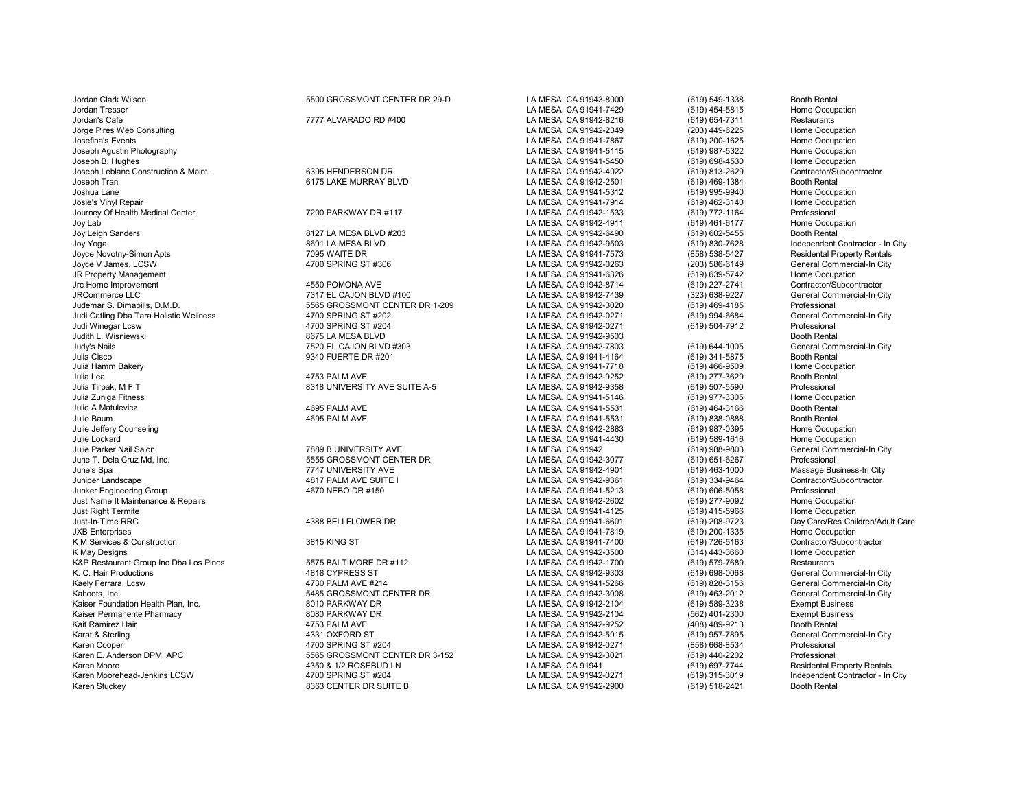Karen Cooper 4700 SPRING ST #204 LA MESA, CA 91942-0271 (858) 668-8534 Professional Karen Moore 619) 697-7744 Residental Property Rentals (1996) 4350 & 1/2 ROSEBUD LN LA MESA, CA 91941 (619) 697-7744 Residental Property Rentals (619) 697-7744 Residental Property Rentals (619) 115-3019 (619) 115-3019 Indep Karen Moorehead-Jenkins LCSW 4700 SPRING ST #204 LA MESA, CA 91942-0271 (619) 315-3019 Independent Contractor - In City Karen Stuckey **8363 CENTER DR SUITE B** LA MESA, CA 91942-2900 (619) 518-2421 Booth Rental Booth Rental Booth Rental Booth Rental Booth Rental Booth Rental Booth Rental Booth Rental Booth Rental Booth Rental Booth Rental Bo

| Jordan Clark Wilson                     | 5500 GROSSMONT CENTER DR 29-D         | LA MESA, CA 91943-8000                                  | (619) 549-1338                   | <b>Booth Rental</b>                        |
|-----------------------------------------|---------------------------------------|---------------------------------------------------------|----------------------------------|--------------------------------------------|
| <b>Jordan Tresser</b>                   |                                       | LA MESA, CA 91941-7429                                  | (619) 454-5815                   | Home Occupation                            |
| Jordan's Cafe                           | 7777 ALVARADO RD #400                 | LA MESA, CA 91942-8216                                  | (619) 654-7311                   | Restaurants                                |
| Jorge Pires Web Consulting              |                                       | LA MESA, CA 91942-2349                                  | (203) 449-6225                   | Home Occupation                            |
| Josefina's Events                       |                                       | LA MESA, CA 91941-7867                                  | (619) 200-1625                   | Home Occupation                            |
| Joseph Agustin Photography              |                                       | LA MESA, CA 91941-5115                                  | (619) 987-5322                   | Home Occupation                            |
| Joseph B. Hughes                        |                                       | LA MESA, CA 91941-5450                                  | (619) 698-4530                   | Home Occupation                            |
| Joseph Leblanc Construction & Maint.    | 6395 HENDERSON DR                     | LA MESA, CA 91942-4022                                  | (619) 813-2629                   | Contractor/Subcontractor                   |
| Joseph Tran                             | 6175 LAKE MURRAY BLVD                 | LA MESA, CA 91942-2501                                  | (619) 469-1384                   | <b>Booth Rental</b>                        |
| Joshua Lane                             |                                       | LA MESA, CA 91941-5312                                  | (619) 995-9940                   | Home Occupation                            |
| Josie's Vinyl Repair                    |                                       | LA MESA, CA 91941-7914                                  | (619) 462-3140                   | Home Occupation                            |
| Journey Of Health Medical Center        | 7200 PARKWAY DR #117                  | LA MESA, CA 91942-1533                                  | (619) 772-1164                   | Professional                               |
| Joy Lab                                 |                                       | LA MESA, CA 91942-4911                                  | (619) 461-6177                   | Home Occupation                            |
| Joy Leigh Sanders                       | 8127 LA MESA BLVD #203                | LA MESA, CA 91942-6490                                  | (619) 602-5455                   | <b>Booth Rental</b>                        |
| Joy Yoga                                | 8691 LA MESA BLVD                     | LA MESA, CA 91942-9503                                  | (619) 830-7628                   | Independent Contractor - In City           |
| Joyce Novotny-Simon Apts                | 7095 WAITE DR                         | LA MESA, CA 91941-7573                                  | (858) 538-5427                   | <b>Residental Property Rentals</b>         |
| Joyce V James, LCSW                     | 4700 SPRING ST #306                   | LA MESA, CA 91942-0263                                  | (203) 586-6149                   | General Commercial-In City                 |
| <b>JR Property Management</b>           |                                       | LA MESA, CA 91941-6326                                  | (619) 639-5742                   | Home Occupation                            |
| Jrc Home Improvement                    | 4550 POMONA AVE                       | LA MESA, CA 91942-8714                                  | (619) 227-2741                   | Contractor/Subcontractor                   |
| <b>JRCommerce LLC</b>                   | 7317 EL CAJON BLVD #100               | LA MESA, CA 91942-7439                                  | (323) 638-9227                   | General Commercial-In City                 |
| Judemar S. Dimapilis, D.M.D.            | 5565 GROSSMONT CENTER DR 1-209        | LA MESA, CA 91942-3020                                  | (619) 469-4185                   | Professional                               |
| Judi Catling Dba Tara Holistic Wellness | 4700 SPRING ST #202                   | LA MESA, CA 91942-0271                                  | (619) 994-6684                   | General Commercial-In City                 |
| Judi Winegar Lcsw                       | 4700 SPRING ST #204                   | LA MESA, CA 91942-0271                                  | (619) 504-7912                   | Professional                               |
| Judith L. Wisniewski                    | 8675 LA MESA BLVD                     | LA MESA, CA 91942-9503                                  |                                  | <b>Booth Rental</b>                        |
| Judy's Nails                            | 7520 EL CAJON BLVD #303               | LA MESA, CA 91942-7803                                  | (619) 644-1005                   | General Commercial-In City                 |
| Julia Cisco                             | 9340 FUERTE DR #201                   | LA MESA, CA 91941-4164                                  | (619) 341-5875                   | <b>Booth Rental</b>                        |
| Julia Hamm Bakery                       |                                       | LA MESA, CA 91941-7718                                  | (619) 466-9509                   | Home Occupation                            |
| Julia Lea                               | 4753 PALM AVE                         | LA MESA, CA 91942-9252                                  | (619) 277-3629                   | <b>Booth Rental</b>                        |
| Julia Tirpak, M F T                     | 8318 UNIVERSITY AVE SUITE A-5         | LA MESA, CA 91942-9358                                  | (619) 507-5590                   | Professional                               |
| Julia Zuniga Fitness                    |                                       | LA MESA, CA 91941-5146                                  | (619) 977-3305                   | Home Occupation                            |
| Julie A Matulevicz                      | 4695 PALM AVE                         | LA MESA, CA 91941-5531                                  | (619) 464-3166                   | <b>Booth Rental</b>                        |
| Julie Baum                              | 4695 PALM AVE                         | LA MESA, CA 91941-5531                                  | $(619)$ 838-0888                 | <b>Booth Rental</b>                        |
| Julie Jeffery Counseling                |                                       | LA MESA, CA 91942-2883                                  | (619) 987-0395                   | Home Occupation                            |
| Julie Lockard                           |                                       | LA MESA, CA 91941-4430                                  | $(619) 589 - 1616$               | Home Occupation                            |
| Julie Parker Nail Salon                 | 7889 B UNIVERSITY AVE                 | LA MESA, CA 91942                                       | (619) 988-9803                   | General Commercial-In City                 |
| June T. Dela Cruz Md, Inc.              | 5555 GROSSMONT CENTER DR              | LA MESA, CA 91942-3077                                  | (619) 651-6267                   | Professional                               |
| June's Spa                              | 7747 UNIVERSITY AVE                   | LA MESA, CA 91942-4901                                  | $(619)$ 463-1000                 | Massage Business-In City                   |
| Juniper Landscape                       | 4817 PALM AVE SUITE I                 | LA MESA, CA 91942-9361                                  | (619) 334-9464                   | Contractor/Subcontractor                   |
| Junker Engineering Group                | 4670 NEBO DR #150                     | LA MESA, CA 91941-5213                                  | (619) 606-5058                   | Professional                               |
| Just Name It Maintenance & Repairs      |                                       | LA MESA, CA 91942-2602                                  | (619) 277-9092                   | Home Occupation                            |
| <b>Just Right Termite</b>               |                                       | LA MESA, CA 91941-4125                                  | (619) 415-5966                   | Home Occupation                            |
| Just-In-Time RRC                        | 4388 BELLFLOWER DR                    | LA MESA, CA 91941-6601                                  | (619) 208-9723                   | Day Care/Res Children/Adult Care           |
| <b>JXB Enterprises</b>                  |                                       | LA MESA, CA 91941-7819                                  | (619) 200-1335                   | Home Occupation                            |
| K M Services & Construction             | 3815 KING ST                          | LA MESA, CA 91941-7400                                  | (619) 726-5163                   | Contractor/Subcontractor                   |
| K May Designs                           |                                       | LA MESA, CA 91942-3500                                  | $(314)$ 443-3660                 | Home Occupation                            |
| K&P Restaurant Group Inc Dba Los Pinos  | 5575 BALTIMORE DR #112                | LA MESA, CA 91942-1700                                  | (619) 579-7689                   | Restaurants                                |
| K. C. Hair Productions                  | 4818 CYPRESS ST                       | LA MESA, CA 91942-9303                                  | (619) 698-0068                   | General Commercial-In City                 |
| Kaely Ferrara, Lcsw                     | 4730 PALM AVE #214                    | LA MESA, CA 91941-5266                                  |                                  | General Commercial-In City                 |
|                                         |                                       |                                                         | (619) 828-3156                   |                                            |
| Kahoots, Inc.                           | 5485 GROSSMONT CENTER DR              | LA MESA, CA 91942-3008                                  | (619) 463-2012                   | General Commercial-In City                 |
| Kaiser Foundation Health Plan, Inc.     | 8010 PARKWAY DR                       | LA MESA, CA 91942-2104                                  | (619) 589-3238                   | <b>Exempt Business</b>                     |
| Kaiser Permanente Pharmacy              | 8080 PARKWAY DR                       | LA MESA, CA 91942-2104                                  | (562) 401-2300                   | <b>Exempt Business</b>                     |
| Kait Ramirez Hair                       | 4753 PALM AVE                         | LA MESA, CA 91942-9252                                  | (408) 489-9213                   | <b>Booth Rental</b>                        |
| Karat & Sterling<br>Karen Cooper        | 4331 OXFORD ST<br>4700 SPRING ST #204 | LA MESA, CA 91942-5915<br><b>I A MESA CA 91942-0271</b> | (619) 957-7895<br>(858) 668.8534 | General Commercial-In City<br>Professional |
|                                         |                                       |                                                         |                                  |                                            |

%5565 GROSSMONT CENTER DR 3-152 LA MESA, CA 91942-3021 (619) 440-2202<br>4350 & 1/2 ROSEBUD LN LA MESA, CA 91941 (619) 697-7744

LA MESA, CA 91941-5450 (619) 698-4530 Home Occupation<br>
LA MESA, CA 91942-4022 (619) 813-2629 Contractor/Subcontractor Julie A Matulevicz 4695 PALM AVE LA MESA, CA 91941-5531 (619) 464-3166 Booth Rental June T. Dela Cruz Md, Inc. 5555 GROSSMONT CENTER DR LA MESA, CA 91942-3077 (619) 651-6267 Professional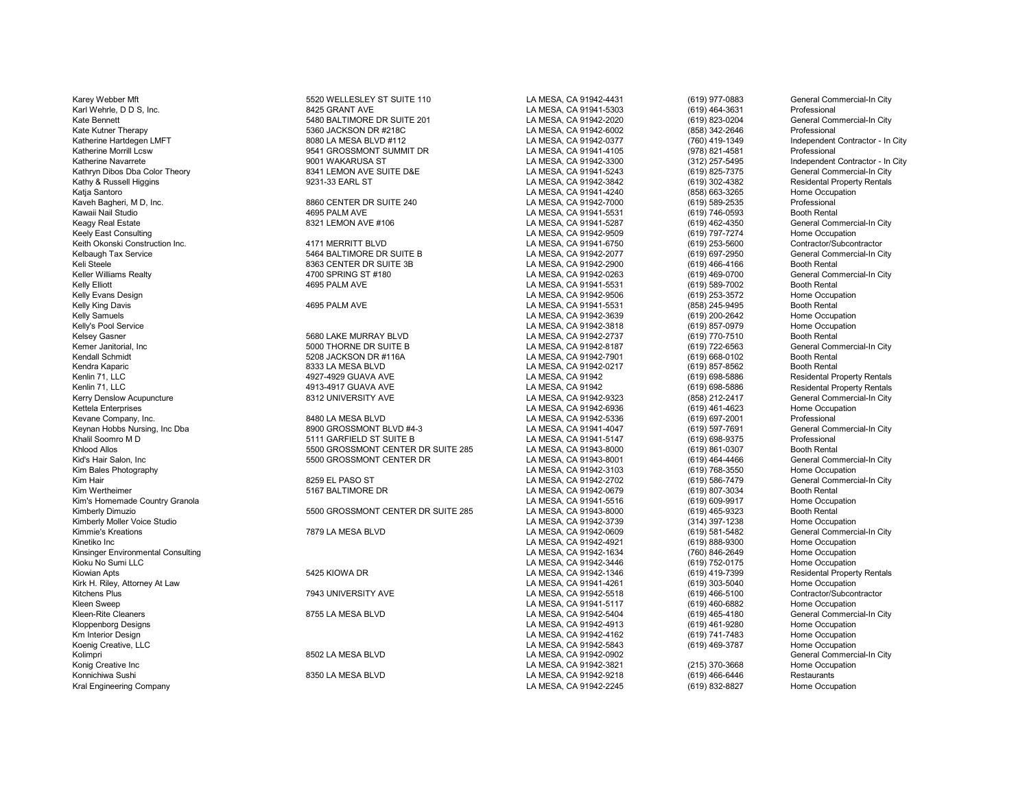Km Interior Design LA MESA, CA 91942-4162 (619) 741-7483 Home Occupation Koenig Creative, LLC **Charles Coenig Creative, LLC** Home Occupation<br>Kolimpri Camera Commercial Commercial In City Kolimpri 8502 LA MESA BLVD LA MESA, CA 91942-0902 General Commercial-In City Konig Creative Inc LA MESA, CA 91942-3821 (215) 370-3668 Home Occupation Kral Engineering Company November 2022-2245 (619) 832-827 (619) 832-8245 (621-910) 832-827 Home Occupation Company

Karey Webber Mft **Frank State Commercial-In City** 5520 WELLESLEY ST SUITE 110 LA MESA, CA 91942-4431 (619) 977-0883 General Commercial-In City Karl Wehrle, D D S, Inc. 8425 GRANT AVE LA MESA, CA 91941-5303 (619) 464-3631 Professional Kate Bennett 619) 823-0204 General Commercial-In City<br>Kate Kutner Therapy Commercial-In City 5360 JACKSON DR #218C COMPACK CA SUNALSA, CA 91942-6002 (858) 342-2646 Professional 5360 JACKSON DR #218C Katherine Hartdegen LMFT North Contractor - In City 8080 LA MESA BLVD #112 LA MESA, CA 91942-0377 (760) 419-1349 Independent Contractor - In City (760) 419-1349 Independent Contractor - In City (8080 LA MESA, CA 91941-4105 Katherine Morrill Lcsw 9541 GROSSMONT SUMMIT DR LA MESA, CA 91941-4105 (978) 821-4581<br>Katherine Navarrete 9001 WAKARUSA ST LA MESA, CA 91942-3300 Ratherine Navarrete 9001 WAKARUSA ST LA MESA, CA 91942-3300 (312) 257-5495 Independent Contractor - In City<br>1994 - LA MESA, CA 91941-5243 (619) 825-7375 General Commercial-In City Kathryn Dibos Dba Color Theory **8341 LEMON AVE SUITE D&E** LA MESA, CA 91941-5243 (619) 825-7375 General Commercial-In City<br>Kathry & Russell Higgins Residental Property Rentals 9231-33 EARL ST LA MESA. CA 91942-3842 (619) 3 Kathy & Russell Higgins 9231-33 EARL ST LA MESA, CA 91942-3842 Residental Property Rentals Katja Santoro LA MESA, CA 91941-4240 (858) 663-3265 Home Occupation Kaveh Bagheri, M D, Inc. 8860 CENTER DR SUITE 240 LA MESA, CA 91942-7000 (619) 589-2535 Professional<br>Kawaii Nail Studio 4695 PALM AVE LA MESA. CA 91941 Kawaii Nail Studio 4695 PALM AVE LA MESA, CA 91941-5531 (619) 746-0593 Booth Rental Keagy Real Estate 619 According the Commercial-In City (619) 8321 LEMON AVE #106 Commercial-In City LA MESA, CA 91941-5287 (619) 462-4350 General Commercial-In City (619) 462-4350 General Commercial-In City (619) 797-7274 Keely East Consulting LA MESA, CA 91942-9509 (619) 797-7274 Home Occupation Keith Okonski Construction Inc. 4171 MERRITT BLVD LA MESA, CA 91941-6750 (619) 253-5600 Contractor/Subcontractor Kelbaugh Tax Service Service Commercial-In City 3664 BALTIMORE DR SUITE B LA MESA, CA 91942-2077 (619) 697-2950 General Commercial-In City (619) 697-2950 General Commercial-In City (619) 697-2950 General Commercial-In City Keli Steele 8363 CENTER DR SUITE 3B LA MESA, CA 91942-2900 (619) 466-4166 Booth Rental Mesa (19) 466-4166 Booth Rental Mesa CA 91942-0263 (619) 466-4166 Booth Rental Mesa Cammercial-In City Keller Williams Realty 4700 SPRING ST #180 LA MESA, CA 91942-0263 (619) 469-0700 General Commercial-In City Kelly Elliott 4695 PALM AVE LA MESA, CA 91941-5531 (619) 589-7002 Booth Rental Kelly Evans Design LA MESA, CA 91942-9506 (619) 253-3572 Home Occupation Kelly King Davis 4695 PALM AVE LA MESA, CA 91941-5531 (858) 245-9495 Booth Rental Kelly Samuels LA MESA, CA 91942-3639 (619) 200-2642 Home Occupation Kelly's Pool Service LA MESA, CA 91942-3818 (619) 857-0979 Home Occupation Kelsey Gasner 5680 LAKE MURRAY BLVD LA MESA, CA 91942-2737 (619) 770-7510 Booth Rental Kemer Janitorial, Inc 5000 THORNE DR SUITE B LA MESA, CA 91942-8187 (619) 722-6563 General Com<br>Kendall Schmidt 5208 JACKSON DR #116A LA MESA. CA 91942-Kendall Schmidt 5208 JACKSON DR #116A LA MESA, CA 91942-7901 (619) 668-0102 Booth Rental Kendra Kaparic 8333 LA MESA BLVD LA MESA, CA 91942-0217 (619) 857-8562 Booth Rental Kenlin 71, LLC 4927-4929 GUAVA AVE LA MESA, CA 91942 (619) 698-5886 Residental Property Rentals Kenlin 71, LLC Residental Property Rentals (1913-4917 GUAVA AVE بالمسابر المسابر المسابر المسابر المسابر المسابر ال<br>Kerry Denslow Acupuncture 1983 ASS 212-2417 (1989) 1999 (1989) 1999 8312 UNIVERSITY AVE 1999 12-2417 (199 Kerry Denslow Acupuncture example: The City of Basic Basic Basic Basic Basic Basic Basic Basic Basic Basic Basic Basic Basic Basic Basic Basic Basic Basic Basic Basic Basic Basic Basic Basic Basic Basic Basic Basic Basic B Kettela Enterprises LA MESA, CA 91942-6936 (619) 461-4623 Home Occupation Kevane Company, Inc. 8480 LA MESA BLVD LA MESA, CA 91942-5336 (619) 697-2001 Professional Keynan Hobbs Nursing, Inc Dba 8900 GROSSMONT BLVD #4-3 LA MESA, CA 91941-4047 (619) 597-7691 General Commercial-In City Khalil Soomro M D 5111 GARFIELD ST SUITE B LA MESA, CA 91941-5147 (619) 698-9375 Professional Khlood Allos 5500 GROSSMONT CENTER DR SUITE 285 LA MESA, CA 91943-8000 (619) 861-0307 Booth Rental Kid's Hair Salon, Inc 5500 GROSSMONT CENTER DR LA MESA, CA 91943-8001 (619) 464-4466 General Commercial-In City Kim Bales Photography LA MESA, CA 91942-3103 (619) 768-3550 Home Occupation Kim Hair 8259 EL PASO ST North Camp and LA MESA, CA 91942-2702 (619) 586-7479 General Commercial-In City (619) 586-7479 (6eneral Commercial-In City (619) 586-7479 (69) 586-7479 (69) 586-7479 (69) 586-7479 (69) 586-7479 (61 Kim Wertheimer 619) 807-3034 (619) 5167 BALTIMORE DR LA MESA, CA 91942-0679 (619) 807-3034<br>Kim's Homemade Country Granola (619) 609-9917 Kim's Homemade Country Granola LA MESA, CA 91941-5516 (619) 609-9917 Home Occupation Kimberly Dimuzio 5500 GROSSMONT CENTER DR SUITE 285 LA MESA, CA 91943-8000 (619) 465-9323 Booth Rental Kimberly Moller Voice Studio North Coupation (314) 2014 1238 Home Occupation (414) 2014 1238 Home Occupation (<br>- The MESA BLVD LA MESA North LA MESA, CA 91942-0609 (619) 581-5482 General Commercial-In City Kimmie's Kreations 7879 LA MESA BLVD LA MESA, CA 91942-0609 (619) 581-5482 General Commercial-In City Kinetiko Inc (619) 888-9300 Home Occupation (619) Home Occupation (619) 888-9300 Home Occupation (619) Annual Home Occupation (619) 888-9300 Home Occupation (619) 888-9300 Home Occupation (619) 888-9300 Home Occupation (61 Kinsinger Environmental Consulting LA MESA, CA 91942-1634 (760) 846-2649 Home Occupation Kioku No Sumi LLC LA MESA, CA 91942-3446 (619) 752-0175 Home Occupation Kiowian Apts 6425 KIOWA DR 5425 KIOWA DR LA MESA, CA 91942-1346 (619) 419-7399 Residental Property Rentals Rentals<br>CA MESA, CA 91941-4261 (619) 303-5040 Home Occupation Kirk H. Riley, Attorney At Law LA MESA, CA 91941-4261 (619) 303-5040 Home Occupation Kitchens Plus 7943 UNIVERSITY AVE LA MESA, CA 91942-5518 (619) 466-5100 Contractor/Subcontractor Kleen Sweep LA MESA, CA 91941-5117 (619) 460-6882 Home Occupation Kleen-Rite Cleaners 8755 LA MESA BLVD LA MESA, CA 91942-5404 (619) 465-4180 General Commercial-In City Kloppenborg Designs LA MESA, CA 91942-4913 (619) 461-9280 Home Occupation

LA MESA, CA 91942-9218 (619) 466-6446 Restaurants<br>
LA MESA. CA 91942-2245 (619) 832-8827 Home Occupation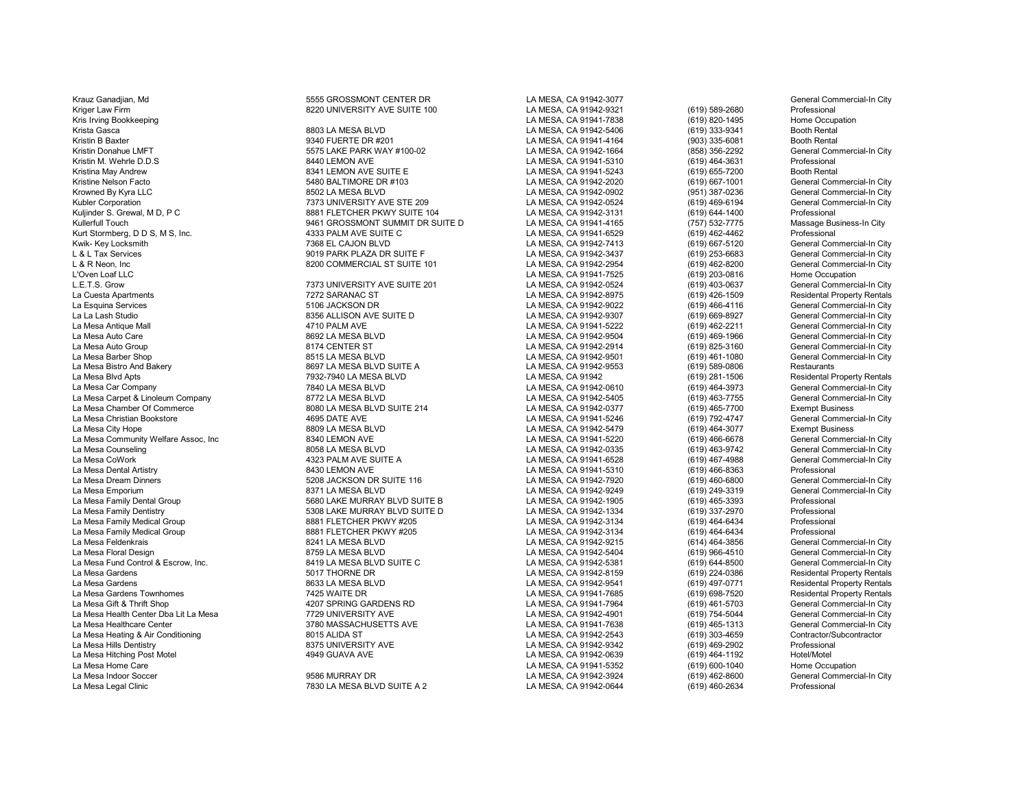Kriger Law Firm 8220 UNIVERSITY AVE SUITE 100 LA MESA, CA 91942-9321 (619) 589-2680 Professional Kris Irving Bookkeeping LA MESA, CA 91941-7838 (619) 820-1495 Home Occupation

Krauz Ganadjian, Md **555 GROSSMONT CENTER DR** LA MESA, CA 91942-3077 CALLA MESA, CA 91942-3077 General Commercial-In City

Krista Gasca 8803 LA MESA BLVD LA MESA, CA 91942-5406 (619) 333-9341 Booth Rental Kristin B Baxter 9340 FUERTE DR #201 LA MESA, CA 91941-4164 (903) 335-6081 Booth Rental Kristin Donahue LMFT 5575 LAKE PARK WAY #100-02 LA MESA, CA 91942-1664 (858) 356-2292 General Commercial-In City Kristin M. Wehrle D.D.S 8440 LEMON AVE LA MESA, CA 91941-5310 Professional<br>Ristina May Andrew 8341 LEMON AVE SUITE E LA MESA. CA 91941-5243 Kristina May Andrew 8341 LEMON AVE SUITE E LA MESA, CA 91941-5243 (619) 655-7200 Booth Rental<br>Kristine Nelson Facto 5480 BALTIMORE DR #103 LA MESA. CA 91942-Kristine Nelson Facto 5480 BALTIMORE DR #103 LA MESA, CA 91942-2020 (619) 667-1001 General Commercial-In City Krowned By Kyra LLC 8502 LA MESA BLVD LA MESA, CA 91942-0902 (951) 387-0236 General Commercial-In City Kubler Corporation 1999 (1999) Terminal Commercial-In City (1999) May and the STE 209 LA MESA, CA 91942-0524 (619) 469-6194 General Commercial-In City<br>The Multinder S. Grewal. M.D. P.C. The Steam of the State of the State Kuljinder S. Grewal, M D, P C Channel Composite the Suite of the State of State of the State of State of State<br>Kullerfull Touch City (757) 532-7775 Massage Business-In City 9461 GROSSMONT SUMMIT DR SUITE D LA MESA, CA 9194 Van 1 GROSSMONT SUMMIT DR SUITE D LA MESA, CA 91941-4165 (757) 532-7775 Massage Business-In Care in Campion C<br>1933 PALM AVE SUITE C LA MESA. CA 91941-6529 (819) 462-4462 Professional Kurt Stormberg, D D S, M S, Inc. 4333 PALM AVE SUITE C LA MESA, CA 91941-6529 (619) 462-4462 Professional Kwik- Key Locksmith 7368 EL CAJON BLVD LA MESA, CA 91942-7413 (619) 667-5120 General Commercial-In City L & L Tax Services 9019 PARK PLAZA DR SUITE F LA MESA, CA 91942-3437 (619) 253-6683 General Commercial-In City L & R Neon, Inc 8200 COMMERCIAL ST SUITE 101 LA MESA, CA 91942-2954 (619) 462-8200 General Commercial-In City L'Oven Loaf LLC LA MESA, CA 91941-7525 (619) 203-0816 Home Occupation L.E.T.S. Grow 7373 UNIVERSITY AVE SUITE 201 LA MESA, CA 91942-0524 (619) 403-0637 General Commercial-In City La Cuesta Apartments 7272 SARANAC ST LA MESA, CA 91942-8975 (619) 426-1509 Residental Property Rentals La Esquina Services 5106 JACKSON DR LA MESA, CA 91942-9022 (619) 466-4116 General Commercial-In City La La Lash Studio 8356 ALLISON AVE SUITE D LA MESA, CA 91942-9307 (619) 669-8927 General Commercial-In City La Mesa Antique Mall 4710 PALM AVE LA MESA, CA 91941-5222 (619) 462-2211 General Commercial-In City La Mesa Auto Care 8692 LA MESA BLVD LA MESA, CA 91942-9504 (619) 469-1966 General Commercial-In City La Mesa Auto Group 8174 CENTER ST LA MESA, CA 91942-2914 (619) 825-3160 General Commercial-In City La Mesa Barber Shop 8515 LA MESA BLVD LA MESA, CA 91942-9501 (619) 461-1080 General Commercial-In City La Mesa Bistro And Bakery 8697 LA MESA BLVD SUITE A LA MESA, CA 91942-9553 (619) 589-0806 Restaurants La Mesa Blvd Apts 7932-7940 LA MESA BLVD LA MESA, CA 91942 (619) 281-1506 Residental Property Rentals La Mesa Car Company 7840 LA MESA BLVD LA MESA, CA 91942-0610 (619) 464-3973 General Commercial-In City La Mesa Carpet & Linoleum Company **8772 LA MESA BLVD** LA MESA, CA 91942-5405 (619) 463-7755 General Commercial-In<br>La Mesa Chamber Of Commerce **1992-09 Commercial Commercial Commercial**-In City Commercial-In City Commercial La Mesa Chamber Of Commerce 8080 LA MESA BLVD SUITE 214 LA MESA, CA 91942-0377 (619) 465-7700 Exempt Business La Mesa Christian Bookstore 4695 DATE AVE LA MESA, CA 91941-5246 (619) 792-4747 General Commercial-In City La Mesa City Hope 8809 LA MESA BLVD LA MESA, CA 91942-5479 (619) 464-3077 Exempt Business La Mesa Community Welfare Assoc, Inc 8340 LEMON AVE LA MESA, CA 91941-5220 (619) 466-6678 General Commercial-In City La Mesa Counseling 8058 LA MESA BLVD LA MESA, CA 91942-0335 (619) 463-9742 General Commercial-In City La Mesa CoWork 4323 PALM AVE SUITE A LA MESA, CA 91941-6528 (619) 467-4988 General Commercial-In City La Mesa Dental Artistry 8430 LEMON AVE LA MESA, CA 91941-5310 (619) 466-8363 Professional E S208 JACKSON DR SUITE 116 **Dream Dinners 116** LA MESA, CA 91942-7920 (619) 460-6800 General Commercial-In City<br>B371 LA MESA BLVD Commercial-In City La Mesa Emporium 8371 LA MESA BLVD LA MESA, CA 91942-9249 (619) 249-3319 General Commercial-In City La Mesa Family Dental Group 5680 LAKE MURRAY BLVD SUITE B LA MESA, CA 91942-1905 (619) 465-3393 Professional La Mesa Family Dentistry 5308 LAKE MURRAY BLVD SUITE D LA MESA, CA 91942-1334 (619) 337-2970 Professional La Mesa Family Medical Group 8881 FLETCHER PKWY #205 LA MESA, CA 91942-3134 (619) 464-6434 Professional La Mesa Family Medical Group 8881 FLETCHER PKWY #205 LA MESA, CA 91942-3134 (619) 464-6434 Professional La Mesa Feldenkrais 8241 LA MESA BLVD LA MESA, CA 91942-9215 (614) 464-3856 General Commercial-In City La Mesa Floral Design 8759 LA MESA BLVD LA MESA, CA 91942-5404 (619) 966-4510 General Commercial-In City La Mesa Fund Control & Escrow, Inc. 8419 LA MESA BLVD SUITE C LA MESA, CA 91942-5381 (619) 644-8500 General Commercial-In City La Mesa Gardens 5017 THORNE DR LA MESA, CA 91942-8159 (619) 224-0386 Residental Property Rentals La Mesa Gardens 8633 LA MESA BLVD LA MESA, CA 91942-9541 (619) 497-0771 Residental Property Rentals La Mesa Gardens Townhomes 7425 WAITE DR LA MESA, CA 91941-7685 (619) 698-7520 Residental Property Rentals La Mesa Gift & Thrift Shop 4207 SPRING GARDENS RD LA MESA, CA 91941-7964 (619) 461-5703 General Commercial-In City La Mesa Health Center Dba Lit La Mesa 7729 UNIVERSITY AVE LA MESA, CA 91942-4901 (619) 754-5044 General Commercial-In City La Mesa Healthcare Center 3780 MASSACHUSETTS AVE LA MESA, CA 91941-7638 (619) 465-1313 General Commercial-In City La Mesa Heating & Air Conditioning 8015 ALIDA ST LA MESA, CA 91942-2543 (619) 303-4659 Contractor/Subcontractor La Mesa Hills Dentistry 8375 UNIVERSITY AVE LA MESA, CA 91942-9342 (619) 469-2902 Professional La Mesa Hitching Post Motel 4949 GUAVA AVE LA MESA, CA 91942-0639 (619) 464-1192 Hotel/Motel La Mesa Home Care LA MESA, CA 91941-5352 (619) 600-1040 Home Occupation La Mesa Indoor Soccer 9586 MURRAY DR LA MESA, CA 91942-3924 (619) 462-8600 General Commercial-In City T830 LA MESA BLVD SUITE A 2 LA MESA, CA 91942-0644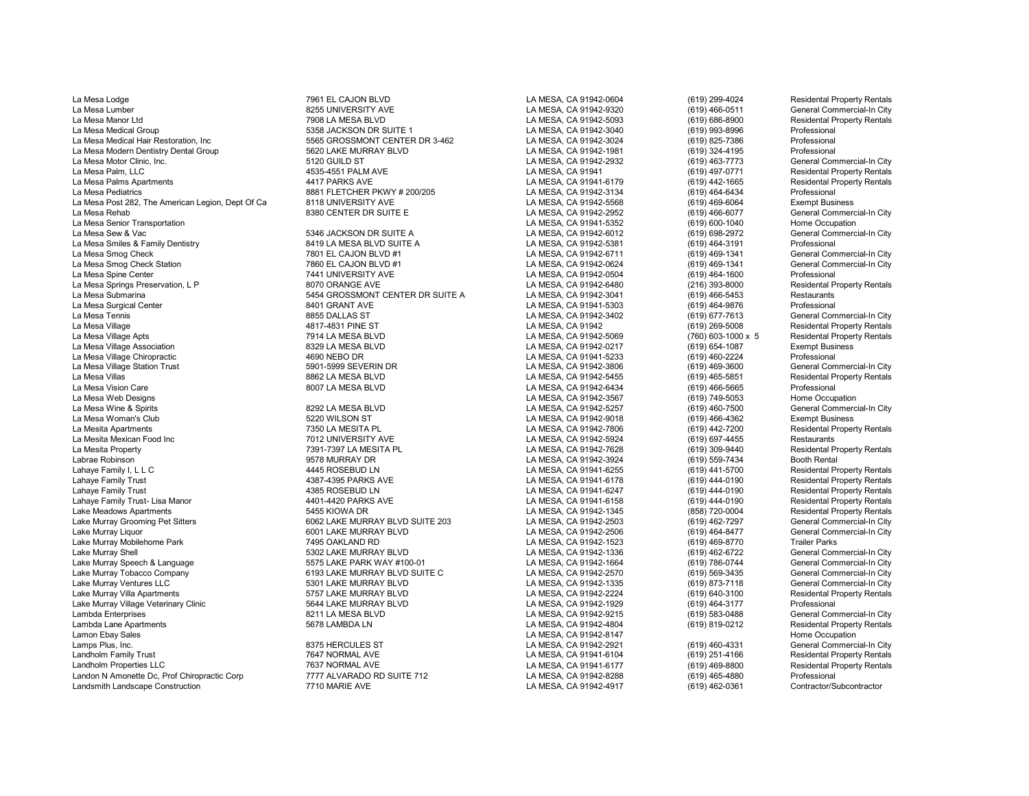La Mesa Lodge 7961 EL CAJON BLVD LA MESA, CA 91942-0604 (619) 299-4024 Residental Property Rentals La Mesa Lumber 8255 UNIVERSITY AVE LA MESA, CA 91942-9320 (619) 466-0511 General Commercial-In City La Mesa Manor Ltd 7908 LA MESA BLVD LA MESA, CA 91942-5093 (619) 686-8900 Residental Property Rentals La Mesa Medical Group Cass Correspondent Cass of the State of State 1 LA MESA, CA 91942-3040 (619) 993-8996 Professional La Mesa Medical Hair Restoration, Inc 5565 GROSSMONT CENTER DR 3-462 LA MESA, CA 91942-3024 (619) 825-7386 Professional La Mesa Modern Dentistry Dental Group 5620 LAKE MURRAY BLVD LA MESA, CA 91942-1981 (619) 324-4195 Professional La Mesa Motor Clinic, Inc. 5120 GUILD ST LA MESA, CA 91942-2932 (619) 463-7773 General Commercial-In City La Mesa Palm, LLC 4535-4551 PALM AVE LA MESA, CA 91941 (619) 497-0771 Residental Property Rentals La Mesa Palms Apartments 4417 PARKS AVE LA MESA, CA 91941-6179 (619) 442-1665 Residental Property Rentals La Mesa Pediatrics 8881 FLETCHER PKWY # 200/205 LA MESA, CA 91942-3134 (619) 464-6434 Professional La Mesa Post 282, The American Legion, Dept Of Ca and Business 8118 UNIVERSITY AVE LA MESA, CA 91942-5568 (619) 469-6064 Exempt Business (Exempt Business 19942-2052 (619) 466-6077 (General Commercial-In City and Mesa Reha La Mesa Rehab 8380 CENTER DR SUITE E LA MESA, CA 91942-2952 (619) 466-6077 General Commercial-In City La Mesa Senior Transportation LA MESA, CA 91941-5352 (619) 600-1040 Home Occupation La Mesa Smiles & Family Dentistry **Canadia Computer State of the State Area** LA MESA, CA 91942-5381 (619) 464-3191<br>La Mesa Smog Check **Canadia Commercial-In City** 7801 EL CAJON BLVD #1 **CALA MESA, CA 91942-6711** (619) 469-La Mesa Smog Check 7801 EL CAJON BLVD #1 LA MESA, CA 91942-6711 (619) 469-1341 General Commercial-In City La Mesa Smog Check Station 7860 EL CAJON BLVD #1 LA MESA, CA 91942-0624 (619) 469-1341 General Commercial-In City La Mesa Spine Center 7441 UNIVERSITY AVE LA MESA, CA 91942-0504 (619) 464-1600 Professional La Mesa Springs Preservation, L P 8070 ORANGE AVE LA MESA, CA 91942-6480 (216) 393-8000 Residental Property Rentals<br>La Mesa Submarina Restaurants Restaurants 6454 GROSSMONT CENTER DR SUITE A LA MESA, CA 91942-3041 (619) 46 La Mesa Submarina 5454 GROSSMONT CENTER DR SUITE A LA MESA, CA 91942-3041 (619) 466-5453 Restaurants La Mesa Surgical Center 8401 GRANT AVE LA MESA, CA 91941-5303 (619) 464-9876 Professional La Mesa Tennis 8855 DALLAS ST LA MESA, CA 91942-3402 (619) 677-7613 General Commercial-In City La Mesa Village 4817-4831 PINE ST LA MESA, CA 91942 (619) 269-5008 Residental Property Rentals La Mesa Village Apts **7914 LA MESA BLVD** 7914 LA MESA DU LA MESA, CA 91942-5069 (760) 603-1000 x 5 Residental Property Rentals<br>La Mesa Village Association 1996 the same was based on the same same same was considered associ La Mesa Village Association 8329 LA MESA BLVD LA MESA, CA 91942-0217 (619) 654-1087 Exempt Business La Mesa Village Chiropractic 4690 NEBO DR LA MESA, CA 91941-5233 (619) 460-2224 Professional La Mesa Village Station Trust 5901-5999 SEVERIN DR LA MESA, CA 91942-3806 (619) 469-3600 General Commercial-In City La Mesa Villas 8862 LA MESA BLVD LA MESA, CA 91942-5455 (619) 465-5851 Residental Property Rentals La Mesa Vision Care 8007 LA MESA BLVD LA MESA, CA 91942-6434 (619) 466-5665 Professional La Mesa Web Designs LA MESA, CA 91942-3567 (619) 749-5053 Home Occupation La Mesa Wine & Spirits 8292 LA MESA BLVD LA MESA, CA 91942-5257 (619) 460-7500 General Commercial-In City La Mesa Woman's Club 5220 WILSON ST LA MESA, CA 91942-9018 (619) 466-4362 Exempt Business La Mesita Apartments 1986 | Tas Campion 1999 | Tamber 1999 | Tamber 1999 | Tamber 1999 | Tamber 1999 | Tamber 1<br>La Mesita Apartments | Tamber 1999 | Tamber 1999 | Tamber 1999 | Tamber 1999 | Tamber 1999 | Tamber 1999 | Tam La Mesita Mexican Food Inc 7012 UNIVERSITY AVE LA MESA, CA 91942-5924 (619) 697-4455 Restaurants La Mesita Property 7391-7397 LA MESITA PL LA MESA, CA 91942-7628 (619) 309-9440 Residental Property Rentals Labrae Robinson 9578 MURRAY DR LA MESA, CA 91942-3924 (619) 559-7434 Booth Rental Lahaye Family I, L L C 4445 ROSEBUD LN LA MESA, CA 91941-6255 (619) 441-5700 Residental Property Rentals Lahaye Family Trust 4387-4395 PARKS AVE LA MESA, CA 91941-6178 (619) 444-0190 Residental Property Rentals Lahaye Family Trust Lisa Manor (1989) And the Manus of the Manus of the Manus of the Manus of the Manus of the<br>14385 Lahaye Family Trust Lisa Manor (1994) And the Manus of the Manus of the Manus of the Manus of the Manus Lahaye Family Trust- Lisa Manor 4401-4420 PARKS AVE LA MESA, CA 91941-6158 (619) 444-0190 Residental Property Rentals Lake Meadows Apartments 5455 KIOWA DR LA MESA, CA 91942-1345 (858) 720-0004 Residental Property Rentals Lake Murray Grooming Pet Sitters 6062 LAKE MURRAY BLVD SUITE 203 LA MESA, CA 91942-2503 (619) 462-7297 General Commercial-In City Lake Murray Liquor 6001 LAKE MURRAY BLVD LA MESA, CA 91942-2506 (619) 464-8477 General Commercial-In City Lake Murray Mobilehome Park 7495 OAKLAND RD LA MESA, CA 91942-1523 (619) 469-8770 Trailer Parks Lake Murray Speech & Language 5575 LAKE PARK WAY #100-01 LA MESA, CA 91942-1664 (619) 786-0744 General Commercial-In City Lake Murray Ventures LLC 5301 LAKE MURRAY BLVD LA MESA, CA 91942-1335 (619) 873-7118 General Commercial-In City Lake Murray Villa Apartments 5757 LAKE MURRAY BLVD LA MESA, CA 91942-2224 (619) 640-3100 Residental Property Rentals Lake Murray Village Veterinary Clinic and the Second of the Second of the Second of the Second 1991 Cambda Enterprises (619) 464-3177 Professional and the Second of the Second of the Second 1991 1991 1992-9215 (619) 583-04 Lambda Enterprises 8211 LA MESA BLVD LA MESA, CA 91942-9215 (619) 583-0488 General Commercial-In City Lambda Lane Apartments 5678 LAMBDA LN LA MESA, CA 91942-4804 (619) 819-0212 Residental Property Rentals Lamon Ebay Sales LA MESA, CA 91942-8147 Home Occupation Lamps Plus, Inc. 8375 HERCULES ST LA MESA, CA 91942-2921 (619) 460-4331 General Commercial-In City Landholm Family Trust 7647 NORMAL AVE LA MESA, CA 91941-6104 (619) 251-4166 Residental Property Rentals Landholm Properties LLC **Canadia Conferent Conferent Conferent Conferent Conferent Conferent Conferent Conferent**<br>La MESA, CA 91942-8288 (619) 465-4880 Professional Property Rentals (619) 465-4880 Professional Professional Landon N Amonette Dc, Prof Chiropractic Corp 7777 ALVARADO RD SUITE 712 LA MESA, CA 91942-8288 (619) 465-4880 Professional<br>Landsmith Landscape Construction Contractor/Subcontractor 7710 MARIE AVE NEXT CALLA MESA. CA 91942 Landsmith Landscape Construction 1986 1992-4917 CONSERVE 2008 1994 CONTRACTOR CONTRACTOR CONTRACTOR CONTRACTOR

د السابق المسابق المسابق المسابق المسابق المسابق المسابق المسابق المسابق المسابق المسابق المسابق المسابق المسا<br>19 La Mesa Ca 91942-5381 (619) 464-3191 Professional Professional

Lake Murray Shell 5302 LAKE MURRAY BLVD LA MESA, CA 91942-1336 (619) 462-6722 General Commercial-In City 6193 LAKE MURRAY BLVD SUITE C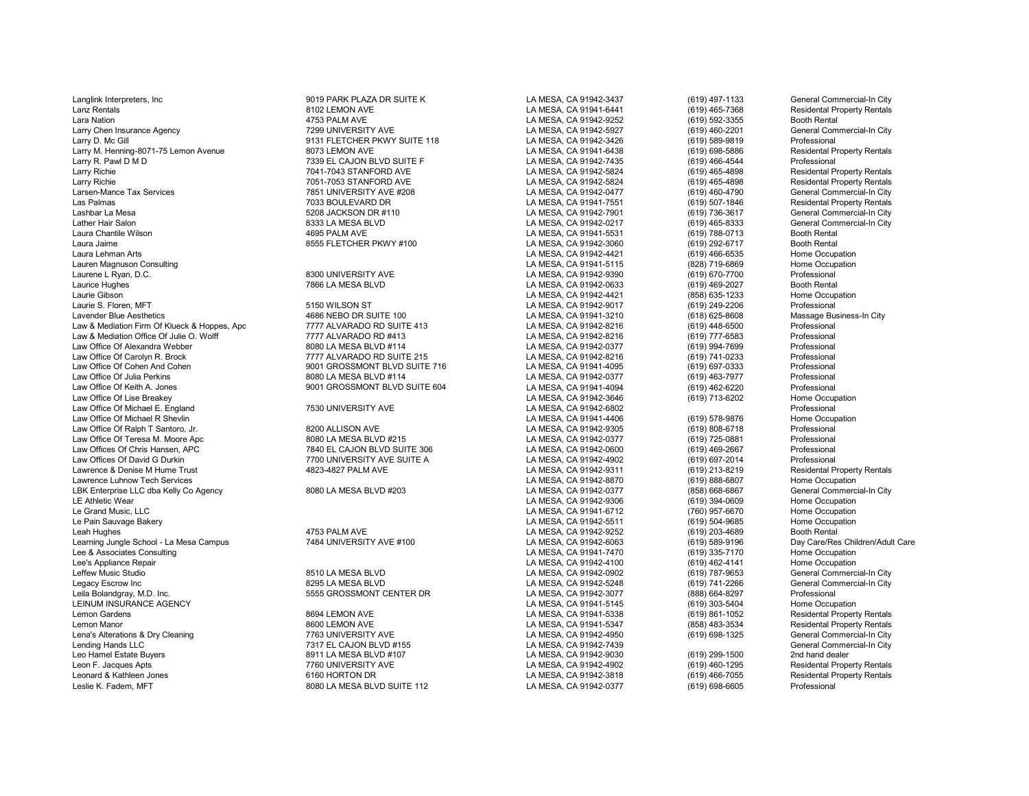Langlink Interpreters, Inc 9019 PARK PLAZA DR SUITE K LA MESA, CA 91942-3437 (619) 497-1133 General Commercial-In City Lanz Rentals 8102 LEMON AVE LA MESA, CA 91941-6441 (619) 465-7368 Residental Property Rentals Larry Chen Insurance Agency 1998 UNIVERSITY AVE LA MESA, CA 91942-5927 (619) 460-2201<br>Larry D. Mc Gill (619) 589-9819 (619) 589-9819 (619) 589-9819 Larry D. Mc Gill 9131 FLETCHER PKWY SUITE 118 LA MESA, CA 91942-3426 (619) 589-9819 Professional Larry M. Henning-8071-75 Lemon Avenue 2007 12:00 LA MESA, CA 91941-6438 (619) 698-5886 Residental Professional<br>Larry R. Pawl D. M. D. Brofessional 2008 C. Annual Professional Professional 2009 12:00 Resident Annual Amesa Larry R. Pawl D M D 7339 EL CAJON BLVD SUITE F LA MESA, CA 91942-7435 (619) 466-4544 Professional Larry Richie 7041-7043 STANFORD AVE LA MESA, CA 91942-5824 (619) 465-4898 Residental Property Rentals Larry Richie 7051-7053 STANFORD AVE LA MESA, CA 91942-5824 (619) 465-4898 Residental Property Rentals Larsen-Mance Tax Services 7851 UNIVERSITY AVE #208 LA MESA, CA 91942-0477 (619) 460-4790 General Commercial-In City Las Palmas 7033 BOULEVARD DR LA MESA, CA 91941-7551 (619) 507-1846 Residental Property Rentals Lashbar La Mesa 5208 JACKSON DR #110 LA MESA, CA 91942-7901 (619) 736-3617 General Commercial-In City Lather Hair Salon 8333 LA MESA BLVD LA MESA, CA 91942-0217 (619) 465-8333 General Commercial-In City Laura Chantile Wilson 4695 PALM AVE LA MESA, CA 91941-5531 (619) 788-0713 Booth Rental Laura Jaime 8555 FLETCHER PKWY #100 LA MESA, CA 91942-3060 (619) 292-6717 Booth Rental<br>La MESA. CA 91942-4421 (619) 466-6535 Home Occupation Laura Lehman Arts LA MESA, CA 91942-4421 (619) 466-6535 Home Occupation Lauren Magnuson Consulting LA MESA, CA 91941-5115 (828) 719-6869 Home Occupation Laurene L Ryan, D.C. 8300 UNIVERSITY AVE LA MESA, CA 91942-9390 (619) 670-7700 Professional Laurice Hughes 7866 LA MESA BLVD LA MESA, CA 91942-0633 (619) 469-2027 Booth Rental Laurie Gibson LA MESA, CA 91942-4421 (858) 635-1233 Home Occupation Laurie S. Floren, MFT 5150 WILSON ST LA MESA, CA 91942-9017 (619) 249-2206 Professional Lavender Blue Aesthetics Massage Business-In City 4686 NEBO DR SUITE 100 LA MESA, CA 91941-3210 (618) 625-8608 Massage Business-In City<br>Law & Mediation Firm Of Klueck & Hoppes. Apc 7777 ALVARADO RD SUITE 413 LA MESA, CA 91 Law & Mediation Firm Of Klueck & Hoppes, Apc 7777 ALVARADO RD SUITE 413 LA MESA, CA 91942-8216 (619) 448-6500 Professional Law & Mediation Office Of Julie O. Wolff **1992 10:00 COVID-100 COVID-100 COVID-100** LA MESA, CA 91942-8216 (619) 777-6583 Professional<br>Law Office Of Alexandra Webber **8080 LA MESA BLVD #114** LA MESA, CA 91942-0377 (619) 99 Law Office Of Alexandra Webber 8080 LA MESA BLVD #114 LA MESA, CA 91942-0377 (619) 994-7699 Professional Law Office Of Carolyn R. Brock 7777 ALVARADO RD SUITE 215 LA MESA, CA 91942-8216 Professional<br>Law Office Of Cohen And Cohen 9001 GROSSMONT BLVD SUITE 716 LA MESA. Law Office Of Cohen And Cohen 9001 GROSSMONT BLVD SUITE 716 LA MESA, CA 91941-4095 (619) 697-0333 Professional Law Office Of Julia Perkins 8080 LA MESA BLVD #114 LA MESA, CA 91942-0377 (619) 463-7977 Professional Law Office Of Keith A. Jones 9001 GROSSMONT BLVD SUITE 604 LA MESA, CA 91941-4094 (619) 462-6220 Professional Law Office Of Michael E. England 7530 UNIVERSITY AVE LA MESA, CA 91942-6802 Professional Law Office Of Michael R Shevlin LA MESA, CA 91941-4406 (619) 578-9876 Home Occupation Law Office Of Ralph T Santoro, Jr. 6200 ALLISON AVE LA MESA, CA 91942-9305 (619) 808-6718 Professional LA MESA, CA 91942-9305 (619) 808-6718 Professional Professional And David Care and the SA CA 91942-0377 (619) 808-6718 Law Office Of Teresa M. Moore Apc 8080 LA MESA BLVD #215 LA MESA, CA 91942-0377 (619) 725-0881 Professional Law Offices Of Chris Hansen, APC 7840 EL CAJON BLVD SUITE 306 LA MESA, CA 91942-0600 (619) 469-2667 Professional Law Offices Of David G Durkin (619) 697-2014 November 17700 UNIVERSITY AVE SUITE A NESA NESA, CA 91942-4902 (619) 697-2014<br>La MESA, CA 91942-9311 (619) 213-8219 (619) 213-8219 ASSA ASSA ASSA ASSA ASSA ASSA ASSA DA LA MESA, Lawrence Luhnow Tech Services REX Enterprise LLC dba Kelly Co Agency Correst Commercial-In City and Board and Board and Board and Board and Board Board Annual Messa, CA 91942-0377 (858) 668-6867 General Commercial-In City and Board and Board Annual Com LE Athletic Wear LA MESA, CA 91942-9306 (619) 394-0609 Home Occupation Le Pain Sauvage Bakery LA MESA, CA 91942-5511 (619) 504-9685 Home Occupation Leah Hughes 4753 PALM AVE LA MESA, CA 91942-9252 (619) 203-4689 Booth Rental Learning Jungle School - La Mesa Campus **1484 UNIVERSITY AVE #100** LA MESA, CA 91942-6063 (619) 589-9196 Day Care/Res Children/Adult Care<br>Lee & Associates Consulting Home Occupation Care Lee & Associates Consulting LA MESA, CA 91941-7470 (619) 335-7170 Home Occupation Lee's Appliance Repair LA MESA, CA 91942-4100 (619) 462-4141 Home Occupation Leffew Music Studio 8510 LA MESA BLVD LA MESA, CA 91942-0902 (619) 787-9653 General Commercial-In City Legacy Escrow Inc 8295 LA MESA BLVD LA MESA, CA 91942-5248 (619) 741-2266 General Commercial-In City Leila Bolandgray, M.D. Inc. 5555 GROSSMONT CENTER DR LA MESA, CA 91942-3077 (888) 664-8297 Professional LEINUM INSURANCE AGENCY LA MESA, CA 91941-5145 (619) 303-5404 Home Occupation Lemon Gardens 8694 LEMON AVE LA MESA, CA 91941-5338 (619) 861-1052 Residental Property Rentals Lemon Manor 8600 LEMON AVE LA MESA, CA 91941-5347 (858) 483-3534 Residental Property Rentals Lena's Alterations & Dry Cleaning and the City of the Transmitter of Transmitter of the Transmitter of the Tra<br>Lending Hands LLC Commercial-In City of Transmitter of Transmitter of the Transmitter of the Transmitter of th<br> Lending Hands LLC 7317 EL CAJON BLVD #155 LA MESA, CA 91942-7439 General Commercial-In City Leo Hamel Estate Buyers 8911 LA MESA BLVD #107 LA MESA, CA 91942-9030 (619) 299-1500 2nd hand dealer Leon F. Jacques Apts 7760 UNIVERSITY AVE LA MESA, CA 91942-4902 (619) 460-1295 Residental Property Rentals Leonard & Kathleen Jones 6160 HORTON DR LA MESA, CA 91942-3818 (619) 466-7055 Residental Property Rentals

Lara Nation 4753 PALM AVE LA MESA, CA 91942-9252 (619) 592-3355 Booth Rental

8080 LA MESA BLVD SUITE 112 LA MESA, CA 91942-0377

LA MESA, CA 91942-3646 (619) 713-6202 Home Occup<br>LA MESA. CA 91942-6802 (619) 713-6202 Professional LA MESA, CA 91942-9311 (619) 213-8219 Residental Property Rentals<br>
LA MESA, CA 91942-8870 (619) 888-6807 Home Occupation LA MESA, CA 91941-6712 (760) 957-6670 Home Occupation<br>
LA MESA, CA 91942-5511 (619) 504-9685 Home Occupation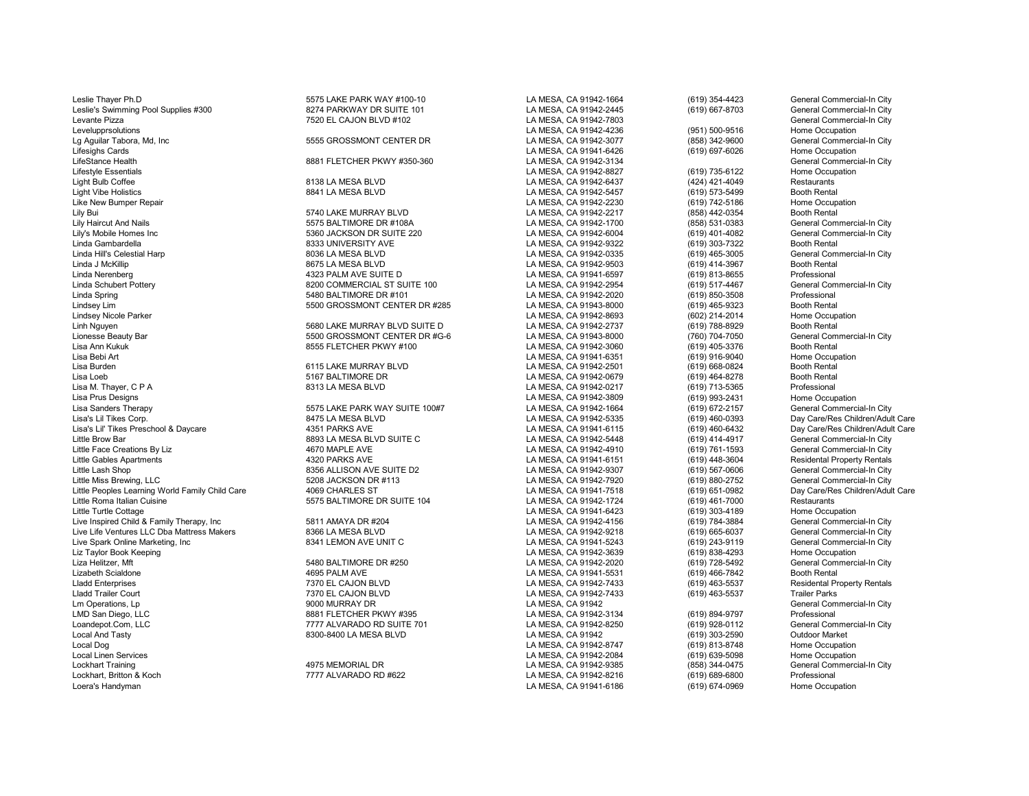Leslie Thayer Ph.D 5575 LAKE PARK WAY #100-10 LA MESA, CA 91942-1664 (619) 354-4423 General Commercial-In City Leslie's Swimming Pool Supplies #300 8274 PARKWAY DR SUITE 101 LA MESA, CA 91942-2445 (619) 667-8703 General Commercial-In City<br>Levante Pizza General Commercial-In City 7520 EL CAJON BLVD #102 LA MESA. CA 91942-7803 (619) Levante Pizza 7520 EL CAJON BLVD #102 LA MESA, CA 91942-7803 General Commercial-In City Lg Aguilar Tabora, Md, Inc 5555 GROSSMONT CENTER DR LA MESA, CA 91942-3077 (858) 342-9600 General Commercial-In City Lifesighs Cards LA MESA, CA 91941-6426 (619) 697-6026 Home Occupation LifeStance Health **1988** Ceneral Commercial-In City 8881 FLETCHER PKWY #350-360 LA MESA, CA 91942-3134 Cammercial-In City Ceneral Commercial-In City<br>Commercial Commercial-In City Commercial-In City Commercial-In City Comme Lifestyle Essentials LA MESA, CA 91942-8827 (619) 735-6122 Home Occupation Light Bulb Coffee 8138 LA MESA BLVD LA MESA, CA 91942-6437 (424) 421-4049 Restaurants Light Vibe Holistics 8841 LA MESA BLVD LA MESA, CA 91942-5457 (619) 573-5499 Booth Rental Like New Bumper Repair LA MESA, CA 91942-2230 (619) 742-5186 Home Occupation Lily Bui 5740 LAKE MURRAY BLVD LA MESA, CA 91942-2217 (858) 442-0354 Booth Rental Lily Haircut And Nails 5575 BALTIMORE DR #108A LA MESA, CA 91942-1700 (858) 531-0383 General Commercial-In City Lily's Mobile Homes Inc 5360 JACKSON DR SUITE 220 LA MESA, CA 91942-6004 (619) 401-4082 General Commercial-In City Linda Gambardella 8333 UNIVERSITY AVE LA MESA, CA 91942-9322 (619) 303-7322 Booth Rental Linda Hill's Celestial Harp 8036 LA MESA BLVD LA MESA, CA 91942-0335 (619) 465-3005 General Commercial-In City Linda J McKillip 8675 LA MESA BLVD LA MESA, CA 91942-9503 (619) 414-3967 Booth Rental Linda Nerenberg 4323 PALM AVE SUITE D LA MESA, CA 91941-6597 (619) 813-8655 Professional Linda Schubert Pottery 8200 COMMERCIAL ST SUITE 100 LA MESA, CA 91942-2954 (619) 517-4467 General Commercial-In City Linda Spring 5480 BALTIMORE DR #101 LA MESA, CA 91942-2020 (619) 850-3508 Professional Lindsey Lim 5500 GROSSMONT CENTER DR #285 LA MESA, CA 91943-8000 (619) 465-9323 Booth Rental Lindsey Nicole Parker هاي المستن (602) 214-2014 - Lindsey Nicole Parker هاي المستن المستن المستن المستن المستن<br>المستن المستن المستن المستن المستن المستن المستن المستن المستن المستن المستن المستن المستن المستن المستن المست Linh Nguyen 5680 LAKE MURRAY BLVD SUITE D LA MESA, CA 91942-2737 (619) 788-8929 Booth Rental Lionesse Beauty Bar 5500 GROSSMONT CENTER DR #G-6 LA MESA, CA 91943-8000 (760) 704-7050 General Commercial-In City Lisa Ann Kukuk 8555 FLETCHER PKWY #100 LA MESA, CA 91942-3060 (619) 405-3376 Booth Rental Lisa Bebi Art LA MESA, CA 91941-6351 (619) 916-9040 Home Occupation Lisa Burden 6115 LAKE MURRAY BLVD LA MESA, CA 91942-2501 (619) 668-0824 Booth Rental Lisa Loeb 5167 BALTIMORE DR LA MESA, CA 91942-0679 (619) 464-8278 Booth Rental Lisa M. Thayer, C P A 8313 LA MESA BLVD LA MESA, CA 91942-0217 (619) 713-5365 Professional Lisa Prus Designs LA MESA, CA 91942-3809 (619) 993-2431 Home Occupation Lisa Sanders Therapy 5575 LAKE PARK WAY SUITE 100#7 LA MESA, CA 91942-1664 (619) 672-2157 General Commercial-In City Lisa's Lil' Tikes Preschool & Daycare **1351 PARKS AVE 1996** LA MESA, CA 91941-6115 (619) 460-6432 Day Care/Res Children/Adult Care<br>Little Brow Bar General Commercial-In City Little Brow Bar 8893 LA MESA BLVD SUITE C LA MESA, CA 91942-5448 (619) 414-4917 General Commercial-In City Little Face Creations By Liz 4670 MAPLE AVE LA MESA, CA 91942-4910 (619) 761-1593 General Commercial-In City Little Gables Apartments 4320 PARKS AVE LA MESA, CA 91941-6151 (619) 448-3604 Residental Property Rentals Little Lash Shop 8356 ALLISON AVE SUITE D2 LA MESA, CA 91942-9307 (619) 567-0606 General Commercial-In City Little Peoples Learning World Family Child Care 4069 CHARLES ST LA MESA, CA 91941-7518 (619) 651-0982 Day Care/Re<br>Little Roma Italian Cuisine (619) 461-7000 Restaurants (575 BALTIMORE DR SUITE 104 LA MESA, CA 91942-1724 (6 Little Roma Italian Cuisine 6 1920 11 12 1575 BALTIMORE DR SUITE 104 LA MESA, CA 91942-1724 (619) 461-7000 Restaurants<br>Cittle Turtle Cottage Home Occupation (619) 303-4189 Home Occupation Little Turtle Cottage LA MESA, CA 91941-6423 (619) 303-4189 Home Occupation Live Inspired Child & Family Therapy, Inc 5811 AMAYA DR #204 LA MESA, CA 91942-4156 (619) 784-3884 General Commercial-In City Live Life Ventures LLC Dba Mattress Makers 8366 LA MESA BLVD LA MESA, CA 91942-9218 (619) 665-6037 General Commercial-In City Live Spark Online Marketing, Inc 8341 LEMON AVE UNIT C LA MESA, CA 91941-5243 General Commerc<br>Liz Taylor Book Keeping 8341 LEMON AVE UNIT C Liz Taylor Book Keeping LA MESA, CA 91942-3639 (619) 838-4293 Home Occupation Liza Helitzer, Mft 5480 BALTIMORE DR #250 LA MESA, CA 91942-2020 (619) 728-5492 General Commercial-In City Lizabeth Scialdone 4695 PALM AVE LA MESA, CA 91941-5531 (619) 466-7842 Booth Rental Lladd Enterprises 7370 EL CAJON BLVD LA MESA, CA 91942-7433 (619) 463-5537 Residental Property Rentals Lladd Trailer Court 7370 EL CAJON BLVD LA MESA, CA 91942-7433 (619) 463-5537 Trailer Parks Lm Operations, Lp 9000 MURRAY DR LA MESA, CA 91942 General Commercial-In City LMD San Diego, LLC 8881 FLETCHER PKWY #395 LA MESA, CA 91942-3134 (619) 894-9797 Professional Loandepot.Com, LLC 7777 ALVARADO RD SUITE 701 LA MESA, CA 91942-8250 (619) 928-0112 General Comme<br>Local And Tastv 8300-8400 LA MESA BLVD LA MESA. CA 91942 Local And Tasty 8300-8400 LA MESA BLVD LA MESA, CA 91942 (619) 303-2590 Outdoor Market Local Dog LA MESA, CA 91942-8747 (619) 813-8748 Home Occupation Local Linen Services LA MESA, CA 91942-2084 (619) 639-5098 Home Occupation Lockhart Training 4975 MEMORIAL DR LA MESA, CA 91942-9385 (858) 344-0475 General Commercial-In City Lockhart, Britton & Koch 7777 ALVARADO RD #622 LA MESA, CA 91942-8216 (619) 689-6800 Professional

Path Care Corp. 2012 12: AMESA, CA 91942-5335 (619) 460-0393 Day Care/Res Children/Adult Care<br>4351 PARKS AVE Care Care Care LA MESA, CA 91941-6115 (619) 460-6432 Day Care/Res Children/Adult Care

LA MESA, CA 91942-4236 (951) 500-9516 Home Occupation<br>
LA MESA, CA 91942-3077 (858) 342-9600 General Commercial-In City LA MESA, CA 91941-6186

(619) 880-2752 General Commercial-In City<br>(619) 651-0982 Day Care/Res Children/Adult Care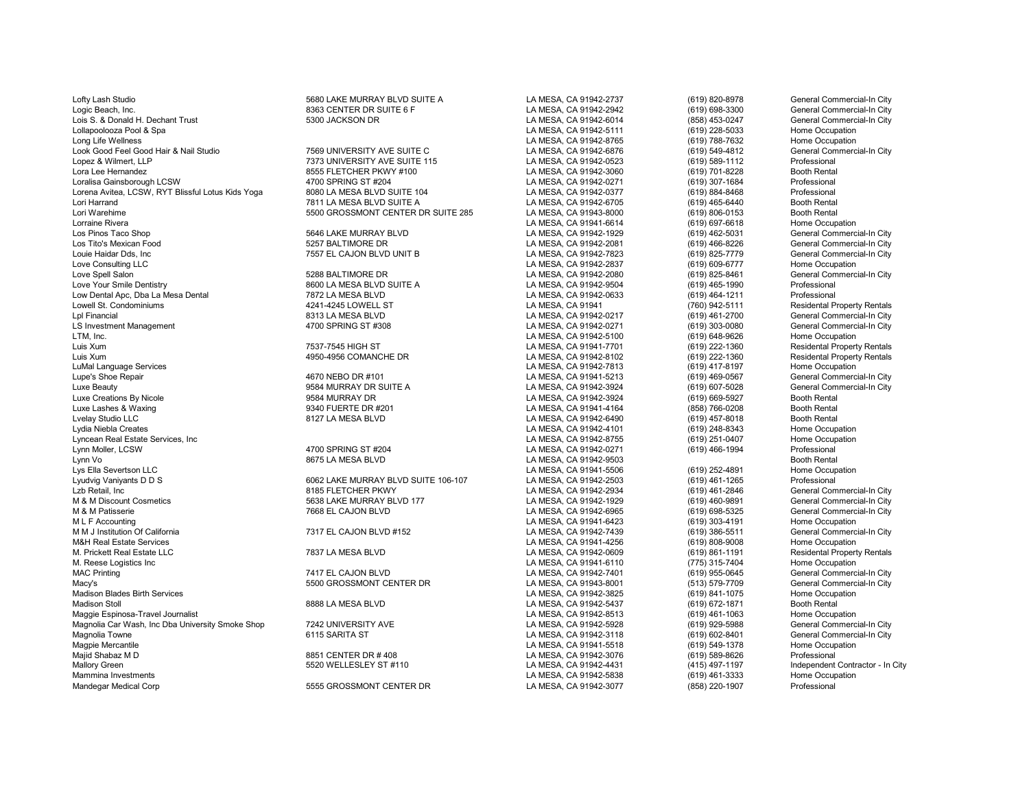Logic Beach, Inc. 6393 CENTER DR SUITE 6 F LA MESA, CA 91942-2942 (619) 698-3300 General Commercial-In City Commercial-In City Commercial-In City Commercial-In City Commercial-In City Commercial-In City Commercial-In City Lois S. & Donald H. Dechant Trust State School Ackson DR و Lois S. & Donald H. Dechant Trust School of the Same School Ackson DR<br>المراجع للمراجع للمستحدث و المستحدث المستحدث المستحدث المستحدث المستحدث المستحدث المستحدث ال Long Life Wellness LA MESA, CA 91942-8765 (619) 788-7632 Home Occupation Look Good Feel Good Hair & Nail Studio 7569 UNIVERSITY AVE SUITE C LA MESA, CA 91942-6876 (619) 549-4812 General Commercial-In City Lopez & Wilmert, LLP 7373 UNIVERSITY AVE SUITE 115 LA MESA, CA 91942-0523 (619) 589-1112 Professional Loralisa Gainsborough LCSW 4700 SPRING ST #204 LA MESA, CA 91942-0271 (619) 307-1684 Professional Lorena Avitea, LCSW, RYT Blissful Lotus Kids Yoga 8080 LA MESA BLVD SUITE 104 LA MESA, CA 91942-0377 (619) 884-8468 Professional Lori Harrand 7811 LA MESA BLVD SUITE A LA MESA, CA 91942-6705 (619) 465-6440 Booth Rental Lori Warehime 5500 GROSSMONT CENTER DR SUITE 285 LA MESA, CA 91943-8000 (619) 806-0153 Booth Rental Lorraine Rivera LA MESA, CA 91941-6614 (619) 697-6618 Home Occupation Los Pinos Taco Shop 5646 LAKE MURRAY BLVD LA MESA, CA 91942-1929 (619) 462-5031 General Commercial-In City Los Tito's Mexican Food 5257 BALTIMORE DR LA MESA, CA 91942-2081 (619) 466-8226 General Commercial-In City Louie Haidar Dds, Inc 7557 EL CAJON BLVD UNIT B LA MESA, CA 91942-7823 (619) 825-7779 General Commerc<br>Love Consulting LLC 7557 EL CAJON BLVD UNIT B Love Consulting LLC LA MESA, CA 91942-2837 (619) 609-6777 Home Occupation Love Spell Salon 5288 BALTIMORE DR LA MESA, CA 91942-2080 (619) 825-8461 General Commercial-In City Love Your Smile Dentistry 8600 LA MESA BLVD SUITE A LA MESA, CA 91942-9504 (619) 465-1990 Professional Low Dental Apc, Dba La Mesa Dental 7872 LA MESA BLVD LA MESA, CA 91942-0633 (619) 464-1211 Professional Lowell St. Condominiums 4241-4245 LOWELL ST LA MESA, CA 91941 (760) 942-5111 Residental Property Rentals Lpl Financial 8313 LA MESA BLVD LA MESA, CA 91942-0217 (619) 461-2700 General Commercial-In City LS Investment Management 1986 of the commercial commercial commercial commercial commercial commercial-In the tensor of the 4700 SPRING ST #308 12 LA MESA, CA 91942-0271 (619) 303-0080 General Commercial-In City, Inc. 2010 LTM, Inc. LA MESA, CA 91942-5100 (619) 648-9626 Home Occupation Luis Xum 7537-7545 HIGH ST LA MESA, CA 91941-7701 (619) 222-1360 Residental Property Rentals Luis Xum 4950-4956 COMANCHE DR LA MESA, CA 91942-8102 (619) 222-1360 Residental Property Rentals LuMal Language Services LA MESA, CA 91942-7813 (619) 417-8197 Home Occupation Lupe's Shoe Repair 4670 NEBO DR #101 LA MESA, CA 91941-5213 (619) 469-0567 General Commercial-In City Luxe Beauty 9584 MURRAY DR SUITE A LA MESA, CA 91942-3924 (619) 607-5028 General Commercial-In City Luxe Creations By Nicole 9584 MURRAY DR LA MESA, CA 91942-3924 (619) 669-5927 Booth Rental Luxe Lashes & Waxing 9340 FUERTE DR #201 LA MESA, CA 91941-4164 (858) 766-0208 Booth Rental Lvelay Studio LLC 8127 LA MESA BLVD LA MESA, CA 91942-6490 (619) 457-8018 Booth Rental Lyncean Real Estate Services, Inc LA MESA, CA 91942-8755 (619) 251-0407 Home Occupation Lynn Moller, LCSW 4700 SPRING ST #204 LA MESA, CA 91942-0271 (619) 466-1994 Professional Lynn Vo 8675 LA MESA BLVD LA MESA, CA 91942-9503 Booth Rental Lys Ella Severtson LLC LA MESA, CA 91941-5506 (619) 252-4891 Home Occupation Lyudvig Vaniyants D D S 6062 LAKE MURRAY BLVD SUITE 106-107 LA MESA, CA 91942-2503 (619) 461-1265 Professional Lzb Retail, Inc Commercial-In City (619) 461-2846 General Commercial-In City (619) 461-2846 General Commercial-In City<br>M & M Discount Cosmetics Commercial-In City 5638 LAKE MURRAY BLVD 177 LA MESA, CA 91942-1929 (619) 460-M & M Discount Cosmetics Corporation State of the Same of the Same of the Same of the Same of the Same of the Same of the Same of the Same of the Same of the Same of the Same of the Same of the Same of the Same of the Same M & M Patisserie Commercial-In Commercial-In Commercial-In Commercial-In Commercial-In Commercial-In Commercial-<br>M L F Accounting Museum Home Occupation Commercial-In City Commercial-In Commercial-In City Commercial-In Cit M L F Accounting Home Occupation (619) 303-4191 Home Occupation (619) 203-4191 Home Occupation (619) 203-4191 Home Occupation<br>M M J Institution Of California (Commercial-In City of Table 1931) 2012 TA MESA, CA 91942-7439 ( M M J Institution Of California 7317 EL CAJON BLVD #152 LA MESA, CA 91942-7439 (619) 386-5511 General Commercial-In City M&H Real Estate Services LA MESA, CA 91941-4256 (619) 808-9008 Home Occupation M. Prickett Real Estate LLC **1992 1998** Tries and the Residental Property Rentals Residental Property Rentals<br>M. Reese Logistics Inc Home Occupation M. Reese Logistics Inc LA MESA, CA 91941-6110 (775) 315-7404 Home Occupation MAC Printing 7417 EL CAJON BLVD LA MESA, CA 91942-7401 (619) 955-0645 General Commercial-In City<br>Macv's 5500 GROSSMONT CENTER DR LA MESA. CA 91943-Macy's 5500 GROSSMONT CENTER DR LA MESA, CA 91943-8001 (513) 579-7709 General Commercial-Index of the State of<br>Madison Blades Birth Services Home Occupation (1918) 579-7709 Flome Occupation Madison Blades Birth Services LA MESA, CA 91942-3825 (619) 841-1075 Home Occupation Madison Stoll 8888 LA MESA BLVD LA MESA, CA 91942-5437 (619) 672-1871 Booth Rental Maggie Espinosa-Travel Journalist Lamakist LA MESA, CA 91942-8513 (619) 461-1063 Home Occupation<br>Magnolia Car Wash. Inc Dba University Smoke Shop 7242 UNIVERSITY AVE LA MESA, CA 91942-5928 (619) 929-5988 General Commercial Magnolia Car Wash, Inc Dba University Smoke Shop 7242 UNIVERSITY AVE LA MESA, CA 91942-5928 (619) 929-5988 General Commercial-In City<br>Magnolia Towne (619) 602-8401 General Commercial-In City Magnolia Towne 6115 SARITA ST LA MESA, CA 91942-3118 (619) 602-8401 General Commercial-In City Magpie Mercantile 8851 CENTER DR # 408 LA MESA, CA 91941-5518 Home Occupation<br>Maiid Shabaz M D 8851 CENTER DR # 408 LA MESA. CA 91942-3076 Majid Shabaz M D 8851 CENTER DR # 408 LA MESA, CA 91942-3076 (619) 589-8626 Professional ملكات المستحدث المستحدث Mallory Green 5520 MELLESLEY ST #110 LA MESA, CA 91942-4431 (415) 497-1197 Independent Contractor - In City<br>Mammina Investments Samme Occupation Mammina Investments LA MESA, CA 91942-5838 (619) 461-3333 Home Occupation

Lofty Lash Studio 5680 LAKE MURRAY BLVD SUITE A LA MESA, CA 91942-2737 (619) 820-8978 General Commercial-In City 8555 FLETCHER PKWY #100 LA MESA, CA 91942-3060 (619) 701-8228 Booth Rental<br>4700 SPRING ST #204 CA 91942-0271 (619) 307-1684 Professional

5555 GROSSMONT CENTER DR LA MESA, CA 91942-3077 (858) 220-1907

LA MESA, CA 91942-5111 (619) 228-5033<br>LA MESA, CA 91942-8765 (619) 788-7632 LA MESA, CA 91942-4101 (619) 248-8343 Home Occupation<br>
LA MESA. CA 91942-8755 (619) 251-0407 Home Occupation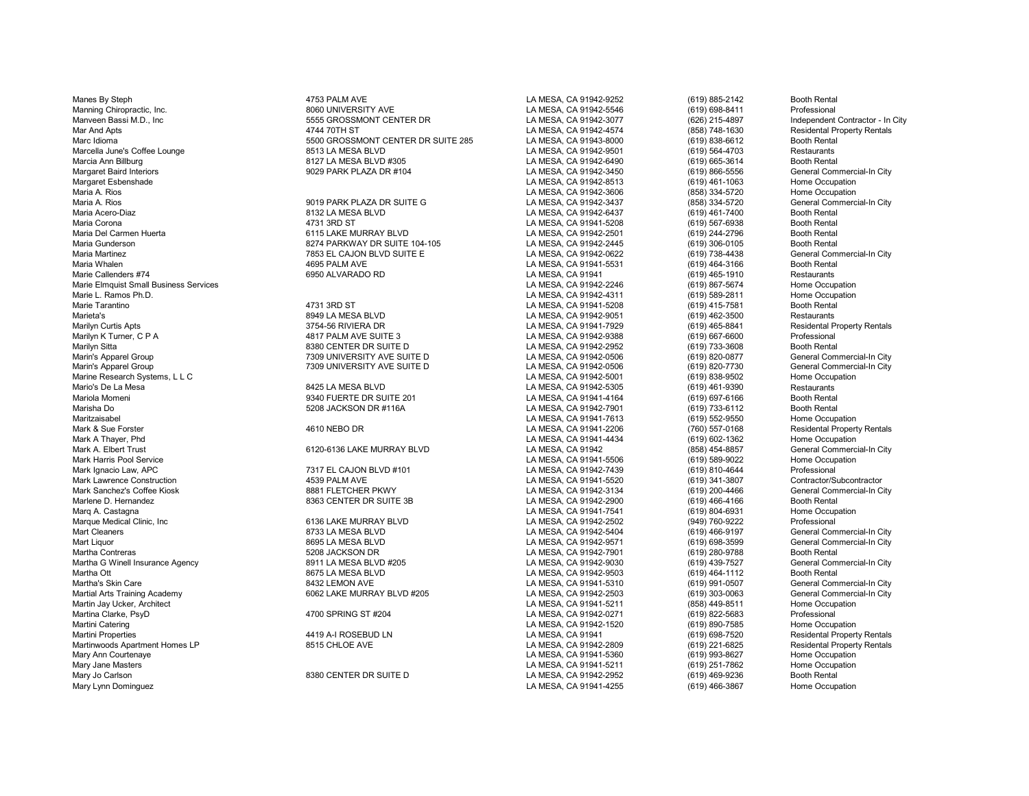Manes By Steph 4753 PALM AVE LA MESA, CA 91942-9252 (619) 885-2142 Booth Rental Martini Properties 4419 A-I ROSEBUD LN LA MESA, CA 91941 (619) 698-7520 Residental Property Rentals Martinwoods Apartment Homes LP **8515 CHLOE AVE LA MESA, CA 91942-2809** (619) 221-6825 Residental Property Rentals<br>Marv Ann Courtenave Home Occupation Mary Ann Courtenaye LA MESA, CA 91941-5360 (619) 993-8627 Home Occupation Mary Jane Masters LA MESA, CA 91941-5211 (619) 251-7862 Home Occupation Mary Jo Carlson 8380 CENTER DR SUITE D LA MESA, CA 91942-2952 (619) 469-9236 Booth Rental<br>Mary Lynn Dominguez Home Occupation (619) 466-3867 Home Occupation

Manning Chiropractic, Inc. 8060 UNIVERSITY AVE LA MESA, CA 91942-5546 (619) 698-8411 Professional Manveen Bassi M.D., Inc 5555 GROSSMONT CENTER DR LA MESA, CA 91942-3077 (626) 215-4897 Independent Contractor - In City Marc Idioma 5500 GROSSMONT CENTER DR SUITE 285 LA MESA, CA 91943-8000 (619) 838-6612 Booth Rental Marcella June's Coffee Lounge 8513 LA MESA BLVD LA MESA, CA 91942-9501 (619) 564-4703 Restaurants Marcia Ann Billburg 8127 LA MESA BLVD #305 LA MESA, CA 91942-6490 (619) 665-3614 Booth Rental Margaret Baird Interiors 9029 PARK PLAZA DR #104 LA MESA, CA 91942-3450 General Commercial-In City<br>Margaret Esbenshade 9029 PARK PLAZA DR #104 Margaret Esbenshade LA MESA, CA 91942-8513 (619) 461-1063 Home Occupation Maria A. Rios LA MESA, CA 91942-3606 (858) 334-5720 Home Occupation Maria A. Rios 9019 PARK PLAZA DR SUITE G LA MESA, CA 91942-3437 (858) 334-5720 General Commercial-In City Maria Acero-Diaz 8132 LA MESA BLVD LA MESA, CA 91942-6437 (619) 461-7400 Booth Rental Maria Corona 4731 3RD ST LA MESA, CA 91941-5208 (619) 567-6938 Booth Rental Maria Del Carmen Huerta 6115 LAKE MURRAY BLVD LA MESA, CA 91942-2501 (619) 244-2796 Booth Rental Maria Gunderson 8274 PARKWAY DR SUITE 104-105 LA MESA, CA 91942-2445 (619) 306-0105 Booth Rental Maria Martinez 7853 EL CAJON BLVD SUITE E LA MESA, CA 91942-0622 (619) 738-4438 General Commercial-In City Maria Whalen 4695 PALM AVE LA MESA, CA 91941-5531 (619) 464-3166 Booth Rental Marie Callenders #74 6950 ALVARADO RD LA MESA, CA 91941 (619) 465-1910 Restaurants Marie Elmquist Small Business Services and the Cocupation Control of the Cocupation of the Cocupation of the Cocupation of the Cocupation of the Cocupation of the Cocupation of the Cocupation of the Cocupation of the Cocup Marie L. Ramos Ph.D. LA MESA, CA 91942-4311 (619) 589-2811 Home Occupation Marie Tarantino 4731 3RD ST LA MESA, CA 91941-5208 (619) 415-7581 Booth Rental Marieta's 8949 LA MESA BLVD LA MESA, CA 91942-9051 (619) 462-3500 Restaurants Marilyn Curtis Apts 3754-56 RIVIERA DR LA MESA, CA 91941-7929 (619) 465-8841 Residental Property Rentals Marilyn K Turner, C P A 4817 PALM AVE SUITE 3 LA MESA, CA 91942-9388 (619) 667-6600 Professional Marilyn Sitta 8380 CENTER DR SUITE D LA MESA, CA 91942-2952 (619) 733-3608 Booth Rental Marin's Apparel Group 1986 Commercial-In City 7309 UNIVERSITY AVE SUITE D<br>Marin's Apparel Group 1989 TO 1999 UNIVERSITY AVE SUITE D<br>Marin's Apparel Group General Commercial-In City T309 UNIVERSITY AVE SUITE D<br>LA MESA, CA 91942-5001 (619) 820-7730 General Commercial-In City of LA MESA, CA 91942-5001 (619) 838-9502 Home Occupation Marine Research Systems, L L C LA MESA, CA 91942-5001 (619) 838-9502 Home Occupation Mario's De La Mesa 8425 LA MESA BLVD LA MESA, CA 91942-5305 (619) 461-9390 Restaurants Mariola Momeni 9340 FUERTE DR SUITE 201 LA MESA, CA 91941-4164 (619) 697-6166 Booth Rental Marisha Do 5208 JACKSON DR #116A LA MESA, CA 91942-7901 (619) 733-6112 Booth Rental Maritzaisabel (619) 552-9550 Home Occupation (619) 4610 NEBO DR مست المستحدث المستحدث المستحدث المستحدث المستح<br>Mark & Sue Forster (760) 557-0168 Residental Propert Mark & Sue Forster 4610 NEBO DR LA MESA, CA 91941-2206 (760) 557-0168 Residental Property Rentals Mark A Thayer, Phd LA MESA, CA 91941-4434 (619) 602-1362 Home Occupation Mark A. Elbert Trust 6120-6136 LAKE MURRAY BLVD LA MESA, CA 91942 (858) 454-8857 General Commercial-In City Mark Harris Pool Service LA MESA, CA 91941-5506 (619) 589-9022 Home Occupation Mark Ignacio Law, APC 7317 EL CAJON BLVD #101 LA MESA, CA 91942-7439 (619) 810-4644 Professional Mark Lawrence Construction 4539 PALM AVE LA MESA, CA 91941-5520 (619) 341-3807 Contractor/Subcontractor Mark Sanchez's Coffee Kiosk 8881 FLETCHER PKWY LA MESA, CA 91942-3134 (619) 200-4466 General Commercial-In City Marlene D. Hernandez 8363 CENTER DR SUITE 3B LA MESA, CA 91942-2900 (619) 466-4166 Booth Rental Marq A. Castagna LA MESA, CA 91941-7541 (619) 804-6931 Home Occupation Marque Medical Clinic, Inc 6136 LAKE MURRAY BLVD LA MESA, CA 91942-2502 (949) 760-9222 Professional Mart Cleaners 8733 LA MESA BLVD LA MESA, CA 91942-5404 (619) 466-9197 General Commercial-In City Mart Liquor 8695 LA MESA BLVD LA MESA, CA 91942-9571 (619) 698-3599 General Commercial-In City Martha Contreras 5208 JACKSON DR LA MESA, CA 91942-7901 (619) 280-9788 Booth Rental Martha G Winell Insurance Agency 8911 LA MESA BLVD #205 LA MESA, CA 91942-9030 (619) 439-7527 General Commercial-In City Martha Ott 8675 LA MESA BLVD LA MESA, CA 91942-9503 (619) 464-1112 Booth Rental Martha's Skin Care 8432 LEMON AVE LA MESA, CA 91941-5310 (619) 991-0507 General Commercial-In City Martial Arts Training Academy **6000 CONTACT ARTS AND ART ARTS ARTS AND ACT ARTS ARTS AND ACT ARTS AND ACT ARTS A**<br>Martin Jav Ucker. Architect Mome Occupation Martin Jay Ucker, Architect LA MESA, CA 91941-5211 (858) 449-8511 Home Occupation Martina Clarke, PsyD 4700 SPRING ST #204 LA MESA, CA 91942-0271 (619) 822-5683 Professional<br>Martini Catering 4700 SPRING ST #204 Martini Catering LA MESA, CA 91942-1520 (619) 890-7585 Home Occupation

LA MESA, CA 91941-4255

 $(858)$  748-1630 Residental Property Rentals<br> $(619)$  838-6612 Booth Rental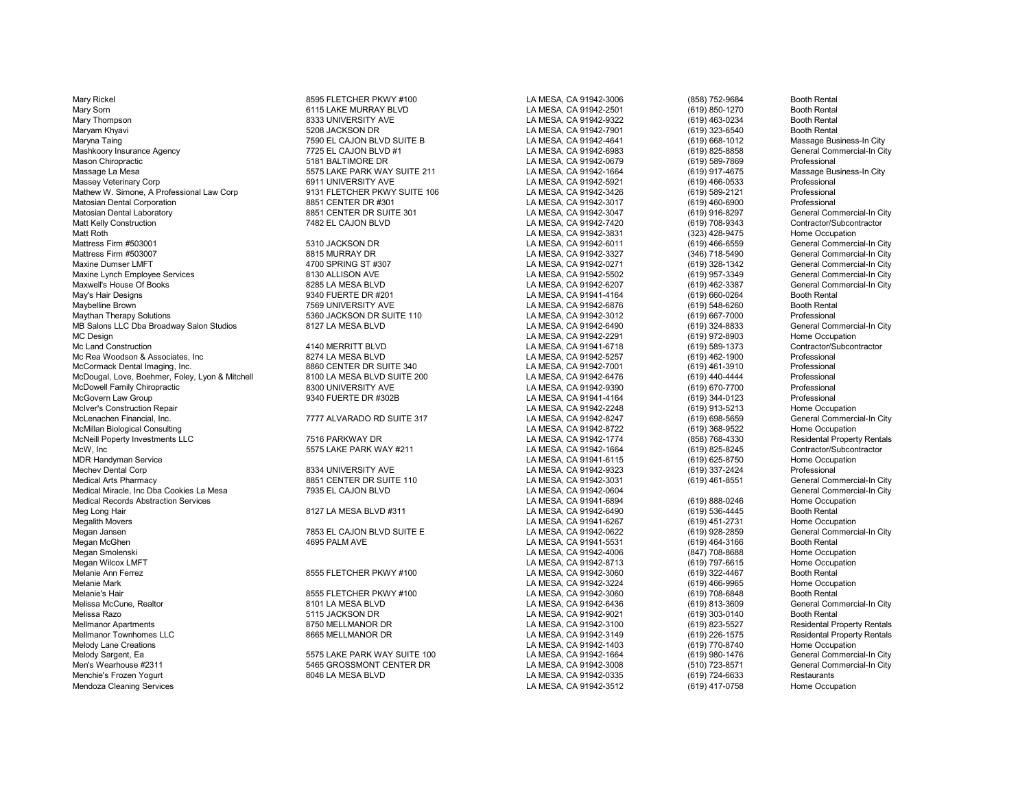Mary Rickel 8595 FLETCHER PKWY #100 LA MESA, CA 91942-3006 (858) 752-9684 Booth Rental Mary Sorn 6115 LAKE MURRAY BLVD LA MESA, CA 91942-2501 (619) 850-1270 Booth Rental Mary Thompson 8333 UNIVERSITY AVE LA MESA, CA 91942-9322 (619) 463-0234 Booth Rental Maryna Taing 1990 Massage Business-In City 7590 EL CAJON BLVD SUITE B NESA, CA 91942-4641 (619) 668-1012 Massage Business-In City 1990 Massage Business-In City 7125 EL CAJON BLVD #1 (Massage Business-In City 1990 2001) 199 Mashkoory Insurance Agency 7725 EL CAJON BLVD #1 LA MESA, CA 91942-6983 (619) 825-8858 General Con<br>Mason Chiropractic 5181 BALTIMORE DR LA MESA. CA 9 Mason Chiropractic Chiropractic Chiropractic 5181 BALTIMORE DR LA MESA, CA 91942-0679 (619) 589-7869 Professional<br>Massage La Mesa Chiropractic Chiropractic State Dans State PARK WAY SUITE 211 LA MESA, CA 91942-1664 (619) 9 Massage La Mesa 5575 LAKE PARK WAY SUITE 211 LA MESA, CA 91942-1664 (619) 917-4675 Massage Business-In City Massey Veterinary Corp 6911 UNIVERSITY AVE LA MESA, CA 91942-5921 (619) 466-0533 Professional Mathew W. Simone, A Professional Law Corp 9131 FLETCHER PKWY SUITE 106 LA MESA, CA 91942-3426 (619) 589-2121 Professional Professional Corp and the Sample of the Sample of the Sample of the Sample of the Sample of the Samp Matosian Dental Corporation 8851 CENTER DR #301 LA MESA, CA 91942-3017 (619) 460-6900 Professional Matosian Dental Laboratory 6851 CENTER DR SUITE 301 LA MESA, CA 91942-3047 (619) 916-8297 General Commercial-In C<br>Matt Kelly Construction Contractor/Subcontractor Matt Kelly Construction 7482 EL CAJON BLVD LA MESA, CA 91942-7420 (619) 708-9343 Contractor/Subcor<br>Matt Roth 7482 EL CAJON BLVD LA MESA. CA 919 Matt Roth LA MESA, CA 91942-3831 (323) 428-9475 Home Occupation Mattress Firm #503001 5310 JACKSON DR LA MESA, CA 91942-6011 (619) 466-6559 General Commercial-In City Mattress Firm #503007 8815 MURRAY DR LA MESA, CA 91942-3327 (346) 718-5490 General Commercial-In City Maxine Dumser LMFT 4700 SPRING ST #307 LA MESA, CA 91942-0271 (619) 328-1342 General Commercial-In City Maxine Lynch Employee Services 8130 ALLISON AVE LA MESA, CA 91942-5502 (619) 957-3349 General Commercial-In City Maxwell's House Of Books 8285 LA MESA BLVD LA MESA, CA 91942-6207 (619) 462-3387 General Commercial-In City May's Hair Designs 9340 FUERTE DR #201 LA MESA, CA 91941-4164 (619) 660-0264 Booth Rental<br>Mavbelline Brown 7569 UNIVERSITY AVE LA MESA. CA 919 Maybelline Brown 7569 UNIVERSITY AVE LA MESA, CA 91942-6876 (619) 548-6260 Booth Rental<br>Maythan Therapy Solutions 5360 JACKSON DR SUITE 110 LA MESA, C MB Salons LLC Dba Broadway Salon Studios 8127 LA MESA BLVD LA MESA, CA 91942-6490 (619) 324-8833 General Commercial-In City MC Design (619) 972-8903 Home Occupation<br>Mc Land Construction 1992-0003 Mechanical Mechanical Music (619) 972-8903 Home Occupation<br>LA MESA. CA 91941-6718 (619) 589-1373 Contractor/Subcontractor Mc Land Construction 4140 MERRITT BLVD LA MESA, CA 91941-6718 (619) 589-1373 Contractor/Subcontractor Mc Rea Woodson & Associates, Inc 8274 LA MESA BLVD LA MESA, CA 91942-5257 (619) 462-1900 Professional<br>McCormack Dental Imaging. Inc. 8860 CENTER DR SUITE 340 LA McCormack Dental Imaging, Inc. (619) According the Correst of the Suite 340 MCS of the Suite 340 LA MESA, CA 91942-7001 (619) 461-3910 Professional Professional McDougal, Love Boehmer. Foley, Lyon & Mitchell 8100 LA MESA B McDougal, Love, Boehmer, Foley, Lyon & Mitchell and Barry and Barry Barry State and Barry State Barry and Barr<br>McDowell Family Chiropractic and the Mitchell and Barry Barry A. A. Barry A. M. State and Barry A. C. A. State McDowell Family Chiropractic and the comparent of the Sand UNIVERSITY AVE LA MESA, CA 91942-9390 (619) 670-7700 Professional<br>McGovern Law Group and the Sand Design of the Sand Design of the Sand Design of the Sand Design o McIver's Construction Repair **Act and The Construction Repair** Computer's Construction Repair Music Construction<br>McLenachen Financial, Inc. **Music Computer Construction City Construction** City Construction Repair of the Co McMillan Biological Consulting Consulting Consulting Consulting Consulting Consulting Consulting Consulting Co<br>McNeill Poperty Investments LLC Chrome of the Consulting Consulting Consulting Consulting Consulting Consultin McNeill Poperty Investments LLC 7516 PARKWAY DR LA MESA, CA 91942-1774 (858) 768-4330 Residental Property Rental Property Rentals and the match of the state of the state of the state McW, Inc 5575 LAKE PARK WAY #211 LA MESA, CA 91942-1664 (619) 825-8245 Contractor/Subcontractor MDR Handyman Service LA MESA, CA 91941-6115 (619) 625-8750 Home Occupation Mechev Dental Corp 8334 UNIVERSITY AVE LA MESA, CA 91942-9323 (619) 337-2424 Professional Medical Arts Pharmacy **8851 CENTER DR SUITE 110** LA MESA, CA 91942-3031 (619) 461-8551 General Commercial-In City Medical Miracle, Inc Dba Cookies La Mesa **7935 EL CAJON BLVD** LA MESA, CA 91942-0604 (619) 888-0246 General Commercial-In City<br>Medical Records Abstraction Services **Contracts** Carry Commercial-In City Medical Records Abstraction Services North Cocupation Services 2012 12 MESA, BLVD #311 MESA, EA MESA, CA 91942-6490<br>Meg Long Hair (619) 536-4445 Booth Rental (619) 836-4445 Booth Rental Meg Long Hair 8127 LA MESA BLVD #311 LA MESA, CA 91942-6490 (619) 536-4445 Booth Rental<br>Megalith Movers 8127 LA MESA BLVD #311 LA MESA, CA 91941-626 Megalith Movers LA MESA, CA 91941-6267 (619) 451-2731 Home Occupation Megan Jansen 7853 EL CAJON BLVD SUITE E LA MESA, CA 91942-0622 (619) 928-2859 General Commercial-In City Megan McGhen 4695 PALM AVE LA MESA, CA 91941-5531 (619) 464-3166 Booth Rental Megan Smolenski LA MESA, CA 91942-4006 (847) 708-8688 Home Occupation Megan Wilcox LMFT LA MESA, CA 91942-8713 (619) 797-6615 Home Occupation Melanie Ann Ferrez 8555 FLETCHER PKWY #100 LA MESA, CA 91942-3060 (619) 322-4467 Booth Rental Melanie Mark LA MESA, CA 91942-3224 (619) 466-9965 Home Occupation Melanie's Hair 8555 FLETCHER PKWY #100 LA MESA, CA 91942-3060 (619) 708-6848 Booth Rental Melissa McCune, Realtor 8101 LA MESA BLVD LA MESA, CA 91942-6436 (619) 813-3609 General Commercial-In City Melissa Razo 5115 JACKSON DR LA MESA, CA 91942-9021 (619) 303-0140 Booth Rental Mellmanor Apartments 8750 MELLMANOR DR LA MESA, CA 91942-3100 (619) 823-5527 Residental Property Rentals Mellmanor Townhomes LLC 8665 MELLMANOR DR LA MESA, CA 91942-3149 (619) 226-1575 Residental Property Rentals Melody Lane Creations LA MESA, CA 91942-1403 (619) 770-8740 Home Occupation Melody Sargent, Ea 5575 LAKE PARK WAY SUITE 100 LA MESA, CA 91942-1664 (619) 980-1476 General Commercial-In City Men's Wearhouse #2311 5465 GROSSMONT CENTER DR LA MESA, CA 91942-3008 (510) 723-8571 General Con<br>Menchie's Frozen Yogurt 8046 LA MESA BLVD LA MESA, CA 919 Mendoza Cleaning Services **LA MESA, CA 91942-3512** (619) 417-0758 Home Occupation CA 91942-3512

% 5360 JACKSON DR SUITE 110 CM NESA, CA 91942-3012 (619) 667-7000 Professional Professional Professional DR SUITE 110 LA MESA, CA 91942-6490 (619) 324-8833 General Commercial-In City

LA MESA, CA 91942-7901 (619) 323-6540<br>LA MESA, CA 91942-4641 (619) 668-1012 LA MESA, CA 91941-4164 (619) 344-0123 Professional<br>
LA MESA, CA 91942-2248 (619) 913-5213 Home Occupation MESA, CA 91942-8247 (619) 698-5659 General Commercial Commercial Commercial Commercial Commercial-In City Commercial-In City Commercial-In City Commercial-In City Commercial-In City Commercial-In City Commercial-In City Co LA MESA, CA 91942-0335 (619) 724-6633 Restaurants<br>
LA MESA. CA 91942-3512 (619) 417-0758 Home Occupation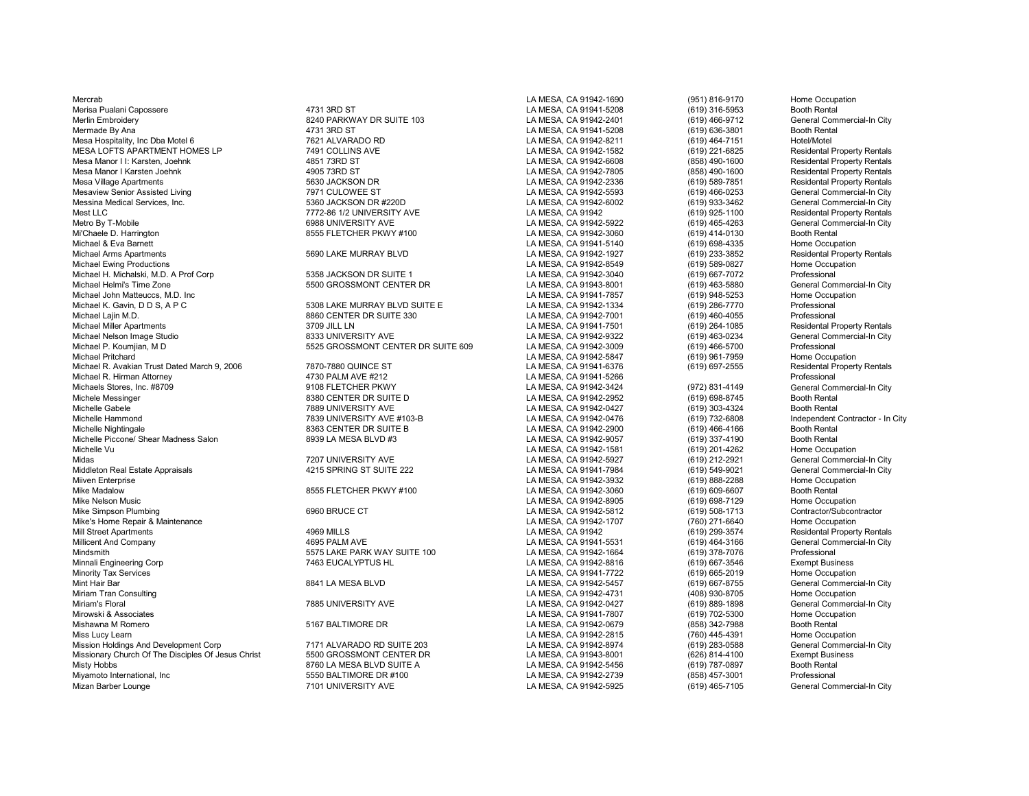Mercrab LA MESA, CA 91942-1690 (951) 816-9170 Home Occupation Merisa Pualani Capossere 1986 and the total and the 4731 3RD ST 1013 1880 ST 101 2012 LA MESA, CA 91941-5208 (619) 316-5953 Booth Rental<br>Merlin Embroiderv General Commercial-In City 8240 PARKWAY DR SUITE 103 1AMESA. CA 919 Merlin Embroidery 8240 PARKWAY DR SUITE 103 LA MESA, CA 91942-2401 General Com<br>Mermade By Ana 4731 3RD ST LA MESA, CA 91941-5208 (619) 636 Mesa Hospitality, Inc Dba Motel 6 7621 ALVARADO RD LA MESA, CA 91942-8211 (619) 464-7151 Hotel/Motel MESA LOFTS APARTMENT HOMES LP 7491 COLLINS AVE LA MESA, CA 91942-1582 (619) 221-6825 Residental Property Rentals Mesa Manor I I: Karsten, Joehnk 4851 73RD ST LA MESA, CA 91942-6608 (858) 490-1600 Residental Property Rentals Mesa Manor I Karsten Joehnk 4905 73RD ST LA MESA, CA 91942-7805 (858) 490-1600 Residental Property Rentals Mesa Village Apartments 5630 JACKSON DR LA MESA, CA 91942-2336 (619) 589-7851 Residental Property Rentals Mesaview Senior Assisted Living and Mesaview Commercial-In City 7971 CULOWEE ST MESA, CA 91942-5593 (619) 466-0253 General Commercial-In City Commercial-In City Messina Medical Services. Inc. Commercial-In City 5360 JACKSO Messina Medical Services, Inc. 5360 JACKSON DR #220D LA MESA, CA 91942-6002 (619) 933-3462 General Commercial-In City Mest LLC 7772-86 1/2 UNIVERSITY AVE LA MESA, CA 91942 (619) 925-1100 Residental Property Rentals Metro By T-Mobile 6988 UNIVERSITY AVE LA MESA, CA 91942-5922 (619) 465-4263 General Commercial-In City Mi'Chaele D. Harrington 8555 FLETCHER PKWY #100 LA MESA, CA 91942-3060 (619) 414-0130 Booth Rental Michael & Eva Barnett Nome Occupation (619) 698-4335 Home Occupation<br>Michael Arms Apartments Museum of the Seam of the Seam of the Seam of the Museum of the Museum of the Seam of t<br>LA MESA, CA 91942-1927 (619) 233-3852 Res Michael Arms Apartments 5690 LAKE MURRAY BLVD LA MESA, CA 91942-1927 (619) 233-3852 Residental Property Rentals Michael Ewing Productions 5358 JACKSON DR SUITE 1 LA MESA, CA 91942-8549 (619) 589-0827 Home Occupation<br>Michael H. Michalski. M.D. A Prof Corp 5358 JACKSON DR SUITE 1 Michael H. Michalski, M.D. A Prof Corp 5358 JACKSON DR SUITE 1 LA MESA, CA 91942-3040 (619) 667-7072 Professional<br>Michael Helmi's Time Zone 5500 GROSSMONT CENTER DR Michael John Matteuccs, M.D. Inc LA MESA, CA 91941-7857 (619) 948-5253 Home Occupation Michael K. Gavin, D D S, A P C 5308 LAKE MURRAY BLVD SUITE E LA MESA, CA 91942-1334 (619) 286-7770 Professional<br>Michael Lajin M.D. 8860 CENTER DR SUITE 330 Michael Lajin M.D. 8860 CENTER DR SUITE 330 LA MESA, CA 91942-7001 (619) 460-4055 Professional Michael Miller Apartments 3709 JILL LN LA MESA, CA 91941-7501 (619) 264-1085 Residental Property Rentals Michael Nelson Image Studio 8333 UNIVERSITY AVE LA MESA, CA 91942-9322 (619) 463-0234 General Commercial-In City Michael P. Koumjian, M D 5525 GROSSMONT CENTER DR SUITE 609 LA MESA, CA 91942-3009 (619) 466-5700 Professional Michael R. Avakian Trust Dated March 9, 2006 7870-7880 QUINCE ST LA MESA, CA 91941-6376 (619) 697-2555 Residental P<br>Michael R. Hirman Attornev 4730 PALM AVE #212 L Michael R. Hirman Attorney 4730 PALM AVE #212 LA MESA, CA 91941-5266 Professional Michaels Stores, Inc. #8709 1983 9108 FLETCHER PKWY LA MESA, CA 91942-3424 (972) 831-4149 General Commercial-In City<br>Michele Messinger Booth Rental Stores and Design Commercial-In City Michele Messinger 8380 CENTER DR SUITE D LA MESA, CA 91942-2952 (619) 698-8745 Booth Rental Michelle Gabele 1988 UNIVERSITY AVE 1998 UNIVERSITY AVE LA MESA, CA 91942-0427 (619) 303-4324<br>Michelle Hammond 1998 1997 1998 Annung 1998 UNIVERSITY AVE #103-B Michelle Hammond 7839 UNIVERSITY AVE #103-B LA MESA, CA 91942-0476 (619) 732-6808 Independent Contractor - In City Michelle Piccone/ Shear Madness Salon 8939 LA MESA BLVD #3 LA MESA, CA 91942-9057 (619) 337-4190 Booth Rental Michelle Vu LA MESA, CA 91942-1581 (619) 201-4262 Home Occupation Midas 7207 UNIVERSITY AVE LA MESA, CA 91942-5927 (619) 212-2921 General Commercial-In City<br>Middleton Real Estate Appraisals the state of the state of the state of the SPRING ST SUITE 222 LA MESA. CA 91941-7984 (619) 549-90 Middleton Real Estate Appraisals 4215 SPRING ST SUITE 222 LA MESA, CA 91941-7984 (619) 549-9021 General Commercial-In City Miiven Enterprise LA MESA, CA 91942-3932 (619) 888-2288 Home Occupation Mike Nelson Music LA MESA, CA 91942-8905 (619) 698-7129 Home Occupation Mike's Home Repair & Maintenance National Companisor of the Mike's Home Occupation (760) 271-6640 Home Occupation<br>Mill Street Apartments Residental Property Rentals (1994) 4969 MILLS National Companisor CA 91942 (819) 299-Mill Street Apartments 4969 MILLS LA MESA, CA 91942 (619) 299-3574 Residental Property Rentals Millicent And Company 4695 PALM AVE LA MESA, CA 91941-5531 (619) 464-3166 General Commercial-In City Mindsmith 5575 LAKE PARK WAY SUITE 100 LA MESA, CA 91942-1664 (619) 378-7076 Professional Minnali Engineering Corp 7463 EUCALYPTUS HL LA MESA, CA 91942-8816 (619) 667-3546 Exempt Business Minority Tax Services LA MESA, CA 91941-7722 (619) 665-2019 Home Occupation Mint Hair Bar 8841 LA MESA BLVD LA MESA, CA 91942-5457 (619) 667-8755 General Commercial-In City Miriam Tran Consulting LA MESA, CA 91942-4731 (408) 930-8705 Home Occupation Miriam's Floral (619) 889-1898 (General Commercial-In City 7885 UNIVERSITY AVE New York 1998 (A Seneral 2009) 2009 (619) 889-1898 (General Commercial-In City 7985 UNIVERSITY AVE New York 1998 (A 91941-7807 (619) 702-5300 H Mirowski & Associates LA MESA, CA 91941-7807 (619) 702-5300 Home Occupation Mishawna M Romero 5167 BALTIMORE DR LA MESA, CA 91942-0679 (858) 342-7988 Booth Rental Miss Lucy Learn LA MESA, CA 91942-2815 (760) 445-4391 Home Occupation (760) Home Occupation (760) 445-4391 Home Occupation Mission Holdings And Development Corp 7171 ALVARADO RD SUITE 203 LA MESA, CA 91942-8974 (619) 283-0588 General Commercial-In City (619) 283-0588 General Commercial-In City (619) 283-0588 General Commercial-In City (619) 28 Missionary Church Of The Disciples Of Jesus Christ 5500 GROSSMONT CENTER DR LA MESA, CA 91943-8001 (626) 814-4100 Exempt Busin<br>Misty Hobbs (619) 787-0897 Booth Rental Misty Hobbs 8760 LA MESA BLVD SUITE A Milliam State of the MESA BLVD SUITE A Milliam State Affice and Mesa 9550 BALTIMORE DR #100 Miyamoto International, Inc 5550 BALTIMORE DR #100 LA MESA, CA 91942-2739 (858) 457-3001 Professional<br>Mizan Barber Lounge 7101 UNIVERSITY AVE Mizan Barber Lounge 7101 UNIVERSITY AVE LA MESA, CA 91942-5925 (619) 465-7105 General Commercial-In City

Michael Helmit Center Dream Commercial Commercial Commercial Commercial Commercial Commercial Commercial-In Co<br>LA Michael CA 91941-7857 (619) 948-5253 Home Occupation LA MESA, CA 91942-5847 (619) 961-7959 Home Occupation<br>LA MESA. CA 91941-6376 (619) 697-2555 Residental Property Rentals 8363 CENTER DR SUITE B LA MESA, CA 91942-2900 (619) 466-4166 Booth Rental<br>1939 LA MESA BLVD #3 LA MESA. CA 91942-9057 (619) 337-4190 Booth Rental 8555 FLETCHER PKWY #100 LA MESA, CA 91942-3060 (619) 609-6607 Booth Rental<br>LA MESA. CA 91942-8905 (619) 698-7129 Home Occup

LA MESA, CA 91941-5208 LA MESA, CA 91942-5812 (619) 508-1713 Contractor/Subcontractor/Subcontractor/Subcontractor/Subcontractor/Subcontractor/Subcontractor/Subcontractor/Subcontractor/Subcontractor/Subcontractor/Subcontractor/Subcontractor/Subco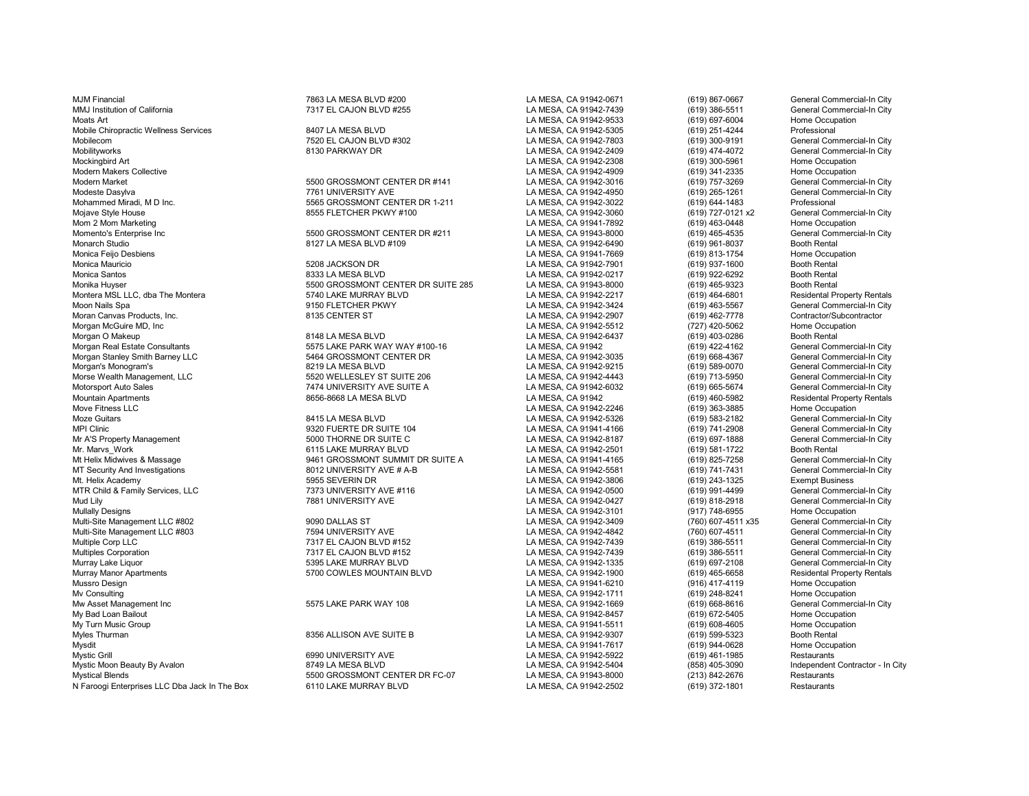MJM Financial 7863 LA MESA BLVD #200 LA MESA, CA 91942-0671 (619) 867-0667 General Commercial-In City MMJ Institution of California **7317 EL CAJON BLVD #255** LA MESA, CA 91942-7439 (619) 386-5511 General Commercial-In City<br>Moats Art (619) 697-6004 Home Occupation Moats Art LA MESA, CA 91942-9533 (619) 697-6004 Home Occupation Mobile Chiropractic Wellness Services 8407 LA MESA BLVD LA MESA, CA 91942-5305 (619) 251-4244 Professional Mobilecom 7520 EL CAJON BLVD #302 LA MESA, CA 91942-7803 (619) 300-9191 General Commercial-In City Mobilityworks 8130 PARKWAY DR LA MESA, CA 91942-2409 (619) 474-4072 General Commercial-In City Mockingbird Art (19) 300-5961 Home Occupation (619) Mockingbird Art (619) 300-5961 Home Occupation<br>Modern Makers Collective Home Occupation (619) 341-2335 Home Occupation (619) 341-2335 Home Occupation Modern Makers Collective Note of the Cocupation CENTER OR #141 LA MESA, CA 91942-4909 (619) 341-2335 Home Occupation<br>Modern Market General Commercial-In City (619) 757-3269 General Commercial-In City Modern Market 5500 GROSSMONT CENTER DR #141 LA MESA, CA 91942-3016 (619) 757-3269 General Commercial-In City Modeste Dasylva 7761 UNIVERSITY AVE LA MESA, CA 91942-4950 (619) 265-1261 General Commercial-In City Mohammed Miradi, M D Inc. 5565 GROSSMONT CENTER DR 1-211 LA MESA, CA 91942-3022 (619) 644-1483 Professional<br>Moiave Stvle House 8555 FLETCHER PKWY #100 LA MESA. CA 91 Mojave Style House 8555 According the State of Basic State 8555 FLETCHER PKWY #100 LA MESA, CA 91942-3060 (619) 727-0121 x2 General Commercial-In Commercial-In Commercial-In Commercial-In Commercial-In City of City of City Mom 2 Mom Marketing Marketing and December 2010 of the State of the State of the State of the State of the State of the State of the State of the State of the Meson of the Meson of the Meson of the Meson of the Meson of th Momento's Enterprise Inc 5500 GROSSMONT CENTER DR #211 LA MESA, CA 91943-8000 (619) 465-4535 General Com<br>Monarch Studio 8127 LA MESA BLVD #109 LA MESA. CA 91 Monarch Studio 8120 Monarch Studio 8127 LA MESA BLVD #109 LA MESA, CA 91942-6490 (619) 961-8037 Monarch Studio<br>Monica Feijo Desbiens Mome Occupation 8127 LA MESA BLVD #109 LA MESA, CA 91941-7669 (619) 813-1754 Home Occupat Monica Feijo Desbiens LA MESA, CA 91941-7669 (619) 813-1754 Home Occupation Monica Mauricio 5208 JACKSON DR LA MESA, CA 91942-7901 (619) 937-1600 Booth Rental Moran Canvas Products, Inc. 8135 CENTER ST LA MESA, CA 91942-2907 (619) 462-7778 Contractor/Subcontractor Morgan McGuire MD, Inc LA MESA, CA 91942-5512 (727) 420-5062 Home Occupation Morgan O Makeup Booth Rental Consultants (State of the State of the State of the State Of the State of the State Of the State of the State Of the State Consultants (State of the State of the State of the State Of the State Morgan Stanley Smith Barney LLC **646 CROSSMONT CENTER DR** LA MESA, CA 91942-3035 (619) 668-4367 General Commercial-In City<br>Morgan's Monogram's General Commercial-In City Morgan's Monogram's 8219 LA MESA BLVD LA MESA, CA 91942-9215 (619) 589-0070 General Commercial-In City Morse Wealth Management, LLC **Chronicles Commercial-In City** 5520 WELLESLEY ST SUITE 206 LA MESA, CA 91942-4443 (619) 713-5950 General Commercial-In City<br>Motorsport Auto Sales General Commercial-In City 7474 UNIVERSITY AVE Motorsport Auto Sales 7474 UNIVERSITY AVE SUITE A LA MESA, CA 91942-6032 (619) 665-5674 General Commercial-In City Mountain Apartments 8656-8668 LA MESA BLVD LA MESA, CA 91942 (619) 460-5982 Residental Property Rentals Moze Guitars 8415 LA MESA BLVD LA MESA, CA 91942-5326 (619) 583-2182 General Commercial-In City MPI Clinic (619) 741-2908 General Commercial-In City (619) 9320 FUERTE DR SUITE 104 LA MESA, CA 91941-4166 (619) 741-2908 General Commercial-In City (619) 741-2908 General Commercial-In City (619) 75000 THORNE DR SUITE C Mr A'S Property Management 5000 THORNE DR SUITE C LA MESA, CA 91942-8187 (619) 697-1888 General Commercial-In City Mr. Marvs\_Work 6115 LAKE MURRAY BLVD LA MESA, CA 91942-2501 (619) 581-1722 Booth Rental Mt Helix Midwives & Massage **19461 GROSSMONT SUMMIT DR SUITE A** LA MESA, CA 91941-4165 (619) 825-7258 General Commercial-In City<br>19461 MT Security And Investigations and the state of the Suite Band of the HA MESA, CA 91942 MT Security And Investigations and the security And Investigations and the security And Seneral Commercial-In Commercial-In Commercial-In Commercial-In Commercial-In Commercial-In Commercial-In Commercial-In City And The S MTR Child & Family Services, LLC 7373 UNIVERSITY AVE #116 LA MESA, CA 91942-0500 (619) 991-4499 General Commercial-In City Mud Lily 7881 UNIVERSITY AVE CHANNERS AND A LA MESA, CA 91942-0427 (619) 818-2918 General Commercial-In City 7881 UNIVERSITY AVE LA MESA, CA 91942-3101 (619) 818-2918 General Commercial-In City 78955 Home Occupation Multi-Site Management LLC #802 9090 DALLAS ST LA MESA, CA 91942-3409 (760) 607-4511 x35 General Commercial-In City Multi-Site Management LLC #803 7594 UNIVERSITY AVE LA MESA, CA 91942-4842 (760) 607-4511 General Commercial-In City Multiple Corp LLC 7317 EL CAJON BLVD #152 LA MESA, CA 91942-7439 (619) 386-5511 General Commercial-In City Multiples Corporation 7317 EL CAJON BLVD #152 LA MESA, CA 91942-7439 (619) 386-5511 General Commercial-In City Murray Lake Liquor 5395 LAKE MURRAY BLVD LA MESA, CA 91942-1335 (619) 697-2108 General Commercial-In City Murray Manor Apartments 6 1992 1990 COWLES MOUNTAIN BLVD LA MESA, CA 91942-1900 (619) 465-6658 Residental Property Rentals<br>Mussro Design Home Occupation Home Occupation Mussro Design LA MESA, CA 91941-6210 (916) 417-4119 Home Occupation Mv Consulting LA MESA, CA 91942-1711 (619) 248-8241 Home Occupation Mw Asset Management Inc 5575 LAKE PARK WAY 108 LA MESA, CA 91942-1669 (619) 668-8616 General Commercial-In City My Bad Loan Bailout LA MESA, CA 91942-8457 (619) 672-5405 Home Occupation My Turn Music Group LA MESA, CA 91941-5511 (619) 608-4605 Home Occupation Myles Thurman 8356 ALLISON AVE SUITE B LA MESA, CA 91942-9307 (619) 599-5323 Booth Rental Mysdit LA MESA, CA 91941-7617 (619) 944-0628 Home Occupation Mystic Grill 6990 UNIVERSITY AVE LA MESA, CA 91942-5922 (619) 461-1985 Restaurants Mystic Moon Beauty By Avalon and the State of the State of the State of the State of the State of the State of the State of the State of the State of the State of the State of the State of the State of the State of the Sta N Faroogi Enterprises LLC Dba Jack In The Box 6110 LAKE MURRAY BLVD LA MESA, CA 91942-2502 (619) 372-1801

Monica Santos 8333 LA MESA BLVD LA MESA, CA 91942-0217 (619) 922-6292 Booth Rental Monika Huyser 5500 GROSSMONT CENTER DR SUITE 285 LA MESA, CA 91943-8000 (619) 465-9323 Booth Rental Montera MSL LLC, dba The Montera 5740 LAKE MURRAY BLVD LA MESA, CA 91942-2217 (619) 464-6801 Residental Property Rentals Moon Nails Spa 9150 FLETCHER PKWY LA MESA, CA 91942-3424 (619) 463-5567 General Commercial-In City

5575 LAKE PARK WAY WAY #100-16 LA MESA, CA 91942 (619) 422-4162 General Commercial-In City<br>1994 GROSSMONT CENTER DR LA MESA. CA 91942-3035 (619) 668-4367 General Commercial-In City

% 5500 GROSSMONT CENTER DR FC-07 LA MESA, CA 91943-8000 (213) 842-2676 Restaurants<br>6110 LAKE MURRAY BLVD LA MESA, CA 91942-2502 (619) 372-1801 Restaurants

LA MESA, CA 91942-2246 (619) 363-3885<br>LA MESA, CA 91942-5326 (619) 583-2182

LA MESA, CA 91942-3806 (619) 243-1325 Exempt Business<br>
LA MESA, CA 91942-0500 (619) 991-4499 General Commercial-In City LA MESA, CA 91942-3101 (917) 748-6955 Home Occupation<br>CA MESA, CA 91942-3409 (760) 607-4511 x35 General Commercial-In City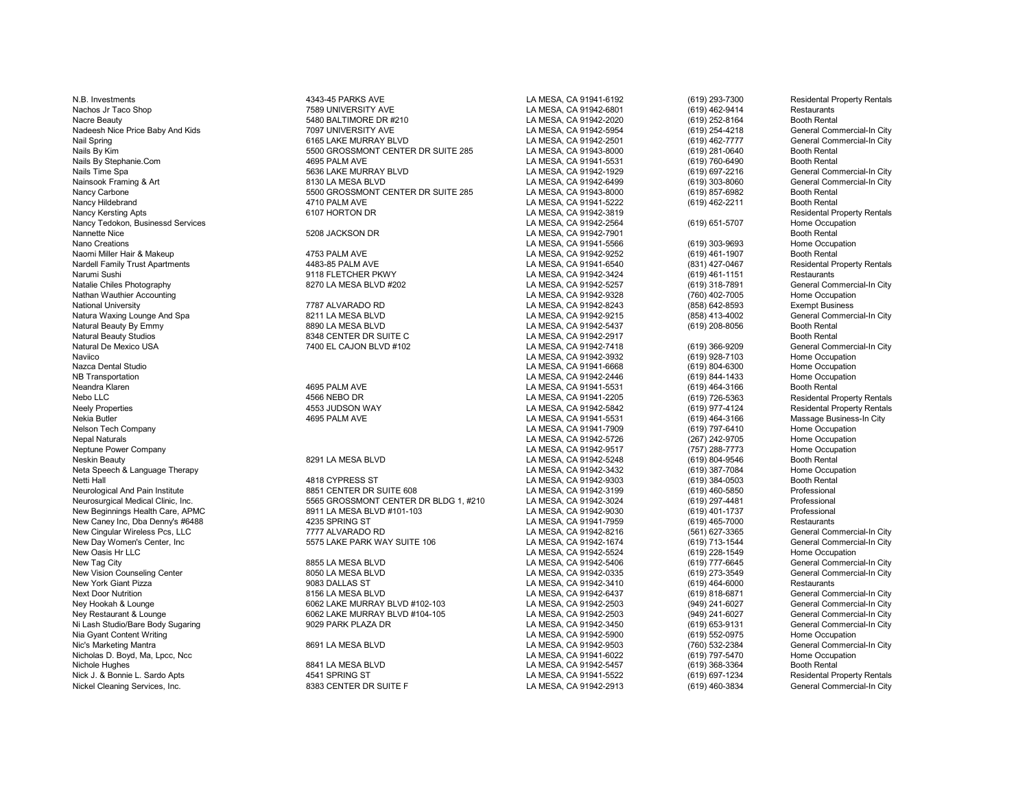Neandra Klaren 1986 - 1990 PALM AVE 1990 PALM AVE LA MESA, CA 91941-5531 (619) 464-3166 Booth Rental Protocol<br>1991 - 1992 - 1993 Abesidental Protocol Basidental Protocol Basidental Protocol Basidental Protocol Camp Austr<br>1 Nebo LLC 4566 NEBO DR LA MESA, CA 91941-2205 (619) 726-5363 Residental Property Rentals Nekia Butler 1619) 4695 PALM AVE بين المسابق المسابق المسابق المسابق المسابق المسابق المسابق المسابق المسابق ال<br>Nelson Tech Company 1699 Home Occupation المسابق المسابق المسابق المسابق المسابق المسابق المسابق المسابق المسا Nelson Tech Company LA MESA, CA 91941-7909 (619) 797-6410 Home Occupation Nepal Naturals LA MESA, CA 91942-5726 (267) 242-9705 Home Occupation Neptune Power Company LA MESA, CA 91942-9517 (757) 288-7773 Home Occupation Neskin Beauty 8291 LA MESA BLVD LA MESA, CA 91942-5248 (619) 804-9546 Booth Rental Neta Speech & Language Therapy LA MESA, CA 91942-3432 (619) 387-7084 Home Occupation New Day Women's Center, Inc Cheneral Commercial-Incomposition of the SATE PARK WAY SUITE 106 LA MESA, CA 91942-1674 (619) 713-1544 General Commercial-Informercial-Informetrial-Informetrial-Independent Mew Oasis Hr LLC<br>New New Oasis Hr LLC LA MESA, CA 91942-5524 (619) 228-1549 Home Occupation New Tag City 8855 LA MESA BLVD LA MESA, CA 91942-5406 (619) 777-6645 General Commercial-In City New Vision Counseling Center **8050 LA MESA BLVD** LA MESA, CA 91942-0335 (619) 273-3549 General Commercial-In City<br>New York Giant Pizza **Bulland Commercial-In City** 9083 DALLAS ST **Canada CA ALCA ALCA ACCA 91942-3410** (619) New York Giant Pizza 9083 DALLAS ST LA MESA, CA 91942-3410 (619) 464-6000 Restaurants Next Door Nutrition 8156 LA MESA BLVD 1992-6437 (619) 818-6871 General Commercial-In City<br>Nev Hookah & Lounge 1998 Commercial-In City 6062 LAKE MURRAY BLVD #102-103 LA MESA CA 91942-2503 (949) 241-6027 Ney Hookah & Lounge 6062 LAKE MURRAY BLVD #102-103 LA MESA, CA 91942-2503 (949) 241-6027 General Commercial-In City<br>Ney Restaurant & Lounge 6062 LAKE MURRAY BLVD #104-105 Ni Lash Studio/Bare Body Sugaring 9029 PARK PLAZA DR LA MESA, CA 91942-3450 (619) 653-9131 General Commercial-In City Nia Gyant Content Writing LA MESA, CA 91942-5900 (619) 552-0975 Home Occupation Nic's Marketing Mantra 8691 LA MESA BLVD LA MESA, CA 91942-9503 (760) 532-2384 General Commercial-In City Nicholas D. Boyd, Ma, Lpcc, Ncc LA MESA, CA 91941-6022 (619) 797-5470 Home Occupation Nick J. & Bonnie L. Sardo Apts **ADIC 1998 ST LA SPRING ST** LA MESA, CA 91941-5522 (619) 697-1234 Residental Property Rentals<br>A Nickel Cleaning Services. Inc. And the City of the State of the State of the State of the State Nickel Cleaning Services, Inc. **8383 CENTER DR SUITE F** LA MESA, CA 91942-2913 (619) 460-3834 GENERAL COMMERCIAL

N.B. Investments **A343-45 PARKS AVE 1998-4343-45 PARKS AVE** LA MESA, CA 91941-6192 (619) 293-7300 Residental Property Rentals<br>Nachos Jr Taco Shop **Restaurants** 7589 UNIVERSITY AVE **ANESA, CA 91942-6801** (619) 462-9414 Rest Nachos Jr Taco Shop 7589 UNIVERSITY AVE LA MESA, CA 91942-6801 (619) 462-9414 Restaurants Nacre Beauty 619) 252-8164 Booth Rental Commercial-In City 5480 BALTIMORE DR #210 LA MESA, CA 91942-2020 (619) 252-8164 Booth Rental Booth Rental Commercial-In City 7097 UNIVERSITY AVE CALCHA LA MESA, CA 91942-5954 (619) 2 Nadeesh Nice Price Baby And Kids **1998 Commercial Commercial Commercial Commercial Commercial Commercial Commerci**<br>1992-2501 (619) 254-4218 General Commercial Commercial Commercial Commercial Commercial Commercial Commerci Nail Spring 6165 LAKE MURRAY BLVD LA MESA, CA 91942-2501 (619) 462-7777 General Commercial-In City Nails By Kim 5500 GROSSMONT CENTER DR SUITE 285 LA MESA, CA 91943-8000 (619) 281-0640 Booth Rental Nails By Stephanie.Com 4695 PALM AVE LA MESA, CA 91941-5531 (619) 760-6490 Booth Rental Nails Time Spa 5636 LAKE MURRAY BLVD LA MESA, CA 91942-1929 (619) 697-2216 General Commercial-In City Nainsook Framing & Art 8130 LA MESA BLVD LA MESA, CA 91942-6499 (619) 303-8060 General Commercial-In City Nancy Carbone **1986 Care Carbone 5500 GROSSMONT CENTER DR SUITE 285** LA MESA, CA 91943-8000 (619) 857-6982 Booth Rental Nancy Hildebrand 4710 PALM AVE LA MESA, CA 91941-5222 (619) 462-2211 Booth Rental Nancy Kersting Apts 6107 HORTON DR LA MESA, CA 91942-3819 Residental Property Rentals Nancy Tedokon, Businessd Services LA MESA, CA 91942-2564 (619) 651-5707 Home Occupation Nannette Nice **1988 Contract Contract Contract Contract Contract Contract Contract Contract Contract Contract Contract Contract Contract Contract Contract Contract Contract Contract Contract Contract Contract Contract Cont** Nano Creations LA MESA, CA 91941-5566 (619) 303-9693 Home Occupation Naomi Miller Hair & Makeup 4753 PALM AVE LA MESA, CA 91942-9252 (619) 461-1907 Booth Rental Nardell Family Trust Apartments 4483-85 PALM AVE LA MESA, CA 91941-6540 (831) 427-0467 Residental Property Rentals Narumi Sushi 9118 FLETCHER PKWY LA MESA, CA 91942-3424 (619) 461-1151 Restaurants Natalie Chiles Photography 8270 LA MESA BLVD #202 LA MESA, CA 91942-5257 (619) 318-7891 General Commercial-In City Nathan Wauthier Accounting and the Cocupation of the Table of Table 1787 ALVARADO RD (760) 102-7005 Home Occupation<br>National University and the Exempt Business (893) 1287 ALVARADO RD (898) 1298/2008 LA MESA, CA 91942-8243 National University 7787 ALVARADO RD LA MESA, CA 91942-8243 (858) 642-8593 Exempt Business Natura Waxing Lounge And Spa 820 Search City (State of the MESA BLVD LA MESA, CA 91942-9215 (858) 413-4002 General Commercial-In City (858) 413-4002 General Commercial-In City (858) 413-4002 General Commercial-In City (819 Natural Beauty By Emmy 8890 LA MESA BLVD LA MESA, CA 91942-5437 (619) 208-8056 Booth Rental Natural Beauty Studios 8348 CENTER DR SUITE C LA MESA, CA 91942-2917 Booth Rental<br>Ratural De Mexico USA 7400 EL CAJON BLVD #102 Natural De Mexico USA 7400 EL CAJON BLVD #102 LA MESA, CA 91942-7418 (619) 366-9209 General Commercial-In City Naviico LA MESA, CA 91942-3932 (619) 928-7103 Home Occupation Nazca Dental Studio LA MESA, CA 91941-6668 (619) 804-6300 Home Occupation NB Transportation LA MESA, CA 91942-2446 (619) 844-1433 Home Occupation

Neurological And Pain Institute 8851 CENTER DR SUITE 608 LA MESA, CA 91942-3199 (619) 460-5850 Professional<br>Neurosurgical Medical Clinic. Inc. 5565 GROSSMONT CENTER DR BLDG 1 Neurosurgical Medical Clinic, Inc. 5565 GROSSMONT CENTER DR BLDG 1, #210 Professional<br>New Beginnings Health Care, APMC 8911 LA MESA BLVD #101-103 LA MESA, CA 9194 New Beginnings Health Care, APMC 8911 LA MESA BLVD #101-103 LA MESA, CA 91942-9030 (619) 401-1737 Professional<br>New Caney Inc, Dba Denny's #6488 4235 SPRING ST LA MES New Caney Inc, Dba Denny's #6488 4235 SPRING ST LA MESA, CA 91941-7959 (619) 465-7000 Restaurants New Cingular Wireless Pcs, LLC 7777 ALVARADO RD LA MESA, CA 91942-8216 (561) 627-3365 General Commercial-In City

0062 LAKE MURRAY BLVD #104-105 LA MESA, CA 91942-2503 (949) 241-6027 General Commercial-In City<br>14 MESA, CA 91942-3450 (619) 653-9131 General Commercial-In City

Neely Properties 4553 JUDSON WAY LA MESA, CA 91942-5842 (619) 977-4124 Residental Property Rentals LA MESA, CA 91942-9303 Nichole Hughes 8841 LA MESA BLVD LA MESA, CA 91942-5457 (619) 368-3364 Booth Rental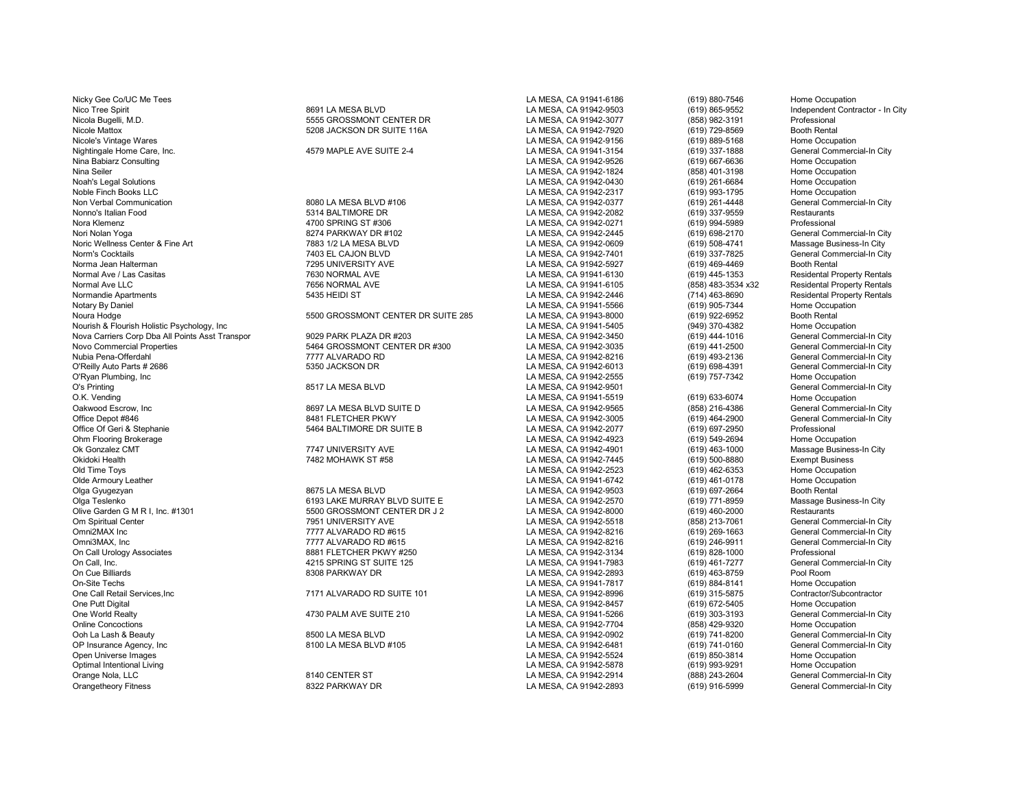Nicky Gee Co/UC Me Tees **Home Occupation** Control of the Second LA MESA, CA 91941-6186 (619) 880-7546 Home Occupation Nico Tree Spirit 8691 LA MESA BLVD LA MESA, CA 91942-9503 (619) 865-9552 Independent Contractor - In City Nicola Bugelli, M.D. 5555 GROSSMONT CENTER DR LA MESA, CA 91942-3077 (858) 982-3191 Professional<br>Nicole Mattox 5208 JACKSON DR SUITE 116A LA MESA, CA 91942 OP Insurance Agency, Inc Commercial-In City (619) 741-0160 (619) General Commercial-In City<br>Coen Universe Images Home Occupation Open Universe Images LA MESA, CA 91942-5524 (619) 850-3814 Home Occupation Optimal Intentional Living Nume Occupation<br>Orange Nola, LLC Commerced Commerce of the State of Band of the State of Campion of the State of State of State St<br>Commerce Commerce Commerced Commerce of State of the State of St Orange Nola, LLC 8140 CENTER ST LA MESA, CA 91942-2914 (888) 243-2604 General Commercial-In City Orangetheory Fitness 8322 PARKWAY DR LA MESA, CA 91942-2893 (619) 916-5999 General Commercial-In City

Nicole's Vintage Wares LA MESA, CA 91942-9156 (619) 889-5168 Home Occupation Nightingale Home Care, Inc. 4579 MAPLE AVE SUITE 2-4 LA MESA, CA 91941-3154 (619) 337-1888 General Commercial-In City Nina Babiarz Consulting LA MESA, CA 91942-9526 (619) 667-6636 Home Occupation Nina Seiler LA MESA, CA 91942-1824 (858) 401-3198 Home Occupation Noah's Legal Solutions LA MESA, CA 91942-0430 (619) 261-6684 Home Occupation Noble Finch Books LLC LA MESA, CA 91942-2317 (619) 993-1795 Home Occupation Non Verbal Communication **8080 LA MESA BLVD #106** LA MESA, CA 91942-0377 (619) 261-4448 General Commercial-In City<br>Nonno's Italian Food Restaurants **Base Commercial Commercial** David Base of the State of the State of the S Nonno's Italian Food 5314 BALTIMORE DR LA MESA, CA 91942-2082 (619) 337-9559 Restaurants Nora Klemenz 4700 SPRING ST #306 LA MESA, CA 91942-0271 (619) 994-5989 Professional Nori Nolan Yoga 8274 PARKWAY DR #102 LA MESA, CA 91942-2445 (619) 698-2170 General Commercial-In City Noric Wellness Center & Fine Art **1988** 1/2 LA MESA BLVD **LA MESA, CA 91942-0609** (619) 508-4741 Massage Business-In City<br>1998 To Massage Business-In City 1999 1999 1999 12 MESA, CA 91942-7401 (619) 337-7825 General Commer Norm's Cocktails 7403 EL CAJON BLVD LA MESA, CA 91942-7401 (619) 337-7825 General Commercial-In City Norma Jean Halterman 7295 UNIVERSITY AVE LA MESA, CA 91942-5927 (619) 469-4469 Booth Rental Normal Ave / Las Casitas 7630 NORMAL AVE LA MESA, CA 91941-6130 (619) 445-1353 Residental Property Rentals Normal Ave LLC 7656 NORMAL AVE LA MESA, CA 91941-6105 (858) 483-3534 x32 Residental Property Rentals Normandie Apartments 5435 HEIDI ST LA MESA, CA 91942-2446 (714) 463-8690 Residental Property Rentals Notary By Daniel LA MESA, CA 91941-5566 (619) 905-7344 Home Occupation Noura Hodge 619) 922-6952 Booth Rental (619) 5500 GROSSMONT CENTER DR SUITE 285 LA MESA, CA 91943-8000 (619) 922-6952 Booth Rental (619) 922-6952 Booth Rental (619) 922-6952 Booth Rental (619) 922-6952 Booth Rental (949) 3 Nourish & Flourish Holistic Psychology, Inc Compation<br>Nova Carriers Corp Dba All Points Asst Transpor **Carriers of David Burgers 1992-9450** (819) 444-1016 (1994-1016 (Seneral Commercial-In City Nova Carriers Corp Dba All Points Asst Transpor **1992 PARK PLAZA DR #203** 1993 1993 2008 2010 LA MESA, CA 91942-3450 (619) 444-1016 General Commercial-In City<br>Novo Commercial Properties Commercial-In City 5464 GROSSMONT CE Novo Commercial Properties 5464 GROSSMONT CENTER DR #300 LA MESA, CA 91942-3035 (619) 441-2500 General Commercial-In City<br>Nubia Pena-Offerdahl 7777 ALVARADO RD L Nubia Pena-Offerdahl 7777 ALVARADO RD LA MESA, CA 91942-8216 (619) 493-2136 General Commercial-In City O'Reilly Auto Parts # 2686 5350 JACKSON DR LA MESA, CA 91942-6013 (619) 698-4391 General Commercial-In City O'Ryan Plumbing, Inc LA MESA, CA 91942-2555 (619) 757-7342 Home Occupation O's Printing Changes and Commercial-In City 8517 LA MESA BLVD LA MESA, CA 91942-9501 Commercial-In City Changes and Commercial-In City<br>O.K. Vending Changes and Commercial-In City Changes and Commercial-In City Changes and O.K. Vending (619) 633-6074 Home Occupation (619) 633-6074 Home Occupation (619) 633-6074 Home Occupation (619<br>Cakwood Escrow. Inc Care of Commercial-In City (658) 810-4386 (6891942-9565 (858) 216-4386 (69 General Commerci Oakwood Escrow, Inc Channel Commercial-In City and the Secret Basic BET LA MESA BLVD SUITE D<br>Office Depot #846 Channel Commercial-In City and BASIC ETCHER PKWY CHANNEL A MESA, CA 91942-3005 (619) 464-2900 General Commercia Office Depot #846 8481 FLETCHER PKWY LA MESA, CA 91942-3005 (619) 464-2900 General Commercial Commercial Commercial<br>Office Of Geri & Stephanie Commercial Commercial States and States of SUITE B CA MESA, CA 91942-2077 (619) Office Of Geri & Stephanie **5464 BALTIMORE DR SUITE B** CHA MESA, CA 91942-2077 (619) 697-2950 Professional Professional<br>Ohm Flooring Brokerage Home Occupation Ohm Flooring Brokerage LA MESA, CA 91942-4923 (619) 549-2694 Home Occupation Ok Gonzalez CMT COK Massage Business-In City 7747 UNIVERSITY AVE LA MESA, CA 91942-4901 (619) 463-1000 Massage Business-In City 7482 MOHAWK ST #58 CHA MESA, CA 91942-7445 (619) 500-8880 Exempt Business Okidoki Health 7482 MOHAWK ST #58 LA MESA, CA 91942-7445 (619) 500-8880 Exempt Business Old Time Toys LA MESA, CA 91942-2523 (619) 462-6353 Home Occupation Olde Armoury Leather Network Collective Correspondent Correspondent Correspondent Correspondent Correspondent Correspondent Correspondent Correspondent Correspondent Correspondent Correspondent Correspondent Correspondent Olga Gyugezyan 8675 LA MESA BLVD LA MESA, CA 91942-9503 (619) 697-2664 Booth Rental Olga Teslenko 6193 LAKE MURRAY BLVD SUITE E LA MESA, CA 91942-2570 (619) 771-8959 Massage Business-In City Olive Garden G M R I, Inc. #1301 5500 GROSSMONT CENTER DR J 2 CAMESA, CA 91942-8000 (619) 460-2000 Restaurants<br>Om Spiritual Center General Commercial-In City 7951 UNIVERSITY AVE Om Spiritual Center 7951 UNIVERSITY AVE LA MESA, CA 91942-5518 (858) 213-7061 General Commercial-In City Omni2MAX Inc 7777 ALVARADO RD #615 LA MESA, CA 91942-8216 (619) 269-1663 General Commercial-In City Omni3MAX, Inc 7777 ALVARADO RD #615 LA MESA, CA 91942-8216 (619) 246-9911 General Commercial-In City On Call Urology Associates Controller States 8881 FLETCHER PKWY #250 LA MESA, CA 91942-3134 (619) 828-1000 Professional Professional Professional Annual Commercial-In City (619) 828-1000 Professional Commercial-In City (61 On Call, Inc. 4215 SPRING ST SUITE 125 LA MESA, CA 91941-7983 (619) 461-7277 General Commercial-In City On Cue Billiards 8308 PARKWAY DR LA MESA, CA 91942-2893 (619) 463-8759 Pool Room<br>On-Site Techs 8308 PARKWAY DR LA MESA. CA 91941-7817 (619 On-Site Techs LA MESA, CA 91941-7817 (619) 884-8141 Home Occupation One Call Retail Services,Inc **7171 ALVARADO RD SUITE 101** LA MESA, CA 91942-8996 (619) 315-5875 Contractor/Subcontractor<br>Che Putt Digital Home Occupation Home Occupation One Putt Digital LA MESA, CA 91942-8457 (619) 672-5405 Home Occupation One World Realty **Articles Commercial-In City** 4730 PALM AVE SUITE 210 LA MESA, CA 91941-5266 (619) 303-3193 General Commercial-In City<br>Chline Concoctions Home Occupation Online Concoctions LA MESA, CA 91942-7704 (858) 429-9320 Home Occupation Ooh La Lash & Beauty 8500 LA MESA BLVD LA MESA, CA 91942-0902 (619) 741-8200 General Commercial-In City

Nicole Mattox 5208 JACKSON DR SUITE 116A LA MESA, CA 91942-7920 (619) 729-8569 Booth Rental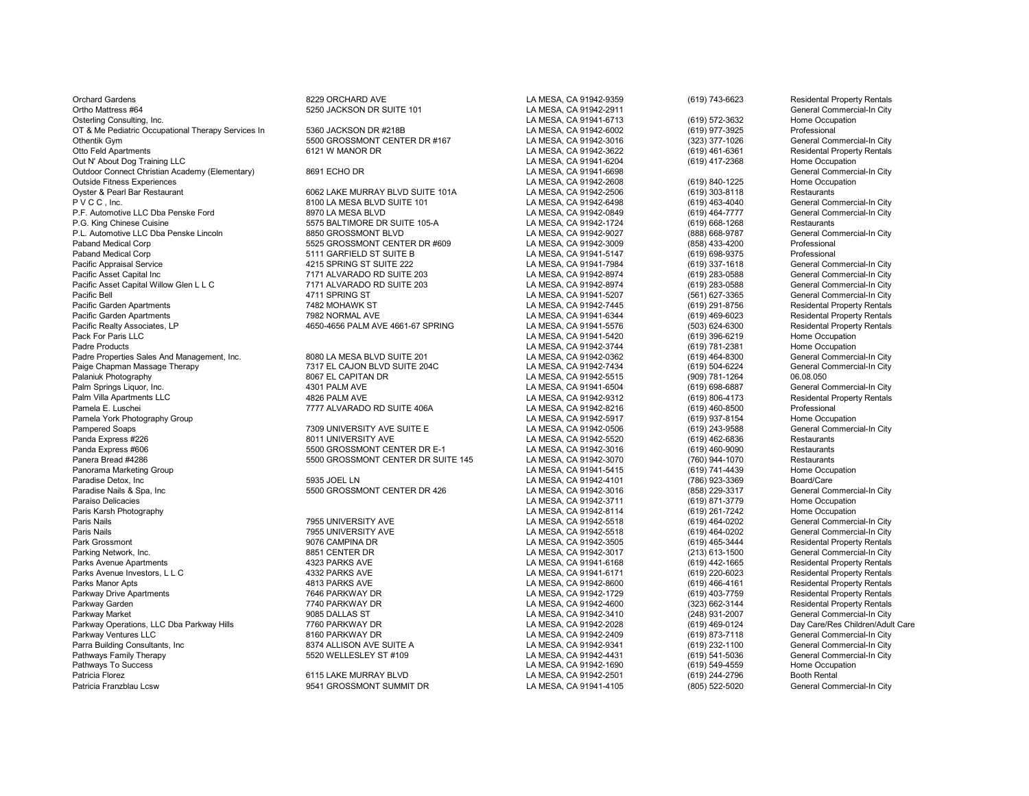Orchard Gardens **8229 ORCHARD AVE CALCAR ACCESS** LA MESA, CA 91942-9359 (619) 743-6623 Residental Property Rentals Ortho Mattress #64 64 5250 JACKSON DR SUITE 101 1 1 LA MESA, CA 91942-2911 6619) Osterling Consulting. Inc. Commercial-In City<br>Consulting Lincolnum Consulting Inc. Commercial-In City Consulting Consulting Consulting Commer Osterling Consulting, Inc. LA MESA, CA 91941-6713 (619) 572-3632 Home Occupation OT & Me Pediatric Occupational Therapy Services In a mass of the SCSON DR #218B LA MESA, CA 91942-6002 (619) 977-3925 Professional Professional Commercial-In City<br>Othentik Gym (323) 377-1026 General Commercial-In City Othentik Gym 6121 (323) 377-1026 (5500 GROSSMONT CENTER DR #167 LA MESA, CA 91942-3016 (323) 377-1026<br>261-Otto Feld Apartments (619) 461-6361 (619) 461-6361 (619) 461-6361 (619) 6121 W MANOR DR Out N' About Dog Training LLC<br>Current Christian Academy (Elementary) and the Search of CHO DR CHO DR Commercial-In City<br>Current Christian Academy (Elementary) and the Search of Search of Christian Academy (Elementary) and Outdoor Connect Christian Academy (Elementary) 8691 ECHO DR LA MESA, CA 91941-6698 Ceneral Commercial Commerci<br>Cutside Fitness Experiences Home Occupation (619) 840-1225 Home Occupation Outside Fitness Experiences LA MESA, CA 91942-2608 (619) 840-1225 Home Occupation Oyster & Pearl Bar Restaurant 6062 LAKE MURRAY BLVD SUITE 101A LA MESA, CA 91942-2506 (619) 303-8118 Restaurants P.F. Automotive LLC Dba Penske Ford **8970 LA MESA BLVD** LA MESA, CA 91942-0849 (619) 464-7777 Ceneral Conmercial Commercial Commercial Commercial Commercial Commercial Commercial Commercial Commercial Commercial-In City<br>P. P.L. Automotive LLC Dba Penske Lincoln 8850 GROSSMONT BLVD LA MESA, CA 91942-9027 (888) 668-9787 General Commercial-In City Paband Medical Corp 5525 GROSSMONT CENTER DR #609 LA MESA, CA 91942-3009 (858) 433-4200 Professional Paband Medical Corp 5111 GARFIELD ST SUITE B LA MESA, CA 91941-5147 (619) 698-9375 Professional<br>Pacific Appraisal Service 4215 SPRING ST SUITE 222 LA MESA. Pacific Appraisal Service and the service the service 4215 SPRING ST SUITE 222 CHA MESA, CA 91941-7984 (619) 337-1618 General Commercial-In City<br>Pacific Asset Capital Inc General Commercial-In City 7171 ALVARADO RD SUITE 2 Pacific Asset Capital Willow Glen L L C 7171 ALVARADO RD SUITE 203 (619) 283-0588<br>Pacific Bell 4711 SPRING ST LA MESA, CA 91941-5207 (56 Pacific Bell (561) 627-3365 General Commercial-In City (561) 4711 SPRING ST (561) 627-3365 General Commercial-In City<br>Pacific Garden Apartments (561) 7482 MOHAWK ST (561) 7482 MOHAWK ST (561) 791-8756 Residental Property R Pacific Garden Apartments 7482 MOHAWK ST LA MESA, CA 91942-7445 (619) 291-8756 Residental Property Rentals Pacific Garden Apartments 7982 NORMAL AVE 7982 NORMAL AVE LA MESA, CA 91941-6344 (619) 469-6023 Residental Property Rentals<br>Pacific Realty Associates. LP 7982 NORMAL AVE 4661-67 SPRING LA MESA. CA 91941-5576 (503) 624-6300 Pacific Realty Associates, LP 4650-4656 PALM AVE 4661-67 SPRING LA MESA, CA 91941-5576 (503) 624-6300 Residental Property Rentals Pack For Paris LLC LA MESA, CA 91941-5420 (619) 396-6219 Home Occupation Padre Products LA MESA, CA 91942-3744 (619) 781-2381 Home Occupation Padre Properties Sales And Management, Inc. 
2008 LA MESA BLVD SUITE 201 LA MESA CA 91942-0362 (619) 464-8300 General Commercial-In City<br>Paige Chapman Massage Therapy Commercial-In City 7317 EL CAJON BLVD SUITE 204C LA MES Paige Chapman Massage Therapy 7317 EL CAJON BLVD SUITE 204C LA MESA, CA 91942-7434 (619) 504-6224 General Commercial-In City Palaniuk Photography 8067 EL CAPITAN DR LA MESA, CA 91942-5515 (909) 781-1264 06.08.050 Palm Springs Liquor, Inc. 4301 PALM AVE LA MESA, CA 91941-6504 (619) 698-6887 General Commercial-In City Palm Villa Apartments LLC **And Accept 1982 PALM AVE LA MESA, CA 91942-9312** (619) 806-4173 Residental Property Rentals<br>Pamela E. Luschei Professional Property Rentals And T777 ALVARADO RD SUITE 406A LA MESA. CA 91942-8216 Pamela York Photography Group Norman Coupation<br>Pampered Soaps Ceneral Commercial-In City (619) 937-8154 Home Occupation<br>Pampered Soaps General Commercial-In City Pampered Soaps (Alternative Commercial Commercial Commercial Commercial Commercial Commercial Commercial Commercial<br>Panda Express #226 (619) 462-6836 Restaurants Panda Express #226 8011 UNIVERSITY AVE LA MESA, CA 91942-5520 (619) 462-6836 Restaurants Panda Express #606 https://education.com/induction.com/induction/induction/induction/induction/induction/induct<br>Panera Bread #4286 https://education/induction/induction/induction/induction/induction/induction/induction/ind Panera Bread #4286 5500 GROSSMONT CENTER DR SUITE 145 LA MESA, CA 91942-3070 (760) 944-1070 Restaurants Panorama Marketing Group LA MESA, CA 91941-5415 (619) 741-4439 Home Occupation Paradise Detox, Inc 5935 JOEL LN LA MESA, CA 91942-4101 (786) 923-3369 Board/Care Paradise Nails & Spa, Inc 69 Seneral Commercial-In City (958) 229-3317 (958) 229-3317 General Commercial-In City<br>Paraiso Delicacies Home Occupation (619) 871-3779 Home Occupation Paraiso Delicacies LA MESA, CA 91942-3711 (619) 871-3779 Home Occupation Paris Karsh Photography LA MESA, CA 91942-8114 (619) 261-7242 Home Occupation Paris Nails (1995) Test of the Matter of the Matter of the Matter of the Matter of the Matter of the Matter of<br>Paris Nails (619) 464-0202 General Commercial-In City (1995 UNIVERSITY AVE ) The Matter of the U.S. CA 91942-55 Paris Nails 7955 UNIVERSITY AVE LA MESA, CA 91942-5518 (619) 464-0202 General Commercial-In City Park Grossmont 9076 CAMPINA DR LA MESA, CA 91942-3505 (619) 465-3444 Residental Property Rentals Parking Network, Inc. 8851 CENTER DR LA MESA, CA 91942-3017 (213) 613-1500 General Commercial-In City Parks Avenue Apartments 4323 PARKS AVE LA MESA, CA 91941-6168 (619) 442-1665 Residental Property Rentals Parks Avenue Investors, L L C Charlotte Communications and ASSERVIAL ASSERVENT ASSERVENT AND A LA MESA, CA 91941-6171 (619) 220-6023 Residental Property Rentals<br>Parks Manor Apts And Residental Property Rentals And ASSERVEN Parks Manor Apts 4813 PARKS AVE LA MESA, CA 91942-8600 (619) 466-4161 Residental Property Rentals Parkway Drive Apartments 7646 PARKWAY DR LA MESA, CA 91942-1729 (619) 403-7759 Residental Property Rentals Parkway Garden 7740 PARKWAY DR LA MESA, CA 91942-4600 (323) 662-3144 Residental Property Rentals Parkway Market 9085 DALLAS ST LA MESA, CA 91942-3410 (248) 931-2007 General Commercial-In City Parkway Operations, LLC Dba Parkway Hills 7760 PARKWAY DR LA MESA, CA 91942-2028 (619) 469-0124 Day Care/Res Children/Adult Care Parkway Ventures LLC 8160 PARKWAY DR LA MESA, CA 91942-2409 (619) 873-7118 General Commercial-In City Parra Building Consultants, Inc 8374 ALLISON AVE SUITE A LA MESA, CA 91942-9341 (619) 232-1100 General Commercial-In City Pathways Family Therapy 5520 WELLESLEY ST #109 LA MESA, CA 91942-4431 (619) 541-5036 General Commercial-In City Pathways To Success LA MESA, CA 91942-1690 (619) 549-4559 Home Occupation Patricia Florez 6115 LAKE MURRAY BLVD LA MESA, CA 91942-2501 (619) 244-2796 Booth Rental Patricia Franzblau Lcsw 9541 GROSSMONT SUMMIT DR LA MESA, CA 91941-4105 (805) 522-5020 General Commercial-In City

P V C LA MESA BLVD SUITE 101 City CA AMESA, CA 91942-6498 (619) 463-4040 General Commercial-In City Commercial-<br>B V Ceneral Commercial-In City Cames CA 91942-0849 (619) 464-7777 General Commercial-In City 9.575 BALTIMORE DR SUITE 105-A<br>P.G. King California Commercial-In City Cameral Commercial-In City Cameral Commercial-In City La MESA, CA 91942-9027 (888) 668-9787 General Commercial-In City Pacific Asset Capital Inc 7171 ALVARADO RD SUITE 203 LA MESA, CA 91942-8974 (619) 283-0588 General Commercial-In City<br>Pacific Asset Commercial-In City Commercial-In City Commercial-In City Commercial-In City Commercial-In Pamela E. La MESA, CA 91942-8216 (619) 460-8500 Professional CALVARADO RD SUITE 406A LA MESA, CA 91942-5917 (619) 460-8500 Professional LA MESA, CA 91942-5917 (619) 937-8154 Home Occupation

| LA MESA, CA 91942-9359 |  |  |  |  |
|------------------------|--|--|--|--|
| LA MESA, CA 91942-2911 |  |  |  |  |
| LA MESA, CA 91941-6713 |  |  |  |  |
| LA MESA, CA 91942-6002 |  |  |  |  |
|                        |  |  |  |  |
| LA MESA, CA 91942-3016 |  |  |  |  |
| LA MESA, CA 91942-3622 |  |  |  |  |
| LA MESA, CA 91941-6204 |  |  |  |  |
| LA MESA, CA 91941-6698 |  |  |  |  |
| LA MESA, CA 91942-2608 |  |  |  |  |
| LA MESA, CA 91942-2506 |  |  |  |  |
| LA MESA, CA 91942-6498 |  |  |  |  |
| LA MESA, CA 91942-0849 |  |  |  |  |
| LA MESA, CA 91942-1724 |  |  |  |  |
| LA MESA, CA 91942-9027 |  |  |  |  |
|                        |  |  |  |  |
| LA MESA, CA 91942-3009 |  |  |  |  |
| LA MESA, CA 91941-5147 |  |  |  |  |
| LA MESA, CA 91941-7984 |  |  |  |  |
| LA MESA, CA 91942-8974 |  |  |  |  |
| LA MESA, CA 91942-8974 |  |  |  |  |
| LA MESA, CA 91941-5207 |  |  |  |  |
| LA MESA, CA 91942-7445 |  |  |  |  |
| LA MESA, CA 91941-6344 |  |  |  |  |
| LA MESA, CA 91941-5576 |  |  |  |  |
| LA MESA, CA 91941-5420 |  |  |  |  |
| LA MESA, CA 91942-3744 |  |  |  |  |
|                        |  |  |  |  |
| LA MESA, CA 91942-0362 |  |  |  |  |
| LA MESA, CA 91942-7434 |  |  |  |  |
| LA MESA, CA 91942-5515 |  |  |  |  |
| LA MESA, CA 91941-6504 |  |  |  |  |
| LA MESA, CA 91942-9312 |  |  |  |  |
| LA MESA, CA 91942-8216 |  |  |  |  |
| LA MESA, CA 91942-5917 |  |  |  |  |
| LA MESA, CA 91942-0506 |  |  |  |  |
| LA MESA, CA 91942-5520 |  |  |  |  |
| LA MESA, CA 91942-3016 |  |  |  |  |
| LA MESA, CA 91942-3070 |  |  |  |  |
| LA MESA, CA 91941-5415 |  |  |  |  |
| LA MESA, CA 91942-4101 |  |  |  |  |
|                        |  |  |  |  |
| LA MESA, CA 91942-3016 |  |  |  |  |
| LA MESA, CA 91942-3711 |  |  |  |  |
| LA MESA, CA 91942-8114 |  |  |  |  |
| LA MESA, CA 91942-5518 |  |  |  |  |
| LA MESA, CA 91942-5518 |  |  |  |  |
| LA MESA, CA 91942-3505 |  |  |  |  |
| LA MESA, CA 91942-3017 |  |  |  |  |
| LA MESA, CA 91941-6168 |  |  |  |  |
| LA MESA, CA 91941-6171 |  |  |  |  |
| LA MESA, CA 91942-8600 |  |  |  |  |
| LA MESA, CA 91942-1729 |  |  |  |  |
|                        |  |  |  |  |
| LA MESA, CA 91942-4600 |  |  |  |  |
| LA MESA, CA 91942-3410 |  |  |  |  |
| LA MESA, CA 91942-2028 |  |  |  |  |
| LA MESA, CA 91942-2409 |  |  |  |  |
| LA MESA, CA 91942-9341 |  |  |  |  |
| LA MESA, CA 91942-4431 |  |  |  |  |
| LA MESA, CA 91942-1690 |  |  |  |  |
| LA MESA, CA 91942-2501 |  |  |  |  |
| LA MESA. CA 91941-4105 |  |  |  |  |

(619) 461-6361 Residental Property Rentals<br>(619) 417-2368 Home Occupation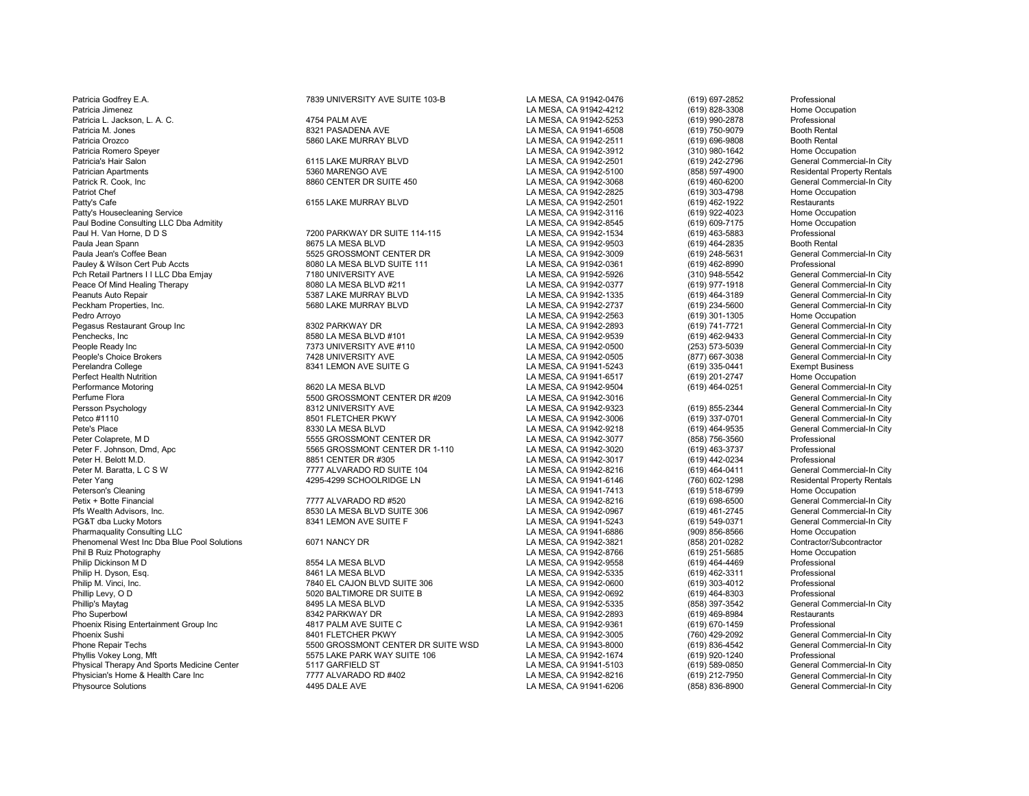Patricia Godfrey E.A. **7839 UNIVERSITY AVE SUITE 103-B** LA MESA, CA 91942-0476 (619) 697-2852 Professional Patricia L. Jackson, L. A. C. 4754 PALM AVE LA MESA, CA 91942-5253 (619) 990-2878 Professional Patricia Orozco 5860 LAKE MURRAY BLVD LA MESA, CA 91942-2511 (619) 696-9808 Booth Rental Patricia Romero Speyer Nome Occupation (310) 980-1642 Home Occupation (310) 980-1642 Home Occupation (910) 980-1642<br>Patricia's Hair Salon (619) 242-2796 General Commercial-In City Patricia's Hair Salon 6115 LAKE MURRAY BLVD LA MESA, CA 91942-2501 (619) 242-2796 General Commercial-In City Patrician Apartments 5360 MARENGO AVE LA MESA, CA 91942-5100 (858) 597-4900 Residental Property Rentals Patty's Housecleaning Service Community Community Community Community Community Community Community Community Community Community Community Community Community Community Community Community Community Community Community Co Paul Bodine Consulting LLC Dba Admitity<br>Paul H. Van Horne, D D S Paul H. Van Horne, D.D S. Professional (1990) PARKWAY DR SUITE 114-115 N.D. AMESA, CA 91942-1534 (619) 463-5883 Professional (619) 463-5883 Professional (619) 463-5883 Professional (619) 464-2835 Professional (619) 464-283 Paula Jean Spann Booth Rental Scott Rental Scott Rental Scott Rental Scott Rental Scott Rental Scott Rental Scott Rental Scott Rental Scott Rental Scott Rental Scott Rental Scott Rental Scott Rental Scott Rental City<br>Paula Pauley & Wilson Cert Pub Accts 8080 LA MESA BLVD SUITE 111 LA MESA, CA 91942-0361 (619) 462-8990 Professional Pch Retail Partners I I LLC Dba Emjay 7180 UNIVERSITY AVE LA MESA, CA 91942-5926 (310) 948-5542 General Commercial-In City<br>Peace Of Mind Healing Therapy 8080 LA MESA BL Peace Of Mind Healing Therapy **1988 Commercial-In City** 8080 LA MESA BLVD #211 LA MESA, CA 91942-0377 (619) 977-1918 General Commercial-In City<br>Peanuts Auto Repair General Commercial-In City 5387 LAKE MURRAY BLVD LA MESA, Peanuts Auto Repair **1988** Ceneral Commercial-In City 1989 5387 LAKE MURRAY BLVD 1999 12 LA MESA, CA 91942-1335 (619) 464-3189 General Commercial-In City 1999 6999 134-5600 General Commercial-In City 1999 134-5600 General Pedro Arroyo (619) 301-1305 Home Occupation (619) 2012 1266 Arroyo LA MESA, CA 91942-2563 (619) 301-1305 Home Occupation<br>Pegasus Restaurant Group Inc (Commercial-In City) 3002 PARKWAY DR (819) 2012-2893 (619) 741-7721 Gene Pegasus Restaurant Group Inc 8302 PARKWAY DR LA MESA, CA 91942-2893 (619) 741-7721 General Commercial-In City Penchecks, Inc 8580 LA MESA BLVD #101 LA MESA, CA 91942-9539 (619) 462-9433 General Commercial-In City People Ready Inc Commercial-In City (253) People Ready Inc. Commercial-In City (253) 573-5039 General Commercial-In City (253) 573-5039 General Commercial-In City (253) 573-5039 General Commercial-In City (253) 573-5039 Ge Performance Motoring Commercial-In City Commercial-In City and the SA CA 91942-9504 (619) 464-0251 Commercial-In City<br>Perfume Flora Commercial-In City and the SA CA 91942-3016 Commercial-In City Commercial-In City Perfume Flora Commercial-In City (1990) 5500 GROSSMONT CENTER DR #209 LA MESA, CA 91942-3016 Campion Campion City<br>Persson Psychology Chemical-In City (1998) 6312 UNIVERSITY AVE CHEMIC CAMESA, CA 91942-9323 (619) 855-2344 G Petco #1110 8501 FLETCHER PKWY LA MESA, CA 91942-3006 (619) 337-0701 General Commercial-In City Peter Colaprete, M D 5555 GROSSMONT CENTER DR LA MESA, CA 91942-3077 (858) 756-3560 Professional Peter F. Johnson, Dmd, Apc 5565 GROSSMONT CENTER DR 1-110 LA MESA, CA 91942-3020 (619) 463-3737 Professional Peter M. Baratta, L C S W 777 ALVARADO RD SUITE 104 LA MESA, CA 91942-8216 (619) 464-0411 General Commercial-In City<br>Peter Yang 760) 602-1298 Residental Property Rentals 4295-4299 SCHOOLRIDGE LN LA MESA, CA 91941-6146 (760 Petix + Botte Financial **1998-6500** Ceneral Commercial-In City 7777 ALVARADO RD #520 **Ceneral Commercial-In City**<br>Pfs Wealth Advisors, Inc. Commercial-In City 8530 LA MESA BLVD SUITE 306 **CA 1998-898-9967** (619) 461-2745 G Pfs Wealth Advisors, Inc. **8530 LA MESA BLVD SUITE 306** LA MESA, CA 91942-0967 (619) 461-2745 General Commercial-In City<br>PG&T dba Lucky Motors **PGA Advisor Advisor Commercial-In City** 8341 LEMON AVE SUITE F CHINESA, CA 919 Pharmaquality Consulting LLC Home Occupation<br>Phenomenal West Inc Dba Blue Pool Solutions 6071 NANCY DR CONSULTER MESA, CA 91942-3821 (909) 856-8566 Home Occupation Phenomenal West Inc Dba Blue Pool Solutions 6071 NANCY DR Contractor/Subcontractor/Subcontractor/Subcontractor/Subcontractor/Subcontractor/Subcontractor/Subcontractor/Subcontractor/Subcontractor/Subcontractor/Subcontractor Philip H. Dyson, Esq. 8461 LA MESA BLVD LA MESA, CA 91942-5335 (619) 462-3311 Professional Philip M. Vinci, Inc. 7840 EL CAJON BLVD SUITE 306 LA MESA, CA 91942-0600 (619) 303-4012 Professional Phillip Levy, O D 5020 BALTIMORE DR SUITE B LA MESA, CA 91942-0692 (619) 464-8303 Professional Pho Superbowl 8342 PARKWAY DR LA MESA, CA 91942-2893 (619) 469-8984 Restaurants Phoenix Rising Entertainment Group Inc 4817 PALM AVE SUITE C LA MESA, CA 91942-9361 (619) 670-1459 Professional Phone Repair Techs 5500 GROSSMONT CENTER DR SUITE WSD LA MESA, CA 91943-8000 (619) 836-4542 General Commercial-In City<br>Phyllis Vokev Long. Mft 5575 LAKE PARK WAY SUITE 106 Physical Therapy And Sports Medicine Center **5117 GARFIELD ST** COMPANE AND SALED AND A LA MESA, CA 91941-5103 (619) 589-0850 General Commercial-In City<br>Physician's Home & Health Care Inc Centeral Commercial-In City and T77 Physician's Home & Health Care Inc City Care Commercial-In City Act of the MESA, CA 91942-8216 (619) 212-7950 General Commercial-In City City Act of the MESA, CA 91942-8216 (619) 212-7950 General Commercial-In City City Co Physource Solutions 4495 DALE AVE LA MESA, CA 91941-6206 (858) 836-8900 General Commercial-In City

Patricia Jimenez LA MESA, CA 91942-4212 (619) 828-3308 Home Occupation Patrick R. Cook, Inc 8860 CENTER DR SUITE 450 LA MESA, CA 91942-3068 (619) 460-6200 General Commercial-In City Patriot Chef LA MESA, CA 91942-2825 (619) 303-4798 Home Occupation Patty's Cafe 6155 LAKE MURRAY BLVD LA MESA, CA 91942-2501 (619) 462-1922 Restaurants Paula Jean's Coffee Bean 5525 GROSSMONT CENTER DR LA MESA, CA 91942-3009 (619) 248-5631 General Commercial-In City Peckham Properties, Inc. 5680 LAKE MURRAY BLVD LA MESA, CA 91942-2737 (619) 234-5600 General Commercial-In City People's Choice Brokers 7428 UNIVERSITY AVE LA MESA, CA 91942-0505 (877) 667-3038 General Commercial-In City Perelandra College 8341 LEMON AVE SUITE G LA MESA, CA 91941-5243 (619) 335-0441 Exempt Business Perfect Health Nutrition LA MESA, CA 91941-6517 (619) 201-2747 Home Occupation Persson Psychology 8312 UNIVERSITY AVE LA MESA, CA 91942-9323 (619) 855-2344 General Commercial-In City Pete's Place 8330 LA MESA BLVD LA MESA, CA 91942-9218 (619) 464-9535 General Commercial-In City Peter H. Belott M.D. 8851 CENTER DR #305 LA MESA, CA 91942-3017 (619) 442-0234 Professional Peter Yang 4295-4299 SCHOOLRIDGE LN LA MESA, CA 91941-6146 (760) 602-1298 Residental Propert<br>LA MESA. CA 91941-7413 (619) 518-6799 Home Occupation Peterson's Cleaning LA MESA, CA 91941-7413 (619) 518-6799 Home Occupation PG&T dba Lucky Motors 8341 LEMON AVE SUITE F LA MESA, CA 91941-5243 (619) 549-0371 General Commercial-In City Phil B Ruiz Photography LA MESA, CA 91942-8766 (619) 251-5685 Home Occupation Philip Dickinson M D 8554 LA MESA BLVD LA MESA, CA 91942-9558 (619) 464-4469 Professional Phillip's Maytag 8495 LA MESA BLVD LA MESA, CA 91942-5335 (858) 397-3542 General Commercial-In City Phoenix Sushi 8401 FLETCHER PKWY LA MESA, CA 91942-3005 (760) 429-2092 General Commercial-In City

Patricia M. Jones 8321 2542 Patricia M. Jones 8321 2542 (619) 750-9079<br>Patricia M. Jones 2019 21: 12: 13: 14: 1595-9008 (619) 696-9808 925 AMERARK WAY SUITE 106 LA MESA, CA 91942-1674 (619) 920-1240 Professional Professional Professional Professional LA MESA, CA 91941-5103 (619) 589-0850 General Commercial-In City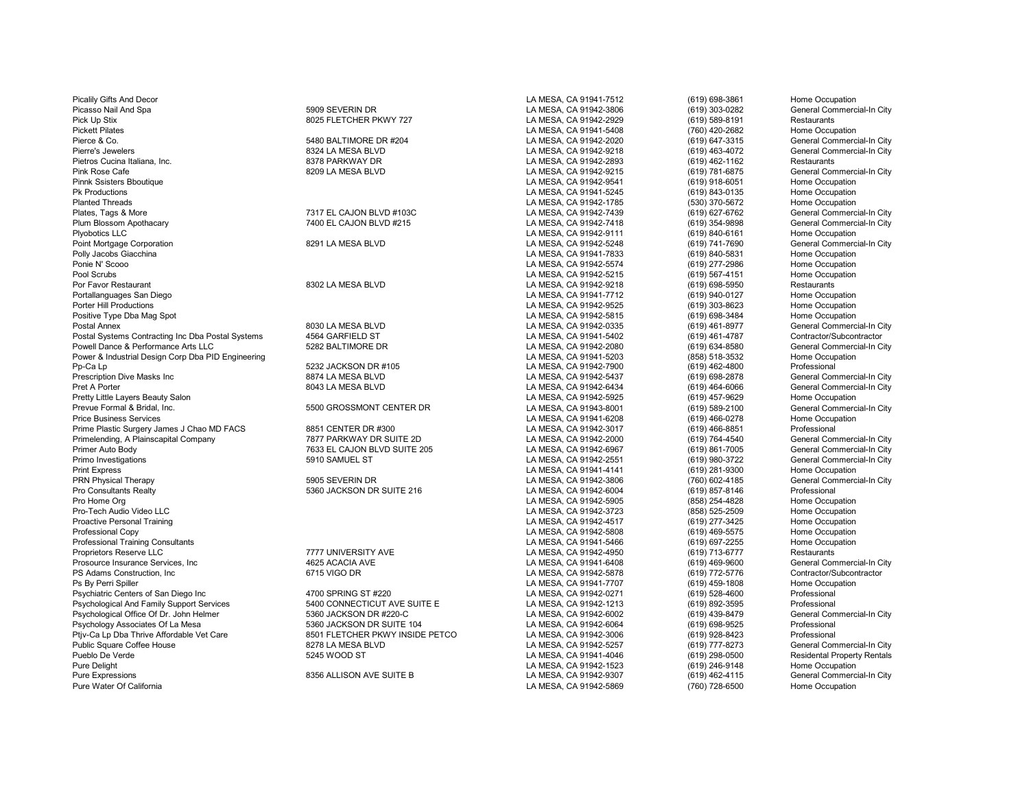Picasso Nail And Spa 5909 SEVERIN DR 5909 SEVERIN DR LA MESA, CA 91942-3806 (619) 303-0282 General Commercial-In City<br>Pick Up Stix 619) 589-8191 Restaurants (Restaurants 1992) 8025 FLETCHER PKWY 727 CA MESA, CA 91942-2929 Pick Up Stix 8025 FLETCHER PKWY 727 LA MESA, CA 91942-2929 (619) 589-8191 Restaurants Pierce & Co. 5480 BALTIMORE DR #204 LA MESA, CA 91942-2020 (619) 647-3315 General Commercial-In City Pierre's Jewelers 6324 LA MESA BLVD Channel Base of the Campacial Commercial-In City<br>Pietros Cucina Italiana, Inc. Commercial-In City 8378 PARKWAY DR Channel Commercial Commercial-In City Channel B Pietros Cucina Italiana, Inc. 8378 PARKWAY DR LA MESA, CA 91942-2893 (619) 462-1162 Restaurants Pink Rose Cafe Cafe Schoutique Commercial-In City and Sample Bank Bank Bank Rose Cafe 8209 LA MESA, CA 91942-9215 (619) 781-6875 General Commercial-In City<br>Pinnk Ssisters Bboutique Coupation Nume Occupation Pinnk Ssisters Bboutique LA MESA, CA 91942-9541 (619) 918-6051 Home Occupation Pk Productions LA MESA, CA 91941-5245 (619) 843-0135 Home Occupation Planted Threads LA MESA, CA 91942-1785 (530) 370-5672 Home Occupation Plates, Tags & More 613 More 7317 EL CAJON BLVD #103C LA MESA, CA 91942-7439 (619) 627-6762 General Commercial-In City<br>Plum Blossom Apothacary Chemercial-In City 7400 EL CAJON BLVD #215 (A MESA, CA 91942-7418 (619) 354-989 Plyobotics LLC LA MESA, CA 91942-9111 (619) 840-6161 Home Occupation Point Mortgage Corporation and the Same of the Same of the Same of the Same of the Same of the Same of the Same of the Same of the Same of the Same of the Same of the Same of the Same of the Same of the Same of the Same of Polly Jacobs Giacchina LA MESA, CA 91941-7833 (619) 840-5831 Home Occupation Ponie N' Scooo LA MESA, CA 91942-5574 (619) 277-2986 Home Occupation Pool Scrubs LA MESA, CA 91942-5215 (619) 567-4151 Home Occupation Por Favor Restaurant 8302 LA MESA BLVD LA MESA, CA 91942-9218 (619) 698-5950 Restaurants Portallanguages San Diego LA MESA, CA 91941-7712 (619) 940-0127 Home Occupation Porter Hill Productions LA MESA, CA 91942-9525 (619) 303-8623 Home Occupation Positive Type Dba Mag Spot North Coupation (619) 698-3484 Home Occupation<br>Postal Annex (619) 461-8977 General Commercial-In City Postal Annex 8030 LA MESA BLVD LA MESA, CA 91942-0335 (619) 461-8977 General Commercial-In City Postal Systems Contracting Inc Dba Postal Systems 4564 GARFIELD ST **LA MESA, CA 91941-5402** (619) 461-4787 Contractor/Subcontractor<br>Powell Dance & Performance Arts LLC Contractor 5282 BALTIMORE DR CONTENT CONTENT CONTENT L Powell Dance & Performance Arts LLC 5282 BALTIMORE DR LA MESA, CA 91942-2080 (619) 634-8580 General Commercial-<br>Power & Industrial Design Corp Dba PID Engineering 60 Cupation 5282 BALTIMORE DR Power & Industrial Design Corp Dba PID Engineering and the Corpation of the Same Occupation of the Same Occupation Corpation of the Same Occupation of the Same Occupation of the Same Occupation of the Same Occupation of th Pp-Ca Lp 5232 JACKSON DR #105 LA MESA, CA 91942-7900 (619) 462-4800 Professional Prescription Dive Masks Inc 8874 LA MESA BLVD LA MESA, CA 91942-5437 (619) 698-2878 General Commercial-In City Pret A Porter (619) 464-6066 General Commercial-In City 8043 LA MESA BLVD Commercial-In City Commercial-In City<br>Pretty Little Layers Beauty Salon Commercial-In City 8043 LA MESA, CA 91942-5925 (619) 457-9629 Home Occupatio Pretty Little Layers Beauty Salon North Compation Compation Compation Compation Compation Compation Compation<br>Prevue Formal & Bridal, Inc. Compation Compation Compatibility of the Salon LA MESA, CA 91943-8001 (619) 589-210 Prevue Formal & Bridal, Inc. Channer Commercial Commercial Commercial Commercial Commercial Commercial Commerc<br>Price Business Services Commercial-In Cocupation Center Commercial-In City of Camercial-In City of Camercial-I<br> Prime Plastic Surgery James J Chao MD FACS 8851 CENTER DR #300 LA MESA, CA 91942-3017 (619) 466-8851 Professional<br>Primelending. A Plainscapital Company Research 1987 PARKWAY DR SUITE 2D LA MESA, CA 91942-2000 (619) 764-454 Primelending, A Plainscapital Company 7877 PARKWAY DR SUITE 2D LA MESA, CA 91942-2000 (619) 764-4540 General Commercial-In City Primer Auto Body 7633 EL CAJON BLVD SUITE 205 LA MESA, CA 91942-6967 (619) 861-7005<br>262-961 Primo Investigations (619) 980-3722 Print Express LA MESA, CA 91941-4141 (619) 281-9300 Home Occupation PRN Physical Therapy 5905 SEVERIN DR LA MESA, CA 91942-3806 (760) 602-4185 General Commercial-In City Pro Consultants Realty **1986 Consultants Realty 1986** Professional Consultants Realty 1987-8146 Professional Professional<br>Pro Home Org (858) 254-4828 Home Occur Pro Home Org LA MESA, CA 91942-5905 (858) 254-4828 Home Occupation Pro-Tech Audio Video LLC LA MESA, CA 91942-3723 (858) 525-2509 Home Occupation Proactive Personal Training Number 2012 12:00 12:00 2012 12:00 2013 2014 2015 2016 2017 2018 Proactive Personal Training America Copyright Convention Professional Copyright of Home Occupation Professional Copyright Copyrig Professional Copy LA MESA, CA 91942-5808 (619) 469-5575 Home Occupation Professional Training Consultants LA MESA, CA 91941-5466 (619) 697-2255 Home Occupation Proprietors Reserve LLC 7777 UNIVERSITY AVE LA MESA, CA 91942-4950 (619) 713-6777 Restaurants Prosource Insurance Services, Inc and the City of the 4625 ACACIA AVE LA MESA, CA 91941-6408 (619) 469-9600 General Commercial-In City<br>PS Adams Construction, Inc contractor/Subcontractor 6715 VIGO DR Commercial Ames Acca 9 PS Adams Construction, Inc and the Contractor/Subcontractor/Subcontractor/Subcontractor/Subcontractor/Subcontractor/Subcontractor/Subcontractor/Subcontractor/Subcontractor/Subcontractor/Subcontractor/Subcontractor/Subcontr Ps By Perri Spiller LA MESA, CA 91941-7707 (619) 459-1808 Home Occupation Psychiatric Centers of San Diego Inc and Contessional Act of Article 10 SPRING ST #220 LA MESA, CA 91942-0271 (619) 528-4600 Professional Psychological And Family Support Services and Act of the SUITE E Contessional Profes Psychological And Family Support Services 5400 CONNECTICUT AVE SUITE E LA MESA, CA 91942-1213 (619) 892-3595 Professional<br>Psychological Office Of Dr. John Helmer 5360 JACKSON DR #220-C Psychological Office Of Dr. John Helmer 6360 JACKSON DR #220-C LA MESA, CA 91942-6002 (619) 439-8479 General Commercial-In Commercial-In Commercial-In Commercial-In Commercial-In Commercial-In Commercial-In Commercial-In C Psychology Associates Of La Mesa 5360 JACKSON DR SUITE 104 LA MESA, CA 91942-6064 (619) 698-9525 Professional Ptjv-Ca Lp Dba Thrive Affordable Vet Care and the State 8501 FLETCHER PKWY INSIDE PETCO LA MESA, CA 91942-3006 (619) 928-8423 Professional Public Square Coffee House Commercial-In City<br>Public Square Coffee House House Comm Public Square Coffee House 620 Million City (619) 8278 LA MESA BLVD LA MESA, CA 91942-5257 (619) 777-8273 General Commercial-In City (619) 798-0500 General Commercial-In City (619) 798-0500 (619) 298-0500 Residental Proper Pueblo De Verde 5245 WOOD ST LA MESA, CA 91941-4046 (619) 298-0500 Residental Property Rentals Pure Delight (619) 246-9148 Home Occupation<br>Pure Expressions The Secure of Commerce of Same Base of Camera Commerce (619) 246-9148 Home Occupation<br>Pure Expressions Ceneral Commerce of Same Base of Same Base of Same Commerc Pure Expressions 6356 ALLISON AVE SUITE B CHANGSA, CA 91942-9307 (619) 462-4115 General Commercial-In City Pure Water Of California Commercial-In City Pure Water Of California

Picalily Gifts And Decor LA MESA, CA 91941-7512 (619) 698-3861 Home Occupation Plum Blossom Blossom Apothecary 2001 EL CAJON BLVD #215 LA MESA, CA 91942-7418 (619) 354-9898 General Commercial-<br>Plum Blossom CA MESA, CA 91942-9111 (619) 840-6161 Home Occupation LA MESA, CA 91941-6208 (619) 466-0278 Home Occup<br>LA MESA, CA 91942-3017 (619) 466-8851 Professional

Pickett Pickett Pickett Pickett Pickett Pickett Pickett Pickett Pickett Pickett Pickett Pickett Pickett Picket<br>
Pickett Pickett Pickett Pickett Pickett Pickett Pickett Pickett Pickett Pickett Pickett Pickett Pickett Picke<br> Primo Investigations 5910 Ann 1010 SAMUEL ST LA MESA, CA 91942-2551 (619) 980-3722 General Commercial-In City<br>
(619) 281-9300 Home Occupation LA MESA, CA 91942-5869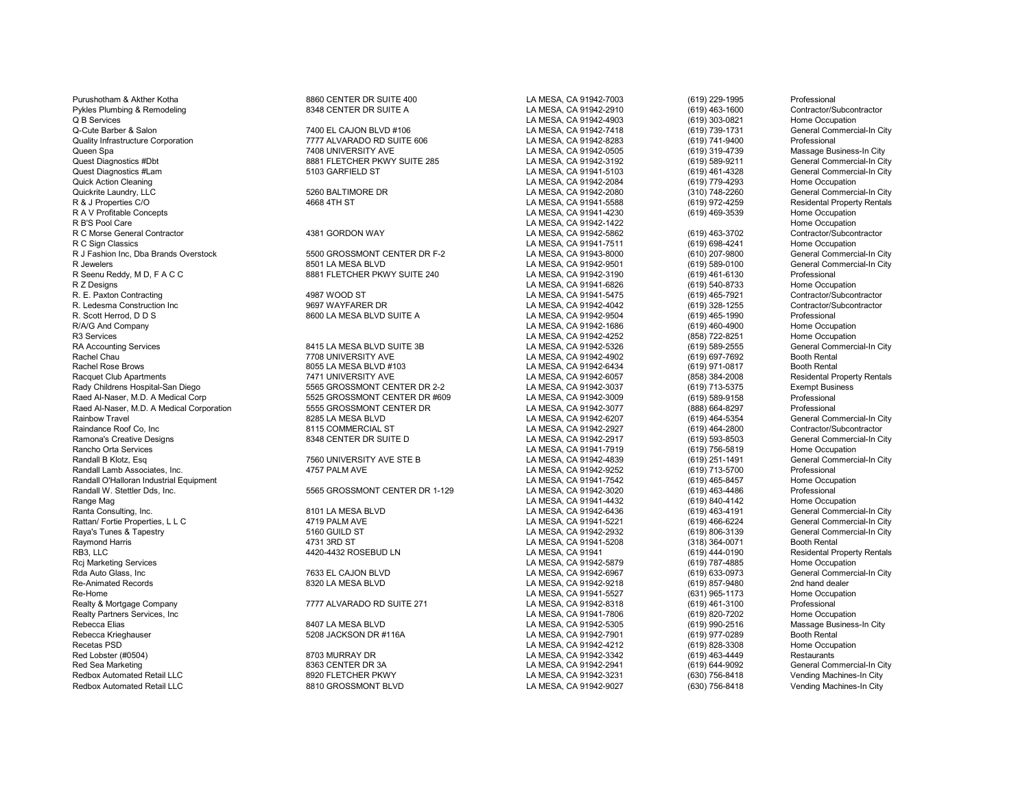Purushotham & Akther Kotha 8860 CENTER DR SUITE 400 LA MESA, CA 91942-7003 (619) 229-1995 Professional Pykles Plumbing & Remodeling **8348 CENTER DR SUITE A** LA MESA, CA 91942-2910 (619) 463-1600 Contractor/Subcontractor<br>Q B Services (619) 303-0821 Home Occupation Q B Services LA MESA, CA 91942-4903 (619) 303-0821 Home Occupation Q-Cute Barber & Salon Commercial-In City 7400 EL CAJON BLVD #106 COMPOUND AND SALA MESA, CA 91942-7418 (619) 739-1731 General Commercial-In City Commercial-In City Commercial-In City Commercial-In City Commercial-In City C Quality Infrastructure Corporation 7777 ALVARADO RD SUITE 606 LA MESA, CA 91942-8283 (619) 741-9400 Professional Queen Spa 7408 UNIVERSITY AVE LA MESA, CA 91942-0505 (619) 319-4739 Massage Business-In City Quest Diagnostics #Dbt 8881 FLETCHER PKWY SUITE 285 LA MESA, CA 91942-3192 (619) 589-9211 General Commercial-In City Quest Diagnostics #Lam 5103 GARFIELD ST COMPUTER COMPUTER COMPUTER COMPUTER COMPUTER COMPUTER COMPUTER COMPUTE<br>Culck Action Cleaning Home Occupation Counter of Computer Computer Computer Computer Computer Computer Compute Quick Action Cleaning LA MESA, CA 91942-2084 (619) 779-4293 Home Occupation Quickrite Laundry, LLC 5260 BALTIMORE DR LA MESA, CA 91942-2080 (310) 748-2260 General Commercial-In City R & J Properties C/O 4668 4TH ST 4668 4TH ST 4668 4TH ST 2008 2010 LA MESA, CA 91941-5588 4669 22-4259 Residental Property Rentals<br>R A V Profitable Concepts Home Occupation R A V Profitable Concepts LA MESA, CA 91941-4230 (619) 469-3539 Home Occupation R B'S Pool Care Care Home Occupation<br>R C Morse General Contractor Contractor Care and ASSN GORDON WAY Next LA MESA, CA 91942-5862 (619) 463-3702 Contractor/Subcontractor R C Morse General Contractor **1988** Contractor 1998 Contractor/Subcontractor/Subcontractor/Subcontractor/Subcontractor/Subcontractor/Subcontractor/Subcontractor/Subcontractor/Subcontractor/Subcontractor/Subcontractor/Subco R J Fashion Inc, Dba Brands Overstock 5500 GROSSMONT CENTER DR F-2 LA MESA, CA 91943-8000 (610) 207-9800 General Commercial-In City R Jewelers 8501 LA MESA BLVD LA MESA, CA 91942-9501 (619) 589-0100 General Commercial-In City R Seenu Reddy, M D, F A C C C C C C C B881 FLETCHER PKWY SUITE 240 LA MESA, CA 91942-3190 (619) 461-6130 Professional<br>R Z Designs (619) 540-8733 Home Occupation R Z Designs LA MESA, CA 91941-6826 (619) 540-8733 Home Occupation R. E. Paxton Contracting 4987 WOOD ST LA MESA, CA 91941-5475 (619) 465-7921 Contractor/Subcontractor R. Ledesma Construction Inc 9697 WAYFARER DR LA MESA, CA 91942-4042 (619) 328-1255 Contractor/Subcontractor R. Scott Herrod, D D S 8600 LA MESA BLVD SUITE A LA MESA, CA 91942-9504 (619) 465-1990 Professional<br>R/A/G And Company 8600 LA MESA BLVD SUITE A LA MESA. C R/A/G And Company LA MESA, CA 91942-1686 (619) 460-4900 Home Occupation R3 Services (858) 722-8251 Home Occupation<br>RA Accounting Services Commercial-In City (619) 8415 LA MESA BLVD SUITE 3B CA RESA, CA 91942-5326 (619) 589-2555 (699-2555 (6eneral Commercial-In City RA Accounting Services 8415 LA MESA BLVD SUITE 3B LA MESA, CA 91942-5326 (619) 589-2555 General Commercial-In City Rachel Chau 7708 UNIVERSITY AVE LA MESA, CA 91942-4902 (619) 697-7692 Booth Rental Rachel Rose Brows 8055 LA MESA BLVD #103 LA MESA, CA 91942-6434 (619) 971-0817 Booth Rental Racquet Club Apartments Residental Property Rentals 7471 UNIVERSITY AVE LA MESA, CA 91942-6057 (858) 384-2008 Residental Property Rentals (858) 384-2008 Residental Property Rentals (858) 184-2008 Residental Property Rental Raed Al-Naser, M.D. A Medical Corp 5525 GROSSMONT CENTER DR #609 LA MESA, CA 91942-3009 (619) 589-9158 Professional Raed Al-Naser, M.D. A Medical Corporation **5555 GROSSMONT CENTER DR** LA MESA, CA 91942-3077 (888) 664-8297 Professional<br>Rainbow Travel General Commercial-In City 6885 AMESA BLVD LA MESA, CA 91942-6207 (619) 464-5354 Genera Rainbow Travel 8285 LA MESA BLVD LA MESA, CA 91942-6207 (619) 464-5354 General Commercial-In City Raindance Roof Co, Inc 8115 COMMERCIAL ST LA MESA, CA 91942-2927 (619) 464-2800 Contractor/Subcontractor Ramona's Creative Designs 8348 CENTER DR SUITE D LA MESA, CA 91942-2917 (619) 593-8503 General Commercial-In City Rancho Orta Services LA MESA, CA 91941-7919 (619) 756-5819 Home Occupation Randall B Klotz, Esq 7560 UNIVERSITY AVE STE B LA MESA, CA 91942-4839 (619) 251-1491 General Commercial-In City Randall Lamb Associates, Inc. 4767 PALM AVE 4757 PALM AVE LA MESA, CA 91942-9252 (619) 713-5700 Professional P<br>Randall O'Halloran Industrial Equipment Alternation Cocupation Are and the Scoupation Cocupation Professional Randall O'Halloran Industrial Equipment Randall W. Stettler Dds, Inc. 5565 GROSSMONT CENTER DR 1-129 LA MESA, CA 91942-3020 (619) 463-4486 Professional Range Mag LA MESA, CA 91941-4432 (619) 840-4142 Home Occupation Rattan/ Fortie Properties, L L C 4719 PALM AVE LA MESA, CA 91941-5221 (619) 466-6224 General Commercial-In City Raya's Tunes & Tapestry 5160 GUILD ST LA MESA, CA 91942-2932 (619) 806-3139 General Commercial-In City Raymond Harris 4731 3RD ST LA MESA, CA 91941-5208 (318) 364-0071 Booth Rental RB3, LLC 619) 4420-4432 ROSEBUD LN 4420-4432 ROSEBUD LN LA MESA, CA 91941 (619) 444-0190 Residental Property Rentals<br>Rci Marketing Services Home Occupation Rcj Marketing Services LA MESA, CA 91942-5879 (619) 787-4885 Home Occupation Rda Auto Glass, Inc 7633 EL CAJON BLVD LA MESA, CA 91942-6967 (619) 633-0973 General Commercial-In City<br>Re-Animated Records 8320 LA MESA BLVD Re-Animated Records 8320 LA MESA BLVD LA MESA, CA 91942-9218 (619) 857-9480 2nd hand dealer Re-Home LA MESA, CA 91941-5527 (631) 965-1173 Home Occupation Realty Partners Services, Inc LA MESA, CA 91941-7806 (619) 820-7202 Home Occupation Rebecca Elias 8407 LA MESA BLVD LA MESA, CA 91942-5305 (619) 990-2516 Massage Business-In City Rebecca Krieghauser 5208 JACKSON DR #116A LA MESA, CA 91942-7901 (619) 977-0289 Booth Rental Recetas PSD LA MESA, CA 91942-4212 (619) 828-3308 Home Occupation Red Lobster (#0504) 8703 MURRAY DR LA MESA, CA 91942-3342 (619) 463-4449 Restaurants Red Sea Marketing Commercial-In City (619) 644-9092 (619) 644-9092 (699 General Commercial-In City (619) 644-9092<br>Redbox Automated Retail LLC Commercial-In City (830) 756-8418 (830) 756-8418 (630) 756-8418 (761) 796-8418 ( Redbox Automated Retail LLC **Christed Retail LLC** 8920 FLETCHER PKWY LA MESA, CA 91942-3231 (630) 756-8418 Vending Machines-In City<br>Redbox Automated Retail LLC Christed Based on the State Based of Research City Christed Ba Redbox Automated Retail LLC 8810 GROSSMONT BLVD LA MESA, CA 91942-9027 (630) 756-8418 Vending Machines-In City

Rady Childrens Hospital-San Diego 5565 GROSSMONT CENTER DR 2-2 LA MESA, CA 91942-3037 (619) 713-5375 Exempt Business

LA MESA, CA 91941-7511 (619) 698-4241 Home Occupation<br>English Classic LA MESA. CA 91943-8000 (610) 207-9800 General Commercial-In City Ranta Commercial-In City Consulting, Inc. 8101 LA MESA, CA 91942-6436 (619) 463-4191 General Commercial-In City<br>1999 469-6224 General Commercial-In City Commercial-In City LA MESA, CA 91941-5221 (619) 466-6224 General Comm Realty ALVARADO RD SUITE 271 LA MESA, CA 91942-8318 (619) 461-3100 Professional<br>LA MESA. CA 91941-7806 (619) 820-7202 Home Occupation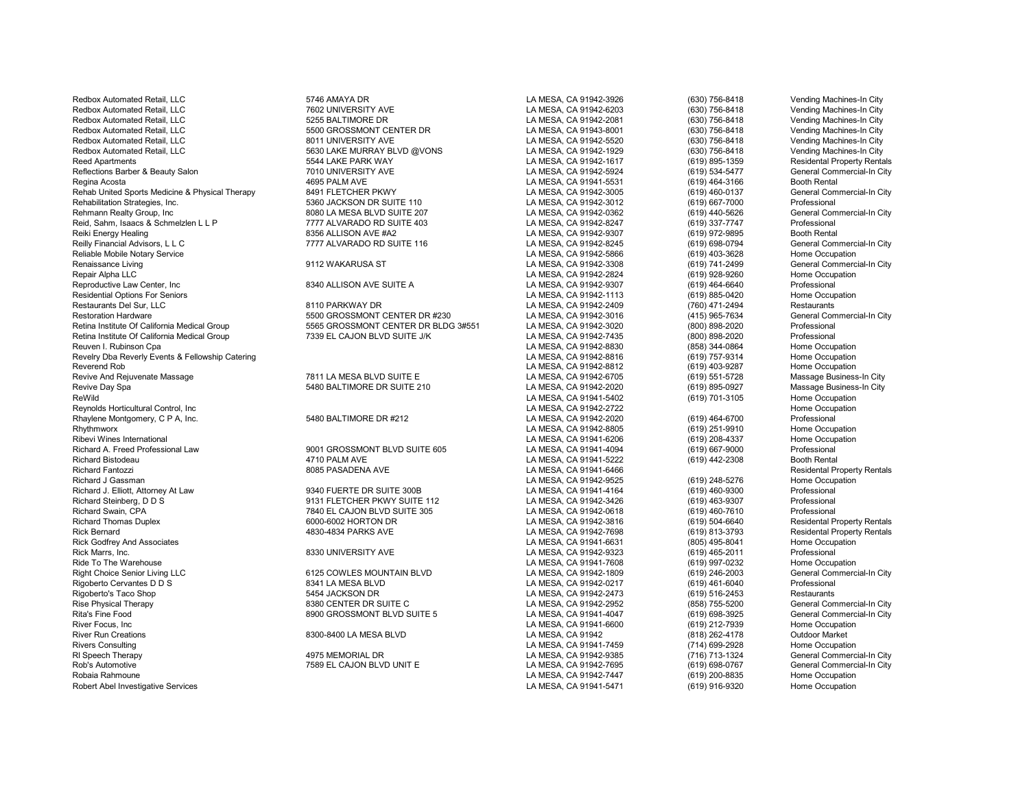Redbox Automated Retail, LLC 6 6746 AMAYA DR 5746 AMAYA DR LA MESA, CA 91942-3926 (630) 756-8418 Vending Machines-In City Redbox Automated Retail, LLC 6255 SALTIMORE DR LA MESA, CA 91942-2081 (630) 756-8418 Vending Machines-In City<br>Redbox Automated Retail, LLC 62 Canadians-In City 5500 GROSSMONT CENTER DR LA MESA, CA 91943-8001 (630) 756-8418 Redbox Automated Retail, LLC **Christed Retail, LLC 1991 100 1001** 2011 UNIVERSITY AVE LA MESA, CA 91942-5520 (630) 756-8418 Vending Machines-In City<br>Redbox Automated Retail, LLC Christen City 5630 LAKE MURRAY BLVD @VONS LA Redbox Automated Retail, LLC **Canadia Care in the Second Case of the Second Case Canadia Case 1956-8418** Reed Apartments (630) 756-8418 Vending Machines-In Case of the Seconding Machines-In City of the Seconding Machines-I Reflections Barber & Beauty Salon 1992 1993 1994 1994 1994 1994 100 NOVERSITY AVE 1995 100 NOVERSITY AVE LA MESA, CA 91942-5924 1999 1994-5477 1995 1994 1995 1994 1995 1994 1995 1994 1995 1994 1995 1994 1995 1994 1995 1994 Rehab United Sports Medicine & Physical Therapy 8491 FLETCHER PKWY LA MESA, CA 91942-3005 (619) 460-0137 General Commercial-In City Rehabilitation Strategies, Inc. 5360 JACKSON DR SUITE 110 LA MESA, CA 91942-3012 (619) 667-7000 Professional<br>Rehmann Realty Group. Inc 8080 LA MESA BLVD SUITE 207 LA ME Reid, Sahm, Isaacs & Schmelzlen L L P **777 ALVARADO RD SUITE 403** LA MESA, CA 91942-8247 (619) 337-7747 Professional<br>Reiki Energy Healing (619) 972-9895 Booth Rental Reilly Financial Advisors, L L C **Commercial-In City** 7777 ALVARADO RD SUITE 116 LA MESA, CA 91942-8245 (619) 698-0794 General Commercial-In City<br>Reliable Mobile Notary Service Coupation Reliable Mobile Notary Service LA MESA, CA 91942-5866 (619) 403-3628 Home Occupation Reproductive Law Center, Inc 8340 ALLISON AVE SUITE A LA MESA, CA 91942-9307 (619) 464-6640 Professional Residential Options For Seniors LA MESA, CA 91942-1113 (619) 885-0420 Home Occupation Restoration Hardware Galifornia Medical Group 5500 GROSSMONT CENTER DR #230 LA MESA, CA 91942-3016 (415) 965-7634 General Commercial-In City<br>Retina Institute Of California Medical Group 600 Second Case GROSSMONT CENTER DR Retina Institute Of California Medical Group **7339 EL CAJON BLVD SUITE J/K** LA MESA, CA 91942-7435 (800) 898-2020 Professional<br>Reuven I. Rubinson Cpa Home Occupation Revelry Dba Reverly Events & Fellowship Catering the compation of the state of the state of the compation of the compation of the compation of the compation of the compation of the compation of the compation of the compati Revive And Rejuvenate Massage The State of the Massage Business-In City of the Massage Business-In City of the Massage Business-In City<br>Revive Day Spa Massage Business-In City of the State of the State of the State of the Revive Day Spa 5480 BALTIMORE DR SUITE 210 LA MESA, CA 91942-2020 (619) 895-0927 Massage Business-In City Reynolds Horticultural Control, Inc Cocupation<br>Rhavlene Montgomery. C.P.A. Inc. Care and the SARO BALTIMORE DR #212 CA MESA, CA 91942-2020 (619) 464-6700 Professional Rhaylene Montgomery, C P A, Inc. 5480 BALTIMORE DR #212 LA MESA, CA 91942-2020 (619) 464-6700 Professional<br>Rhythmworx 5480 BALTIMORE DR #212 LA MESA, CA 9194 Richard A. Freed Professional Law 9001 GROSSMONT BLVD SUITE 605 LA MESA, CA 91941-4094 (619) 667-9000 Professional Richard Fantozzi **Richard Fantozzi Subset and Avenue and Subset Avenue Concerned Avenue Concerned Avenue Residental Property Rentals<br>Richard J Gassman Richard Home Occupation** Richard J. Elliott, Attorney At Law 9340 FUERTE DR SUITE 300B LA MESA, CA 91941-4164 (619) 460-9300 Professional Richard Steinberg, D D S 9131 FLETCHER PKWY SUITE 112 LA MESA, CA 91942-3426 (619) 463-9307 Professional Richard Swain, CPA 7840 EL CAJON BLVD SUITE 305 LA MESA, CA 91942-0618 (619) 460-7610 Professional Richard Thomas Duplex 6000-6002 HORTON DR LA MESA, CA 91942-3816 (619) 504-6640 Residental Property Rentals Rick Marrs, Inc. 8330 UNIVERSITY AVE LA MESA, CA 91942-9323 (619) 465-2011 Professional Ride To The Warehouse LA MESA, CA 91941-7608 (619) 997-0232 Home Occupation Right Choice Senior Living LLC **CHOICE COMPONET CONTAIN BLVD** LA MESA, CA 91942-1809 (619) 246-2003 General Commercial-In City<br>Rigoberto Cervantes D D S Commercial-In City 8341 LA MESA BLVD LA MESA. CA 91942-0217 (619) 461 Rigoberto Cervantes D D S 8341 LA MESA BLVD LA MESA, CA 91942-0217 (619) 461-6040 Professional Rigoberto's Taco Shop 5454 JACKSON DR LA MESA, CA 91942-2473 (619) 516-2453 Restaurants Rise Physical Therapy 8380 CENTER DR SUITE C LA MESA, CA 91942-2952 (858) 755-5200 General Commercial-In City Rita's Fine Food Christian Commercial-In City (619) 698-3925 (General Commercial-In City of the Suite of Seneral Commercial-In City (619) 698-3925 (General Commercial-In City (619) 698-3925 (General Commercial-In City (619 River Focus, Inc LA MESA, CA 91941-6600 (619) 212-7939 Home Occupation River Run Creations 8300-8400 LA MESA BLVD LA MESA, CA 91942 (818) 262-4178 Outdoor Market Rivers Consulting LA MESA, CA 91941-7459 (714) 699-2928 Home Occupation Rl Speech Therapy 4975 MEMORIAL DR LA MESA, CA 91942-9385 (716) 713-1324 General Commercial-In City Rob's Automotive **1988 COMBEL CAJON BLVD UNIT E** ROBY AND LA MESA, CA 91942-7695 (619) 698-0767 General Commercial-In City<br>Robaia Rahmoune 1999 Mone Occupation Robaia Rahmoune LA MESA, CA 91942-7447 (619) 200-8835 Home Occupation Robert Abel Investigative Services **LA MESA, CA 91941-5471** (619) 916-9320 Home Occupation

Redbox Automated Retail, LLC 7602 UNIVERSITY AVE LA MESA, CA 91942-6203 (630) 756-8418 Vending Machines-In City EXECTROPHENDER AUTO AUTO AUTO CHANGER DR LA MESA, CA 91943-8001 (630) 756-8418 (630) 756-8418 Vending Machines<br>Retail and LA MESA, CA 91942-5520 (630) 756-8418 5544 LAKE PARK WAY CHARGE APARTMENT CA 91942-1617 (619) 895-1359 Residental Property Rentals<br>2010 UNIVERSITY AVE LA MESA, CA 91942-5924 (619) 534-5477 General Commercial-In City Regina Acosta 4695 PALM AVE LA MESA, CA 91941-5531 (619) 464-3166 Booth Rental Reformance Group, Inc. 2008 Cameral Commercial Commercial Commercial Commercial Commercial Commercial Commerci<br>1999 - The Hundred Suite 203 LA MESA, CA 91942-8247 (619) 337-7747 Professional Commercial Reiki Energy Healing 8356 ALLISON AVE #A2 LA MESA, CA 91942-9307 (619) 972-9895 Booth Rental Renaissance Living 9112 WAKARUSA ST LA MESA, CA 91942-3308 (619) 741-2499 General Commercial-In City Repair Alpha LLC LA MESA, CA 91942-2824 (619) 928-9260 Home Occupation Restaurants Del Sur, LLC 8110 PARKWAY DR LA MESA, CA 91942-2409 (760) 471-2494 Restaurants Retina Institute Of California Medical Group 5565 GROSSMONT CENTER DR BLDG 3#551 LA MESA, CA 91942-3020 (800) 898-2020 Professional Reuven I. Rubinson Cpa LA MESA, CA 91942-8830 (858) 344-0864 Home Occupation Reverend Rob LA MESA, CA 91942-8812 (619) 403-9287 Home Occupation ReWild LA MESA, CA 91941-5402 (619) 701-3105 Home Occupation Rhythmworx LA MESA, CA 91942-8805 (619) 251-9910 Home Occupation Ribevi Wines International LA MESA, CA 91941-6206 (619) 208-4337 Home Occupation Richard Bistodeau 4710 PALM AVE LA MESA, CA 91941-5222 (619) 442-2308 Booth Rental Richard J Gassman LA MESA, CA 91942-9525 (619) 248-5276 Home Occupation Rick Bernard 4830-4834 PARKS AVE LA MESA, CA 91942-7698 (619) 813-3793 Residental Property Rentals Rick Godfrey And Associates LA MESA, CA 91941-6631 (805) 495-8041 Home Occupation

| A MESA, CA 91942-3926                          |  |  |
|------------------------------------------------|--|--|
| A MESA, CA 91942-6203.                         |  |  |
| A MESA, CA 91942-2081.                         |  |  |
| A MESA, CA 91943-8001                          |  |  |
| A MESA, CA 91942-5520.                         |  |  |
| A MESA, CA 91942-1929.                         |  |  |
| A MESA, CA 91942-1617.                         |  |  |
| A MESA, CA 91942-5924                          |  |  |
| .A MESA, CA 91941-5531                         |  |  |
| A MESA, CA 91942-3005.                         |  |  |
| A MESA, CA 91942-3012.                         |  |  |
| A MESA, CA 91942-0362                          |  |  |
| .A MESA, CA 91942-8247                         |  |  |
| A MESA, CA 91942-9307.                         |  |  |
| A MESA, CA 91942-8245.                         |  |  |
| A MESA, CA 91942-5866.                         |  |  |
| A MESA, CA 91942-3308                          |  |  |
| A MESA, CA 91942-2824                          |  |  |
| A MESA, CA 91942-9307                          |  |  |
| A MESA, CA 91942-1113                          |  |  |
| A MESA, CA 91942-2409                          |  |  |
| A MESA, CA 91942-3016                          |  |  |
| A MESA, CA 91942-3020                          |  |  |
| A MESA, CA 91942-7435<br>A MESA, CA 91942-8830 |  |  |
| A MESA, CA 91942-8816                          |  |  |
| A MESA, CA 91942-8812                          |  |  |
| A MESA, CA 91942-6705                          |  |  |
| A MESA, CA 91942-2020                          |  |  |
| A MESA, CA 91941-5402                          |  |  |
| .A MESA, CA 91942-2722                         |  |  |
| A MESA, CA 91942-2020                          |  |  |
| A MESA, CA 91942-8805                          |  |  |
| A MESA, CA 91941-6206                          |  |  |
| A MESA, CA 91941-4094.                         |  |  |
| .A MESA, CA 91941-5222                         |  |  |
| .A MESA, CA 91941-6466                         |  |  |
| .A MESA, CA 91942-9525                         |  |  |
| A MESA, CA 91941-4164                          |  |  |
| A MESA, CA 91942-3426.                         |  |  |
| A MESA, CA 91942-0618.                         |  |  |
| A MESA, CA 91942-3816                          |  |  |
| A MESA, CA 91942-7698.                         |  |  |
| A MESA, CA 91941-6631.                         |  |  |
| A MESA, CA 91942-9323.                         |  |  |
| A MESA, CA 91941-7608                          |  |  |
| A MESA, CA 91942-1809.                         |  |  |
| A MESA, CA 91942-0217.                         |  |  |
| A MESA, CA 91942-2473.                         |  |  |
| A MESA, CA 91942-2952.                         |  |  |
| A MESA, CA 91941-4047                          |  |  |
| A MESA, CA 91941-6600                          |  |  |
| A MESA, CA 91942                               |  |  |
| A MESA, CA 91941-7459                          |  |  |
| A MESA, CA 91942-9385                          |  |  |
| A MESA, CA 91942-7695                          |  |  |
| A MESA, CA 91942-7447                          |  |  |
| A MESA CA 91941-5471                           |  |  |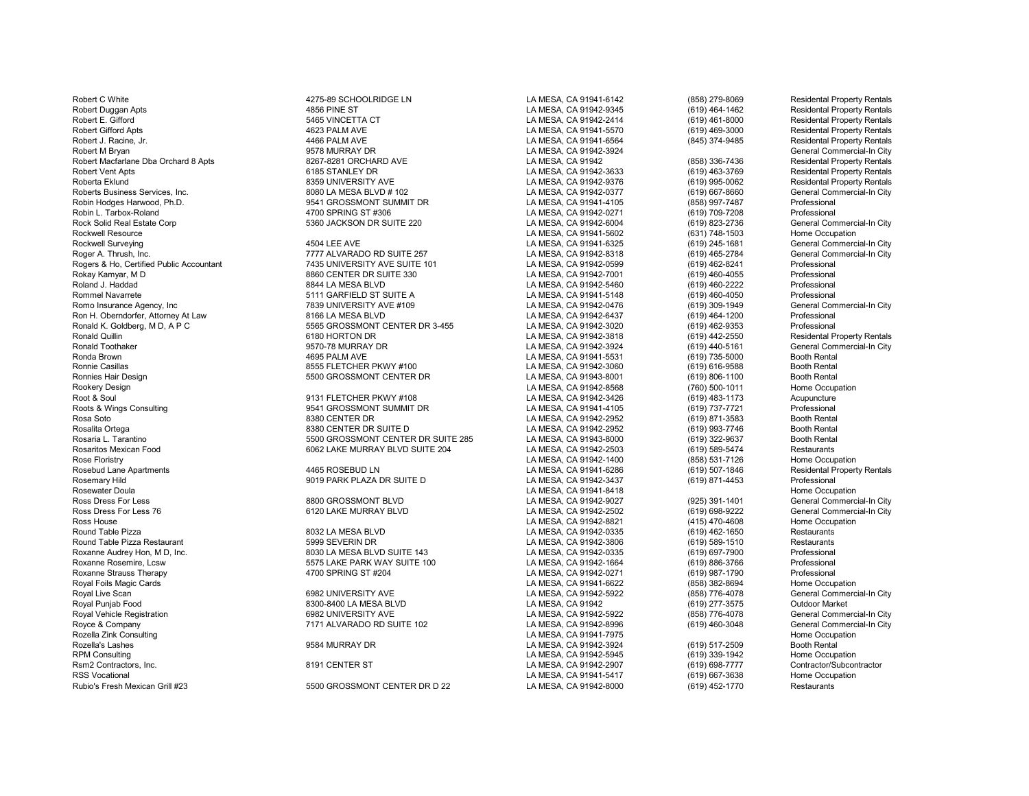Royal Foils Magic Cards (858) 382-8694 (858) 282-8694 EXAMES (858) 282-8694 EXAMES (858) 282-8694 EXAMES (858)<br>Royal Live Scan (858) 776-4078 (858) 776-4078 Royal Live Scan 6982 UNIVERSITY AVE LA MESA, CA 91942-5922 (858) 776-4078 General Commercial-In City Royal Punjab Food 8300-8400 LA MESA BLVD LA MESA, CA 91942 (619) 277-3575 Outdoor Market Royal Vehicle Registration 6982 UNIVERSITY AVE LA MESA, CA 91942-5922 (858) 776-4078 General Commercial-In City Royce & Company 7171 ALVARADO RD SUITE 102 LA MESA, CA 91942-8996 (619) 460-3048 General Commercial-In Commerc<br>Rozella Zink Consulting Home Occupation Rozella Zink Consulting LA MESA, CA 91941-7975 Home Occupation Rozella's Lashes 9584 MURRAY DR LA MESA, CA 91942-3924 Booth Rental<br>RPM Consulting 9584 MURRAY DR LA MESA. CA 91942-5945 (619) 339-19 RPM Consulting LA MESA, CA 91942-5945 (619) 339-1942 Home Occupation Rsm2 Contractors, Inc. 8191 CENTER ST LA MESA, CA 91942-2907 (619) 698-7777 Contractor/Subcontractor RSS Vocational (619) 667-3638 Home Occupation<br>Rubio's Fresh Mexican Grill #23 5500 GROSSMONT CENTER DR D 22 LA MESA. CA 91942-8000 (619) 452-1770 Restaurants

Robert C White **And Account Manual Account C ACCOUN LA MESA, CA 91941-6142** (858) 279-8069 Residental Property Rentals Robert Duggan Apts 4856 PINE ST LA MESA, CA 91942-9345 (619) 464-1462 Residental Property Rentals Robert E. Gifford 5465 VINCETTA CT LA MESA, CA 91942-2414 (619) 461-8000 Residental Property Rentals Robert Gifford Apts **ADUS ARTS ARTS 4623 PALM AVE LA MESA, CA 91941-5570** (619) 469-3000 Residental Property Rentals Robert J. Racine, Jr. 4466 PALM AVE LA MESA, CA 91941-6564 (845) 374-9485 Residental Property Rentals 9578 MURRAY DR LA MESA, CA 91942-3924 General Commercial-In City<br>1997-8281 ORCHARD AVE LA MESA, CA 91942 (858) 336-7436 Residental Property Rentals Robert Macfarlane Dba Orchard 8 Apts 8267-8281 ORCHARD AVE LA MESA, CA 91942 19942 1994 (858) 336-7436 Robert Vent Apts 8267-8281 ORCHARD AVE LA MESA, CA 91942-3633 (619) 463-3769 Robert Vent Apts 6185 STANLEY DR LA MESA, CA 91942-3633 (619) 463-3769 Residental Property Rentals Roberta Eklund 8359 UNIVERSITY AVE LA MESA, CA 91942-9376 (619) 995-0062 Residental Property Rentals Roberts Business Services, Inc. **8080 LA MESA BLVD # 102** LA MESA, CA 91942-0377 (619) 667-8660 General Commercial-In City Robin Hodges Harwood, Ph.D. 9541 GROSSMONT SUMMIT DR LA MESA, CA 91941-4105 (858) 997-7487 Professional Robin L. Tarbox-Roland 4700 SPRING ST #306 LA MESA, CA 91942-0271 (619) 709-7208 Professional Rock Solid Real Estate Corp **5360 JACKSON DR SUITE 220** LA MESA, CA 91942-6004 (619) 823-2736 General Commercial-In City Rockwell Resource LA MESA, CA 91941-5602 (631) 748-1503 Home Occupation Rockwell Surveying 4504 LEE AVE LA MESA, CA 91941-6325 (619) 245-1681 General Commercial-In City Roger A. Thrush, Inc. 7777 ALVARADO RD SUITE 257 LA MESA, CA 91942-8318 (619) 465-2784 General Commercial-In City Rogers & Ho, Certified Public Accountant 7435 UNIVERSITY AVE SUITE 101 LA MESA, CA 91942-0599 (619) 462-8241 Professional Rokay Kamyar, M D 8860 CENTER DR SUITE 330 LA MESA, CA 91942-7001 (619) 460-4055 Professional Roland J. Haddad 8844 LA MESA BLVD LA MESA, CA 91942-5460 (619) 460-2222 Professional Rommel Navarrete 5111 GARFIELD ST SUITE A LA MESA, CA 91941-5148 (619) 460-4050 Professional Romo Insurance Agency, Inc 7839 UNIVERSITY AVE #109 LA MESA, CA 91942-0476 (619) 309-1949 General Commercial-In City Ron H. Oberndorfer, Attorney At Law 8166 LA MESA BLVD LA MESA, CA 91942-6437 (619) 464-1200 Professional Ronald K. Goldberg, M D, A P C 5565 GROSSMONT CENTER DR 3-455 LA MESA, CA 91942-3020 (619) 462-9353 Professional Ronald Quillin and the section of the Same of the Same of the Same of the Same of the Same of the Same of the Same of the Same of the Same of the Same of the Same of the Same of the Same of the Same of the Same of the Same Ronald Toothaker 9570-78 MURRAY DR LA MESA, CA 91942-3924 (619) 440-5161 General Commercial-In City Ronda Brown 4695 PALM AVE LA MESA, CA 91941-5531 (619) 735-5000 Booth Rental<br>Ronnie Casillas 8555 FLETCHER PKWY #100 LA MESA. CA 91942-3060 Ronnie Casillas 8555 FLETCHER PKWY #100 LA MESA, CA 91942-3060 (619) 616-9588 Booth Rental Ronnies Hair Design 5500 GROSSMONT CENTER DR LA MESA, CA 91943-8001 (619) 806-1100 Booth Rental Rookery Design LA MESA, CA 91942-8568 (760) 500-1011 Home Occupation Root & Soul 9131 FLETCHER PKWY #108 LA MESA, CA 91942-3426 (619) 483-1173 Acupuncture PORT SUMMIT DR LA MESA, CA 91941-4105 (619) 737-7721 Professional Professional CONSULTING CONSULTING PROFESSION<br>R380 CENTER DR Rooth Rental Rosa Soto 8380 CENTER DR LA MESA, CA 91942-2952 (619) 871-3583 Booth Rental Rosalita Ortega 8380 CENTER DR SUITE D LA MESA, CA 91942-2952 (619) 993-7746 Booth Rental Rosaria L. Tarantino 5500 GROSSMONT CENTER DR SUITE 285 LA MESA, CA 91943-8000 (619) 322-9637 Booth Rental Rosaritos Mexican Food 6062 LAKE MURRAY BLVD SUITE 204 LA MESA, CA 91942-2503 (619) 589-5474 Restaurants Rose Floristry LA MESA, CA 91942-1400 (858) 531-7126 Home Occupation Rosebud Lane Apartments 4465 ROSEBUD LN LA MESA, CA 91941-6286 (619) 507-1846 Residental Property Rentals Rosemary Hild 9019 PARK PLAZA DR SUITE D LA MESA, CA 91942-3437 (619) 871-4453 Professional Rosewater Doula **Reserve Exception Controllering Controllering Controllering Controllering Controllering Community Controllering Community Controllering Controllering Community Controllering Community Controllering Communi** Ross Dress For Less 8800 GROSSMONT BLVD LA MESA, CA 91942-9027 (925) 391-1401 General Commercial-In City Ross Dress For Less 76 6120 LA MERAY BLVD LA MESA, CA 91942-2502 (619) 698-9222 General Commercial-In City<br>Ross House (415) 470-4608 Home Occupation Ross House LA MESA, CA 91942-8821 (415) 470-4608 Home Occupation (415) 470-4608 Home Occupation (415) 470-4608<br>Round Table Pizza (619) 462-1650 Restaurants Round Table Pizza 8032 LA MESA BLVD LA MESA, CA 91942-0335 (619) 462-1650 Restaurants Round Table Pizza Restaurant 5999 SEVERIN DR LA MESA, CA 91942-3806 (619) 589-1510 Restaurants Roxanne Audrey Hon, M D, Inc. Composite a composite a composite a composite a composite a composite a composite<br>Roxanne Rosemire. Lcsw Composite a composite a composite a composite a composite a composite a composite a com Roxanne Rosemire, Lcsw Casa Company of the Same of the Same of the Same of the Same of the Same of the Same of<br>Roxanne Strauss Therapy Casa Straus of the Same of the Same of the Same of the Same of the Same of the Same of<br>

FUBIO GROSSMONT CENTER DR D 22 LA MESA, CA 91942-8000 (619) 452-1770

LA MESA, CA 91942-0271 (619) 987-1790 Professional<br>
LA MESA, CA 91941-6622 (858) 382-8694 Home Occupation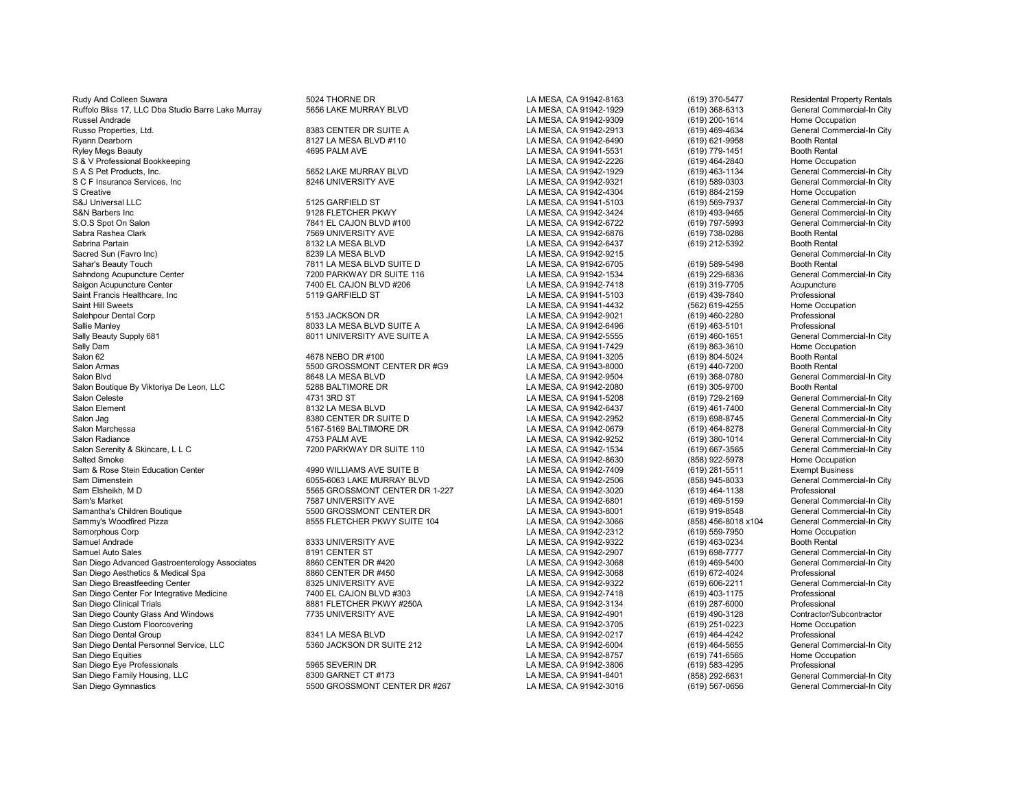Rudy And Colleen Suwara **5024 THORNE DR** 5024 THORNE DR LA MESA, CA 91942-8163 (619) 370-5477 Residental Property Rentals Ruffolo Bliss 17, LLC Dba Studio Barre Lake Murray 5656 LAKE MURRAY BLVD LA MESA, CA 91942-1929 (619) 368-6313 General Commercial-In City<br>Russel Andrade (619) 200-1614 Home Occupation Russel Andrade LA MESA, CA 91942-9309 (619) 200-1614 Home Occupation Russo Properties, Ltd. 8383 CENTER DR SUITE A LA MESA, CA 91942-2913 (619) 469-4634 General Commercial-In City Ryann Dearborn 8127 LA MESA BLVD #110 LA MESA, CA 91942-6490 (619) 621-9958 Booth Rental<br>Ryley Megs Beauty 4695 PALM AVE LA MESA, CA 91941-5531 Ryley Megs Beauty 619) 779-1451 Booth Rental (619) 4695 PALM AVE CHA MESA, CA 91941-5531 (619) 779-1451 Booth Rental<br>S & V Professional Bookkeeping Channel Occupation (619) 464-2840 Home Occupation S & V Professional Bookkeeping (619) 464-2840<br>S A S Pet Products, Inc. (619) 463-1134 (619) 463-1134 (619) 463-1134 (619) 5652 LAKE MURRAY BLVD (619) 463-11 S A S Pet Products, Inc. Commercial-In City of the Section of the Section of the Section of the Section of the Section of the Section of the Section of the Section of the Section of the Section of the Section of the Sectio S C F Insurance Services, Inc 8246 UNIVERSITY AVE LA MESA, CA 91942-9321 (619) 589-0303 General Commercial-In City S Creative LA MESA, CA 91942-4304 (619) 884-2159 Home Occupation S&J Universal LLC 5125 GARFIELD ST LA MESA, CA 91941-5103 (619) 569-7937 General Commercial-In City<br>S&N Barbers Inc 9128 FLETCHER PKWY S&N Barbers Inc 9128 FLETCHER PKWY LA MESA, CA 91942-3424 (619) 493-9465 General Commercial-In City S.O.S Spot On Salon 7841 EL CAJON BLVD #100 LA MESA, CA 91942-6722 (619) 797-5993 General Commercial-In City Sabra Rashea Clark 7569 UNIVERSITY AVE LA MESA, CA 91942-6876 (619) 738-0286 Booth Rental Sabrina Partain 8132 LA MESA BLVD LA MESA, CA 91942-6437 (619) 212-5392 Booth Rental Sacred Sun (Favro Inc) 8239 LA MESA BLVD LA MESA, CA 91942-9215 General Commercial-In City Sahar's Beauty Touch Center (1980) Term and the MESA BLVD SUITE D<br>Sahndong Acupuncture Center Center Current of the Tagger of the SALCA 91942-1534 (619) 229-6836 (Seneral Commercial-In City Sahndong Acupuncture Center 7200 PARKWAY DR SUITE 116 LA MESA, CA 91942-1534 (619) 229-6836 General Commercial-In City Saint Francis Healthcare, Inc 5119 GARFIELD ST LA MESA, CA 91941-5103 (619) 439-7840 Professional Saint Hill Sweets LA MESA, CA 91941-4432 (562) 619-4255 Home Occupation Salehpour Dental Corp 5153 JACKSON DR LA MESA, CA 91942-9021 (619) 460-2280 Professional Sallie Manley 8033 LA MESA BLVD SUITE A LA MESA, CA 91942-6496 (619) 463-5101 Professional Professional Professional<br>Sally Beauty Supply 681 Seneral Commercial-In City 8011 UNIVERSITY AVE SUITE A LA MESA. CA 91942-5555 (61 Sally Beauty Supply 681 6eneral Commercial Commercial Commercial Commercial Commercial Commercial Commercial-In<br>Sally Dam (619) 863-3610 Home Occupation Sally Dam LA MESA, CA 91941-7429 (619) 863-3610 Home Occupation Salon 62 4678 NEBO DR #100 LA MESA, CA 91941-3205 (619) 804-5024 Booth Rental Salon Armas 5500 GROSSMONT CENTER DR #G9 LA MESA, CA 91943-8000 (619) 440-7200 Booth Rental<br>Salon Blvd 8648 LA MESA BLVD LA MESA. CA 91942-9504 (619) Salon Blvd 8648 LA MESA BLVD LA MESA, CA 91942-9504 (619) 368-0780 General Commercial-In City Salon Boutique By Viktoriya De Leon, LLC **5288 BALTIMORE DR** LA MESA, CA 91942-2080 (619) 305-9700 Booth Rental<br>Salon Celeste (619) 729-2169 General Com Salon Celeste 4731 3RD ST LA MESA, CA 91941-5208 (619) 729-2169 General Commercial-In City Salon Jag 8380 CENTER DR SUITE D LA MESA, CA 91942-2952 (619) 698-8745 General Commercial-In City Salon Marchessa 5167-5169 BALTIMORE DR LA MESA, CA 91942-0679 (619) 464-8278 General Commercial-In City Salon Radiance 4753 PALM AVE LA MESA, CA 91942-9252 (619) 380-1014 General Commercial-In City Salon Serenity & Skincare, L L C C Commercial-In City 7200 PARKWAY DR SUITE 110 C CALLA MESA, CA 91942-1534 (619) 667-3565 General Commercial-In City Commercial-In City Commercial-In City Commercial-In City Commercial-In C Salted Smoke LA MESA, CA 91942-8630 (858) 922-5978 Home Occupation Sam & Rose Stein Education Center **1990 WILLIAMS AVE SUITE B** LA MESA, CA 91942-7409 (619) 281-5511 Exempt Business<br>Sam Dimenstein Centeral Commercial-In City 6055-6063 LAKE MURRAY BLVD LA MESA, CA 91942-2506 (858) 945-803 Sam Elsheikh, M D 5565 GROSSMONT CENTER DR 1-227 LA MESA, CA 91942-3020 (619) 464-1138 Professional Sam's Market Charles To Samid Commercial-In City 7587 UNIVERSITY AVE LA MESA, CA 91942-6801 (619) 469-5159 General Commercial-In City 7587 UNIVERSITY AVE LA MESA, CA 91942-6801 (619) 919-8548 General Commercial-In City Sam Samantha's Children Boutique 5500 GROSSMONT CENTER DR LA MESA, CA 91943-8001 (619) 919-8548 General Commercial-In City Sammy's Woodfired Pizza (1972) 8555 FLETCHER PKWY SUITE 104 LA MESA, CA 91942-3066 (858) 456-8018 x104 General Commercial-In Commercial-In Commercial-In Commercial-In City of the Commercial-In City of States of La MESA. CA Samorphous Corp LA MESA, CA 91942-2312 (619) 559-7950 Home Occupation Samuel Andrade 8333 UNIVERSITY AVE LA MESA, CA 91942-9322 (619) 463-0234 Booth Rental Samuel Auto Sales Gastroenterology Associates 1991 CENTER ST 1992 1991 CENTER ST 10 10 LA MESA, CA 91942-2907 (619) 698-7777 General Commercial-In City<br>San Diego Advanced Gastroenterology Associates 8860 CENTER DR #420 199 San Diego Advanced Gastroenterology Associates and Baby CENTER DR #420 LA MESA, CA 91942-3068 (619) 469-5400 General Commercial Commercial Commercial Commercial Commercial-In Commercial-In Commercial-In Commercial-In City San Diego Aesthetics & Medical Spa 88 Am Annual Sam Bass and Bass and Bass and Bass and Bass and Bass and Bass<br>San Diego Breastfeeding Center Am Bass and Account Account Account Account Camera Commetrial Commercial In City San Diego Breastfeeding Center **8325 UNIVERSITY AVE LA MESA, CA 91942-9322** (619) 606-2211 General Commercial Com<br>San Diego Center For Integrative Medicine **1996 CALA MESA, CA 91942-7418** (619) 403-1175 Professional San Diego Center For Integrative Medicine **7400 EL CAJON BLVD #303** LA MESA, CA 91942-7418 (619) 403-1175 Professional<br>San Diego Clinical Trials Trais Professional ABA BLETCHER PKWY #250A LA MESA, CA 91942-3134 (619) 287-6 San Diego County Glass And Windows **7735 UNIVERSITY AVE LA MESA, CA 91942-4901** (619) 490-3128 Contractor/Subcon<br>San Diego Custom Floorcovering Home Occupation San Diego Custom Floorcovering LA MESA, CA 91942-3705 (619) 251-0223 Home Occupation San Diego Dental Personnel Service, LLC 6 19360 JACKSON DR SUITE 212 LA MESA, CA 91942-6004 (619) 464-5655 General Commercial-In Commercial-In Commercial-In Commercial-In Commercial-In Commercial-In City of the Decupation<br> San Diego Equities LA MESA, CA 91942-8757 (619) 741-6565 Home Occupation San Diego Eye Professionals 5965 SEVERIN DR LA MESA, CA 91942-3806 (619) 583-4295 Professional San Diego Family Housing, LLC 8300 GARNET CT #173 LA MESA, CA 91941-8401 (858) 292-6631 General Commercial-In City

Saigon Acupuncture Center 7400 EL CAJON BLVD #206 LA MESA, CA 91942-7418 (619) 319-7705 Acupuncture

Sam Dimenstein 6055-6063 LAKE MURRAY BLVD LA MESA, CA 91942-2506 (858) 945-8033 General Commercial-In City

San Diego Clinical Trials 8881 FLETCHER PKWY #250A LA MESA, CA 91942-3134 (619) 287-6000 Professional

San Diego Dental Group 8341 LA MESA BLVD LA MESA, CA 91942-0217 (619) 464-4242 Professional

S500 GROSSMONT CENTER DR #267 LA MESA, CA 91942-3016 (619) 567-0656

(619) 461-7400 General Commercial-In City<br>
(619) 698-8745 (General Commercial-In City)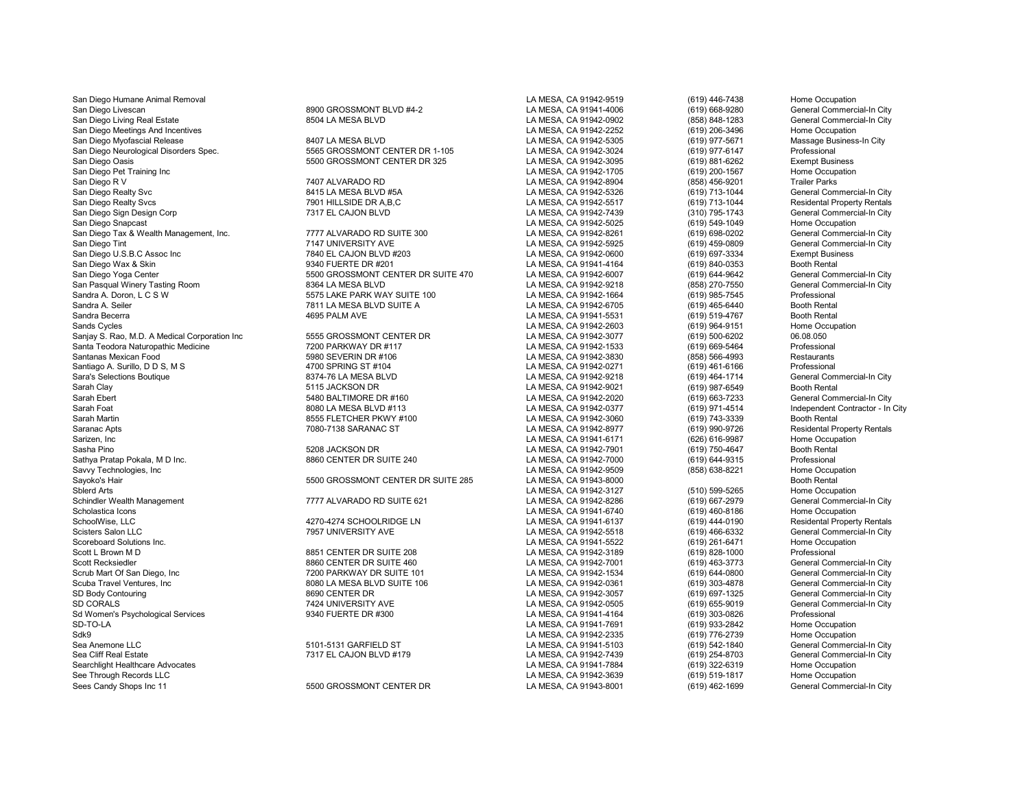Sea Cliff Real Estate 7317 EL CAJON BLVD #179 LA MESA, CA 91942-7439 (619) 254-8703 General Commercial-In City Searchlight Healthcare Advocates **LA MESA, CA 91941-7884** (619) 322-6319 Home Occupation<br>See Through Records LLC Home Occupation **COVID-800 Home Occupation**<br>See Through Records LLC Home Occupation See Through Records LLC **See Through Records LLC** Home Occupation<br>Sees Candy Shops Inc 11 The Commercial-In City Care of S500 GROSSMONT CENTER DR

San Diego Humane Animal Removal **LA MESA, CA 91942-9519** (619) 446-7438 Home Occupation San Diego Livescan 8900 GROSSMONT BLVD #4-2 LA MESA, CA 91941-4006 (619) 668-9280 General Commercial-In City San Diego Living Real Estate 8504 LA MESA BLVD LA MESA, CA 91942-0902 (858) 848-1283 General Commercial-In City San Diego Meetings And Incentives **LA MESA, CA 91942-2252** (619) 206-3496 Home Occupation San Diego Myofascial Release 8407 LA MESA BLVD LA MESA, CA 91942-5305 (619) 977-5671 Massage Business-In City San Diego Neurological Disorders Spec. 5565 GROSSMONT CENTER DR 1-105 LA MESA, CA 91942-3024 (619) 977-6147 Professional San Diego Oasis 5500 GROSSMONT CENTER DR 325 LA MESA, CA 91942-3095 (619) 881-6262 Exempt Business San Diego Pet Training Inc No. 1992-1705 (619) 200-1567 Home Occupation of the Communication of the Communication of the Communication of the Communication of the Communication of the Communication of the Communication of San Diego R V 7407 ALVARADO RD LA MESA, CA 91942-8904 (858) 456-9201 Trailer Parks San Diego Realty Svc 8415 LA MESA BLVD #5A LA MESA, CA 91942-5326 (619) 713-1044 General Commercial-In City San Diego Realty Svcs Mesidental Property Rentals (States 1991 HILLSIDE DR A,B,C New York 1992 Mesidental Property Rentals 1992-7517 (619) 713-1044 Residental Property Rentals (States 1993) 7317 EL CAJON BLVD LA MESA, CA 9 San Diego Sign Design Corp 7317 EL CAJON BLVD LA MESA, CA 91942-7439 (310) 795-1743 General Commercial-In City San Diego Snapcast Home Occupation (619) 549-1049 Home Occupation<br>San Diego Tax & Wealth Management. Inc. Network hotels are assumed as the MESA, CA 91942-8261 (619) 698-0202 General Commercial-In City San Diego Tax & Wealth Management, Inc. 7777 ALVARADO RD SUITE 300 LA MESA, CA 91942-8261 (619) 698-0202 General Commercial-In City T147 UNIVERSITY AVE LA MESA, CA 91942-5925 (619) 459-0809 General Commercial-In City<br>T840 EL CAJON BLVD #203 (A MESA, CA 91942-0600 (619) 697-3334 Exempt Business San Diego U.S.B.C Assoc Inc 7840 EL CAJON BLVD #203 LA MESA, CA 91942-0600 (619) 697-3334 Exempt Busin<br>San Diego Wax & Skin 9340 FUERTE DR #201 LA MESA. CA San Diego Wax & Skin 9340 FUERTE DR #201 LA MESA, CA 91941-4164 (619) 840-0353 Booth Rental S500 GROSSMONT CENTER DR SUITE 470 LA MESA, CA 91942-6007 (619) 644-9642 General Commercial-In City<br>1. LA MESA, CA 91942-9218 (858) 270-7550 General Commercial-In City San Pasqual Winery Tasting Room 8364 LA MESA BLVD LA MESA, CA 91942-9218 (858) 270-7550 General Commercial-In City Sandra A. Doron, L C S W Screens and Comparent Comparent Comparent Comparent Comparent Comparent Comparent Compa<br>Sandra A. Seiler (619) 465-6440 Booth Rental Sandra A. Seiler Camp (619) 465-6440 Booth Rental (619) 465-6440 Booth Rental MESA, CA 91942-6705 (619) 465-6440 Booth Rental (619) 465-6440 Booth Rental (619) 465-6440 Booth Rental (619) 519-4767 Booth Rental (619) 519-47 Sandra Becerra 4695 PALM AVE LA MESA, CA 91941-5531 (619) 519-4767 Booth Rental Sands Cycles LA MESA, CA 91942-2603 (619) 964-9151 Home Occupation Sanjay S. Rao, M.D. A Medical Corporation Inc 6555 GROSSMONT CENTER DR LA MESA, CA 91942-3077 (619) 500-6202 06.08.050<br>Santa Teodora Naturopathic Medicine 1990 1990 7200 PARKWAY DR #117 (2009) 12 D. A MESA, CA 91942-1533 ( Santa Teodora Naturopathic Medicine 7200 PARKWAY DR #117 LA MESA, CA 91942-1533 (619) 669-5464 Professional Santanas Mexican Food 5980 SEVERIN DR #106 LA MESA, CA 91942-3830 (858) 566-4993 Restaurants Santiago A. Surillo, D D S, M S 4700 SPRING ST #104 LA MESA, CA 91942-0271 (619) 461-6166 Professional Sara's Selections Boutique 8374-76 LA MESA BLVD LA MESA, CA 91942-9218 (619) 464-1714 General Commercial-In City Sarah Clay 5115 JACKSON DR LA MESA, CA 91942-9021 (619) 987-6549 Booth Rental Sarah Ebert 5480 BALTIMORE DR #160 LA MESA, CA 91942-2020 (619) 663-7233 General Commercial-In City Sarah Foat 8080 LA MESA BLVD #113 LA MESA, CA 91942-0377 (619) 971-4514 Independent Contractor - In City Sarah Martin 8555 FLETCHER PKWY #100 LA MESA, CA 91942-3060 (619) 743-3339 Booth Rental Saranac Apts 7080-7138 SARANAC ST LA MESA, CA 91942-8977 (619) 990-9726 Residental Property Rentals Sarizen, Inc LA MESA, CA 91941-6171 (626) 616-9987 Home Occupation Sasha Pino 5208 JACKSON DR LA MESA, CA 91942-7901 (619) 750-4647 Booth Rental Sathya Pratap Pokala, M D Inc. 8860 CENTER DR SUITE 240 LA MESA, CA 91942-7000 (619) 644-9315 Professional Savvy Technologies, Inc LA MESA, CA 91942-9509 (858) 638-8221 Home Occupation 5500 GROSSMONT CENTER DR SUITE 285 Sblerd Arts LA MESA, CA 91942-3127 (510) 599-5265 Home Occupation Schindler Wealth Management **1777 ALVARADO RD SUITE 621** LA MESA, CA 91942-8286 (619) 667-2979 General Commercial-In City<br>Scholastica Icons Home Occupation Scholastica Icons (619) 460-8186<br>SchoolWise. LLC 4270-4274 SCHOOLRIDGE LN LA MESA. CA 91941-6137 (619) 444-0190 SchoolWise, LLC 4270-4274 SCHOOLRIDGE LN LA MESA, CA 91941-6137 (619) 444-0190 Residental Property Rentals Scisters Salon LLC 7957 UNIVERSITY AVE LA MESA, CA 91942-5518 (619) 466-6332 General Commercial-In City Scoreboard Solutions Inc. LA MESA, CA 91941-5522 (619) 261-6471 Home Occupation Scott L Brown M D 8851 CENTER DR SUITE 208 LA MESA, CA 91942-3189 (619) 828-1000 Professional<br>Scott Recksiedler 8860 CENTER DR SUITE 460 LA MESA. CA 91942-700 Scott Recksiedler Commercial-In City (619) 463-3773 General Commercial-In City (619) 483-3773 General Commercial-In City<br>Scrub Mart Of San Diego, Inc Commercial-In City 7200 PARKWAY DR SUITE 101 LA MESA, CA 91942-1534 (619 SCRUB MARKWAY DR SUITE 101 LA MESA, CA 91942-1534 (619) 644-0800 General Commercial-In City<br>1998 BOBO LA MESA BLVD SUITE 106 City Commercial-In City LA MESA. CA 91942-0361 (619) 303-4878 General Commercial-In City Scuba Travel Ventures, Inc 8080 LA MESA BLVD SUITE 106 LA MESA, CA 91942-0361 (619) 303-4878 General Commercial-In City SD Body Contouring Contract Commercial-In City and the Search SCS of the SCS of the SCS of the SCS of the SCS of the SCS of the SCS of the SCS of the SCS of the SCS of the SCS of the SCS of the SCS of the SCS of the SCS of SD CORALS 7424 UNIVERSITY AVE LA MESA, CA 91942-0505 (619) 655-9019 General Commercial-In City Sd Women's Psychological Services 9340 FUERTE DR #300 LA MESA, CA 91941-4164 (619) 303-0826 Professional SD-TO-LA LA MESA, CA 91941-7691 (619) 933-2842 Home Occupation Sdk9 LA MESA, CA 91942-2335 (619) 776-2739 Home Occupation Sea Anemone LLC 5101-5131 GARFIELD ST LA MESA, CA 91941-5103 (619) 542-1840 General Commercial-In City<br>Sea Cliff Real Estate 7317 EL CAJON BLVD #179 LA

5500 GROSSMONT CENTER DR LA MESA, CA 91943-8001 (619) 462-1699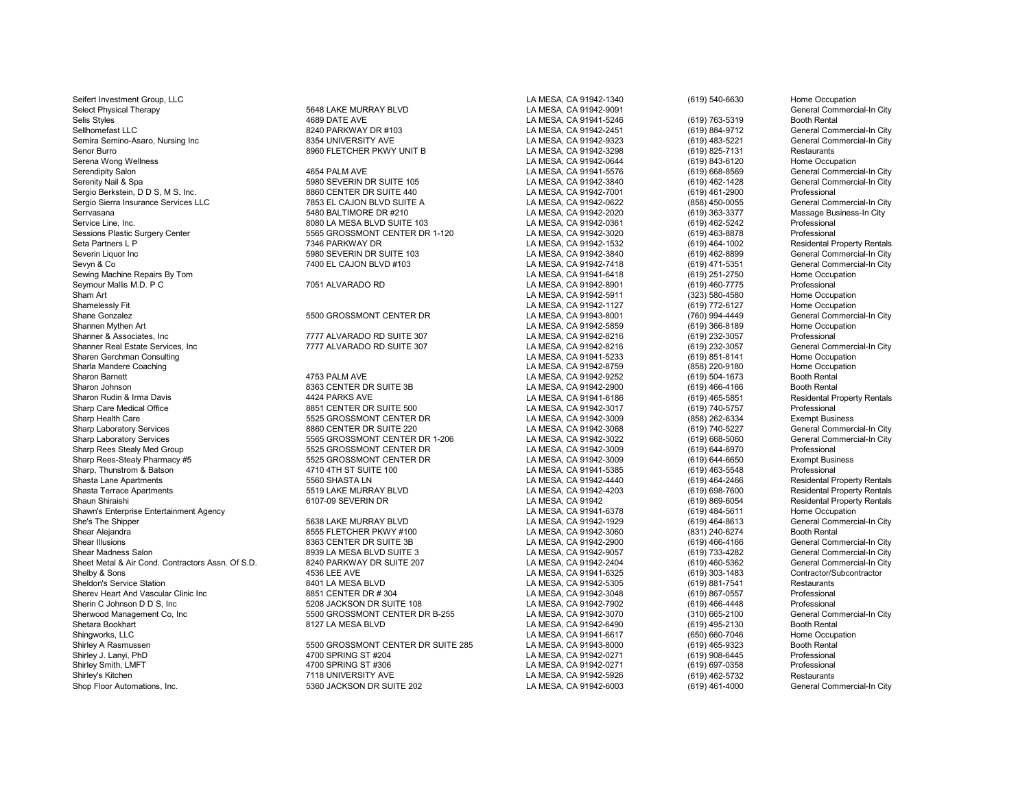Seifert Investment Group, LLC COMPROVERSITION CONTINUES AND MESA, CA 91942-1340 (619) 540-6630 Home Occupation Select Physical Therapy **5648 LAKE MURRAY BLVD** LA MESA, CA 91942-9091 Ceneral Commercial-In City<br>Selis Stvles General Commercial-In City (619) 763-5319 Booth Rental Physical Adventurer of the MESA CA 91941-5246 Selis Styles 4689 DATE AVE LA MESA, CA 91941-5246 (619) 763-5319 Booth Rental Semira Semino-Asaro, Nursing Inc 8354 UNIVERSITY AVE LA MESA, CA 91942-9323 (619) 483-5221 General Commercial-In City Senor Burro 8960 FLETCHER PKWY UNIT B LA MESA, CA 91942-3298 (619) 825-7131 Restaurants Serena Wong Wellness (619) 843-6120<br>Serendipity Salon (619) 668-8569 (619) 668-8569 (619) 668-8569 (619) 668-8569 (619) 668-8569 (619) 668-8569 ( Serendipity Salon 4654 PALM AVE LA MESA, CA 91941-5576 (619) 668-8569 General Commercial-In City Sergio Berkstein, D D S, M S, Inc. 8860 CENTER DR SUITE 440 LA MESA, CA 91942-7001 (619) 461-2900 Professional Sergio Sierra Insurance Services LLC **1966 COVID BLOT 10 1253 EL CAJON BLVD SUITE A** LA MESA, CA 91942-0622 (858) 450-0055 General Commercial-In City<br>Servasana 1999/363-3377 Massage Business-In City Serrvasana 5480 BALTIMORE DR #210 LA MESA, CA 91942-2020 (619) 363-3377 Massage Business-In City Service Line, Inc. (619) 462-5242 Professional CHO BOST AND BORGET AND SUITE 103 LA MESA, CA 91942-0361 (619) 462-5242 Professional CHO BORGET AND SASSION SERVICE AND SASSION AND SERVICE AND SASSION DESSIONAL SERVICE AND S Sessions Plastic Surgery Center 1992-3020 Conter 1992-3020 Conter 15665 GROSSMONT CENTER DR 1-120 LA MESA, CA 91942-3020 (619) 463-8878<br>Seta Partners L Professional Conter 1993-464-1002 7346 PARKWAY DR 1993-1002 CA MESA, C Seta Partners L P Control of the Tartet Control of Tartet Control of the Tartet Control of the Tartet Control o<br>Seta Partners La MESA, CA 91942-3840 (619) 462-8899 (General Commercial-In City<br>General Commercial-In City Severin Liquor Inc 5980 SEVERIN DR SUITE 103 LA MESA, CA 91942-3840 (619) 462-8899 General Commercial-In City Sewing Machine Repairs By Tom LA MESA, CA 91941-6418 (619) 251-2750 Home Occupation Seymour Mallis M.D. P C 7051 ALVARADO RD LA MESA, CA 91942-8901 (619) 460-7775 Professional Sham Art (323) 580-4580 Home Occupation<br>Shamelessly Fit New Home Occupation<br>CA MESA, CA 91942-1127 (323) 580-4580 Home Occupation Shamelessly Fit LA MESA, CA 91942-1127 (619) 772-6127 Home Occupation Shane Gonzalez 5500 GROSSMONT CENTER DR LA MESA, CA 91943-8001 (760) 994-4449 General Commercial-In City Shannen Mythen Art LA MESA, CA 91942-5859 (619) 366-8189 Home Occupation Shanner & Associates, Inc Controllers, Inc. Controllers, Inc. 1997 The Suite of the Suite 2012 Controllers of t<br>Shanner Real Estate Services, Inc Controllers of the 1777 ALVARADO RD SUITE 307 CA MESA, CA 91942-8216 (619) 2 Sharen Gerchman Consulting November 2012 12:00 12:00 2012 12:00 2013 2014 2014 2015 2016 2019 2014 2015 2016 20<br>Sharla Mandere Coaching November 2020 20:00 2012 2013 2014 2015 2016 2017 2018 2019 2012 2014 2016 2017 2018 2 Sharla Mandere Coaching LA MESA, CA 91942-8759 (858) 220-9180 Home Occupation Sharon Barnett Channel According the Matter of the Matter of the Matter of the Matter of the Matter of the Matter<br>Sharon Johnson Channel Booth Rental According the Solid Booth Rental Sharon Johnson (619) 466-4166 Booth Ren Sharon Johnson (619) 466-4166 (519) 466-4166 (519) 8363 CENTER DR SUITE 3B CONTER DR SUITE 3B CA SUITE 3B CA 91942-2900 (619) 466-4166 (519) 465-5851 (519) 465-5851 (519) 465-5851 (519) 465-5851 (519) 465-5851 (519) 465-58 Sharon Rudin & Irma Davis 4424 PARKS AVE LA MESA, CA 91941-6186 (619) 465-5851 Residental Property Rentals Sharp Care Medical Office **8851 CENTER DR SUITE 500** LA MESA, CA 91942-3017 (619) 740-5757 Professional Professional<br>Sharp Health Care 8581 262-6334 Exempt Business 5525 GROSSMONT CENTER DR Sharp Health Care 658) 262-6334<br>Sharp Laboratory Services The State of the State of the State of the State of the State of the State of the St<br>Sharp Laboratory Services (619) 740-5227 Sharp Laboratory Services 6860 CENTER DR SUITE 220 LA MESA, CA 91942-3068 (619) 740-5227 General Commercial-In City<br>Sharp Laboratory Services 6860 Services 5565 GROSSMONT CENTER DR 1-206 LA MESA, CA 91942-3022 (619) 668-50 Sharp Rees Stealy Med Group 5525 GROSSMONT CENTER DR LA MESA, CA 91942-3009 (619) 644-6970 Professional Sharp Rees-Stealy Pharmacy #5 5525 GROSSMONT CENTER DR LA MESA, CA 91942-3009 (619) 644-6650 Exempt Business Sharp, Thunstrom & Batson and Computer of the State of the State of the State of the State of the State of the State of the State of the State of the State of the State of the State of the State of the State of the State o Shasta Terrace Apartments 5519 LAKE MURRAY BLVD LA MESA, CA 91942-4203 (619) 698-7600 Residental Property Rentals Shawn's Enterprise Entertainment Agency and the Cocupation of the South of the South of the South of the South<br>Sha's The Shipper (619) 464-8613 (Shenral Commercial-In City She's The Shipper 5638 LAKE MURRAY BLVD LA MESA, CA 91942-1929 (619) 464-8613 General Commercial-In City Shear Alejandra 8555 FLETCHER PKWY #100 LA MESA, CA 91942-3060 (831) 240-6274 Booth Rental Shear Illusions 8363 CENTER DR SUITE 3B LA MESA, CA 91942-2900 (619) 466-4166 General Commercial-In City Shear Madness Salon 8939 LOMESA BLVD SUITE 3 LA MESA, CA 91942-9057 (619) 733-4282 General Commercial-In City<br>Sheet Metal & Air Cond. Contractors Assn. Of S.D. 8240 PARKWAY DR SUITE 207 LA MESA. CA 91942-2404 (619) 460-536 Sheet Metal & Air Cond. Contractors Assn. Of S.D. 68240 PARKWAY DR SUITE 207 CHANESA, CA 91942-2404 (619) 460-5362 General Commercial-In C<br>Shelby & Sons (619) 303-1483 Contractor/Subcontractor Sheldon's Service Station 8401 LA MESA BLVD LA MESA, CA 91942-5305 (619) 881-7541 Restaurants Sherev Heart And Vascular Clinic Inc **8851 CENTER DR # 304** LA MESA, CA 91942-3048 (619) 867-0557 Professional<br>Sherin C. Johnson D. D.S. Inc and Brofessional Sacktrich Canada CA 91942-7902 (619) 466-4448 Professional Sherin C Johnson D D S, Inc 5208 JACKSON DR SUITE 108 LA MESA, CA 91942-7902 (619) 466-4448 Professional Sherwood Management Co, Inc 5500 GROSSMONT CENTER DR B-255 LA MESA, CA 91942-3070 (310) 665-2100 General Commercial-In City Shetara Bookhart 8127 LA MESA BLVD LA MESA, CA 91942-6490 (619) 495-2130 Booth Rental Shingworks, LLC LA MESA, CA 91941-6617 (650) 660-7046 Home Occupation Shirley A Rasmussen 5500 GROSSMONT CENTER DR SUITE 285 LA MESA, CA 91943-8000 (619) 465-9323 Booth Rental<br>Shirley J. Lanvi. PhD 4700 SPRING ST #204 Shirley J. Lanyi, PhD 4700 SPRING ST #204 LA MESA, CA 91942-0271 (619) 908-6445 Professional Shirley Smith, LMFT 4700 SPRING ST #306 LA MESA, CA 91942-0271 (619) 697-0358 Professional Shirley's Kitchen 1990, Alternations. Inc. 1991, The State of The MESA, CA 91942-5926 (619) 462-5732 Restaurants<br>Shop Floor Automations. Inc. 1990 Seneral Commercial-In City 5360 JACKSON DR SUITE 202

Serenity Nail & Spa 5980 SEVERIN DR SUITE 105 LA MESA, CA 91942-3840 (619) 462-1428 General Commercial-In City 7400 EL CAJON BLVD #103 LA MESA, CA 91942-7418 (619) 471-5351 General Commercial-In Commercial-In Commercial-<br>LA MESA, CA 91941-6418 (619) 251-2750 Home Occupation SHARP LABORATORY SERVICENT SERVICES SERVICES SERVICES 1565 CROSS SERVICENT CONTRATOR DR 1-206 LA MESA, CA 91942-3009 (619) 668-5060 General Commercial Commercial Commercial Commercial-In City Commercial-In City Commercial-6107-09 SEVERIN DR<br>LA MESA, CA 91941-6378 (619) 869-6054 Residental Property Rentals<br>(619) 484-5611 Home Occupation 9536 LEE AVE Contractor/Subcontractor/Subcontractor/Subcontractor/Subcontractor/Subcontractor/Subcontractor/Su<br>B LA MESA BLA MESA CA 91942-5305 (619) 881-7541 Restaurants

LA MESA, CA 91942-8216 (619) 232-3057 General Commercial-In City<br>
LA MESA, CA 91941-5233 (619) 851-8141 Home Occupation

SSHOP FROM THE SUITE 202 LA MESA, CA 91942-6003 (619) 461-4000

Sellehomefall 10 Constant Commercial-In City<br>1991 183-5221 Ceneral Commercial-In City **Residental Property Rentals**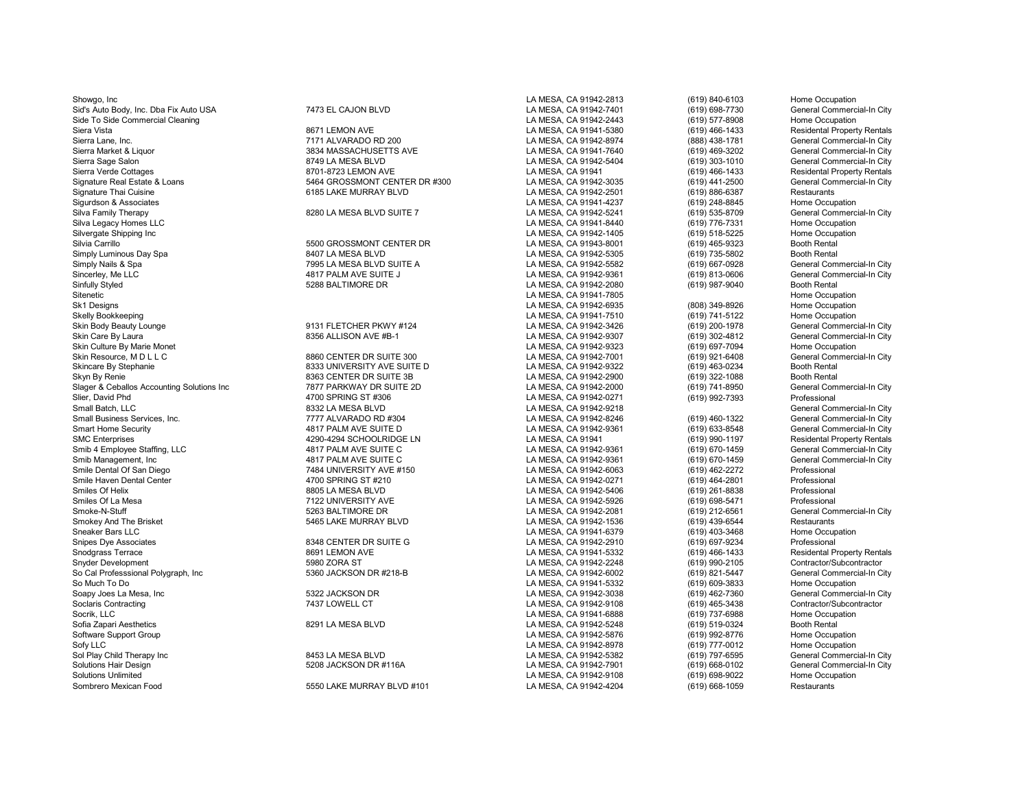Showgo, Inc LA MESA, CA 91942-2813 (619) 840-6103 Home Occupation Sid's Auto Body, Inc. Dba Fix Auto USA **7473** EL CAJON BLVD LA MESA, CA 91942-7401 (619) 698-7730 General Commercial-In City<br>Cammercial Cleaning Commercial Cleaning Commercial-In City Side To Side Commercial Cleaning (619) 577-8908<br>Siera Vista (619) 677-8908 Home Occupation of the Campion of Siera Andrew Campion of the Campion of Siera Vista Sierra Lane, Inc. 7171 ALVARADO RD 200 LA MESA, CA 91942-8974 (888) 438-1781 General Commercial-In City Sierra Market & Liquor Sieneral Commercial-In City (State of the State of State of the State of the State of the State of the State of the State of the State of the State of the State of the State of the State of the State Sierra Sage Salon 8749 LA MESA BLVD LA MESA DA LA MESA, CA 91942-5404 (619) 303-1010<br>Sierra Verde Cottages (619) 466-1433 (619) 466-1433 (619) 466-1433 LA MESA, CA 91941 (619) 466-1433 Sierra Verde Cottages 8701-8723 LEMON AVE LA MESA, CA 91941 (619) 466-1433 Residental Property Rentals Signature Real Estate & Loans 5464 GROSSMONT CENTER DR #300 General Con<br>Signature Thai Cuisine 6185 LAKE MURRAY BLVD LA MESA. CA 91942-2501 Sigurdson & Associates LA MESA, CA 91941-4237 (619) 248-8845 Home Occupation Silva Family Therapy 8280 LA MESA BLVD SUITE 7 LA MESA, CA 91942-5241 (619) 535-8709 General Commercial-In City Silva Legacy Homes LLC LA MESA, CA 91941-8440 (619) 776-7331 Home Occupation Silvergate Shipping Inc LA MESA, CA 91942-1405 (619) 518-5225 Home Occupation Silvia Carrillo 5500 GROSSMONT CENTER DR LA MESA, CA 91943-8001 (619) 465-9323 Booth Rental Simply Luminous Day Spa 8407 LA MESA BLVD LA MESA, CA 91942-5305 (619) 735-5802 Booth Rental Simply Nails & Spa 7995 LA MESA BLVD SUITE A LA MESA, CA 91942-5582 (619) 667-0928 General Commercial-In City<br>Sincerlev. Me LLC Suite Commercial-In City 4817 PALM AVE SUITE JUNESA CA 91942-9361 (619) 813-0606 General Comme Sincerley, Me LLC 4817 PALM AVE SUITE J LA MESA, CA 91942-9361 (619) 813-0606 General Commercial-In City Sinfully Styled Since 1988 BALTIMORE DR CONNECLE CA MESA, CA 91942-2080 (619) 987-9040 Booth Rental<br>Sitenetic Since 200911-7805 Sitenetic Home Occupation Sitenetic المستوى المستوى المستوى المستوى المستوى المستوى المستوى المستوى المستوى المستوى المستوى المستوى المس<br>Sk1 Designs and the Secupation of the Cocupation of the Cocupation of the Cocupation of the Cocupation of the Sk1 Designs LA MESA, CA 91942-6935 (808) 349-8926 Home Occupation Skelly Bookkeeping LA MESA, CA 91941-7510 (619) 741-5122 Home Occupation Skin Body Beauty Lounge 9131 FLETCHER PKWY #124 LA MESA, CA 91942-3426 (619) 200-1978 General Commercial-In City Skin Care By Laura Care General Commercial-In City<br>Skin Culture By Marie Monet Commercial-In City<br>Skin Culture By Marie Monet Cocupation Home Occupation Skin Culture By Marie Monet LA MESA, CA 91942-9323 (619) 697-7094 Home Occupation Skin Resource, M D L L C 8860 CENTER DR SUITE 300 LA MESA, CA 91942-7001 (619) 921-6408 General Commercial-In City Skincare By Stephanie 8333 UNIVERSITY AVE SUITE D LA MESA, CA 91942-9322 (619) 463-0234 Booth Rental Slager & Ceballos Accounting Solutions Inc and the Tart of Team of Tart of Team of Team of Tart of Team of Team<br>Slier, David Phd (619) 992-7393 Professional Art of Tart of Tart of Team of Team of Team of Team of Team of Te Slier, David Phd 4700 SPRING ST #306 LA MESA, CA 91942-0271 (619) 992-7393 Professional Small Batch, LLC 8332 LA MESA BLVD LA MESA, CA 91942-9218 General Commercial-In City Small Business Services, Inc. 7777 ALVARADO RD #304 LA MESA, CA 91942-8246 (619) 460-1322 General Commercial-In City Smart Home Security 4817 PALM AVE SUITE D LA MESA, CA 91942-9361 (619) 633-8548 General Commercial-In City SMC Enterprises 4290-4294 SCHOOLRIDGE LN LA MESA, CA 91941 (619) 990-1197 Residental Property Rentals Smib 4 Employee Staffing, LLC **1986 Commercial-In City** 4817 PALM AVE SUITE C 1989 COMMESA, CA 91942-9361 (619) 670-1459 General Commercial-In City<br>1991 Smib Management, Inc General Commercial-In City 4817 PALM AVE SUITE C Smib Management, Inc (1980) Smib Management, Inc (1980) Smib Management, Inc. (619) 670-1459 (Seneral Commercial-In City (519) 670-1459 (619) 670-1459 (69) 670-1459 (619) 670-1459 (619) 670-1459 (619) 462-2272 (Frofessiona Smile Dental Of San Diego 7484 UNIVERSITY AVE #150 LA MESA, CA 91942-6063 (619) 462-2272 Professional<br>Smile Haven Dental Center 4700 SPRING ST #210 LA M Smiles Of Helix 8805 LA MESA BLVD LA MESA, CA 91942-5406 (619) 261-8838 Professional Smiles Of La Mesa **1988-1989 Intervention Concernsive Concernsive Concernsive Concernsive Concernsive Concernsive Concernsive Concernsive Concernsive Concernsive Concernsive Concernsive Concernsive Concernsive Concernsive** Smoke-N-Stuff (619) 212-6561 General Connect Commercial-In Smoke-N-Stuff (619) 212-6561 General Connect Commercial-<br>Smokey And The Brisket State State of the State of the State of the State of the State of the State of the Smokey And The Brisket Chronic Communication of the State of State of State of State of State 5465 LAKE MURRAY BLVD<br>Sneaker Bars LLC Sneaker Bars LLC LA MESA, CA 91941-6379 (619) 403-3468 Home Occupation Snipes Dye Associates 8348 CENTER DR SUITE G LA MESA, CA 91942-2910 (619) 697-9234 Professional Snodgrass Terrace 8691 LEMON AVE LA MESA, CA 91941-5332 (619) 466-1433 Residental Property Rentals Snyder Development 5980 ZORA ST LA MESA, CA 91942-2248 (619) 990-2105 Contractor/Subcontractor So Cal Professsional Polygraph, Inc 5360 JACKSON DR #218-B LA MESA, CA 91942-6002 (619) 821-5447 General Commercial-In City So Much To Do LA MESA, CA 91941-5332 (619) 609-3833 Home Occupation Soapy Joes La Mesa, Inc Christen Hotel City (State of the State of the State of the State of the State of the State of the State of the State of the State of the State of the State of the State of the State of the State of Soclaris Contracting **111 Contractor/Subcontractor** 7437 LOWELL CT **CONTENT CONTENT CONTENT CONTENT CONTENT CONTENT** Socrik, LLC LA MESA, CA 91941-6888 (619) 737-6988 Home Occupation Sofia Zapari Aesthetics 8291 LA MESA BLVD LA MESA, CA 91942-5248 (619) 519-0324 Booth Rental Software Support Group LA MESA, CA 91942-5876 (619) 992-8776 Home Occupation Sofy LLC (619) 777-0012 Home Occupation<br>Sol Play Child Therapy Inc Corporation Saching the MESA BLVD (619) 797-6595 (619) 797-6595 (Seneral Commercial-In City Sol Play Child Therapy Inc 8453 LA MESA BLVD LA MESA, CA 91942-5382 (619) 797-6595 General Commercial-In City Solutions Hair Design Same that the Commercial-In City of the Same of the Same of the Same of Same of the Same S<br>Solutions Unlimited Solution Home Occupation (619) 698-9022 Home Occupation Solutions Unlimited Companies of the Companies of the Solutions Unlimited to the Occupations of the Companies of the Companies of the Companies of the Companies of the Companies of the Companies of the Solutions Unlimited

8363 CENTER DR SUITE 3B CONTERT AN ESA, CA 91942-2900 (619) 322-1088 Booth Rental Booth Rental Commercial-In City<br>1977 PARKWAY DR SUITE 2D City Commercial-In City LA MESA, CA 91942-2000 (619) 741-8950 General Commercial-In

5550 LAKE MURRAY BLVD #101 LAMESA, CA 91942-4204

LA MESA, CA 91942-2501 (619) 886-6387<br>LA MESA, CA 91941-4237 (619) 248-8845 LA MESA, CA 91942-0271

(619) 466-1433 Residental Property Rentals<br>(888) 438-1781 General Commercial-In City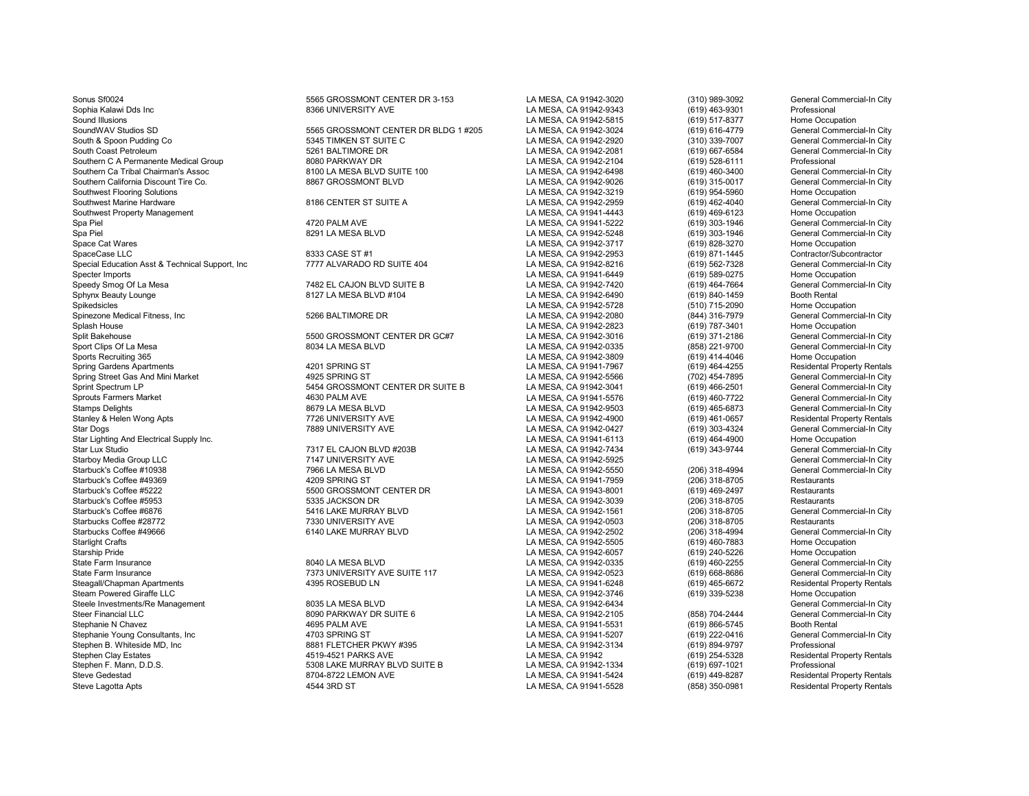Southwest Flooring Solutions Stephen Clay Estates 4519-4521 PARKS AVE LA MESA, CA 91942 (619) 254-5328 Residental Property Rentals Stephen F. Mann, D.D.S. 5308 LAKE MURRAY BLVD SUITE B LA MESA, CA 91942-1334 (619) 697-1021 Professional Steve Gedestad 8704-8722 LEMON AVE LA MESA, CA 91941-5424 (619) 449-8287 Residental Property Rentals Steve Lagotta Apts 4544 3RD ST LA MESA, CA 91941-5528 (858) 350-0981 Residental Property Rentals

Sonus Sf0024 5565 GROSSMONT CENTER DR 3-153 LA MESA, CA 91942-3020 (310) 989-3092 General Commercial-In City Sophia Kalawi Dds Inc 8366 UNIVERSITY AVE LA MESA, CA 91942-9343 (619) 463-9301 Professional Sound Illusions LA MESA, CA 91942-5815 (619) 517-8377 Home Occupation SoundWAV Studios SD SoundWAV Studios SD Sound WAV Studios SD 5565 GROSSMONT CENTER DR BLDG 1 #205 LA MESA, CA 91942-3024 (619) 616-4779 General Commercial-In City<br>Salth & Socon Pudding Co Santa Commercial-In City 5345 TIMK South & Spoon Pudding Co 5345 TIMKEN ST SUITE C COMPUT AT A SALL ANNESA, CA 91942-2920 (310) 339-7007 Seneral Commercial-In City<br>South Coast Petroleum Seneral Commercial-In City 5261 BALTIMORE DR SALL ANNESA, CA 91942-2081 S261 BALTIMORE DR<br>BOBO PARKWAY DR COMPRESSION COMPUSE AND LA MESA, CA 91942-2104 (619) 528-6111 Professional Professional Southern C A Permanente Medical Group **8080 PARKWAY DR** 8080 PARKWAY DR<br>Southern Ca Tribal Chairman's Assoc **Brown Barkway Barkway Barkway DR** Bouthern CA DAMESA, CA 91942-6498 (619) 460-3400 General Commercial-In City SOUTE 100 LA MESA BLVD SUITE 100 LA MESA, CA 91942-6498 (619) 460-3400 General Commercial-In City<br>1.4 MESA CA 91942-9026 (619) 315-0017 General Commercial-In City Southern California Discount Tire Co. 8867 GROSSMONT BLVD LA MESA, CA 91942-9026 (619) 315-0017 General Commercial-In City Southwest Marine Hardware Marine Hardware 1983 CENTER ST SUITE A COMPARED AND A LA MESA, CA 91942-2959 (619) 462-4040 General Commercial-In City<br>Southwest Property Management Commercial-In City Southwest Property Management (619) 469-6123<br>Spa Piel NESA, CA 91941-5222 (619) 303-1946 (619) 303-1946 Spa Piel 4720 PALM AVE LA MESA, CA 91941-5222 (619) 303-1946 General Commercial-In City Spa Piel 8291 LA MESA BLVD LA MESA, CA 91942-5248 (619) 303-1946 General Commercial-In City Space Cat Wares **Space Cat Wares** 2717 (619) 828-3270 Home Occupation<br>SpaceCase LLC Contractor/Subcontractor 8333 CASE ST #1 (8338 CASE ST #1 LA MESA, CA 91942-2953 (619) 871-1445 Contractor/Subcontractor SpaceCase LLC 8333 CASE ST #1 LA MESA, CA 91942-2953 (619) 871-1445 Contractor/Subcontractor Special Education Asst & Technical Support, Inc **7777 ALVARADO RD SUITE 404** LA MESA, CA 91942-8216 (619) 562-7328 General Commercial-In City<br>Specter Imports Home Occupation Specter Imports LA MESA, CA 91941-6449 (619) 589-0275 Home Occupation Speedy Smog Of La Mesa Commercial-In City<br>Sphynx Beauty Lounge Commercial-In City<br>Sphynx Beauty Lounge Booth Rental Booth Rental Richards and MESA, CA 91942-6490 (619) 840-1459 Booth Rental Po Sphynx Beauty Lounge 8127 LA MESA BLVD #104 LA MESA, CA 91942-6490 (619) 840-1459 Booth Rental Spikedsicles LA MESA, CA 91942-5728 (510) 715-2090 Home Occupation Spinezone Medical Fitness, Inc **5266 BALTIMORE DR** CONTENT MESA, CA 91942-2080 (844) 316-7979 General Commercial-In City<br>Spines House (619) 787-3401 Home Occupation Splash House LA MESA, CA 91942-2823 (619) 787-3401 Home Occupation Split Bakehouse 5500 GROSSMONT CENTER DR GC#7 LA MESA, CA 91942-3016 (619) 371-2186 General Commercial-In City Sport Clips Of La Mesa 8034 LA MESA BLVD LA MESA, CA 91942-0335 (858) 221-9700 General Commercial-In City Sports Recruiting 365 Home Occupation<br>Spring Gardens Apartments Material Property Rentals (4201 SPRING ST MATEL AND LA MESA, CA 91941-7967 (619) 464-4255 Residental Property Rentals Spring Gardens Apartments Market Market Market Hotel Act of the Market Apartments 4201 SPRING ST LA MESA, CA 91941-7967 (619) 464-4255 Residental Property Rentals (Spring String String String String String String String St Spring Street Gas And Mini Market **1925 SPRING ST** 4925 SPRING ST 1998 CA 91942-5566 (702) 454-7895 General Commercial-In City<br>Sprint Spectrum LP General Commercial-In City Sprint Spectrum LP 619) 466-2501<br>Sprouts Farmers Market 1999 460-7722<br>Sprouts Farmers Market 1619) 460-7722 Sprouts Farmers Market **1986 Commercial-In City** 4630 PALM AVE 1963 AND 1979 AND 1979 AND 1979 AND 1979 AND 1979<br>1979 Belights General Commercial-In City 1979 AND 1979 AND 1979 AND 1979 AND 1979 AND 1979 AND 1979 AND 1979 Stamps Delights 8679 LA MESA BLVD LA MESA, CA 91942-9503 (619) 465-6873 General Commercial-In City Stanley & Helen Wong Apts The State of the Channel Channel The Tag of the Tag of the Tag of the Tag of the Tag<br>Star Dogs Tag of the Tag of the Tag of the Tag of the Channel Channel Channel Channel Channel Channel Channel<br>S Star Lighting And Electrical Supply Inc.<br>Star Lux Studio Home Occupation Commercial-In City<br>Star Lux Studio (619) 343-9744 General Commercial-In City Star Lux Studio 7317 EL CAJON BLVD #203B LA MESA, CA 91942-7434 (619) 343-9744 General Commercial-In City Starboy Media Group LLC 7147 UNIVERSITY AVE LA MESA, CA 91942-5925 General Commercial-In City Starbuck's Coffee #10938 7966 LA MESA BLVD LA MESA, CA 91942-5550 (206) 318-4994 General Commercial-In City Starbuck's Coffee #49369 **1206 1209 SPRING ST** 1 2009 SPRING ST LA MESA, CA 91941-7959 (206) 318-8705 Restaurants Starbuck's Coffee #5222 5500 GROSSMONT CENTER DR LA MESA, CA 91943-8001 (619) 469-2497 Restaurants<br>Starbuck's Coffee #5953 5335 JACKSON DR LA MESA, CA 919 Starbuck's Coffee #5953 56335 JACKSON DR COMBEN CA MESA, CA 91942-3039 5355 JACKSON DR LA MESA, CA 91942-3039 5406 (206) 318-8705 Restaurants<br>Starbuck's Coffee #6876 Seneral Commercial-In City Starbuck's Coffee #6876 6 18-4 16 LAKE MURRAY BLVD LA MESA, CA 91942-1561 5416-2006) 318-8705 5416 Coneral Con<br>Starbucks Coffee #28772 6 18-5 1330 UNIVERSITY AVE LA MESA, CA 91942-0503 6206) 318-8705 7350 118-8705 56 18-Starbucks Coffee #28772 7330 UNIVERSITY AVE LA MESA, CA 91942-0503 (206) 318-8705 Restaurants Starbucks Coffee #49666 6140 LAKE MURRAY BLVD LA MESA, CA 91942-2502 (206) 318-4994 General Commercial-In City Starlight Crafts LA MESA, CA 91942-5505 (619) 460-7883 Home Occupation Starship Pride LA MESA, CA 91942-6057 (619) 240-5226 Home Occupation State Farm Insurance 8040 LA MESA BLVD LA MESA, CA 91942-0335 (619) 460-2255 General Commercial-In City State Farm Insurance 7373 UNIVERSITY AVE SUITE 117 LA MESA, CA 91942-0523 (619) 668-8686 General Commercial-In City Steagall/Chapman Apartments 4395 ROSEBUD LN LA MESA, CA 91941-6248 Residental Propert<br>Steam Powered Giraffe LLC 4395 ROSEBUD LN Steam Powered Giraffe LLC LA MESA, CA 91942-3746 (619) 339-5238 Home Occupation Steele Investments/Re Management 1983 Commercial-In City and the Steele Investment Steele Investments/Re Management<br>Steer Financial LLC General Commercial-In City and the Steer Steer Steer Commercial-In City and the Steer Steer Financial LLC <sup>6</sup> Channel Booth Commercial Commercial Commercial Commercial Commercial Commercial Commercial<br>Stephanie N Chavez Channel Booth Rental Commercial-In City Commercial Commercial Commercial Commercial Comm Stephanie N Chavez 4695 PALM AVE LA MESA, CA 91941-5531 (619) 866-5745 Booth Rental Stephanie Young Consultants, Inc and the Consultants, Inc and the 4703 SPRING ST (519) 2008 (619) 222-0416 (619) 222-0416 (519) 222-0416 General Commercial-In City<br>Stephen B. Whiteside MD, Inc and the State of the State of Stephen B. Whiteside MD, Inc 8881 FLETCHER PKWY #395 LA MESA, CA 91942-3134 (619) 894-9797 Professional

LA MESA, CA 91942-0427 (619) 303-4324 General Commercial-In City<br>
LA MESA, CA 91941-6113 (619) 464-4900 Home Occupation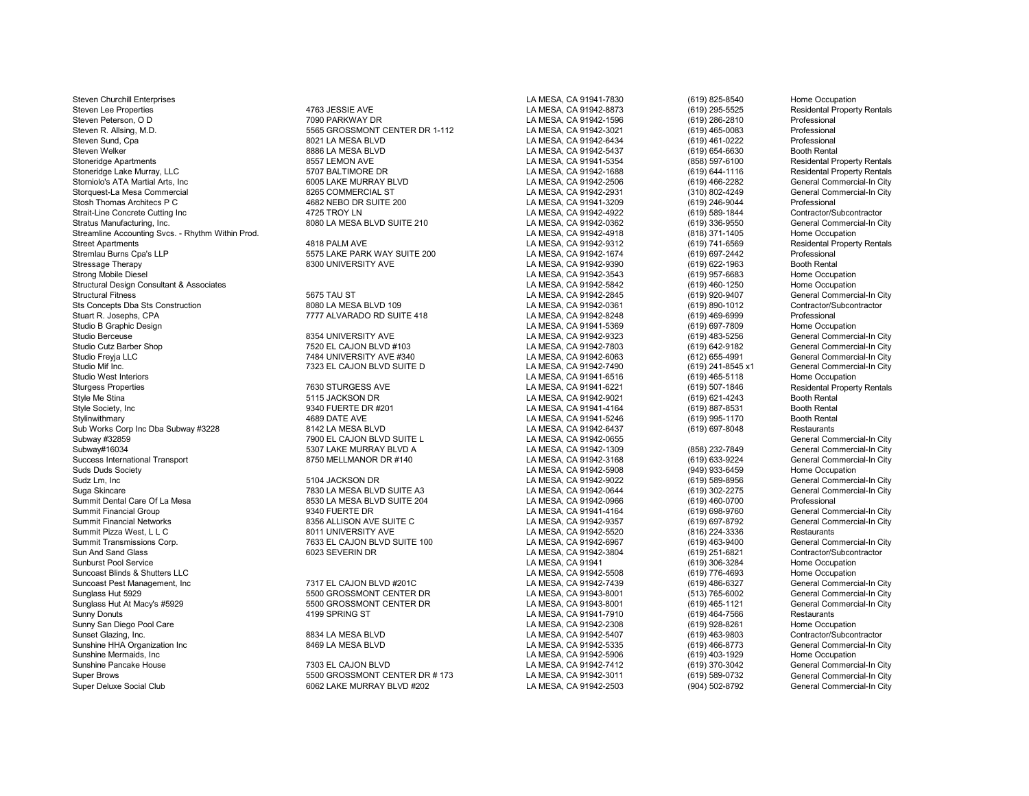Steven Churchill Enterprises **LA MESA, CA 91941-7830** (619) 825-8540 Home Occupation Steven Lee Properties 4763 JESSIE AVE LA MESA, CA 91942-8873 (619) 295-5525 Residental Property Rentals Steven Peterson, O D 7090 PARKWAY DR LA MESA, CA 91942-1596 (619) 286-2810 Professional Steven Sund, Cpa 8021 LA MESA BLVD LA MESA, CA 91942-6434 (619) 461-0222 Professional Steven Welker 8886 LA MESA BLVD LA MESA, CA 91942-5437 (619) 654-6630 Booth Rental Stoneridge Lake Murray, LLC 610 Control 5707 BALTIMORE DR LA MESA, CA 91942-1688 (619) 644-1116 Residental Property Rentals<br>Storniolo's ATA Martial Arts. Inc City 6005 LAKE MURRAY BLVD LA MESA. CA 91942-2506 (619) 466-2282 Storniolo's ATA Martial Arts, Inc 6005 LAKE MURRAY BLVD LA MESA, CA 91942-2506 (619) 466-2282 General Commercial-In City Storquest-La Mesa Commercial 8265 COMMERCIAL ST LA MESA, CA 91942-2931 (310) 802-4249 General Commercial-In City Stosh Thomas Architecs P C 4682 NEBO DR SUITE 200 LA MESA, CA 91941-3209 (619) 246-9044 Professional Strait-Line Concrete Cutting Inc **Concrete Cutting Inc.** And the Matter of the Matter of the Matter of the Matter<br>Stratus Manufacturing, Inc. Contractor/Subcontractor Matter of the Sub-LA MESA BLVD SUITE 210 **CA 1994-1984** Streamline Accounting Svcs. - Rhythm Within Prod. New 1980 18 18 18 1942 1950 18 1950 18 1950 1960 1960 1971-1<br>Street Apartments (619) 741-6569 Residental Propert 1980 1980 1980 1980 1980 1980 1980 1992-9312 1992-9312 19 Street Apartments Residental Property Rentals 4818 PALM AVE LA MESA, CA 91942-9312 (619) 741-6569 Residental Property Rentals<br>Anne Stremlau Burns Coa's LLP Corressional Street Area CA 91942-1674 (619) 697-2442 Professional Stremlau Burns Cpa's LLP 5575 LAKE PARK WAY SUITE 200 LA MESA, CA 91942-1674 (619) 697-2442 Professional Stressage Therapy 8300 UNIVERSITY AVE LA MESA, CA 91942-9390 (619) 622-1963 Booth Rental<br>Strong Mobile Diesel 8300 UNIVERSITY AVE Strong Mobile Diesel LA MESA, CA 91942-3543 (619) 957-6683 Home Occupation Structural Design Consultant & Associates and the Consultant of Associates and the Secupation of the Secupation<br>Structural Fitness (619) 920-9407 (619) 920-9407 (619) 920-9407 (619) 920-9407 (619) 920-9407 (619) 920-9407 ( Sts Concepts Dba Sts Construction **8080 LA MESA BLVD 109** LA MESA, CA 91942-0361 (619) 890-1012 Contractor/S<br>Stuart R. Josephs, CPA Professional **7777 ALVARADO RD SUITE 418** LA MESA, CA 91942-8248 (619) 469-6999 Profession Studio B Graphic Design LA MESA, CA 91941-5369 (619) 697-7809 Home Occupation Studio Berceuse 8354 UNIVERSITY AVE LA MESA, CA 91942-9323 (619) 483-5256 General Commercial-In City Studio Cutz Barber Shop 1982 Commercial-In City 7520 EL CAJON BLVD #103 LA MESA, CA 91942-7803 (619) 642-9182 General Commercial-In City<br>1984 Studio Frevia LLC Guide General Commercial-In City 7484 UNIVERSITY AVE #340 LA M Studio Freyja LLC 7484 UNIVERSITY AVE #340 LA MESA, CA 91942-6063 (612) 655-4991 General Commercial-In City Studio Mif Inc. 7323 EL CAJON BLVD SUITE D LA MESA, CA 91942-7490 (619) 241-8545 x1 General Commercial-In City Studio West Interiors LA MESA, CA 91941-6516 (619) 465-5118 Home Occupation Sturgess Properties **1880 STURGESS AVE 1999** STURGESS AVE LA MESA, CA 91941-6221 (619) 507-1846 Residental Property Rentals<br>1999 Style Me Stina Booth Rental Rental And Style Meson DR CA 91942-9021 (619) 621-4243 Booth Rent Style Me Stina 5115 JACKSON DR LA MESA, CA 91942-9021 (619) 621-4243 Booth Rental Stylinwithmary (619) 995-1170 Booth Renta<br>Sub Works Corp Inc Dba Subway #3228 3142 LA MESA BLVD (619) 697-8048 Restaurants Sub Works Corp Inc Dba Subway #3228 8142 LA MESA BLVD LA MESA, CA 91942-6437 (619) 697-8048 Restaurants<br>Subway #32859 General Commercial-In City Subway #32859 7900 EL CAJON BLVD SUITE L LA MESA, CA 91942-0655 General Commercial-In City Subway#16034 5307 LAKE MURRAY BLVD A LA MESA, CA 91942-1309 (858) 232-7849 General Commercial-In City Success International Transport **1992 12:30 COVID-10 MESA, CA 91942-3168** (619) 633-9224 General Commercial-In City<br>Suds Duds Society Home Occupation Suds Duds Society LA MESA, CA 91942-5908 (949) 933-6459 Home Occupation Sudz Lm, Inc 5104 JACKSON DR LA MESA, CA 91942-9022 (619) 589-8956 General Commercial-In City Suga Skincare 1993 (619) 202-2275 Ceneral Company of Text of MESA BLVD SUITE A3 LA MESA, CA 91942-0644 (619) 302-2275 General Company of Deneral Company of Text of Text of Text of MESA, CA 91942-0966 (619) 460-0700 Profess Summit Dental Care Of La Mesa 8530 LA MESA BLVD SUITE 204 LA MESA, CA 91942-0966 (619) 460-0700 Professional Summit Financial Group (619) 698-9760 FUERTE DR 19340 FUERTE DR<br>Summit Financial Networks Commercial-In City (619) 697-8792 (619) 697-8792 General Commercial-In City Summit Financial Networks 8356 ALLISON AVE SUITE C LA MESA, CA 91942-9357 (619) 697-8792 General Commercial-In City Summit Pizza West, L L C 8011 UNIVERSITY AVE LA MESA, CA 91942-5520 (816) 224-3336 Restaurants Summit Transmissions Corp. 7633 EL CAJON BLVD SUITE 100 LA MESA, CA 91942-6967 (619) 463-9400 General Commercial-In City Sun And Sand Glass 6023 SEVERIN DR LA MESA, CA 91942-3804 (619) 251-6821 Contractor/Subcontractor Sunburst Pool Service LA MESA, CA 91941 (619) 306-3284 Home Occupation Suncoast Blinds & Shutters LLC<br>Suncoast Pest Management. Inc and the Commercial-In City of the CAJON BLVD #201C Cannos CA MESA, CA 91942-7439 (619) 486-6327 General Commercial-In City Suncoast Pest Management, Inc 7317 EL CAJON BLVD #201C LA MESA, CA 91942-7439 (619) 486-6327 General Commercial-In City Sunglass Hut 5929 Sunglass Hut 5929 Sunglass Hut 5929 Seneral Commercial-In City<br>Sunglass Hut At Macy's #5929 Sunglass Sunglass Sunglass Sunglass Hut At MESA, CA 91943-8001 (513) 465-1121 General Commercial-In City Sunglass Hut At Macy's #5929 5500 GROSSMONT CENTER DR LA MESA, CA 91943-8001 (619) 465-1121 General Commercial-In City Sunny Donuts (619) 464-7566 Restaurants 4199 SPRING ST (4199 SPRING ST LA MESA, CA 91941-7910 (619) 464-7566 Restaurants (619) 464-7566 Restaurants (619) 464-7566 Restaurants (619) 464-7566 Restaurants (619) 464-7566 Resta Sunny San Diego Pool Care LA MESA, CA 91942-2308 (619) 928-8261 Home Occupation Sunset Glazing, Inc. 8834 LA MESA BLVD LA MESA, CA 91942-5407 (619) 463-9803 Contractor/Subcontractor Sunshine HHA Organization Inc **8469 LA MESA BLVD** LA MESA, CA 91942-5335 (619) 466-8773 General Commercial-In City<br>Sunshine Mermaids. Inc Home Occupation Sunshine Mermaids, Inc LA MESA, CA 91942-5906 (619) 403-1929 Home Occupation Sunshine Pancake House 1992 Commercial-In City 7303 EL CAJON BLVD 1993 2004 2004 LA MESA, CA 91942-7412 (619) 370-3042 General Commercial-In City 3016 370-3042 General Commercial-In City 5500 GROSSMONT CENTER DR # 173 LA M Super Brows Super Brows 5500 GROSSMONT CENTER DR # 173 LA MESA, CA 91942-3011 (619) 589-0732 General Commercial-In City<br>Super Deluxe Social Club Super and Supercial-In City 6062 LAKE MURRAY BLVD #202 LA MESA, CA 91942-2503

5565 GROSSMONT CENTER DR 1-112 Stoneridge Apartments 8557 LEMON AVE LA MESA, CA 91941-5354 (858) 597-6100 Residental Property Rentals 8080 LA MESA BLVD SUITE 210 S675 TAU ST<br>BOBO LA MESA BLVD 109 CONTENT COMPUSAL CA 91942-0361 (619) 920-9407 General Commercial-In City<br>Contractor/Subcontractor Stuart R. Joseph Stuart R. Joseph Suitz (1897) 2014 12: The Stuart R. Joseph Stuart R. Joseph 2013<br>1991-1998 LA MESA, CA 91941-5369 (619) 697-7809 Professional Professional LA MESA, CA 91941-5369

6062 LAKE MURRAY BLVD #202 LA MESA, CA 91942-2503 (904) 502-8792

LA MESA, CA 91941-4164 (619) 887-8531 Booth Rental<br>
LA MESA, CA 91941-5246 (619) 995-1170 Booth Rental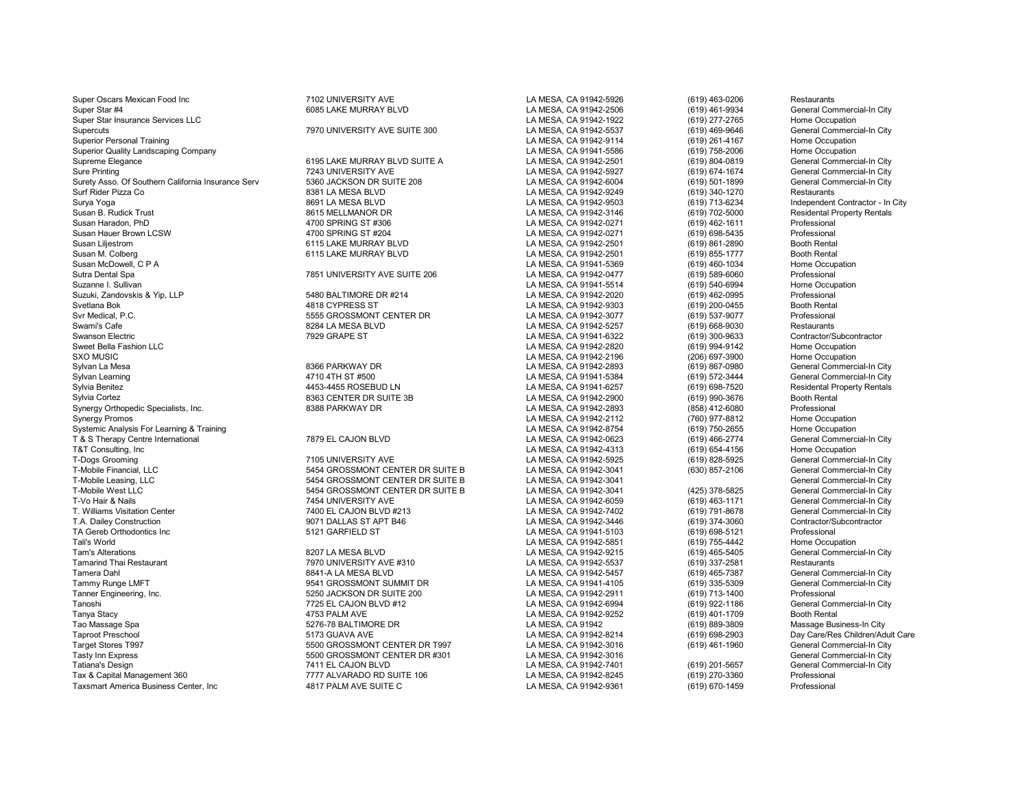Super Oscars Mexican Food Inc **Canadia Contract Contract AVE** LA MESA, CA 91942-5926 (619) 463-0206 Restaurants Super Star #4 6085 LAKE MURRAY BLVD LA MESA, CA 91942-2506 (619) 461-9934 General Commercial-In City Super Star Insurance Services LLC<br>Supercuts Supercuts (619) 277-2765 Home Occupation<br>Supercuts (619) 469-9646 General Commercial-In City Superior Personal Training Company (600) Companion Companion Companion Companion Companion Companion Companion<br>Superior Quality Landscaping Company Company Companion Companion Companion Companion Companion Companion Compa Superior Quality Landscaping Company and the Occupation of the Superior Company of the Superior Company of the Superior Company of the Superior Company of the Superior Company of the Superior Company of the Superior Compan Supreme Elegance 6195 LAKE MURRAY BLVD SUITE A LA MESA, CA 91942-2501 (619) 804-0819<br>Sure Printing (619) 674-1674 T243 UNIVERSITY AVE LA MESA, CA 91942-5927 (619) 674-1674 Surety Asso. Of Southern California Insurance Serv 5360 JACKSON DR SUITE 208 LA MESA, CA 91942-6004 (619) 501-1899 General Conmercial Commercial Commercial Commercial Commercial Commercial Commercial Commercial-In City Cit Surf Rider Pizza Co 8381 LA MESA BLVD LA MESA, CA 91942-9249 (619) 340-1270 Restaurants Surya Yoga 8691 LA MESA BLVD LA MESA, CA 91942-9503 (619) 713-6234 Independent Contractor - In City Susan B. Rudick Trust 8615 MELLMANOR DR LA MESA, CA 91942-3146 (619) 702-5000 Residental Property Rentals Susan Haradon, PhD 4700 SPRING ST #306 LA MESA, CA 91942-0271 (619) 462-1611 Professional Susan Hauer Brown LCSW 4700 SPRING ST #204 LA MESA, CA 91942-0271 (619) 698-5435 Professional Susan Liljestrom 6115 LAKE MURRAY BLVD LA MESA, CA 91942-2501 (619) 861-2890 Booth Rental Susan M. Colberg 6115 LAKE MURRAY BLVD LA MESA, CA 91942-2501 (619) 855-1777 Booth Rental Susan McDowell, C P A LA MESA, CA 91941-5369 (619) 460-1034 Home Occupation Sutra Dental Spa 7851 UNIVERSITY AVE SUITE 206 LA MESA, CA 91942-0477 (619) 589-6060 Professional Suzanne I. Sullivan LA MESA, CA 91941-5514 (619) 540-6994 Home Occupation Suzuki, Zandovskis & Yip, LLP 5480 BALTIMORE DR #214 LA MESA, CA 91942-2020 (619) 462-0995 Professional Svetlana Bok 4818 CYPRESS ST LA MESA, CA 91942-9303 (619) 200-0455 Booth Rental Svr Medical, P.C. 5555 GROSSMONT CENTER DR LA MESA, CA 91942-3077 (619) 537-9077 Professional Swami's Cafe 8284 LA MESA BLVD LA MESA, CA 91942-5257 (619) 668-9030 Restaurants Swanson Electric 7929 GRAPE ST LA MESA, CA 91941-6322 (619) 300-9633 Contractor/Subcontractor Sweet Bella Fashion LLC LA MESA, CA 91942-2820 (619) 994-9142 Home Occupation SXO MUSIC LA MESA, CA 91942-2196 (206) 697-3900 Home Occupation Sylvan La Mesa 8366 PARKWAY DR LA MESA, CA 91942-2893 (619) 867-0980 General Commercial-In City Sylvan Learning 4710 4TH ST #500 LA MESA, CA 91941-5384 (619) 572-3444 General Commercial-In City Sylvia Benitez 4453-4455 ROSEBUD LN LA MESA, CA 91941-6257 (619) 698-7520 Residental Property Rentals Synergy Orthopedic Specialists, Inc. Synergy Promos (760) 977-8812 Home Occupation<br>Systemic Analysis For Learning & Training (8) Training (8) Training (8) Training (8) Training (8) Training (8<br>Systemic Analysis For Learning & Training (8) Training (8) Trainin Systemic Analysis For Learning & Training Carenary of the CALINERA CA CA 81942-8754 (619) 750-2655 Home Occupation<br>T & S Therapy Centre International on the carenary Carenary Carenary Carenary of The CALINERA CA 91942-0623 T & S Therapy Centre International The CAJON BLVD COMPUT COMPUTER CALLY LA MESA, CA 91942-0623 (619) 466-2774 General Commercial-In Commercial-In Commercial-In City of the Commercial-In City of the Commercial-In City of Te T&T Consulting, Inc LA MESA, CA 91942-4313 (619) 654-4156 Home Occupation T-Dogs Grooming 7105 UNIVERSITY AVE LA MESA, CA 91942-5925 (619) 828-5925 General Commercial-In City T-Mobile Financial, LLC 5454 GROSSMONT CENTER DR SUITE B LA MESA, CA 91942-3041 (630) 857-2106 General Commercial-In City T-Mobile Leasing, LLC<br>5454 GROSSMONT CENTER DR SUITE B LA MESA, CA 91942-3041 GENERAL CENTER DR SUITE B T-Vo Hair & Nails Chemeral Commercial-In City 7454 UNIVERSITY AVE LA MESA, CA 91942-6059 (619) 463-1171 General Commercial-In City 7400 EL CAJON BLVD #213 LA MESA, CA 91942-7402 (619) 791-8678 General Commercial-In City 74 T. Williams Visitation Center **7400 EL CAJON BLVD #213** LA MESA, CA 91942-7402 (619) 791-8678 General Commercial-In C<br>T.A. Dailey Construction Contractor/Subcontractor 9071 DALLAS ST APT B46 LA MESA. CA 91942-3446 (619) 37 T.A. Dailey Construction 9071 DALLAS ST APT B46 LA MESA, CA 91942-3446 (619) 374-3060 Contractor/Subcontractor TA Gereb Orthodontics Inc 5121 GARFIELD ST LA MESA, CA 91941-5103 (619) 698-5121 Professional Tali's World LA MESA, CA 91942-5851 (619) 755-4442 Home Occupation Tam's Alterations 6207 LA MESA BLVD LA MESA DAMESA, CA 91942-9215 (619) 465-5405 General Commercial-In City<br>Temarind Thai Restaurant Commercial-In City 7970 UNIVERSITY AVE #310 LA MESA. CA 91942-5537 (619) 337-2581 Restaur Tamarind Thai Restaurant 7970 UNIVERSITY AVE #310 LA MESA, CA 91942-5537 (619) 337-2581 Restaurants Tamera Dahl 8841-A LA MESA BLVD LA MESA DO LA MESA, CA 91942-5457 (619) 465-7387 General Commercial-In City (519) 1997<br>Tammy Runge LMFT Sameral Commercial-In City 9541 GROSSMONT SUMMIT DR LA MESA. CA 91941-4105 (619) 335-5 Tammy Runge LMFT 9541 GROSSMONT SUMMIT DR LA MESA, CA 91941-4105 General Com<br>Tanner Engineering, Inc. 5250 JACKSON DR SUITE 200 LA MESA, CA 91942-2911 Tanner Engineering, Inc. 5250 JACKSON DR SUITE 200 LA MESA, CA 91942-2911 (619) 713-1400 Professional Tanoshi 7725 EL CAJON BLVD #12 LA MESA, CA 91942-6994 (619) 922-1186 General Commercial-In City Tanya Stacy 4753 PALM AVE LA MESA, CA 91942-9252 (619) 401-1709 Booth Rental Tao Massage Spa 5276-78 BALTIMORE DR LA MESA, CA 91942 (619) 889-3809 Massage Business-In City Taproot Preschool 5173 GUAVA AVE LA MESA, CA 91942-8214 (619) 698-2903 Day Care/Res Children/Adult Care Target Stores T997 5500 GROSSMONT CENTER DR T997 LA MESA, CA 91942-3016 (619) 461-1960 General Commercial-In City Tasty Inn Express 5500 GROSSMONT CENTER DR #301 LA MESA, CA 91942-3016 (619) 201-5657<br>Tatiana's Design 7411 EL CAJON BLVD LA MESA, CA 91942-7401 Tatiana's Design 7411 COUNDREAD 7411 EL CAJON BLVD LA MESA, CA 91942-7401 (619) 201-5657 General Commercial-In City<br>The State of the CAU CALIFAT ALVARADO RD SUITE 106 LA MESA, CA 91942-8245 (619) 270-3360 Professional Prof Taxsmart America Business Center, Inc **ABIT PALM AVE SUITE C** COMPUTE C LA MESA, CA 91942-9361 (619) 670-1459 Professional CA 91942-9361

7970 UNIVERSITY AVE SUITE 300 Sure Printing 7243 UNIVERSITY AVE LA MESA, CA 91942-5927 (619) 674-1674 General Commercial-In City Sylvia Cortez 8363 CENTER DR SUITE 3B LA MESA, CA 91942-2900 (619) 990-3676 Booth Rental T-Mobile West LA MESA, CA 91942-3041 (425) 378-5825 General Commercial-In City<br>T454 UNIVERSITY AVE LA MESA. CA 91942-6059 (619) 463-1171 General Commercial-In City

Tax ALVARADO RD SUITE 106 LA MESA, CA 91942-8245 (619) 270-3360 Professional Professional Professional CA MESA CA 91942-8245 (619) 270-3360 Professional Professional Art 2001 2010 1. A MESA CA 91942-9361 (619) 270-3360 Pro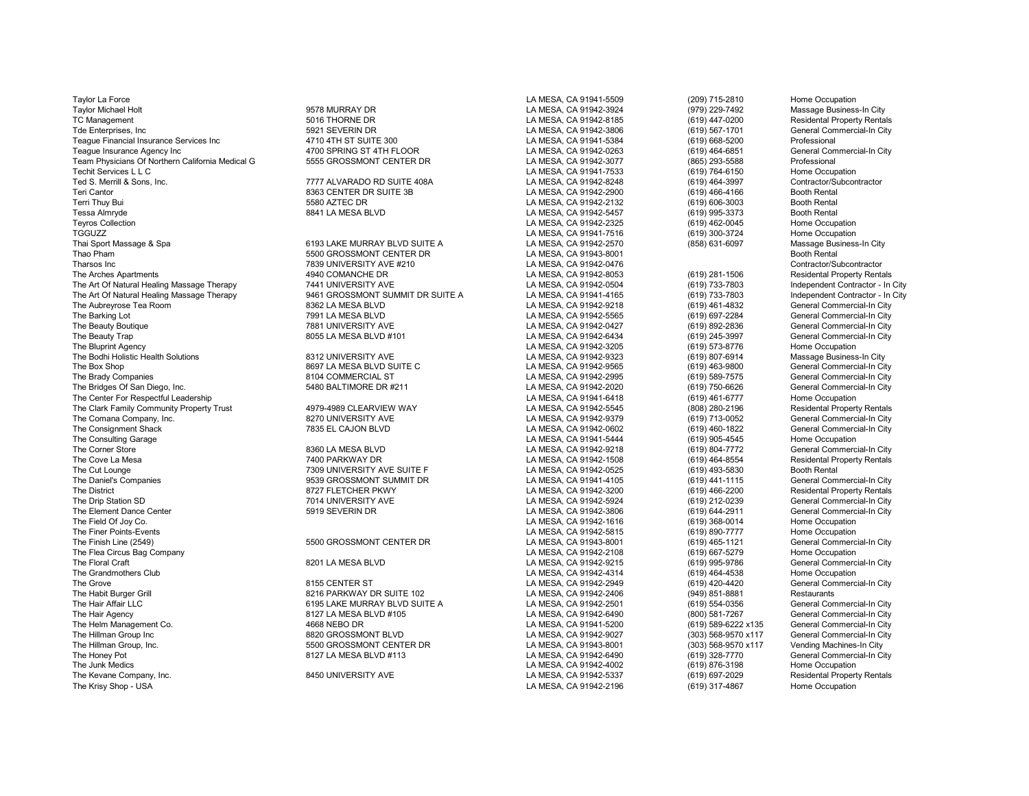Taylor La Force LA MESA, CA 91941-5509 (209) 715-2810 Home Occupation Taylor Michael Holt 9578 MURRAY DR LA MESA, CA 91942-3924 (979) 229-7492 Massage Business-In City TC Management 5016 THORNE DR LA MESA, CA 91942-8185 (619) 447-0200 Residental Property Rentals Tde Enterprises, Inc **6921 SEVERIN DR COMPANY CONSUMES** LA MESA, CA 91942-3806 (619) 567-1701 General Commercial-In City Teague Financial Insurance Services Inc and the 4710 4TH ST SUITE 300 LA MESA, CA 91941-5384 (619) 668-5200 Professional Professional Professional And Street Agency Inc and the 4700 SPRING ST 4TH FLOOR LA MESA, CA 91942-02 Teague Insurance Agency Inc (619) 464-6851 (619) 4700 SPRING ST 4TH FLOOR (619) 4700 SPRING ST 471 AMESA, CA 91942-0263 (619) 464-6851 (619) 464-6851 (619) 464-6851 (619) 464-6851 (619) 4700 SPRING ST 471 HELOOR (619) 4700 Team Physicians Of Northern California Medical G 6555 GROSSMONT CENTER DR LA MESA, CA 91942-3077 (865) 293-5588 Professional<br>Techit Services L L C Techit Services L L C<br>Techit Services L L C<br>Ted S. Merrill & Sons. Inc. Contractor/Subcontractor (Subcontractor) 7777 ALVARADO RD SUITE 408A Ted S. Merrill & Sons, Inc. 7777 ALVARADO RD SUITE 408A LA MESA, CA 91942-8248 Contractor/S<br>Teri Cantor 8363 CENTER DR SUITE 3B LA MESA. CA 91942-2900 Terri Thuy Bui 5580 AZTEC DR LA MESA, CA 91942-2132 (619) 606-3003 Booth Rental Tessa Almryde 8841 LA MESA BLVD LA MESA, CA 91942-5457 (619) 995-3373 Booth Rental Teyros Collection LA MESA, CA 91942-2325 (619) 462-0045 Home Occupation TGGUZZ LA MESA, CA 91941-7516 (619) 300-3724 Home Occupation Thai Sport Massage & Spa 6193 LAKE MURRAY BLVD SUITE A LA MESA, CA 91942-2570 (858) 631-6097 Massage Business-In City Thao Pham 5500 GROSSMONT CENTER DR LA MESA, CA 91943-8001 Booth Rental Tharsos Inc Contractor/Subcontractor 7839 UNIVERSITY AVE #210 LA MESA, CA 91942-0476 CONTENT Contractor/Subcontractor<br>The Arches Apartments Contractor Contractor 4940 COMANCHE DR LA MESA. CA 91942-8053 (619) 281-1506 Resid The Arches Apartments **Arches Apartments Apartments** 4940 COMANCHE DR LA MESA, CA 91942-8053 (619) 281-1506 Residental Property Rentals The Art Of Natural Healing Massage Therapy 7441 UNIVERSITY AVE LA MESA, CA 91942-0504 (619) 733-7803 Independent Contractor - In City 753-7803 Independent Contractor - In City 753-7803 Independent Contractor - In City 753-The Art Of Natural Healing Massage Therapy 9461 GROSSMONT SUMMIT DR SUITE A LA MESA, CA 91941-4165 (619) 733-7803 Independent Contractor - In City<br>The Aubrevrose Tea Room General Commercial-In City 8362 LA MESA BLVD LA MES The Aubreyrose Tea Room 8362 LA MESA BLVD LA MESA, CA 91942-9218 (619) 461-4832 General Commercial-In City The Barking Lot Commercial-In City 7991 LA MESA BLVD LA MESA, CA 91942-5565 (619) 697-2284 General Commercial-In City<br>The Beauty Boutique Commercial-In City 7881 UNIVERSITY AVE LA MESA. CA 91942-0427 (619) 892-2836 General The Beauty Boutique 7881 UNIVERSITY AVE LA MESA, CA 91942-0427 (619) 892-2836 General Commercial-In City The Beauty Trap 605 Ammercial-In City 8055 LA MESA BLVD #101 LA MESA, CA 91942-6434 (619) 245-3997 General Commercial-In City 7 LA MESA, CA 91942-6434 (619) 245-3997 General Commercial-In City 7 LA MESA, CA 91942-3205 (619 The Bluprint Agency LA MESA, CA 91942-3205 (619) 573-8776 Home Occupation The Bodhi Holistic Health Solutions (and the State of the State of State of the State of State of State of State of State of State of State of State of State of State of State of State of State of State of State of State o The Box Shop 8697 LA MESA BLVD SUITE C LA MESA, CA 91942-9565 (619) 463-9800 General Commercial-In City The Brady Companies 8104 COMMERCIAL ST LA MESA, CA 91942-2995 (619) 589-7575 General Commercial-In City The Bridges Of San Diego, Inc. 69 San Diego, Inc. Commercial-In City of the SAN Diego, 1991 1991 1991 1992-2020<br>The Center For Respectful Leadership City of the SAN Diego of the SAN Diego of the Commercial-In City of the C The Center For Respectful Leadership Latesting the Center For Respectful Leadership LA MESA, CA 91941-6418 (619) 461-6777 Home Occupation<br>The Clark Family Community Property Trust the Material Property Rentals And Alternat The Clark Family Community Property Trust The Comana Company, Inc. Change in the Company, Inc. Commercial-In City of the State of the State of the State of the State of the State of the Company, Inc. Commercial-In City of the State of the State of the Commercial-I The Consignment Shack 7835 EL CAJON BLVD LA MESA, CA 91942-0602 (619) 460-1822 General Commercial-In City The Consulting Garage LA MESA, CA 91941-5444 (619) 905-4545 Home Occupation (619) 905-4545 Home Occupation The Corner Store 8360 LA MESA BLVD LA MESA, CA 91942-9218 (619) 804-7772 General Commercial-In City The Cove La Mesa **7400 PARKWAY DR** 7400 PARKWAY DR LA MESA, CA 91942-1508 (619) 464-8554 Residental Property Rentals<br>The Cut Lounge 1993-5830 Booth Rental Property Rental Resident Property Rental Resident Property Rental P The Cut Lounge 1993-5830 The Cut Lounge 7309 UNIVERSITY AVE SUITE F New York CA MESA, CA 91942-0525 (619) 493-5830 Booth Rental Post Rental Post Rental Post Rental Post Rental Post Rental Post Rental Post Rental Post Renta The District 619) 466-2200 Residental Property Rentals 8727 FLETCHER PKWY CHANGER AND LA MESA, CA 91942-3200 (619) 466-2200 Residental Property Rentals 7014 UNIVERSITY AVE LA MESA CA 91942-5924 (619) 212-0239 General Comme The Drip Station SD Ceneral Commercial-In City<br>The Element Dance Center Center Same Commercial-In City<br>The Element Dance Center General Commercial-In City<br>City Station Station Station Station Station Station Station Statio The Element Dance Center **5918 SEVERIN DR** 5919 SEVERIN DR COMPUTE SEVERIN DR LA MESA, CA 91942-3806 (619) 644-2911 General Commercial-In Ceneral Commercial-In City Co.<br>The Field Of Joy Co. Home Occupation Correial-In City The Field Of Joy Co. LA MESA, CA 91942-1616 (619) 368-0014 Home Occupation The Finer Points-Events LA MESA, CA 91942-5815 (619) 890-7777 Home Occupation The Finish Line (2549) 5500 SEXTER DR LA MESA, CA 91943-8001 (619) 465-1121 General Commercial-In City (519) 465-1121 General Commercial-In City<br>The Flea Circus Baq Company Secupation (619) 667-5279 Home Occupation The Flea Circus Bag Company LA MESA, CA 91942-2108 (619) 667-5279 Home Occupation The Floral Craft 8201 LA MESA BLVD LA MESA, CA 91942-9215 (619) 995-9786 General Commercial-In City The Grandmothers Club Club Compation and the State of State of the State of the Compation of the State of the State of the State of the State of the Grandmothers Club Compation and the State of the State of the State of th The Grove 8155 CENTER ST LA MESA, CA 91942-2949 (619) 420-4420 General Commercial-In City The Habit Burger Grill School and the Suite of the State of the State of the Habit Burger Grill 8216 PARKWAY DR<br>The Hair Affair LLC Christian School Burger (1995) 14 State of the Mars of the State of the State of the State The Hair Affair LLC 6195 LAKE MURRAY BLVD SUITE A LA MESA, CA 91942-2501 (619) 554-0356 General Commercial-In City<br>The Hair Agency Cheneral Commercial-In City 8127 LA MESA BLVD #105 LA MESA, CA 91942-6490 (800) 581-7267 Ge The Hair Agency 8127 LA MESA BLVD #105 LA MESA, CA 91942-6490 (800) 581-7267 General Commercial-In City The Helm Management Co. 4668 NEBO DR LA MESA, CA 91941-5200 (619) 589-6222 x135 General Commercial-In City The Hillman Group Inc 8820 GROSSMONT BLVD LA MESA, CA 91942-9027 (303) 568-9570 x117 General Commercial-In City The Hillman Group, Inc. 5500 GROSSMONT CENTER DR LA MESA, CA 91943-8001 (303) 568-9570 x117 Vending Machines-In City<br>The Honev Pot 8127 LA MESA BLVD #113 LA M The Honey Pot 8127 LA MESA BLVD #113 LA MESA, CA 91942-6490 (619) 328-7770 General Commercial-In City The Junk Medics LA MESA, CA 91942-4002 (619) 876-3198 Home Occupation The Kevane Company, Inc. 8450 UNIVERSITY AVE LA MESA, CA 91942-5337 (619) 697-2029 Residental Property Rentals

9539 GROSSMONT SUMMIT DR

LA MESA, CA 91942-2900 LA MESA, CA 91942-2196 (619) 317-4867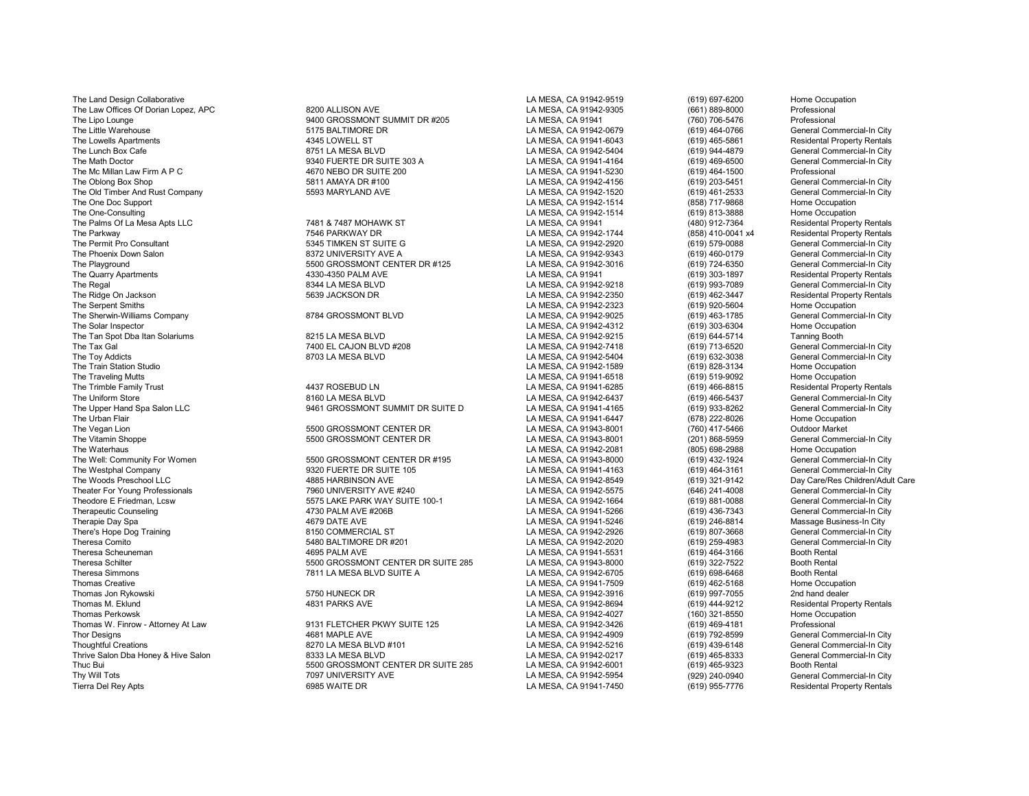The Land Design Collaborative **LA MESA, CA 91942-9519** (619) 697-6200 Home Occupation The Upper Hand Spa Salon LLC 19461 GROSSMONT SUMMIT DR SUITE D<br>The Urban Flair Thomas Creative LA MESA, CA 91941-7509 (619) 462-5168 Home Occupation Thomas Jon Rykowski 5750 HUNECK DR LA MESA, CA 91942-3916 (619) 997-7055 2nd hand dealer Thomas M. Eklund 4831 PARKS AVE LA MESA, CA 91942-8694 (619) 444-9212 Residental Property Rentals Thomas Perkowsk LA MESA, CA 91942-4027 (160) 321-8550 Home Occupation Thomas W. Finrow - Attorney At Law 9131 FLETCHER PKWY SUITE 125 LA MESA, CA 91942-3426 (619) 469-4181 Professional

The Law Offices Of Dorian Lopez, APC 8200 ALLISON AVE LA MESA, CA 91942-9305 (661) 889-8000 Professional The Lipo Lounge 1940 (760) 706-5476 (9400 GROSSMONT SUMMIT DR #205 LA MESA, CA 91941 (760) 706-5476 (760) 706-5476<br>The Little Warehouse 1944-0766 Professional State of the State of the State of the State of the Little Ware The Lowells Apartments 4345 LOWELL ST LA MESA, CA 91941-6043 (619) 465-5861 Residental Property Rentals The Lunch Box Cafe 8751 LA MESA BLVD LA MESA, CA 91942-5404 (619) 944-4879 General Commercial-In City The Math Doctor 9340 FUERTE DR SUITE 303 A LA MESA, CA 91941-4164 (619) 469-6500 General Commercial-<br>1930 Ann Doctor 200 Cammercial-In Cammercial-In Cammercial-In Cammercial-In Cammercial-In City (619) 464-1500 The Mc Millan Law Firm A P C **CONFERENT A CONFERENT A CONFERENT CONFERENT CONFERENT A** CA 91941-5230 (619) 464-1500<br>The Oblong Box Shop **Conferent Commercial-In City** 5811 AMAYA DR #100 **CONFERENT A MESA, CA 91942-4156** (6 The Oblong Box Shop 5811 AMAYA DR #100 LA MESA, CA 91942-4156 (619) 203-5451 General Commercial-In City General Commercial-In City The Old Timber And Rust Company 6593 MARYLAND AVE LA MESA, CA 91942-1520 (619) 461-2533 General Commercial-In City The One Doc Support LA MESA, CA 91942-1514 (858) 717-9868 Home Occupation The One-Consulting LA MESA, CA 91942-1514 (619) 813-3888 Home Occupation The Palms Of La Mesa Apts LLC **1986 and the Control 1996. The Palms Of La MESA, CA 91941** (480) 912-7364 Residental Property Rentals<br>The Parkwav (858) 410-0041 x4 Residental Property Rentals 7546 PARKWAY DR The Parkway 7546 PARKWAY DR LA MESA, CA 91942-1744 (858) 410-0041 x4 Residental Property Rentals The Permit Pro Consultant Consultant Commercial-In City and the State State State State State State State State State State State State State State State State State State State State State State State State State State St The Phoenix Down Salon Salon 8372 UNIVERSITY AVE A LA MESA, CA 91942-9343 (619) 460-0179 General Commercial-In City<br>The Playground General Commercial-In City 5500 GROSSMONT CENTER DR #125 LA MESA, CA 91942-3016 (619) 724-6 The Playground 5500 GROSSMONT CENTER DR #125 LA MESA, CA 91942-3016 (619) 724-6350 General Commercial-In City The Quarry Apartments 4330-4350 PALM AVE LA MESA, CA 91941 (619) 303-1897 Residental Property Rentals The Regal 8344 LA MESA BLVD LA MESA, CA 91942-9218 (619) 993-7089 General Commercial-In City The Ridge On Jackson School School School School School School School DR LA MESA, CA 91942-2350 (619) 462-3447 Residental Property Rentals<br>The Serpent Smiths Home Occupation (1999) The Serpent School School School School S The Serpent Smiths LA MESA, CA 91942-2323 (619) 920-5604 Home Occupation The Sherwin-Williams Company **8784 CROSSMONT BLVD** LA MESA, CA 91942-9025 (619) 463-1785 General Commercial-In City<br>The Solar Inspector Home Occupation (619) 303-6304 Home Occupation The Solar Inspector LA MESA, CA 91942-4312 (619) 303-6304 Home Occupation The Tan Spot Dba Itan Solariums **8215 LA MESA BLVD** COMBERT COMBERT LA MESA, CA 91942-9215 (619) 644-5714 Tanning Booth<br>The Tax Gal (619) 713-6520 General Comm The Tax Gal 7400 EL CAJON BLVD #208 LA MESA, CA 91942-7418 (619) 713-6520 General Commercial-In City The Toy Addicts 8703 LA MESA BLVD LA MESA, CA 91942-5404 (619) 632-3038 General Commercial-In City The Train Station Studio LA MESA, CA 91942-1589 (619) 828-3134 Home Occupation The Traveling Mutts LA MESA, CA 91941-6518 (619) 519-9092 Home Occupation The Trimble Family Trust the School of the Matter of the MESA, CA 91941-6285 (619) 466-8815 Residental Property Rentals<br>The Uniform Store Store and The Commercial-In City of the Store of the School of the Uniform Store (61 The Uniform Store 619) 466-5437 (619) Chemeral Commercial-In City Commercial-In City Commercial-In City Commercial-In City Commercial-In City Commercial-In City Chemeral Commercial-In City Commercial-In City Chemeral Comme The Urban Flair (678) 222-8026 Home Occupation<br>The Vegan Lion (678) 222-8026 Home Occupation<br>The Vegan Lion (760) 417-5466 Dutdoor Market The Vegan Lion 5500 GROSSMONT CENTER DR LA MESA, CA 91943-8001 (760) 417-5466 Outdoor Market The Vitamin Shoppe 5500 GROSSMONT CENTER DR LA MESA, CA 91943-8001 (201) 868-5959 General Commercial-In City The Waterhaus LA MESA, CA 91942-2081 (805) 698-2988 Home Occupation The Well: Community For Women 5500 GROSSMONT CENTER DR #195 LA MESA, CA 91943-8000 (619) 432-1924 General Commercial-In City The Westphal Company 9320 FUERTE DR SUITE 105 LA MESA, CA 91941-4163 (619) 464-3161 General Commercial-In City Theater For Young Professionals 7960 UNIVERSITY AVE #240 LA MESA, CA 91942-5575 (646) 241-4008 General Commercial-In City Theodore E Friedman, Lcsw State the State PARK WAY SUITE 100-1 LA MESA, CA 91942-1664 (619) 881-0088 General Commercial-In City City (519) 881-0088 General Commercial-In City (519) 881-0088 General Commercial-In City (519) Therapeutic Counseling and the theory of the 4730 PALM AVE #206B LA MESA, CA 91941-5266 (619) 436-7343 General Commercial-In City<br>4679 DATE AVE The Same Ave LA MESA, CA 91941-5246 (619) 246-8814 Massage Business-In City (6 Therapie Day Spa 1689 Massage Business-In City 1999 ACTS AVE LA MESA, CA 91941-5246 (619) 246-8814 Massage Business-In City 1619) 246-8814 Massage Business-In City 1619 ACTS AVE LA MESA, CA 91942-2926 (619) 807-3668 Genera There's Hope Dog Training 8150 COMMERCIAL ST LA MESA, CA 91942-2926 (619) 807-3668 General Commercial-In City Theresa Comito 5480 BALTIMORE DR #201 LA MESA, CA 91942-2020 (619) 259-4983 General Commercial-In City Theresa Scheuneman 4695 PALM AVE LA MESA, CA 91941-5531 (619) 464-3166 Booth Rental Theresa Schilter **1986 Controlled to the SCONT CENTER DR** SUITE 285 LA MESA, CA 91943-8000 (619) 322-7522 Booth Rental<br>Theresa Simmons Controlled Booth Rental 7811 LA MESA BLVD SUITE A LA MESA, CA 91942-6705 (619) 698-6468 Theres 2012 Tammons 7811 LA MESA BLVD SUITE A LA MESA, CA 91942-6705 (619) 698-6468<br>LA MESA. CA 91941-7509 (619) 462-5168

Thor Designs 4681 MAPLE AVE LA MESA, CA 91942-4909 (619) 792-8599 General Commercial-In City Thoughtful Creations 8270 LA MESA BLVD #101 LA MESA, CA 91942-5216 (619) 439-6148 General Commercial-In City Thrive Salon Dba Honey & Hive Salon 831 Commercial Commercial Daming Bass Cames Care and Commercial Commercial<br>Thuc Bui 619) 465-9323 Booth Rental 8500 GROSSMONT CENTER DR SUITE 285 LA MESA, CA 91942-6001 (619) 465-9323 Bo Thuc Bui 5500 GROSSMONT CENTER DR SUITE 285 LA MESA, CA 91942-6001 (619) 465-9323 Booth Rental Thy Will Tots 7097 UNIVERSITY AVE LA MESA, CA 91942-5954 (929) 240-0940 General Commercial-In City<br>Tierra Del Rev Apts 6985 WAITE DR Tierra Del Rey Apts 6985 WAITE DR LA MESA, CA 91941-7450 (619) 955-7776 Residental Property Rentals

General Commercial-In City Day Care/Res Children/Adult Care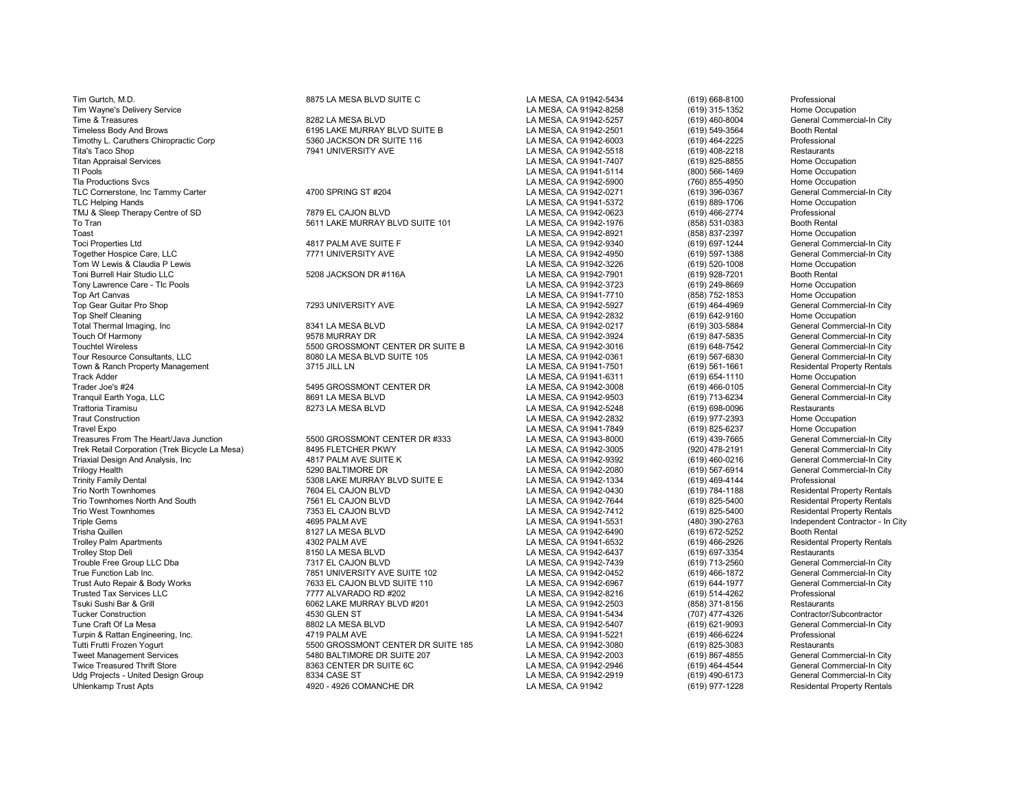Tim Gurtch, M.D. **8875 LA MESA BLVD SUITE C** LA MESA, CA 91942-5434 (619) 668-8100 Professional Professional Tweet Management Services Commercial-In City 5480 BALTIMORE DR SUITE 207 LA MESA, CA 91942-2003 (619) 867-4855 General Commercial-In City 7 (619) 867-4855 General Commercial-In City 7 (619) 867-4855 (59) 867-4855 (59) 964-Udg Projects - United Design Group **8334 CASE ST** 8334 CASE ST Example 2014 CAMESA, CA 91942-2919 (619) 490-6173 General Commercial-In City<br>Chlenkamp Trust Apts Residental Property Rentals 4920 - 4926 COMANCHE DR LA MESA,

Tim Wayne's Delivery Service **LA MESA, CA 91942-8258** (619) 315-1352 Home Occupation<br>LA MESA, CA 91942-5257 (619) 460-8004 General Commercial-In City (619) 315-1352 (699-942-5257 (619) 460-8004 General Commercial-In City Time & Treasures 8282 LA MESA BLVD LA MESA, CA 91942-5257 (619) 460-8004 General Commercial-In City Timeless Body And Brows **6195 LAKE MURRAY BLVD SUITE B** LA MESA, CA 91942-2501 (619) 549-3564 Booth Rental Timothy L. Caruthers Chiropractic Corp 619 5360 JACKSON DR SUITE 116 LA MESA, CA 91942-6003 (619) 464-2225 Professional<br>Tita's Taco Shop (619) 408-2218 Restaurants 7941 UNIVERSITY AVE LA MESA, CA 91942-5518 (619) 408-2218 Tita's Taco Shop 764 (619) 408-2218 Restaurants (619) 7941 UNIVERSITY AVE Restaurants (619) 408-2218 Restaurants<br>Titan Appraisal Services Home Occupation (619) 825-8855 Home Occupation Titan Appraisal Services LA MESA, CA 91941-7407 (619) 825-8855 Home Occupation Tl Pools (800) 566-1469 Home Occupation<br>Tla Productions Sycs (760) Home Occupation<br>Tla Productions Sycs Home Occupation Tla Productions Svcs LA MESA, CA 91942-5900 (760) 855-4950 Home Occupation TLC Cornerstone, Inc Tammy Carter 4700 SPRING ST #204 LA MESA, CA 91942-0271 (619) 396-0367 General Commercial-In City TLC Helping Hands LA MESA, CA 91941-5372 (619) 889-1706 Home Occupation TMJ & Sleep Therapy Centre of SD **7879 EL CAJON BLVD** CAJON BLVD LA MESA, CA 91942-0623 (619) 466-2774 Professional<br>To Tran (858) 531-0383 Booth Rental To Tran 5611 LAKE MURRAY BLVD SUITE 101 LA MESA, CA 91942-1976 (858) 531-0383 Booth Rental Toast LA MESA, CA 91942-8921 (858) 837-2397 Home Occupation Toci Properties Ltd 4817 PALM AVE SUITE F LA MESA, CA 91942-9340 (619) 697-1244 General Commercial-In City Together Hospice Care, LLC 7771 UNIVERSITY AVE LA MESA, CA 91942-4950 (619) 597-1388 General Commercial-In City Tom W Lewis & Claudia P Lewis LA MESA, CA 91942-3226 (619) 520-1008 Home Occupation Toni Burrell Hair Studio LLC 5208 JACKSON DR #116A LA MESA, CA 91942-7901 (619) 928-7201 Booth Rental Tony Lawrence Care - Tlc Pools LA MESA, CA 91942-3723 (619) 249-8669 Home Occupation Top Art Canvas (858) 752-1853 Home Occupation (858) 752-1853 Home Occupation (858) 752-1853 Home Occupation (858) 752-1853 Home Occupation (858) 752-1853 Home Occupation (793) 7293 UNIVERSITY AVE LA MESA, CA 91942-5927 (61 Top Gear Guitar Pro Shop 7293 UNIVERSITY AVE LA MESA, CA 91942-5927 (619) 464-4969 General Commercial-In City Top Shelf Cleaning (619) 642-9160 Home Occupation (619) 642-9160 Home Occupation<br>Total Thermal Imaging. Inc and the Commercial-In City (619) 642-9160 (619) 642-9160 Home Occupation (619) 642-9160 Home Occupation (619) 693-Total Thermal Imaging, Inc 8341 LA MESA BLVD LA MESA, CA 91942-0217 (619) 303-5884 General Commercial-In City Touch Of Harmony Charmony Charmony 19578 MURRAY DR 1978 MURRAY DR LA MESA, CA 91942-3924 (619) 847-5835 General Commercial-In City<br>Touchtel Wireless Charmony 19500 GROSSMONT CENTER DR SUITE B LA MESA, CA 91942-3016 (619) 6 Touchtel Wireless General Commercial-In City 5500 GROSSMONT CENTER DR SUITE B LA MESA, CA 91942-3016 (619) 648-7542 General Commercial-In City 619) 648-7542 General Commercial-In City 619) 648-7542 (General Commercial-In C Tour Resource Consultants, LA MESA, CA 91942-0361 (619) 567-6830 General Commercial-In City<br>1991 Tour Residental Property Rentals (619) 561-1661 (619) 561-1661 (819) 561-1661 (819) 561-1661 (819) 361-1 Town & Ranch Property Management 3715 JILL LN LA MESA, CA 91941-7501 (619) 561-1661 Residental Property Rentals Track Adder LA MESA, CA 91941-6311 (619) 654-1110 Home Occupation Trader Joe's #24 5405 SEROSSMONT CENTER DR LA MESA, CA 91942-3008 (619) 466-0105 General Commercial-In City (59) 1966-0105 (591) 466-0105 (Greenal Commercial-In City 1998) 466-0105 (519) 466-0105 (519) 466-0105 (519) 713-6 Tranquil Earth Yoga, LLC 8691 LA MESA BLVD LA MESA, CA 91942-9503 (619) 713-6234 General Commercial-In City Trattoria Tiramisu 8273 LA MESA BLVD LA MESA, CA 91942-5248 (619) 698-0096 Restaurants Traut Construction LA MESA, CA 91942-2832 (619) 977-2393 Home Occupation LA MESA, CA 91941-7849 (619) 825-6237 Home Occupation<br>The MESA, CA 91943-8000 (619) 439-7665 General Commercial-In City Treasures From The Heart/Java Junction 5500 GROSSMONT CENTER DR #333 LA MESA, CA 91943-8000 (619) 439-7665 General Commercial-In City Trek Retail Corporation (Trek Bicycle La Mesa) 8495 FLETCHER PKWY LA MESA, CA 91942-3005 (920) 478-2191 General Commercial-In City<br>Triaxial Design And Analysis, Inc and the same of the Sulte K of the Sulte K (1994-9392 (61 Triaxial Design And Analysis, Inc and the Suite of the Suite of State of the Suite of the Suite of the Suite of the Suite of the Suite of the Suite of the Suite of the Suite of the Suite of the Suite of the Suite of the Su Trilogy Health 5290 BALTIMORE DR LA MESA, CA 91942-2080 (619) 567-6914 General Commercial-In City Trinity Family Dental 5308 LAKE MURRAY BLVD SUITE E LA MESA, CA 91942-1334 (619) 469-4144 Professional Trio North Townhomes 7604 EL CAJON BLVD LA MESA, CA 91942-0430 (619) 784-1188 Residental Property Rentals Trio Townhomes North And South 1995-5400 FL CAJON BLAD AND RELOUT MANUS AND RESA, CA 91942-7644 (619) 825-5400<br>Trio West Townhomes (619) 825-5400 RENTAL PROPERTY RENTAL PROPERTY RENTAL PROPERTY RENTAL PROPERTY RENTAL PROP Trio West Townhomes The Trio West Townhomes The Same Capital Property Rentals (619) 825-5400 Residental Property Rentals<br>Triole Gems (619) 825-5400 Residental Property Rentals (4895 PALM AVE LA MESA, CA 91941-5531 (480) 39 Triple Gems 4695 PALM AVE LA MESA, CA 91941-5531 (480) 390-2763 Independent Contractor - In City Trisha Quillen 8127 LA MESA BLVD LA MESA, CA 91942-6490 (619) 672-5252 Booth Rental Trolley Palm Apartments 4302 PALM AVE LA MESA, CA 91941-6532 (619) 466-2926 Residental Property Rentals Trolley Stop Deli 8150 LA MESA BLVD LA MESA, CA 91942-6437 (619) 697-3354 Restaurants Trouble Free Group LLC Dba 7317 EL CAJON BLVD LA MESA, CA 91942-7439 (619) 713-2560 General Commercial-In City True Function Lab Inc. Connercial-In City (619) 466-1872 General Commercial-In City (619) 466-1872 General Commercial-In City (619) 466-1872 General Commercial-In City (619) 466-1872 General Commercial-In City (619) 644-19 Trust Auto Repair & Body Works 7633 EL CAJON BLVD SUITE 110 LA MESA, CA 91942-6967 (619) 644-1977 General Com<br>Trusted Tax Services LLC 7777 ALVARADO RD #202 LA ME Trusted Tax Services LLC 7777 ALVARADO RD #202 LA MESA, CA 91942-8216 (619) 514-4262 Professional Tsuki Sushi Bar & Grill 6062 LAKE MURRAY BLVD #201 LA MESA, CA 91942-2503 (858) 371-8156 Restaurants Tucker Construction 4530 GLEN ST LA MESA, CA 91941-5434 (707) 477-4326 Contractor/Subcontractor Tune Craft Of La Mesa 8802 LA MESA BLVD LA MESA, CA 91942-5407 (619) 621-9093 General Commercial-In City Turpin & Rattan Engineering, Inc. 4719 PALM AVE LA MESA, CA 91941-5221 (619) 466-6224 Professional Tutti Frutti Frozen Yogurt 5500 GROSSMONT CENTER DR SUITE 185 LA MESA, CA 91942-3080 (619) 825-3083 Restaurants

4920 - 4926 COMANCHE DR LA MESA, CA 91942

Twice Treasured Thrift Store 8363 CENTER DR SUITE 6C LA MESA, CA 91942-2946 (619) 464-4544 General Commercial-In City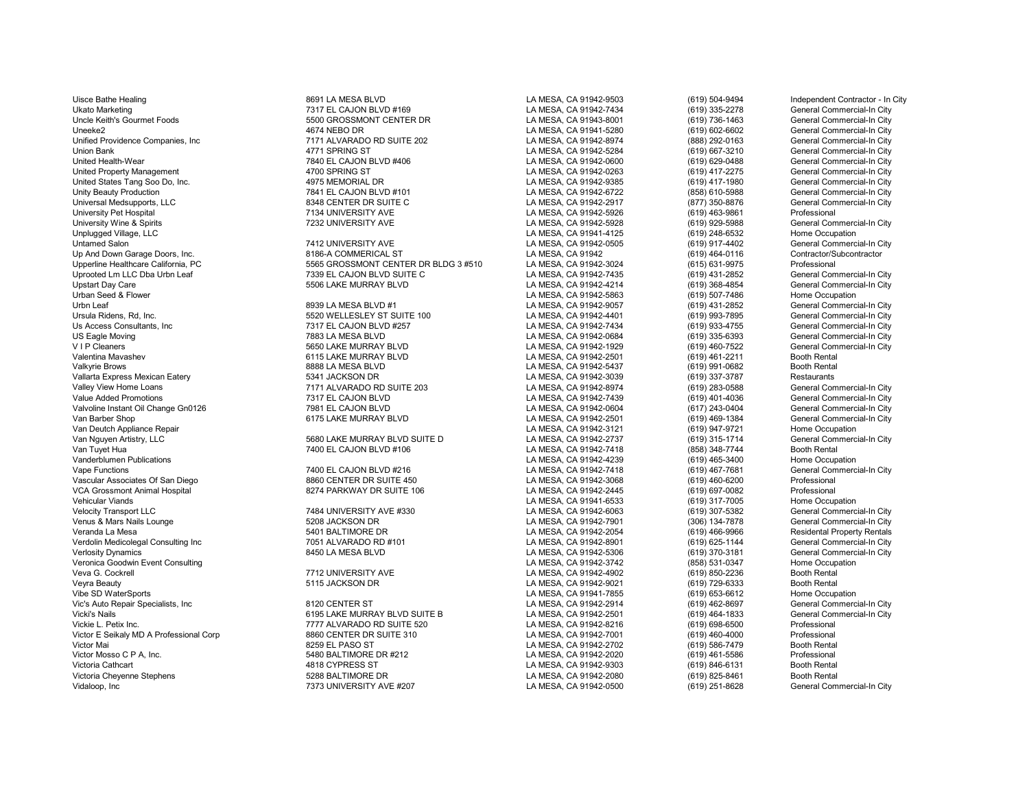Ukato Marketing Commercial-In City 7317 EL CAJON BLVD #169 LA MESA, CA 91942-7434 (619) 335-2278 General Commercial-In City 7317 EL CAJON BLVD #169 LA MESA, CA 91942-7434 (619) 335-2278 General Commercial-In City 736-1463 Uncle Keith's Gourmet Foods 619) 736-1463<br>Uneeke2 Courmet Foods 619) 736-1463 COM THE GOT A MESA, CA 91941-5280 (619) 602-6602 Unified Providence Companies, Inc and the City of The Matter of Allvarando RD SUITE 202 LA MESA, CA 91942-8974 (888) 292-0163 General Commercial-In City (888) 292-0163 General Commercial-In City (619) 667-3210 General Comm Union Bank 4771 SPRING ST LA MESA, CA 91942-5284 (619) 667-3210 General Commercial-In City United Property Management **1700 SPRING ST** And SPRING ST EXA MESA, CA 91942-0263 (619) 417-2275 General Commercial-In City City<br>United States Tang Soo Do. Inc. City And And And And And And And And And States Tang Southed United States Tang Soo Do, Inc. 4975 MEMORIAL DR LA MESA, CA 91942-9385 (619) 417-1980 General Commercial-In City Unity Beauty Production 7841 EL CAJON BLVD #101 LA MESA, CA 91942-6722 (858) 610-5988 General Commercial-In City Universal Medsupports, LLC 8348 CENTER DR SUITE C LA MESA, CA 91942-2917 (877) 350-8876 General Commercial-In City University Pet Hospital 7134 UNIVERSITY AVE LA MESA, CA 91942-5926 (619) 463-9861 Professional University Wine & Spirits **1986 Commercial-In City** 7232 UNIVERSITY AVE **NET ALLY AND ACCONNUMES AND UNIVERSITY AVE**<br>
Unplugged Village, LLC **COMMES AND ACCONNUMES AND ACCONNUMES AND ACCONNUMES AND ACCONNUMENT AND UNIVERSI** Unplugged Village, LLC LA MESA, CA 91941-4125 (619) 248-6532 Home Occupation Untamed Salon 7412 UNIVERSITY AVE LA MESA, CA 91942-0505 (619) 917-4402 General Commercial-In City<br>Un And Down Garage Doors. Inc. 6. The Commercial-In Commercial ST Contractor Contractor/Subcontractor Up And Down Garage Doors, Inc. 8186-A COMMERICAL ST LA MESA, CA 91942 (619) 464-0116 Contractor/Subcontractor Upperline Healthcare California, PC 5565 GROSSMONT CENTER DR BLDG 3 #510 LA MESA, CA 91942-3024 (615) 631-9975 Professional Uprooted Lm LLC Dba Urbn Leaf 7339 EL CAJON BLVD SUITE C LA MESA, CA 91942-7435 (619) 431-2852 General Commercial-In City Upstart Day Care 5506 LAKE MURRAY BLVD LA MESA, CA 91942-4214 (619) 368-4854 General Commercial-In City Urban Seed & Flower November 2012 - See Barrette Barrette Barrette Barrette Barrette Barrette Barrette Barrett<br>Urbn Leaf (619) 431-2852 General Commercial-In City (19) 431-2852 General Commercial-In City Urbn Leaf 8939 LA MESA BLVD #1 LA MESA, CA 91942-9057 (619) 431-2852 General Commercial-In City Ursula Ridens, Rd, Inc. 6530 WELLESLEY ST SUITE 100 LA MESA, CA 91942-4401 (619) 993-7895 General Commercial-In City<br>Us Access Consultants. Inc can be the state of the CAJON BLVD #257 (and the state of the SA, CA 91942-743 Us Access Consultants, Inc 7317 EL CAJON BLVD #257 LA MESA, CA 91942-7434 (619) 933-4755 General Commercial-In City US Eagle Moving 7883 LA MESA BLVD LA MESA, CA 91942-0684 (619) 335-6393 General Commercial-In City<br>V I P Cleaners 5650 LAKE MURRAY BLVD LA MESA. CA 919 V I P Cleaners 5650 LAKE MURRAY BLVD LA MESA, CA 91942-1929 (619) 460-7522 General Commercial-In City Valentina Mavashev 6115 LAKE MURRAY BLVD LA MESA, CA 91942-2501 (619) 461-2211 Booth Rental<br>Valkvrie Brows 8888 LA MESA BLVD LA MESA. CA 91942-5437 Valkyrie Brows 8888 LA MESA BLVD LA MESA, CA 91942-5437 (619) 991-0682 Booth Rental Vallarta Express Mexican Eatery Company of the State of the State of the State of the State of the State of the State of the State of the State of the State of the State of the State of the State of the State of the State Valley View Home Loans (619) 283-0588 Valley View Home Loans (619) 283-0588 Valley View Home Loans (619) 283-0588<br>Value Added Promotions (619) 401-4036 Commercial Commercial Commercial Commercial Commercial Commercial Comm Valvoline Instant Oil Change Gn0126 **7981 EL CAJON BLVD** LA MESA, CA 91942-0604 (617) 243-0404<br>Van Barber Shop (619) 469-1384 (619) 469-1384 Van Barber Shop Carry Commercial-In City 6175 LAKE MURRAY BLVD LA MESA, CA 91942-2501 (619) 469-1384 General Commercial-In City (619) 469-1384 General Commercial-In City<br>Van Deutch Appliance Repair Home Occupation Van Deutch Appliance Repair Nome Occupation<br>Van Nauven Artistry, LLC Channel Commercial-In City (619) 947-9721 Home Occupation City (619) 947-9721 Home Occupation Van Nguyen Artistry, LLC 5680 LAKE MURRAY BLVD SUITE D LA MESA, CA 91942-2737 (619) 315-1714 General Com<br>Van Tuvet Hua 7400 EL CAJON BLVD #106 LA MESA. CA 9 Van Tuyet Hua 7400 EL CAJON BLVD #106 LA MESA, CA 91942-7418 (858) 348-7744 Booth Rental Vanderblumen Publications LA MESA, CA 91942-4239 (619) 465-3400 Home Occupation Vape Functions 7400 EL CAJON BLVD #216 LA MESA, CA 91942-7418 (619) 467-7681 General Commercial-In City Vascular Associates Of San Diego **8860 CENTER DR SUITE 450** LA MESA, CA 91942-3068 (619) 460-6200 Professional VCA Grossmont Animal Hospital 8274 PARKWAY DR SUITE 106 LA MESA, CA 91942-2445 (619) 697-0082 Professional Vehicular Viands (1993) 17-7005 Home Occupation (1993) 18-MHz (1993) 17-7005 Home Occupation (1994) 2007-5382<br>Velocity Transport LLC Channercial-In City (1993) 1997-5382 (1998) 1997-5382 General Commercial-In City (1993) Venus & Mars Nails Lounge 5208 JACKSON DR LA MESA, CA 91942-7901 (306) 134-7878 General Commercial-In City Verdolin Medicolegal Consulting Inc 7051 ALVARADO RD #101 LA MESA, CA 91942-8901 (619) 625-1144 General Commercial-In City Veronica Goodwin Event Consulting North Consumer Consumer Consumer Consumer Consumer Consumer Consulting Consu<br>Veva G. Cockrell (619) 850-2236 Booth Rental (91) 850-2236 Booth Rental (91) 850-2236 Booth Rental Veyra Beauty 5115 JACKSON DR LA MESA, CA 91942-9021 (619) 729-6333 Booth Rental Vibe SD WaterSports Home Occupation (619) 653-6612 Home Occupation<br>Vic's Auto Repair Specialists. Inc and the City of the State of Band of the State of Camerica (619) 462-8697 ( Vic's Auto Repair Specialists, Inc 8120 CENTER ST LA MESA, CA 91942-2914 (619) 462-8697 General Commercial-In City Vicki's Nails 6195 LAKE MURRAY BLVD SUITE B LA MESA, CA 91942-2501 (619) 464-1833 General Commercial-In City Victor E Seikaly MD A Professional Corp 8860 CENTER DR SUITE 310 LA MESA, CA 91942-7001 (619) 460-4000 Professional Victor Mai 8259 EL PASO ST LA MESA, CA 91942-2702 (619) 586-7479 Booth Rental Victor Mosso C P A, Inc. 5480 BALTIMORE DR #212 LA MESA, CA 91942-2020 (619) 461-5586 Professional Victoria Cheyenne Stephens Cheyenne Stephens 5288 BALTIMORE DR LA MESA, CA 91942-2080 (619) 825-8461 Booth Rental<br>Vidaloop. Inc Cheyenne Stephens Commercial-In City 7373 UNIVERSITY AVE #207 LA MESA, CA 91942-0500 (619) 251

Uisce Bathe Healing **8691 LA MESA BLVD** BOST LA MESA DA LA MESA, CA 91942-9503 (619) 504-9494 Independent Contractor - In City<br>
Ukato Marketing School La MESA, CA 91942-7434 (619) 335-2278 General Commercial-In City 0 T840 EL CAJON BLVD #406 **LA MESA, CA 91942-0600** (619) 629-0488 General Commercial-In City<br>1700 SPRING ST Commercial-In City LA MESA, CA 91942-0263 (619) 417-2275 General Commercial-In City

Value Added Promotions 1217 EL CAJON BLVD LA MESA, CA 91942-7439 (619) 401-4036 General Commercial-In City<br>The LA MESA, CA 91942-0604 (617) 243-0404 General Commercial-In City

Victim Transaction Data L. Petix Inc. 2013 L. Petix Inc. 20142-8216 (619) 698-6500 Professional Professional C<br>1990 BB60 CENTER DR SUITE 310 CHA MESA, CA 91942-7001 (619) 460-4000 Professional 1918 CYPRESS ST LA MESA, CA 91942-9303<br>1928 BALTIMORE DR 7373 UNIVERSITY AVE #207 **LA MESA, CA 91942-0500** (619) 251-8628

Uneeke2 4674 NEBO DR LA MESA, CA 91941-5280 (619) 602-6602 General Commercial-In City Velocity Transport LA MESA, CA 91942-6063 (619) 307-5382 General Commercial-In City Commercial-In City LA MESA, CA 91942-7901 (619) 307-5382 General Commercial-In City Commercial-In City LA MESA, CA 91942-7901 (306) 134-78  $\begin{array}{l|l} \text{LA MESA, CA 91942-2054} & \text{(619) 466-9966} & \text{Residual Property Rential Property} \end{array}$ Verlasity Danis 2506 LA MESA, CA 91942-5306 LA MESA, CA 91942-5306 Ceremic California City<br>CA MESA, CA 91942-3742 Ceneral Case (858) 531-0347 Home Occupation Veva G. Cockrell 7712 UNIVERSITY AVE LA MESA, CA 91942-4902 (619) 850-2236 Booth Rental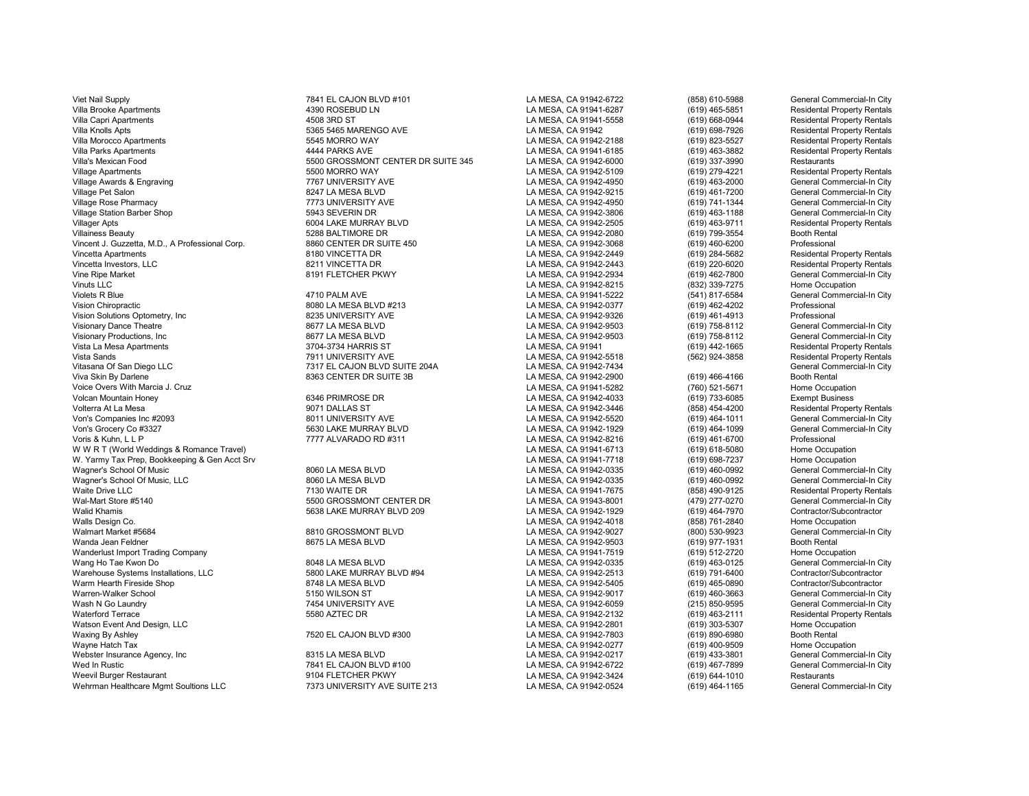Viet Nail Supply 7841 EL CAJON BLVD #101 LA MESA, CA 91942-6722 (858) 610-5988 General Commercial-In City Villa Brooke Apartments 4390 ROSEBUD LN LA MESA, CA 91941-6287 (619) 465-5851 Residental Property Rentals Villa Capri Apartments 4508 3RD ST LA MESA, CA 91941-5558 (619) 668-0944 Residental Property Rentals Villa Knolls Apts 5365 5465 MARENGO AVE LA MESA, CA 91942 (619) 698-7926 Residental Property Rentals Villa Morocco Apartments 5545 MORRO WAY LA MESA, CA 91942-2188 (619) 823-5527 Residental Property Rentals Villa Parks Apartments 4444 PARKS AVE LA MESA, CA 91941-6185 (619) 463-3882 Residental Property Rentals Villa's Mexican Food 5500 GROSSMONT CENTER DR SUITE 345 LA MESA, CA 91942-6000 (619) 337-3990 Restaurants Village Apartments 5500 MORRO WAY LA MESA, CA 91942-5109 (619) 279-4221 Residental Property Rentals Village Awards & Engraving 7767 UNIVERSITY AVE LA MESA, CA 91942-4950 (619) 463-2000 General Commercial-In City Village Pet Salon 8247 LA MESA BLVD LA MESA, CA 91942-9215 (619) 461-7200 General Commercial-In City Village Rose Pharmacy 7773 UNIVERSITY AVE LA MESA, CA 91942-4950 (619) 741-1344 General Commercial-In City Village Station Barber Shop 5943 SEVERIN DR LA MESA, CA 91942-3806 (619) 463-1188 General Commercial-In City Villager Apts 6004 LAKE MURRAY BLVD LA MESA, CA 91942-2505 (619) 463-9711 Residental Property Rentals Villainess Beauty 5288 BALTIMORE DR LA MESA, CA 91942-2080 (619) 799-3554 Booth Rental Vincent J. Guzzetta, M.D., A Professional Corp. 6860 CENTER DR SUITE 450 LA MESA, CA 91942-3068 (619) 460-6200 Professional Property Rentals<br>Vincetta Apartments Residental Property Rentals (8180 VINCETTA DR Vincetta Apartments 8180 VINCETTA DR LA MESA, CA 91942-2449 (619) 284-5682 Residental Property Rentals Vincetta Investors, LLC 8211 VINCETTA DR LA MESA, CA 91942-2443 (619) 220-6020 Residental Property Rentals Vine Ripe Market 8191 FLETCHER PKWY LA MESA, CA 91942-2934 (619) 462-7800 General Commercial-In City Vinuts LLC LA MESA, CA 91942-8215 (832) 339-7275 Home Occupation Violets R Blue 4710 PALM AVE LA MESA, CA 91941-5222 (541) 817-6584 General Commercial-In City Vision Solutions Optometry, Inc 8235 UNIVERSITY AVE LA MESA, CA 91942-9326 (619) 461-4913 Professional Visionary Dance Theatre 8677 LA MESA BLVD LA MESA, CA 91942-9503 (619) 758-8112 General Commercial-In City Visionary Productions, Inc and the Same of the Same of the Same of the Same of the Same of the Same of the Same of the Same of the Same of the Same of the Same of the Same of the Same of the Same of the Same of the Same of Vista La Mesa Apartments 3704-3734 HARRIS ST LA MESA, CA 91941 (619) 442-1665 Residental Property Rentals Vista Sands 7911 UNIVERSITY AVE LA MESA, CA 91942-5518 (562) 924-3858 Residental Property Rentals Vitasana Of San Diego LLC 7317 EL CAJON BLVD SUITE 204A LA MESA, CA 91942-7434 General Commercial-In City Voice Overs With Marcia J. Cruz LA MESA, CA 91941-5282 (760) 521-5671 Home Occupation Volcan Mountain Honey 6346 PRIMROSE DR LA MESA, CA 91942-4033 (619) 733-6085 Exempt Business Von's Companies Inc #2093 8011 UNIVERSITY AVE LA MESA, CA 91942-5520 (619) 464-1011 General Commercial-In City Voris & Kuhn, L L P 7777 ALVARADO RD #311 LA MESA, CA 91942-8216 (619) 461-6700 Professional w W R T (World Weddings & Romance Travel) and the compation of the compation of the compation of the MESA, CA 91941-6713 (619) 618-5080 Home Occupation (619) 618-5080 Home Occupation (619) 618-5080 Home Occupation (619) 69 W. Yarmy Tax Prep, Bookkeeping & Gen Acct Srv and the State of Bookkeeping & Gen Acct Srv and State of State Bookkeeping & Gen Acct Srv and State of State Bookkeeping & Gen Acct Srv and State of State of State of Democrati Wagner's School Of Music 8060 LA MESA BLVD LA MESA, CA 91942-0335 (619) 460-0992 General Commercial-In City Wagner's School Of Music, LLC **Commercial-In City** 8060 LA MESA BLVD LA MESA CA 91942-0335 (619) 460-0992 General Commercial-In City Waite Drive LLC 7130 WAITE DR 7130 WAITE DR LA MESA, CA 91941-7675 (858) 490-9125 Residental Property Rentals<br>Wal-Mart Store #5140 Superal Commercial-In City 5500 GROSSMONT CENTER DR Wal-Mart Store #5140 5500 SEOO GROSSMONT CENTER DR LA MESA, CA 91943-8001 (479) 277-0270 General Commercial-In City<br>Walid Khamis (619) 464-7970 Contractor/Subcontractor Walid Khamis 5638 LAKE MURRAY BLVD 209 LA MESA, CA 91942-1929 (619) 464-7970 Contractor/Subcontractor Walls Design Co. LA MESA, CA 91942-4018 (858) 761-2840 Home Occupation Walmart Market #5684 8810 GROSSMONT BLVD LA MESA, CA 91942-9027 (800) 530-9923 General Commercial-In City Wanda Jean Feldner 8675 LA MESA BLVD LA MESA, CA 91942-9503 (619) 977-1931 Booth Rental Wanderlust Import Trading Company LA MESA, CA 91941-7519 (619) 512-2720 Home Occupation Wang Ho Tae Kwon Do 8048 LA MESA BLVD LA MESA, CA 91942-0335 (619) 463-0125 General Commercial-In City Warehouse Systems Installations, LLC **1980 CONTRAY BLVD #94** LA MESA, CA 91942-2513 (619) 791-6400 Contractor/Subcontractor<br>Warm Hearth Fireside Shop Contractor/Subcontractor 80248 LA MESA BLVD LA MESA. CA 91942-5405 (619) Warm Hearth Fireside Shop 8748 LA MESA BLVD LA MESA, CA 91942-5405 (619) 465-0890 Contractor/Subcontractor Warren-Walker School 5150 WILSON ST LA MESA, CA 91942-9017 (619) 460-3663 General Commercial-In City Wash N Go Laundry 7454 UNIVERSITY AVE LA MESA, CA 91942-6059 (215) 850-9595 General Commercial-In City Waterford Terrace 5580 AZTEC DR LA MESA, CA 91942-2132 (619) 463-2111 Residental Property Rentals Watson Event And Design, LLC LA MESA, CA 91942-2801 (619) 303-5307 Home Occupation Waxing By Ashley 7520 EL CAJON BLVD #300 LA MESA, CA 91942-7803 (619) 890-6980 Booth Rental Webster Insurance Agency, Inc 8315 LA MESA BLVD LA MESA, CA 91942-0217 (619) 433-3801 General Commercial-In City Wed In Rustic 7841 EL CAJON BLVD #100<br>
Weevil Burger Restaurant The Commercial Commercial Commercial Commercial Commercial Commercial Commercial Comm<br>
Meevil Burger Restaurant Weevil Burger Restaurant November 2010 Restaurants and the State of the State of the State of the State of the State of the State of the State of the State of the State of the State of the State of the State of the State o

Vision Chiropractic 8080 LA MESA BLVD #213 LA MESA, CA 91942-0377 (619) 462-4202 Professional 8363 CENTER DR SUITE 3B CONTER ANESA, CA 91942-2900 (619) 466-4166 Booth Rental<br>LA MESA, CA 91941-5282 (760) 521-5671 Home Occupation % For Commercial-Duriculum Commercial-Duriculum Commercial-In City Commercial-In City<br>1992 - To LA MESA, CA 91942-8216 (619) 461-6700 Professional Professional Commercial-In City

7373 UNIVERSITY AVE SUITE 213 LA MESA, CA 91942-0524 (619) 464-1165

Volterra At La Mesidental Property Rentals (619) 464-1011<br>General Commercial-In City LA MESA, CA 91942-0277 (619) 400-9509 Home Occupation<br>Ceneral Commercial-In City (619) 433-3801 General Commercial-In City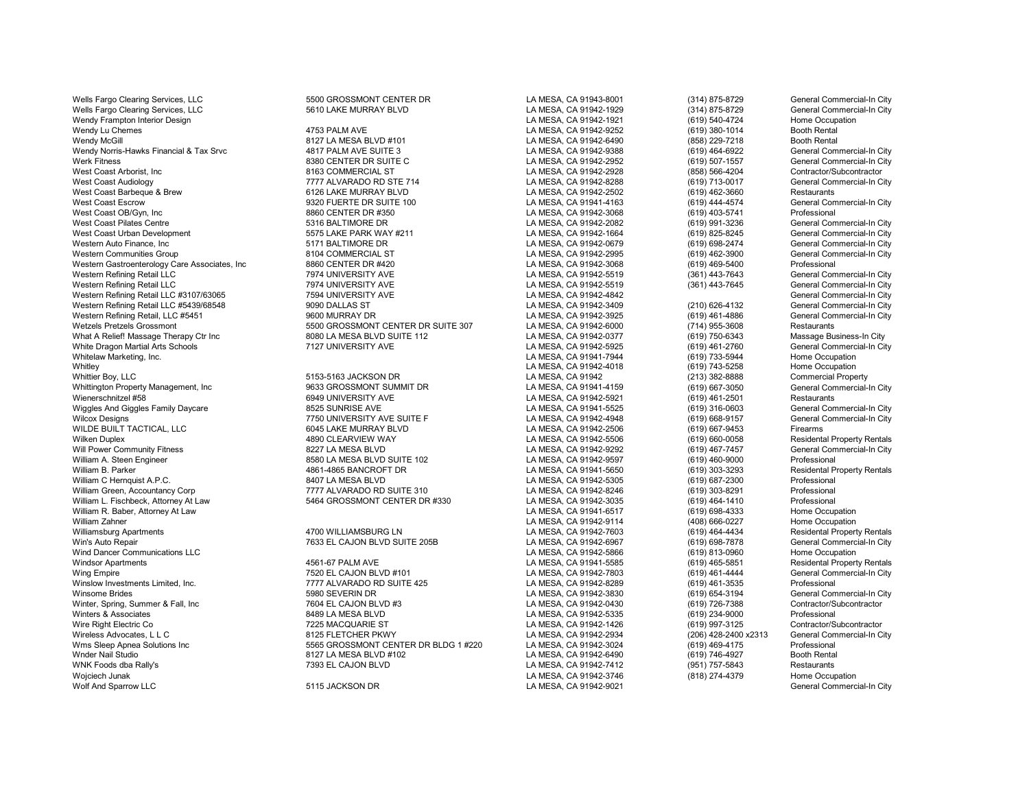Wells Fargo Clearing Services, LLC **600 SECONTER DR LA MESA, CA 91943-8001** (314) 875-8729 General Commercial-In City Wells Fargo Clearing Services, LLC **Christed Commercial-In City** 5610 LAKE MURRAY BLVD LA MESA, CA 91942-1929 (314) 875-8729 General Commercial-In City<br>Commercial-In City Commercial-In City (314) 875-8729 (619) 540-4724 Ho Wendy Frampton Interior Design Nome Occupation 2012 12 AMESA, CA 91942-1921 (619) 540-4724 Home Occup<br>Wendy Lu Chemes (619) 380-1014 Booth Rental Wendy McGill 8127 LA MESA BLVD #101 LA MESA, CA 91942-6490 (858) 229-7218 Booth Rental Wendy Norris-Hawks Financial & Tax Srvc **4817 PALM AVE SUITE 3** LA MESA, CA 91942-9388 (619) 464-6922 General Commercial-In City (619) 464-6922 General Commercial-In City (619) 464-6922 General Commercial-In City (619) 507 Werk Fitness 6380 CENTER DR SUITE C LA MESA, CA 91942-2952 (619) 507-1557 General Commercial-In C<br>West Coast Arborist. Inc Contractor/Subcontractor 6163. COMMERCIAL ST CHA MESA. CA 91942-2928 (858) 566-4204 Contractor/Subc West Coast Arborist, Inc 8163 COMMERCIAL ST LA MESA, CA 91942-2928 (858) 566-4204 Contractor/Subcontractor West Coast Barbeque & Brew 6126 LAKE MURRAY BLVD LA MESA, CA 91942-2502 (619) 462-3660 Restaurants West Coast Escrow 9320 FUERTE DR SUITE 100 LA MESA, CA 91941-4163 (619) 444-4574 General Commercial-In City<br>West Coast OB/Gvn. Inc 8860 CENTER DR #350 LA MESA West Coast OB/Gyn, Inc 8860 CENTER DR #350 LA MESA, CA 91942-3068 (619) 403-5741 Professional West Coast Pilates Centre Summercial-In City (States 19316 BALTIMORE DR LA MESA, CA 91942-2082 (619) 991-3236 General Commercial-In City (States 2019) 991-3236 General Commercial-In City (States 2019) 991-3236 (619) 991-32 West Coast Urban Development 5575 LAKE PARK WAY #211 LA MESA, CA 91942-1664 (619) 825-8245 General Commercial-In City Western Auto Finance, Inc Commercial-In City (619) 698-2474 (699-2474 General Commercial-In City Seneral Commercial-In City Seneral Commercial-In City Seneral Commercial-In City Seneral Commercial-In City Seneral Commercia Western Communities Group 8104 COMMERCIAL ST LA MESA, CA 91942-2995 (619) 462-3900 General Commercial-In City Western Gastroenterology Care Associates, Inc 8860 CENTER DR #420 LA MESA, CA 91942-3068 (619) 469-5400 Professional Western Refining Retail LLC 7974 UNIVERSITY AVE LA MESA, CA 91942-5519 (361) 443-7643 General Commercial-In City Western Refining Retail LLC 7974 UNIVERSITY AVE LA MESA, CA 91942-5519 (361) 443-7645 General Commercial-In City Western Refining Retail LLC #3107/63065 7594 UNIVERSITY AVE LA MESA, CA 91942-4842 General Commercial-In City Western Refining Retail LLC #5439/68548 9090 DALLAS ST LA MESA, CA 91942-3409 (210) 626-4132 General Commercial-In City Western Refining Retail, LLC #5451 9600 MURRAY DR LA MESA, CA 91942-3925 (619) 461-4886 General Commercial-In City What A Relief! Massage Therapy Ctr Inc and the Suite of the Same Business-In City<br>White Dragon Martial Arts Schools (Commercial-In City 8127 UNIVERSITY AVE 112 LA MESA, CA 91942-5925 (619) 461-2760 General Commercial-In Ci White Dragon Martial Arts Schools 7127 UNIVERSITY AVE LA MESA, CA 91942-5925 (619) 461-2760 General Commercial-In City Whitelaw Marketing, Inc. LA MESA, CA 91941-7944 (619) 733-5944 Home Occupation Whitley LA MESA, CA 91942-4018 (619) 743-5258 Home Occupation Whittier Boy, LLC 5153-5163 JACKSON DR LA MESA, CA 91942 Commercial Property Whittington Property Management, Inc **Canadiation City** 9633 GROSSMONT SUMMIT DR **CALLA MESA, CA 91941-4159** (619) 667-3050 General Commercial-In City<br>Wienerschnitzel #58 Mission Bestaurants (619) 461-2501 Restaurants Wiggles And Giggles Family Daycare **8525 SUNRISE AVE LA MESA, CA 91941-5525** (619) 316-0603 General Commercial-In City City<br>Wilcox Designs General Commercial-In City 7750 UNIVERSITY AVE SUITE F CANNESA, CA 91942-4948 (619) Wilcox Designs The Commercial Commercial Commercial Commercial Commercial Commercial Commercial Commercial Commercial-In Commercial-In Commercial-In Commercial-In Commercial-In Commercial-In Commercial-Information Commerci WILDE BUILT TACTICAL, LLC 6045 LAKE MURRAY BLVD LA MESA, CA 91942-2506 (619) 667-9453 Firearms Will Power Community Fitness 8227 LA MESA BLVD LA MESA, CA 91942-9292 (619) 467-7457 General Commercial-In City William A. Steen Engineer 8580 LA MESA BLVD SUITE 102 LA MESA, CA 91942-9597 (619) 460-9000 Professional William B. Parker 4861-4865 BANCROFT DR LA MESA, CA 91941-5650 (619) 303-3293 Residental Property Rentals William C Hernquist A.P.C. Charges and the SA 8407 LA MESA BLVD LA MESA, CA 91942-5305 (619) 687-2300 Professional William Green, Accountancy Corp **777 ALVARADO RD SUITE 310** LA MESA, CA 91942-8246 (619) 303-8291 Professional William L. Fischbeck, Attorney At Law 5464 GROSSMONT CENTER DR #330 LA MESA, CA 91942-3035 (619) 464-1410 Professional William R. Baber, Attorney At Law Anne Occupation المستخدم المستخدم المستخدم المستخدم المستخدم المستخدم المستخدم ال<br>المستخدم المستخدم المستخدم المستخدم المستخدم المستخدم المستخدم المستخدم المستخدم المستخدم المستخدم المستخ William Zahner LA MESA, CA 91942-9114 (408) 666-0227 Home Occupation Williamsburg Apartments 4700 WILLIAMSBURG LN LA MESA, CA 91942-7603 (619) 464-4434 Residental Property Rentals Win's Auto Repair 7633 EL CAJON BLVD SUITE 205B LA MESA, CA 91942-6967 (619) 698-7878 General Commercial-In City<br>Mind Dancer Communications LLC Commercial-In City Wind Dancer Communications LLC LA MESA, CA 91942-5866 (619) 813-0960 Home Occupation WNK Foods dba Rally's 7393 EL CAJON BLVD LA MESA, CA 91942-7412 (951) 757-5843 Restaurants Wojciech Junak LA MESA, CA 91942-3746 (818) 274-4379 Home Occupation Wolf And Sparrow LLC 5115 JACKSON DR LA MESA, CA 91942-9021 General Commercial-In City

T777 ALVARADO RD STE 714 LA MESA, CA 91942-8288 (619) 713-0017 General Commercial Commercial Commercial-In Commercial-In Commercial-In Commercial-In Commercial-In Commercial-In Commercial-In Commercial-In Commercial-In Cit % 5500 GROSSMONT CENTER DR SUITE 307 LA MESA, CA 91942-6000  $(714)$  955-3608 Restaurants<br>1980 LA MESA BLVD SUITE 112 LA MESA, CA 91942-0377 (619) 750-6343 Massage Business-In City

erschnitzel #58 6949 UNIVERSITY AVE LA MESA, CA 91942-5921 (619) 461-2501 Restaurants<br>1992 - BESCHINGTER LA MESA, CA 91941-5525 (619) 316-0603 General Commercial-In City Wilken Duplex 4890 CLEARVIEW WAY LA MESA, CA 91942-5506 (619) 660-0058 Residental Property Rentals

Windsor Apartments 4561-67 PALM AVE LA MESA, CA 91941-5585 (619) 465-5851 Residental Property Rentals Wing Empire 7520 EL CAJON BLVD #101 LA MESA, CA 91942-7803 (619) 461-4444 General Commercial-In City (Minslow Investments Limited. Inc. The commercial-In City (Minslow Investments Limited. Inc. The commercial-In City (Mins Winslow Investments Limited, Inc. 7777 ALVARADO RD SUITE 425 LA MESA, CA 91942-8289 (619) 461-3535 Professional Winsome Brides 6980 SEVERIN DR (619) SUPPERIN DR LA MESA, CA 91942-3830 (619) 654-3194 General Commercial-In City<br>Minter. Spring. Summer & Fall. Inc structure of the CAJON BLVD #3 (A MESA, CA 91942-0430 (619) 726-7388 (Con Winter, Spring, Summer & Fall, Inc 7604 EL CAJON BLVD #3 LA MESA, CA 91942-0430 (619) 726-7388 Contractor/Subcontractor Winters & Associates 8489 LA MESA BLVD LA MESA, CA 91942-5335 (619) 234-9000 Professional<br>Wire Right Electric Co 7225 MACQUARIE ST Wire Right Electric Co 7225 MACQUARIE ST 225 MACQUARIE ST LA MESA, CA 91942-1426 (619) 997-3125 Contractor/Subcontractor (619) 997-3125 Wireless Advocates, L L C 8125 FLETCHER PKWY LA MESA, CA 91942-2934 (206) 428-2400 x2313 General Commercial-In City Wms Sleep Apnea Solutions Inc 5565 GROSSMONT CENTER DR BLDG 1 #220 LA MESA, CA 91942-3024 (619) 469-4175 Professional Wnder Nail Studio 8127 LA MESA BLVD #102 LA MESA, CA 91942-6490 (619) 746-4927 Booth Rental

LA MESA, CA 91942-9252